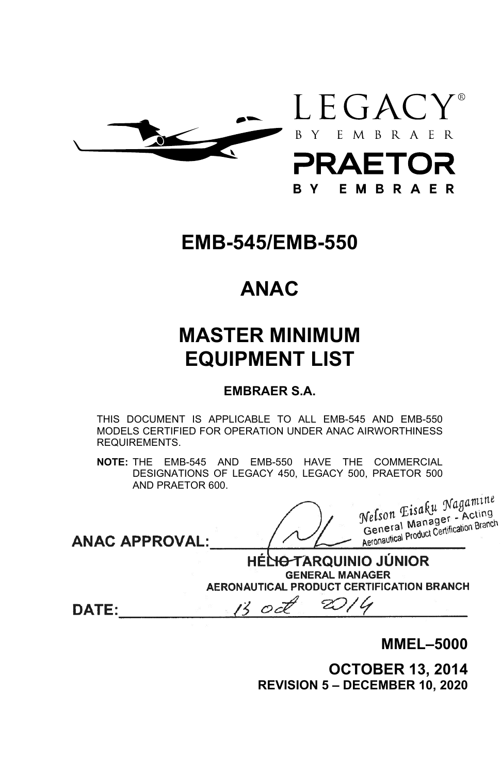



### **EMB-545/EMB-550**

# **ANAC**

# **MASTER MINIMUM EQUIPMENT LIST**

#### **EMBRAER S.A.**

THIS DOCUMENT IS APPLICABLE TO ALL EMB-545 AND EMB-550 MODELS CERTIFIED FOR OPERATION UNDER ANAC AIRWORTHINESS REQUIREMENTS.

**NOTE:** THE EMB-545 AND EMB-550 HAVE THE COMMERCIAL DESIGNATIONS OF LEGACY 450, LEGACY 500, PRAETOR 500 AND PRAETOR 600.

ANAC APPROVAL: Welson Eisaku Nagamine

**HÉLIO TARQUINIO JÚNIOR GENERAL MARK AERONAUTICAL PRODUCT CERTIFICATION BRANCH**<br>AERONAUTICAL PRODUCT CERTIFICATION BRANCH

 $\ddot{a}$ 

**MMEL–5000** 

**OCTOBER 13, 2014 REVISION 5 – DECEMBER 10, 2020**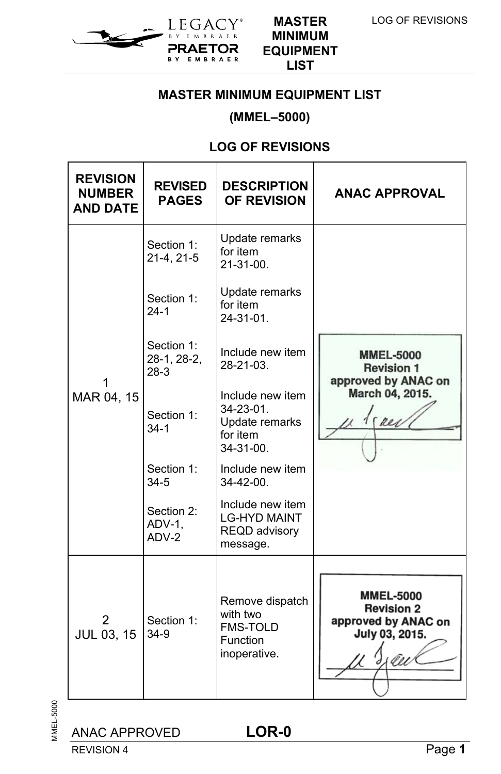

#### **(MMEL–5000)**

#### **LOG OF REVISIONS**

| <b>REVISION</b><br><b>NUMBER</b><br><b>AND DATE</b> | <b>REVISED</b><br><b>PAGES</b>      | <b>DESCRIPTION</b><br>OF REVISION                                                      | <b>ANAC APPROVAL</b>                                                           |
|-----------------------------------------------------|-------------------------------------|----------------------------------------------------------------------------------------|--------------------------------------------------------------------------------|
|                                                     | Section 1:<br>21-4, 21-5            | Update remarks<br>for item<br>21-31-00.                                                |                                                                                |
|                                                     | Section 1:<br>$24-1$                | Update remarks<br>for item<br>24-31-01.                                                |                                                                                |
|                                                     | Section 1:<br>28-1, 28-2,<br>$28-3$ | Include new item<br>28-21-03.                                                          | <b>MMEL-5000</b><br><b>Revision 1</b><br>approved by ANAC on                   |
| MAR 04, 15                                          | Section 1:<br>$34-1$                | Include new item<br>$34 - 23 - 01$ .<br>Update remarks<br>for item<br>$34 - 31 - 00$ . | March 04, 2015.<br>$11$ 15 Rev                                                 |
|                                                     | Section 1:<br>$34 - 5$              | Include new item<br>$34 - 42 - 00$ .                                                   |                                                                                |
|                                                     | Section 2:<br>ADV-1,<br>$ADV-2$     | Include new item<br><b>LG-HYD MAINT</b><br><b>REQD</b> advisory<br>message.            |                                                                                |
| 2<br>JUL 03, 15                                     | Section 1:<br>$34-9$                | Remove dispatch<br>with two<br><b>FMS-TOLD</b><br>Function<br>inoperative.             | <b>MMEL-5000</b><br><b>Revision 2</b><br>approved by ANAC on<br>July 03, 2015. |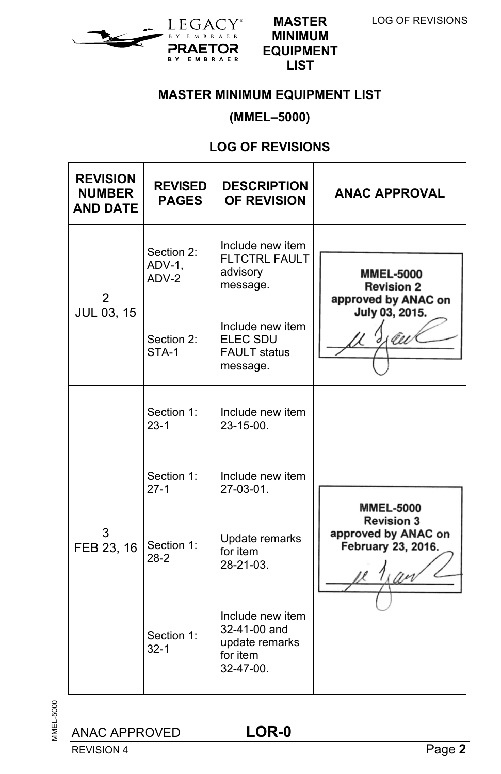

#### **(MMEL–5000)**

#### **LOG OF REVISIONS**

| <b>REVISION</b><br><b>NUMBER</b><br><b>AND DATE</b> | <b>REVISED</b><br><b>PAGES</b> | <b>DESCRIPTION</b><br><b>OF REVISION</b>                                    | <b>ANAC APPROVAL</b>                                                           |
|-----------------------------------------------------|--------------------------------|-----------------------------------------------------------------------------|--------------------------------------------------------------------------------|
| 2<br>JUL 03, 15                                     | Section 2:<br>ADV-1.<br>ADV-2  | Include new item<br>FLTCTRL FAULT<br>advisory<br>message.                   | <b>MMEL-5000</b><br><b>Revision 2</b><br>approved by ANAC on<br>July 03, 2015. |
|                                                     | Section 2:<br>STA-1            | Include new item<br>ELEC SDU<br><b>FAULT</b> status<br>message.             |                                                                                |
|                                                     | Section 1:<br>$23-1$           | Include new item<br>23-15-00.                                               |                                                                                |
|                                                     | Section 1:<br>$27-1$           | Include new item<br>27-03-01.                                               | <b>MMEL-5000</b>                                                               |
| 3<br>FEB 23, 16                                     | Section 1:<br>28-2             | Update remarks<br>for item<br>28-21-03.                                     | <b>Revision 3</b><br>approved by ANAC on<br>February 23, 2016.                 |
|                                                     | Section 1:<br>$32-1$           | Include new item<br>32-41-00 and<br>update remarks<br>for item<br>32-47-00. |                                                                                |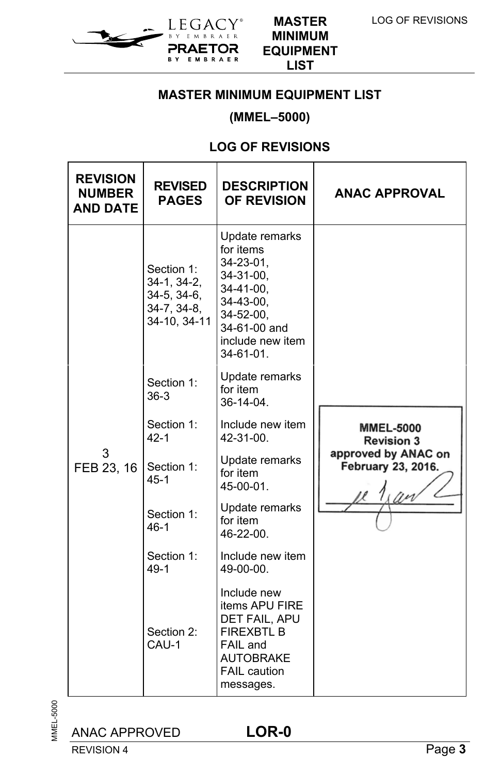

#### **(MMEL–5000)**

#### **LOG OF REVISIONS**

| <b>REVISION</b><br><b>NUMBER</b><br><b>AND DATE</b> | <b>REVISED</b><br><b>PAGES</b>                                              | <b>DESCRIPTION</b><br><b>OF REVISION</b>                                                                                                                                         | <b>ANAC APPROVAL</b>                      |
|-----------------------------------------------------|-----------------------------------------------------------------------------|----------------------------------------------------------------------------------------------------------------------------------------------------------------------------------|-------------------------------------------|
|                                                     | Section 1:<br>$34-1, 34-2,$<br>$34-5, 34-6,$<br>34-7, 34-8,<br>34-10, 34-11 | Update remarks<br>for items<br>$34 - 23 - 01$ ,<br>34-31-00,<br>$34 - 41 - 00$ ,<br>$34 - 43 - 00$ .<br>$34 - 52 - 00$ ,<br>34-61-00 and<br>include new item<br>$34 - 61 - 01$ . |                                           |
|                                                     | Section 1:<br>36-3                                                          | Update remarks<br>for item<br>36-14-04.                                                                                                                                          |                                           |
|                                                     | Section 1:<br>$42 - 1$                                                      | Include new item<br>42-31-00.                                                                                                                                                    | <b>MMEL-5000</b><br><b>Revision 3</b>     |
| FEB 23, 16                                          | Section 1:<br>$45 - 1$                                                      | Update remarks<br>for item<br>45-00-01.                                                                                                                                          | approved by ANAC on<br>February 23, 2016. |
|                                                     | Section 1:<br>46-1                                                          | Update remarks<br>for item<br>46-22-00.                                                                                                                                          |                                           |
|                                                     | Section 1:<br>$49-1$                                                        | Include new item<br>49-00-00.                                                                                                                                                    |                                           |
|                                                     | Section 2:<br>CAU-1                                                         | Include new<br>items APU FIRE<br>DET FAIL, APU<br><b>FIREXBTL B</b><br>FAIL and<br><b>AUTOBRAKE</b><br><b>FAIL</b> caution<br>messages.                                          |                                           |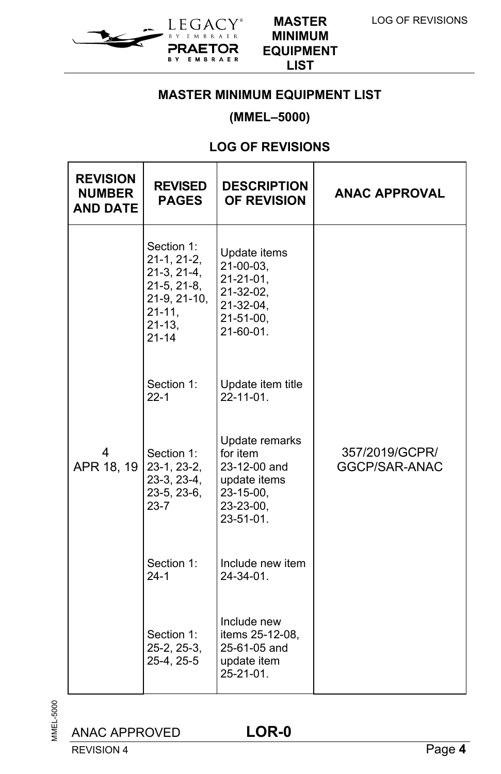

#### **(MMEL–5000)**

#### **LOG OF REVISIONS**

| <b>REVISION</b><br><b>NUMBER</b><br><b>AND DATE</b> | <b>REVISED</b><br><b>PAGES</b>                                                                                         | <b>DESCRIPTION</b><br><b>OF REVISION</b>                                                                       | <b>ANAC APPROVAL</b>            |
|-----------------------------------------------------|------------------------------------------------------------------------------------------------------------------------|----------------------------------------------------------------------------------------------------------------|---------------------------------|
|                                                     | Section 1:<br>$21-1, 21-2,$<br>$21-3, 21-4,$<br>$21-5, 21-8,$<br>21-9, 21-10,<br>$21 - 11,$<br>$21 - 13,$<br>$21 - 14$ | Update items<br>$21-00-03$ ,<br>$21 - 21 - 01$ ,<br>21-32-02,<br>$21-32-04$ ,<br>$21 - 51 - 00$ ,<br>21-60-01. |                                 |
|                                                     | Section 1:<br>$22 - 1$                                                                                                 | Update item title<br>22-11-01.                                                                                 |                                 |
| 4<br>APR 18, 19                                     | Section 1:<br>23-1, 23-2,<br>$23-3, 23-4,$<br>23-5, 23-6,<br>$23 - 7$                                                  | Update remarks<br>for item<br>23-12-00 and<br>update items<br>$23-15-00$ ,<br>$23 - 23 - 00$<br>23-51-01.      | 357/2019/GCPR/<br>GGCP/SAR-ANAC |
|                                                     | Section 1:<br>$24 - 1$                                                                                                 | Include new item<br>$24 - 34 - 01$ .                                                                           |                                 |
|                                                     | Section 1:<br>25-2, 25-3,<br>25-4, 25-5                                                                                | Include new<br>items 25-12-08.<br>25-61-05 and<br>update item<br>25-21-01.                                     |                                 |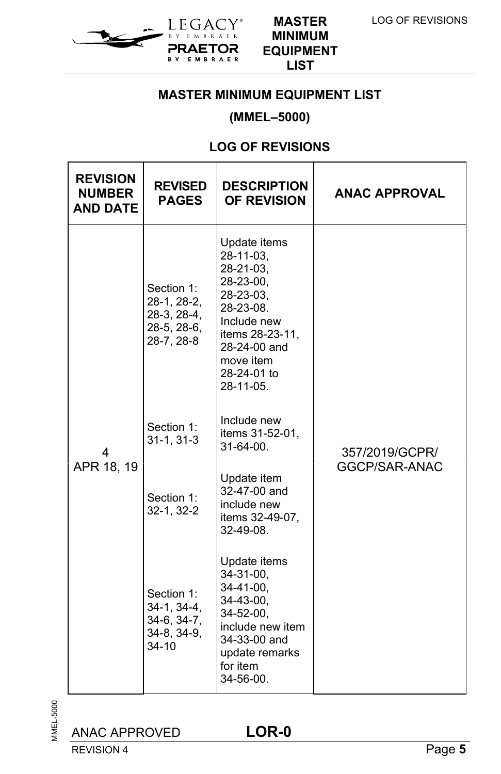

#### **(MMEL–5000)**

#### **LOG OF REVISIONS**

| <b>REVISION</b><br><b>NUMBER</b><br><b>AND DATE</b> | <b>REVISED</b><br><b>PAGES</b>                                        | <b>DESCRIPTION</b><br><b>OF REVISION</b>                                                                                                                                 | <b>ANAC APPROVAL</b>            |
|-----------------------------------------------------|-----------------------------------------------------------------------|--------------------------------------------------------------------------------------------------------------------------------------------------------------------------|---------------------------------|
|                                                     | Section 1:<br>28-1, 28-2,<br>28-3, 28-4,<br>28-5, 28-6,<br>28-7, 28-8 | Update items<br>28-11-03,<br>28-21-03.<br>28-23-00,<br>28-23-03.<br>28-23-08.<br>Include new<br>items 28-23-11,<br>28-24-00 and<br>move item<br>28-24-01 to<br>28-11-05. |                                 |
| 4<br>APR 18, 19                                     | Section 1:<br>$31-1, 31-3$                                            | Include new<br>items 31-52-01.<br>$31 - 64 - 00$ .                                                                                                                       | 357/2019/GCPR/<br>GGCP/SAR-ANAC |
|                                                     | Section 1:<br>32-1, 32-2                                              | Update item<br>32-47-00 and<br>include new<br>items 32-49-07,<br>32-49-08.                                                                                               |                                 |
|                                                     | Section 1:<br>34-1, 34-4,<br>34-6, 34-7,<br>34-8, 34-9,<br>$34 - 10$  | Update items<br>34-31-00,<br>$34 - 41 - 00$ ,<br>34-43-00,<br>34-52-00,<br>include new item<br>34-33-00 and<br>update remarks<br>for item<br>34-56-00.                   |                                 |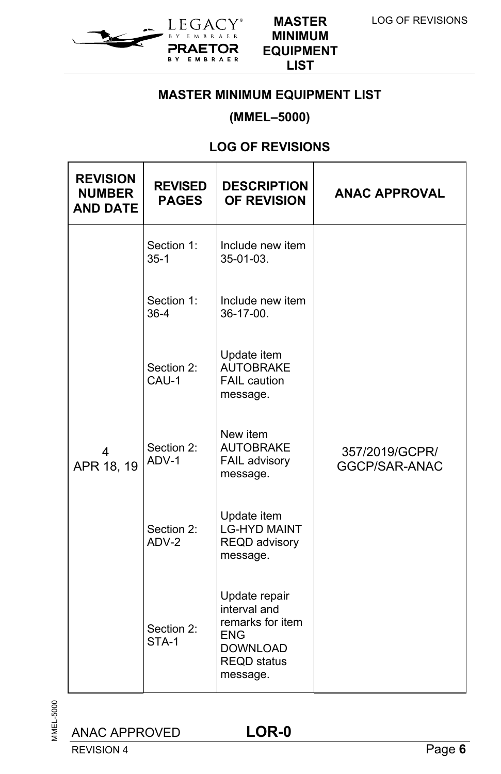

#### **(MMEL–5000)**

#### **LOG OF REVISIONS**

| <b>REVISION</b><br><b>NUMBER</b><br><b>AND DATE</b> | <b>REVISED</b><br><b>PAGES</b> | <b>DESCRIPTION</b><br><b>OF REVISION</b>                                                                             | <b>ANAC APPROVAL</b>            |
|-----------------------------------------------------|--------------------------------|----------------------------------------------------------------------------------------------------------------------|---------------------------------|
|                                                     | Section 1:<br>$35-1$           | Include new item<br>35-01-03.                                                                                        |                                 |
|                                                     | Section 1:<br>$36-4$           | Include new item<br>36-17-00.                                                                                        |                                 |
|                                                     | Section 2:<br>CAU-1            | Update item<br><b>AUTOBRAKE</b><br><b>FAIL</b> caution<br>message.                                                   |                                 |
| 4<br>APR 18, 19                                     | Section 2:<br>ADV-1            | New item<br><b>AUTOBRAKE</b><br>FAIL advisory<br>message.                                                            | 357/2019/GCPR/<br>GGCP/SAR-ANAC |
|                                                     | Section 2:<br>ADV-2            | Update item<br><b>LG-HYD MAINT</b><br><b>REQD</b> advisory<br>message.                                               |                                 |
|                                                     | Section 2:<br>STA-1            | Update repair<br>interval and<br>remarks for item<br><b>ENG</b><br><b>DOWNLOAD</b><br><b>REQD</b> status<br>message. |                                 |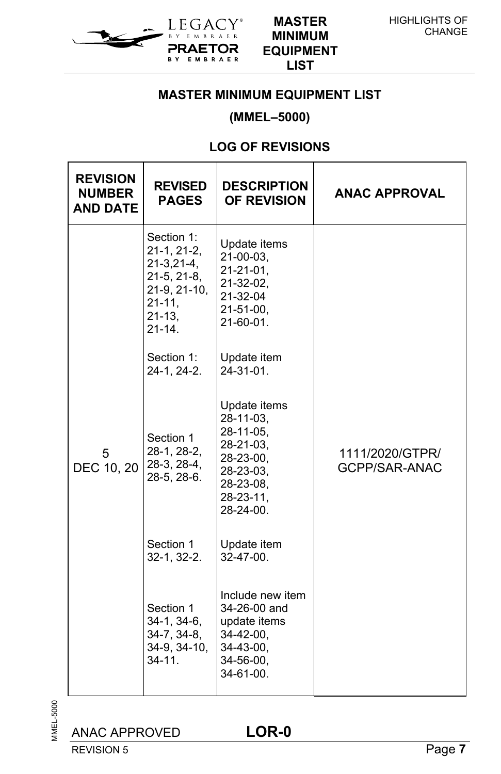

#### **(MMEL–5000)**

#### **LOG OF REVISIONS**

| <b>REVISION</b><br><b>NUMBER</b><br><b>AND DATE</b> | <b>REVISED</b><br><b>PAGES</b>                                                                                            | <b>DESCRIPTION</b><br>OF REVISION                                                                                       | <b>ANAC APPROVAL</b>             |
|-----------------------------------------------------|---------------------------------------------------------------------------------------------------------------------------|-------------------------------------------------------------------------------------------------------------------------|----------------------------------|
|                                                     | Section 1:<br>$21-1, 21-2,$<br>$21-3,21-4,$<br>$21-5, 21-8,$<br>21-9, 21-10,<br>$21 - 11$ ,<br>$21 - 13$ ,<br>$21 - 14$ . | Update items<br>21-00-03,<br>21-21-01,<br>21-32-02,<br>21-32-04<br>$21 - 51 - 00$ ,<br>21-60-01.                        |                                  |
|                                                     | Section 1:<br>24-1, 24-2.                                                                                                 | Update item<br>$24 - 31 - 01$ .                                                                                         |                                  |
| 5<br>DEC 10, 20                                     | Section 1<br>28-1, 28-2,<br>28-3, 28-4,<br>28-5, 28-6.                                                                    | Update items<br>28-11-03.<br>28-11-05.<br>28-21-03,<br>28-23-00,<br>28-23-03.<br>28-23-08.<br>28-23-11.<br>28-24-00.    | 1111/2020/GTPR/<br>GCPP/SAR-ANAC |
|                                                     | Section 1<br>$32-1, 32-2.$                                                                                                | Update item<br>$32 - 47 - 00$ .                                                                                         |                                  |
|                                                     | Section 1<br>$34-1.34-6.$<br>$34-7, 34-8,$<br>34-9, 34-10,<br>$34 - 11$ .                                                 | Include new item<br>34-26-00 and<br>update items<br>$34 - 42 - 00$<br>$34 - 43 - 00$ ,<br>34-56-00,<br>$34 - 61 - 00$ . |                                  |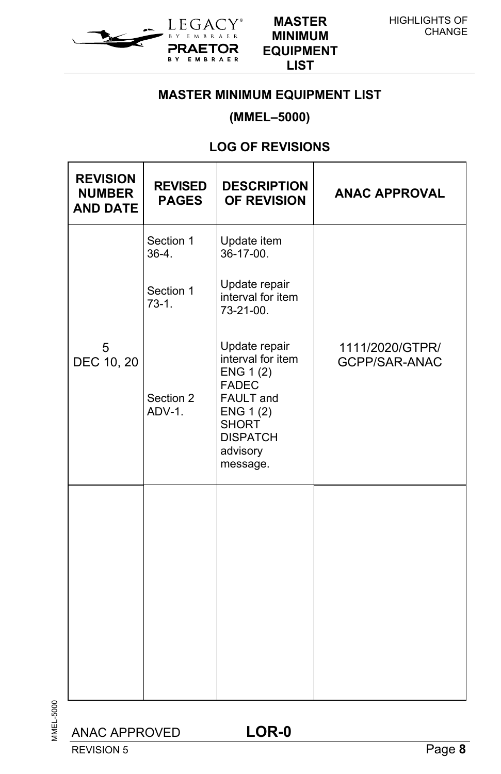

#### **(MMEL–5000)**

#### **LOG OF REVISIONS**

| <b>REVISION</b><br><b>NUMBER</b><br><b>AND DATE</b> | <b>REVISED</b><br><b>PAGES</b> | <b>DESCRIPTION</b><br>OF REVISION                                                                                                                  | <b>ANAC APPROVAL</b>                    |
|-----------------------------------------------------|--------------------------------|----------------------------------------------------------------------------------------------------------------------------------------------------|-----------------------------------------|
|                                                     | Section 1<br>$36-4.$           | Update item<br>36-17-00.                                                                                                                           |                                         |
|                                                     | Section 1<br>$73-1.$           | Update repair<br>interval for item<br>73-21-00.                                                                                                    |                                         |
| 5<br>DEC 10, 20                                     | Section 2<br>ADV-1.            | Update repair<br>interval for item<br>ENG 1(2)<br><b>FADEC</b><br>FAULT and<br>ENG 1(2)<br><b>SHORT</b><br><b>DISPATCH</b><br>advisory<br>message. | 1111/2020/GTPR/<br><b>GCPP/SAR-ANAC</b> |
|                                                     |                                |                                                                                                                                                    |                                         |

MMEL-5000 MMEL-5000

ANAC APPROVED **LOR-0**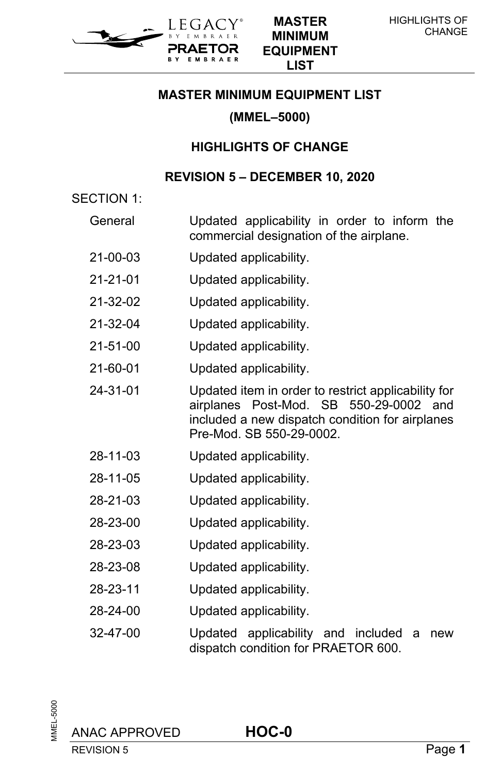



#### **(MMEL–5000)**

#### **HIGHLIGHTS OF CHANGE**

#### **REVISION 5 – DECEMBER 10, 2020**

- SECTION 1:
	- General Updated applicability in order to inform the commercial designation of the airplane.
	- 21-00-03 Updated applicability.
	- 21-21-01 Updated applicability.
	- 21-32-02 Updated applicability.
	- 21-32-04 Updated applicability.
	- 21-51-00 Updated applicability.
	- 21-60-01 Updated applicability.
	- 24-31-01 Updated item in order to restrict applicability for airplanes Post-Mod. SB 550-29-0002 and included a new dispatch condition for airplanes Pre-Mod. SB 550-29-0002.
	- 28-11-03 Updated applicability.
	- 28-11-05 Updated applicability.
	- 28-21-03 Updated applicability.
	- 28-23-00 Updated applicability.
	- 28-23-03 Updated applicability.
	- 28-23-08 Updated applicability.
	- 28-23-11 Updated applicability.
	- 28-24-00 Updated applicability.
	- 32-47-00 Updated applicability and included a new dispatch condition for PRAETOR 600.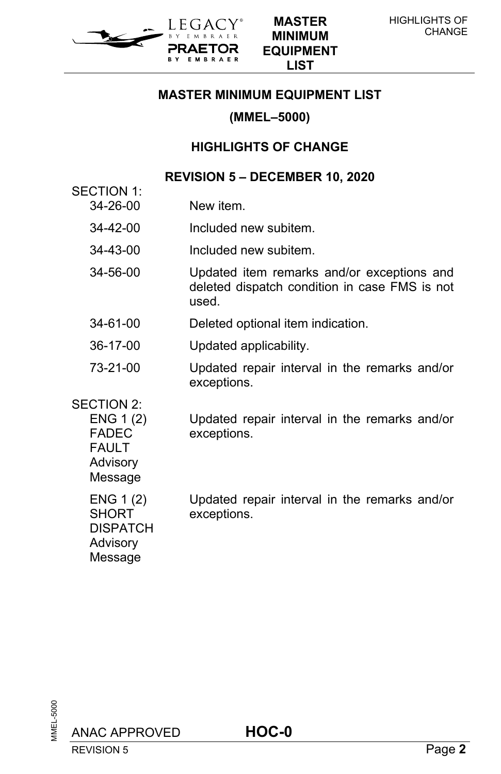



#### **(MMEL–5000)**

#### **HIGHLIGHTS OF CHANGE**

#### **REVISION 5 – DECEMBER 10, 2020**

- 34-26-00 New item.
	- 34-42-00 Included new subitem.
	- 34-43-00 Included new subitem.
	- 34-56-00 Updated item remarks and/or exceptions and deleted dispatch condition in case FMS is not used.
	- 34-61-00 Deleted optional item indication.
	- 36-17-00 Updated applicability.
	- 73-21-00 Updated repair interval in the remarks and/or exceptions.

SECTION 2: ENG 1 (2) FADEC FAULT Advisory Message

SECTION 1:

 Updated repair interval in the remarks and/or exceptions.

 Updated repair interval in the remarks and/or exceptions.

ENG 1 (2) **SHORT** DISPATCH Advisory Message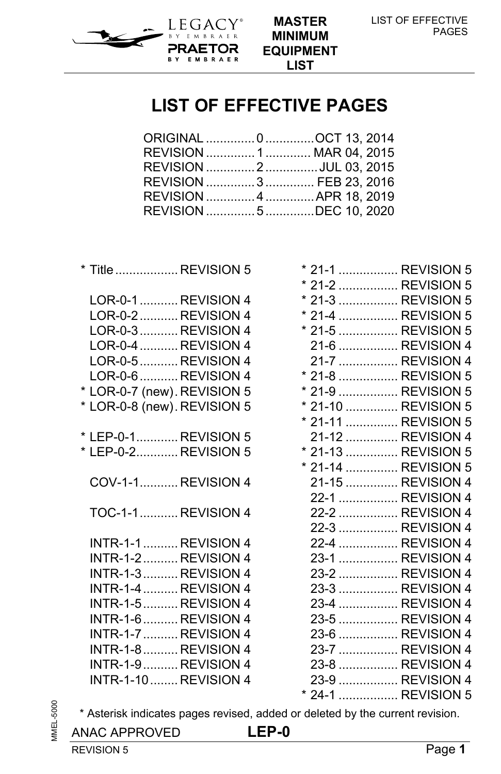

## **LIST OF EFFECTIVE PAGES**

| ORIGINAL  0 OCT 13, 2014  |  |
|---------------------------|--|
| REVISION  1  MAR 04, 2015 |  |
| REVISION 2  JUL 03, 2015  |  |
| REVISION  3  FEB 23, 2016 |  |
| REVISION 4 APR 18, 2019   |  |
| REVISION 5 DEC 10, 2020   |  |
|                           |  |

| * Title  REVISION 5                                                                                                                                                                                |  |
|----------------------------------------------------------------------------------------------------------------------------------------------------------------------------------------------------|--|
| LOR-0-1  REVISION 4<br>LOR-0-2  REVISION 4<br>LOR-0-3  REVISION 4<br>LOR-0-4  REVISION 4<br>LOR-0-5REVISION 4<br>LOR-0-6  REVISION 4<br>* LOR-0-7 (new). REVISION 5<br>* LOR-0-8 (new). REVISION 5 |  |
| * LEP-0-1 REVISION 5<br>* LEP-0-2 REVISION 5                                                                                                                                                       |  |
| COV-1-1REVISION 4                                                                                                                                                                                  |  |
| TOC-1-1REVISION 4                                                                                                                                                                                  |  |
| INTR-1-1REVISION 4<br>INTR-1-2REVISION 4<br><b>INTR-1-3 REVISION 4</b><br>INTR-1-4  REVISION 4<br>INTR-1-5REVISION 4<br>INTR-1-6REVISION 4<br>INTR-1-7  REVISION 4<br>INTR-1-8  REVISION 4         |  |
| INTR-1-9REVISION 4<br><b>INTR-1-10  REVISION 4</b>                                                                                                                                                 |  |

| * 21-1  REVISION 5  |  |
|---------------------|--|
| * 21-2  REVISION 5  |  |
| * 21-3  REVISION 5  |  |
| * 21-4  REVISION 5  |  |
| * 21-5  REVISION 5  |  |
| 21-6  REVISION 4    |  |
| 21-7  REVISION 4    |  |
| * 21-8  REVISION 5  |  |
| * 21-9  REVISION 5  |  |
| * 21-10  REVISION 5 |  |
| * 21-11  REVISION 5 |  |
| 21-12  REVISION 4   |  |
| * 21-13  REVISION 5 |  |
| * 21-14  REVISION 5 |  |
| 21-15  REVISION 4   |  |
| 22-1  REVISION 4    |  |
| 22-2  REVISION 4    |  |
| 22-3  REVISION 4    |  |
| 22-4  REVISION 4    |  |
| 23-1  REVISION 4    |  |
| 23-2  REVISION 4    |  |
| 23-3  REVISION 4    |  |
| 23-4  REVISION 4    |  |
| 23-5  REVISION 4    |  |
| 23-6  REVISION 4    |  |
| 23-7  REVISION 4    |  |
| 23-8  REVISION 4    |  |
| 23-9  REVISION 4    |  |
| * 24-1  REVISION 5  |  |

MMEL-5000 **MMEL-5000** 

\* Asterisk indicates pages revised, added or deleted by the current revision.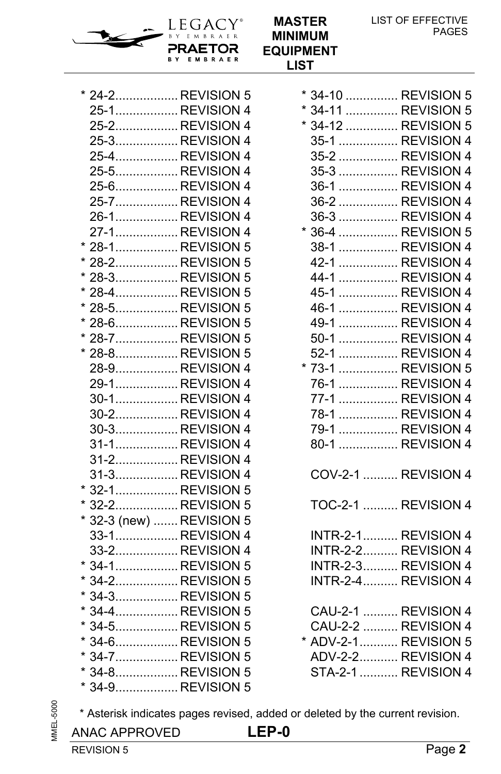| LEGACY <sup>®</sup><br>EMBRAER<br>PRAETOR<br>BY EMBRAER | <b>MASTER</b><br><b>MINIMUM</b><br><b>EQUIPMENT</b><br><b>LIST</b> | LIST OF EFFECTIVE<br><b>PAGES</b> |
|---------------------------------------------------------|--------------------------------------------------------------------|-----------------------------------|
|                                                         |                                                                    |                                   |
| * 24-2REVISION 5                                        |                                                                    | * 34-10  REVISION 5               |
| 25-1 REVISION 4                                         |                                                                    | * 34-11  REVISION 5               |
| 25-2 REVISION 4                                         |                                                                    | * 34-12  REVISION 5               |
| 25-3 REVISION 4                                         |                                                                    | 35-1  REVISION 4                  |
| 25-4 REVISION 4                                         |                                                                    | 35-2  REVISION 4                  |
| 25-5 REVISION 4                                         |                                                                    | 35-3  REVISION 4                  |
| 25-6 REVISION 4                                         |                                                                    | 36-1  REVISION 4                  |
| 25-7 REVISION 4                                         |                                                                    | 36-2  REVISION 4                  |
| 26-1 REVISION 4                                         |                                                                    | 36-3  REVISION 4                  |
| 27-1 REVISION 4                                         |                                                                    | * 36-4  REVISION 5                |
| * 28-1REVISION 5                                        |                                                                    | 38-1  REVISION 4                  |
| * 28-2REVISION 5                                        |                                                                    | 42-1  REVISION 4                  |
| * 28-3 REVISION 5                                       |                                                                    | 44-1  REVISION 4                  |
| * 28-4 REVISION 5                                       |                                                                    | 45-1  REVISION 4                  |
| * 28-5 REVISION 5                                       |                                                                    | 46-1  REVISION 4                  |
| * 28-6REVISION 5                                        |                                                                    | 49-1  REVISION 4                  |
| * 28-7REVISION 5                                        |                                                                    | 50-1  REVISION 4                  |
| * 28-8 REVISION 5                                       |                                                                    | 52-1  REVISION 4                  |
| 28-9 REVISION 4                                         |                                                                    | * 73-1  REVISION 5                |
| 29-1 REVISION 4                                         |                                                                    | 76-1  REVISION 4                  |
| 30-1 REVISION 4                                         |                                                                    | 77-1  REVISION 4                  |
| 30-2 REVISION 4                                         |                                                                    | 78-1  REVISION 4                  |
| 30-3 REVISION 4                                         |                                                                    | 79-1  REVISION 4                  |
| 31-1 REVISION 4                                         |                                                                    | 80-1  REVISION 4                  |
| 31-2 REVISION 4                                         |                                                                    |                                   |
| 31-3 REVISION 4                                         |                                                                    | COV-2-1  REVISION 4               |
| * 32-1 REVISION 5                                       |                                                                    |                                   |
| * 32-2 REVISION 5                                       |                                                                    | TOC-2-1  REVISION 4               |
| * 32-3 (new)  REVISION 5                                |                                                                    |                                   |
| 33-1 REVISION 4                                         |                                                                    | INTR-2-1 REVISION 4               |
| 33-2 REVISION 4                                         |                                                                    | INTR-2-2 REVISION 4               |
| * 34-1REVISION 5                                        |                                                                    | <b>INTR-2-3 REVISION 4</b>        |
| * 34-2 REVISION 5                                       |                                                                    | INTR-2-4 REVISION 4               |
| * 34-3 REVISION 5                                       |                                                                    |                                   |
| * 34-4 REVISION 5                                       |                                                                    | CAU-2-1  REVISION 4               |
| * 34-5 REVISION 5                                       |                                                                    | CAU-2-2  REVISION 4               |
| * 34-6 REVISION 5                                       |                                                                    | * ADV-2-1 REVISION 5              |
| * 34-7 REVISION 5                                       |                                                                    | ADV-2-2 REVISION 4                |
| * 34-8 REVISION 5                                       |                                                                    | STA-2-1  REVISION 4               |
| * 34-9 REVISION 5                                       |                                                                    |                                   |

\* Asterisk indicates pages revised, added or deleted by the current revision.

ANAC APPROVED **LEP-0**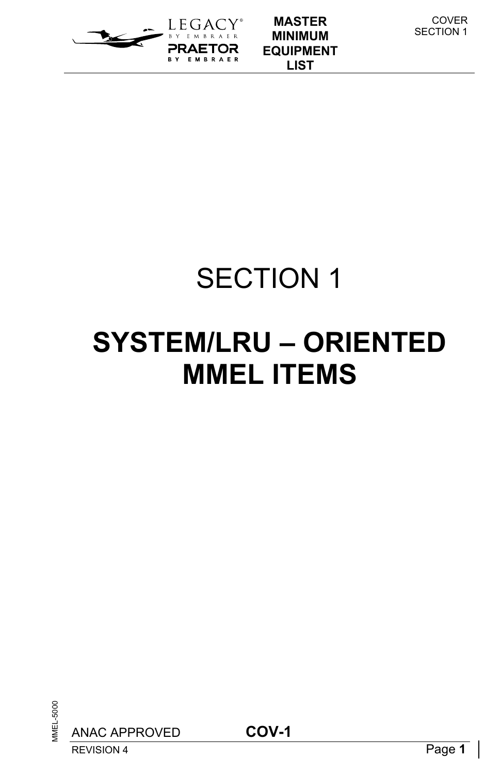

COVER SECTION 1

# SECTION 1

# **SYSTEM/LRU – ORIENTED MMEL ITEMS**

MMEL-5000 MMEL-5000

ANAC APPROVED **COV-1** 

REVISION 4 Page 1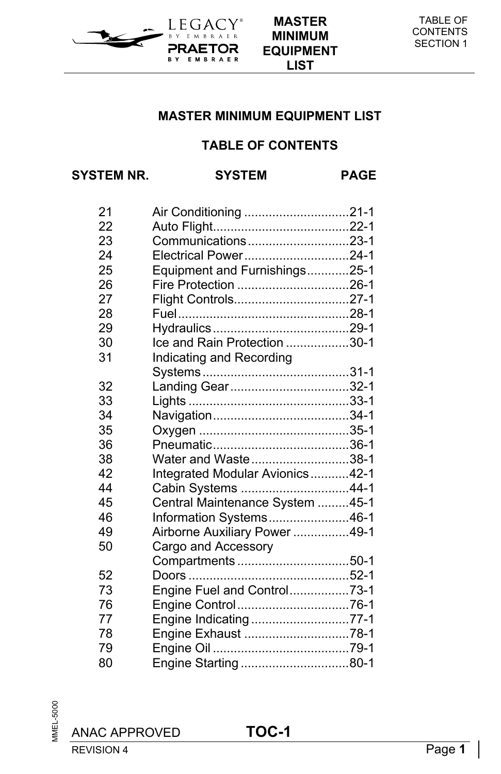

#### **TABLE OF CONTENTS**

**SYSTEM NR. SYSTEM PAGE** 

| 21 | Air Conditioning 21-1           |  |
|----|---------------------------------|--|
| 22 |                                 |  |
| 23 | Communications23-1              |  |
| 24 | Electrical Power24-1            |  |
| 25 | Equipment and Furnishings25-1   |  |
| 26 | Fire Protection 26-1            |  |
| 27 | Flight Controls27-1             |  |
| 28 |                                 |  |
| 29 |                                 |  |
| 30 | Ice and Rain Protection 30-1    |  |
| 31 | Indicating and Recording        |  |
|    |                                 |  |
| 32 | Landing Gear32-1                |  |
| 33 |                                 |  |
| 34 |                                 |  |
| 35 |                                 |  |
| 36 |                                 |  |
| 38 | Water and Waste38-1             |  |
| 42 | Integrated Modular Avionics42-1 |  |
| 44 | Cabin Systems 44-1              |  |
| 45 | Central Maintenance System 45-1 |  |
| 46 | Information Systems46-1         |  |
| 49 | Airborne Auxiliary Power 49-1   |  |
| 50 | Cargo and Accessory             |  |
|    | Compartments 50-1               |  |
| 52 |                                 |  |
| 73 | Engine Fuel and Control73-1     |  |
| 76 |                                 |  |
| 77 | Engine Indicating 77-1          |  |
| 78 | Engine Exhaust 78-1             |  |
| 79 |                                 |  |
| 80 | Engine Starting 80-1            |  |

ANAC APPROVED **TOC-1**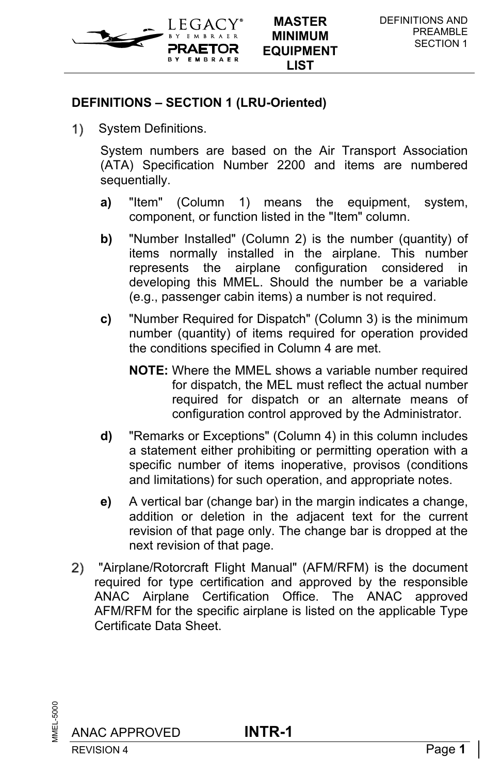

#### **DEFINITIONS – SECTION 1 (LRU-Oriented)**

1) System Definitions.

System numbers are based on the Air Transport Association (ATA) Specification Number 2200 and items are numbered sequentially.

- **a)** "Item" (Column 1) means the equipment, system, component, or function listed in the "Item" column.
- **b)** "Number Installed" (Column 2) is the number (quantity) of items normally installed in the airplane. This number represents the airplane configuration considered in developing this MMEL. Should the number be a variable (e.g., passenger cabin items) a number is not required.
- **c)** "Number Required for Dispatch" (Column 3) is the minimum number (quantity) of items required for operation provided the conditions specified in Column 4 are met.
	- **NOTE:** Where the MMEL shows a variable number required for dispatch, the MEL must reflect the actual number required for dispatch or an alternate means of configuration control approved by the Administrator.
- **d)** "Remarks or Exceptions" (Column 4) in this column includes a statement either prohibiting or permitting operation with a specific number of items inoperative, provisos (conditions and limitations) for such operation, and appropriate notes.
- **e)** A vertical bar (change bar) in the margin indicates a change, addition or deletion in the adjacent text for the current revision of that page only. The change bar is dropped at the next revision of that page.
- "Airplane/Rotorcraft Flight Manual" (AFM/RFM) is the document required for type certification and approved by the responsible ANAC Airplane Certification Office. The ANAC approved AFM/RFM for the specific airplane is listed on the applicable Type Certificate Data Sheet.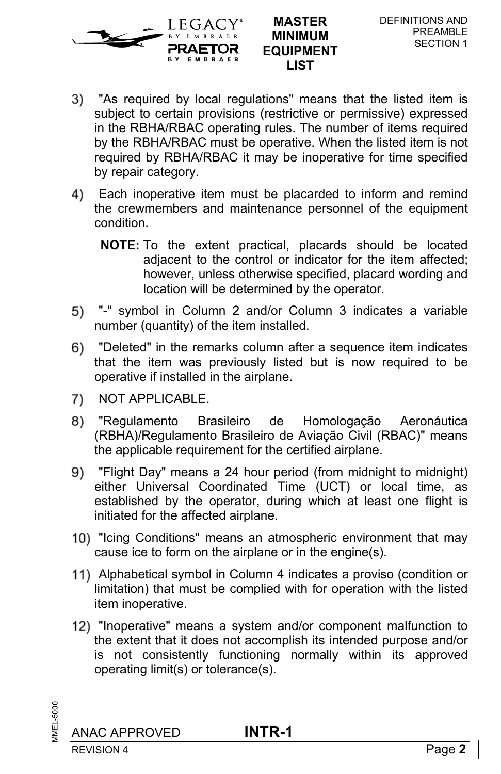DEFINITIONS AND PREAMBLE SECTION 1

 "As required by local regulations" means that the listed item is subject to certain provisions (restrictive or permissive) expressed in the RBHA/RBAC operating rules. The number of items required by the RBHA/RBAC must be operative. When the listed item is not required by RBHA/RBAC it may be inoperative for time specified by repair category.

LEGACY

**MASTER MINIMUM EQUIPMENT LIST**

- Each inoperative item must be placarded to inform and remind the crewmembers and maintenance personnel of the equipment condition.
	- **NOTE:** To the extent practical, placards should be located adjacent to the control or indicator for the item affected; however, unless otherwise specified, placard wording and location will be determined by the operator.
- "-" symbol in Column 2 and/or Column 3 indicates a variable number (quantity) of the item installed.
- "Deleted" in the remarks column after a sequence item indicates that the item was previously listed but is now required to be operative if installed in the airplane.
- 7) NOT APPLICABLE.
- "Regulamento Brasileiro de Homologação Aeronáutica (RBHA)/Regulamento Brasileiro de Aviação Civil (RBAC)" means the applicable requirement for the certified airplane.
- "Flight Day" means a 24 hour period (from midnight to midnight) either Universal Coordinated Time (UCT) or local time, as established by the operator, during which at least one flight is initiated for the affected airplane.
- 10) "Icing Conditions" means an atmospheric environment that may cause ice to form on the airplane or in the engine(s).
- Alphabetical symbol in Column 4 indicates a proviso (condition or limitation) that must be complied with for operation with the listed item inoperative.
- 12) "Inoperative" means a system and/or component malfunction to the extent that it does not accomplish its intended purpose and/or is not consistently functioning normally within its approved operating limit(s) or tolerance(s).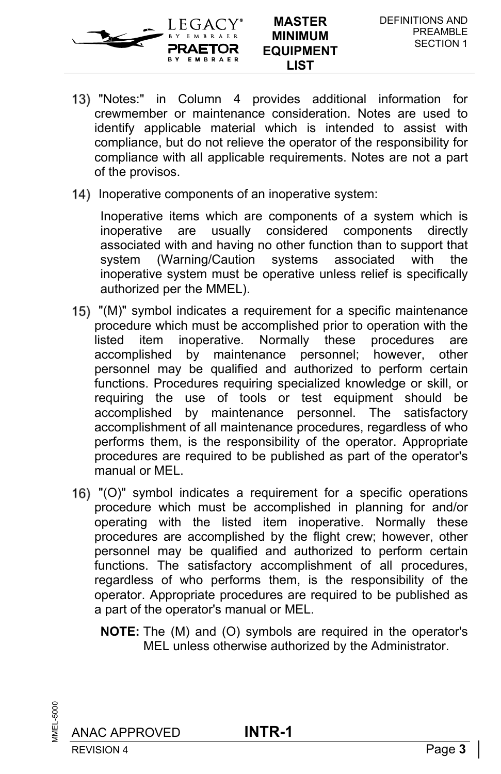13) "Notes:" in Column 4 provides additional information for crewmember or maintenance consideration. Notes are used to identify applicable material which is intended to assist with compliance, but do not relieve the operator of the responsibility for compliance with all applicable requirements. Notes are not a part of the provisos.

**MASTER MINIMUM EQUIPMENT LIST**

14) Inoperative components of an inoperative system:

LEGAC

Inoperative items which are components of a system which is inoperative are usually considered components directly associated with and having no other function than to support that system (Warning/Caution systems associated with the inoperative system must be operative unless relief is specifically authorized per the MMEL).

- "(M)" symbol indicates a requirement for a specific maintenance procedure which must be accomplished prior to operation with the listed item inoperative. Normally these procedures are accomplished by maintenance personnel; however, other personnel may be qualified and authorized to perform certain functions. Procedures requiring specialized knowledge or skill, or requiring the use of tools or test equipment should be accomplished by maintenance personnel. The satisfactory accomplishment of all maintenance procedures, regardless of who performs them, is the responsibility of the operator. Appropriate procedures are required to be published as part of the operator's manual or MEL.
- "(O)" symbol indicates a requirement for a specific operations procedure which must be accomplished in planning for and/or operating with the listed item inoperative. Normally these procedures are accomplished by the flight crew; however, other personnel may be qualified and authorized to perform certain functions. The satisfactory accomplishment of all procedures, regardless of who performs them, is the responsibility of the operator. Appropriate procedures are required to be published as a part of the operator's manual or MEL.
	- **NOTE:** The (M) and (O) symbols are required in the operator's MEL unless otherwise authorized by the Administrator.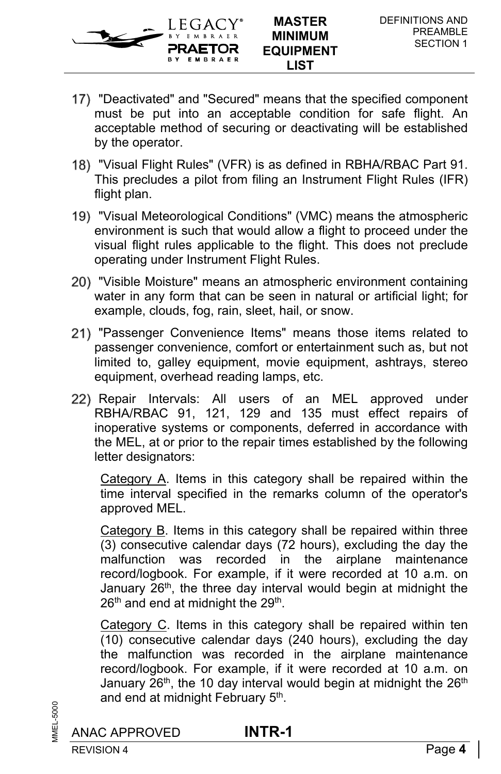"Deactivated" and "Secured" means that the specified component must be put into an acceptable condition for safe flight. An acceptable method of securing or deactivating will be established by the operator.

LEGAC

**MASTER MINIMUM EQUIPMENT LIST**

- "Visual Flight Rules" (VFR) is as defined in RBHA/RBAC Part 91. This precludes a pilot from filing an Instrument Flight Rules (IFR) flight plan.
- "Visual Meteorological Conditions" (VMC) means the atmospheric environment is such that would allow a flight to proceed under the visual flight rules applicable to the flight. This does not preclude operating under Instrument Flight Rules.
- "Visible Moisture" means an atmospheric environment containing water in any form that can be seen in natural or artificial light; for example, clouds, fog, rain, sleet, hail, or snow.
- 21) "Passenger Convenience Items" means those items related to passenger convenience, comfort or entertainment such as, but not limited to, galley equipment, movie equipment, ashtrays, stereo equipment, overhead reading lamps, etc.
- 22) Repair Intervals: All users of an MEL approved under RBHA/RBAC 91, 121, 129 and 135 must effect repairs of inoperative systems or components, deferred in accordance with the MEL, at or prior to the repair times established by the following letter designators:

Category A. Items in this category shall be repaired within the time interval specified in the remarks column of the operator's approved MEL.

Category B. Items in this category shall be repaired within three (3) consecutive calendar days (72 hours), excluding the day the malfunction was recorded in the airplane maintenance record/logbook. For example, if it were recorded at 10 a.m. on January  $26<sup>th</sup>$ , the three day interval would begin at midnight the 26<sup>th</sup> and end at midnight the 29<sup>th</sup>.

Category C. Items in this category shall be repaired within ten (10) consecutive calendar days (240 hours), excluding the day the malfunction was recorded in the airplane maintenance record/logbook. For example, if it were recorded at 10 a.m. on January  $26<sup>th</sup>$ , the 10 day interval would begin at midnight the  $26<sup>th</sup>$ and end at midnight February 5<sup>th</sup>.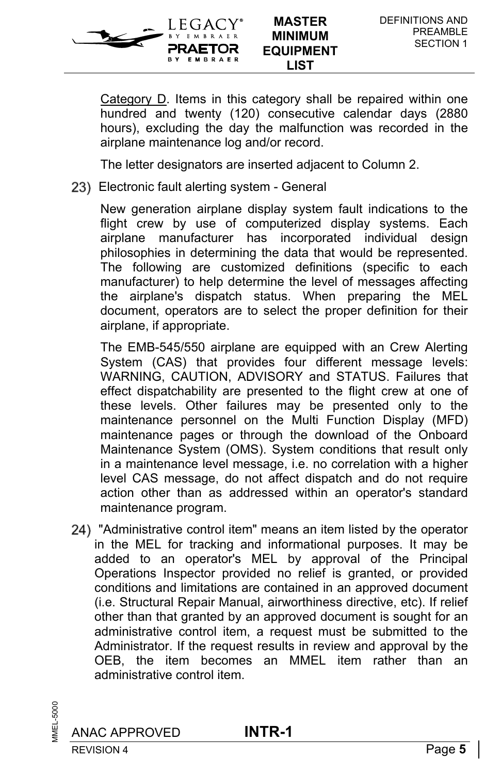

Category D. Items in this category shall be repaired within one hundred and twenty (120) consecutive calendar days (2880 hours), excluding the day the malfunction was recorded in the airplane maintenance log and/or record.

The letter designators are inserted adjacent to Column 2.

23) Electronic fault alerting system - General

New generation airplane display system fault indications to the flight crew by use of computerized display systems. Each airplane manufacturer has incorporated individual design philosophies in determining the data that would be represented. The following are customized definitions (specific to each manufacturer) to help determine the level of messages affecting the airplane's dispatch status. When preparing the MEL document, operators are to select the proper definition for their airplane, if appropriate.

The EMB-545/550 airplane are equipped with an Crew Alerting System (CAS) that provides four different message levels: WARNING, CAUTION, ADVISORY and STATUS. Failures that effect dispatchability are presented to the flight crew at one of these levels. Other failures may be presented only to the maintenance personnel on the Multi Function Display (MFD) maintenance pages or through the download of the Onboard Maintenance System (OMS). System conditions that result only in a maintenance level message, i.e. no correlation with a higher level CAS message, do not affect dispatch and do not require action other than as addressed within an operator's standard maintenance program.

24) "Administrative control item" means an item listed by the operator in the MEL for tracking and informational purposes. It may be added to an operator's MEL by approval of the Principal Operations Inspector provided no relief is granted, or provided conditions and limitations are contained in an approved document (i.e. Structural Repair Manual, airworthiness directive, etc). If relief other than that granted by an approved document is sought for an administrative control item, a request must be submitted to the Administrator. If the request results in review and approval by the OEB, the item becomes an MMEL item rather than an administrative control item.

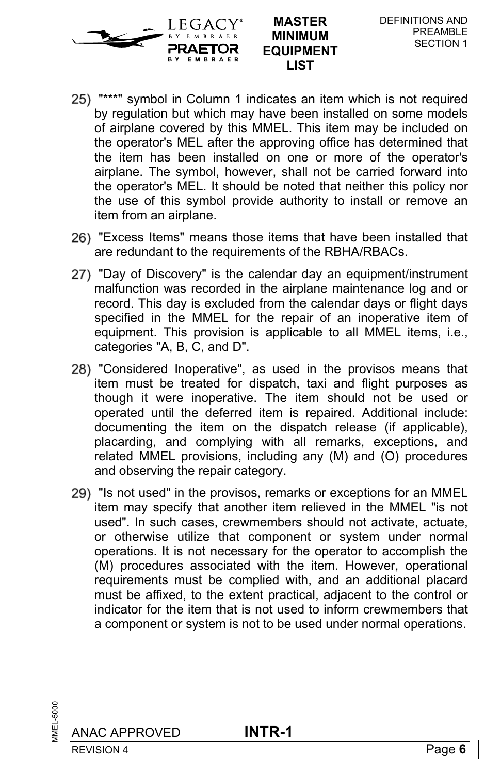DEFINITIONS AND PREAMBLE SECTION 1

25) "\*\*\*" symbol in Column 1 indicates an item which is not required by regulation but which may have been installed on some models of airplane covered by this MMEL. This item may be included on the operator's MEL after the approving office has determined that the item has been installed on one or more of the operator's airplane. The symbol, however, shall not be carried forward into the operator's MEL. It should be noted that neither this policy nor the use of this symbol provide authority to install or remove an item from an airplane.

LEGAC

**MASTER MINIMUM EQUIPMENT LIST**

- 26) "Excess Items" means those items that have been installed that are redundant to the requirements of the RBHA/RBACs.
- 27) "Day of Discovery" is the calendar day an equipment/instrument malfunction was recorded in the airplane maintenance log and or record. This day is excluded from the calendar days or flight days specified in the MMEL for the repair of an inoperative item of equipment. This provision is applicable to all MMEL items, i.e., categories "A, B, C, and D".
- 28) "Considered Inoperative", as used in the provisos means that item must be treated for dispatch, taxi and flight purposes as though it were inoperative. The item should not be used or operated until the deferred item is repaired. Additional include: documenting the item on the dispatch release (if applicable), placarding, and complying with all remarks, exceptions, and related MMEL provisions, including any (M) and (O) procedures and observing the repair category.
- 29) "Is not used" in the provisos, remarks or exceptions for an MMEL item may specify that another item relieved in the MMEL "is not used". In such cases, crewmembers should not activate, actuate, or otherwise utilize that component or system under normal operations. It is not necessary for the operator to accomplish the (M) procedures associated with the item. However, operational requirements must be complied with, and an additional placard must be affixed, to the extent practical, adjacent to the control or indicator for the item that is not used to inform crewmembers that a component or system is not to be used under normal operations.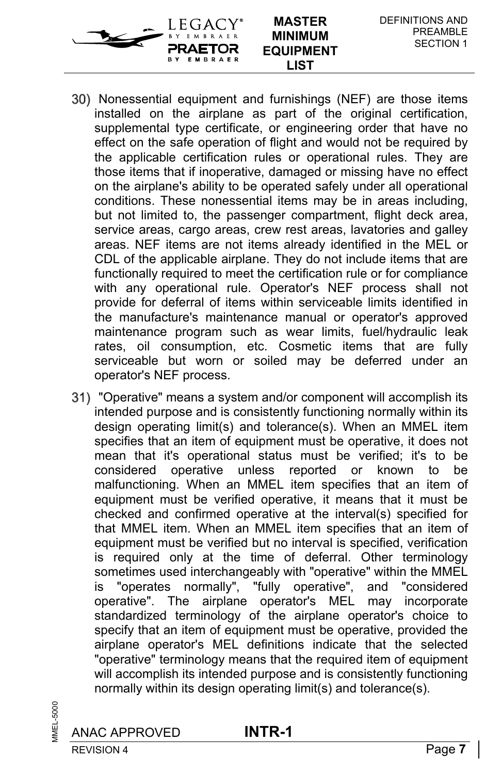DEFINITIONS AND PREAMBLE SECTION 1

30) Nonessential equipment and furnishings (NEF) are those items installed on the airplane as part of the original certification, supplemental type certificate, or engineering order that have no effect on the safe operation of flight and would not be required by the applicable certification rules or operational rules. They are those items that if inoperative, damaged or missing have no effect on the airplane's ability to be operated safely under all operational conditions. These nonessential items may be in areas including, but not limited to, the passenger compartment, flight deck area, service areas, cargo areas, crew rest areas, lavatories and galley areas. NEF items are not items already identified in the MEL or CDL of the applicable airplane. They do not include items that are functionally required to meet the certification rule or for compliance with any operational rule. Operator's NEF process shall not provide for deferral of items within serviceable limits identified in the manufacture's maintenance manual or operator's approved maintenance program such as wear limits, fuel/hydraulic leak rates, oil consumption, etc. Cosmetic items that are fully serviceable but worn or soiled may be deferred under an operator's NEF process.

**MASTER MINIMUM EQUIPMENT LIST**

LEGAC

 "Operative" means a system and/or component will accomplish its intended purpose and is consistently functioning normally within its design operating limit(s) and tolerance(s). When an MMEL item specifies that an item of equipment must be operative, it does not mean that it's operational status must be verified; it's to be considered operative unless reported or known to be malfunctioning. When an MMEL item specifies that an item of equipment must be verified operative, it means that it must be checked and confirmed operative at the interval(s) specified for that MMEL item. When an MMEL item specifies that an item of equipment must be verified but no interval is specified, verification is required only at the time of deferral. Other terminology sometimes used interchangeably with "operative" within the MMEL is "operates normally", "fully operative", and "considered operative". The airplane operator's MEL may incorporate standardized terminology of the airplane operator's choice to specify that an item of equipment must be operative, provided the airplane operator's MEL definitions indicate that the selected "operative" terminology means that the required item of equipment will accomplish its intended purpose and is consistently functioning normally within its design operating limit(s) and tolerance(s).

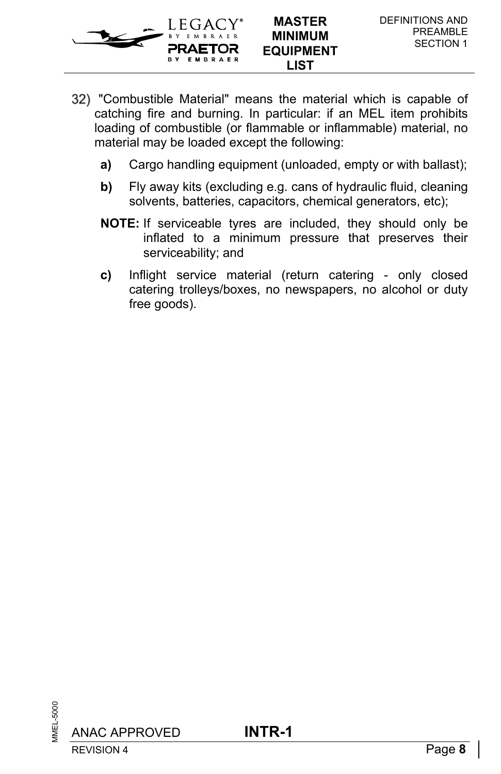

LEGAC

**a)** Cargo handling equipment (unloaded, empty or with ballast);

**MASTER MINIMUM EQUIPMENT LIST**

- **b)** Fly away kits (excluding e.g. cans of hydraulic fluid, cleaning solvents, batteries, capacitors, chemical generators, etc);
- **NOTE:** If serviceable tyres are included, they should only be inflated to a minimum pressure that preserves their serviceability; and
- **c)** Inflight service material (return catering only closed catering trolleys/boxes, no newspapers, no alcohol or duty free goods).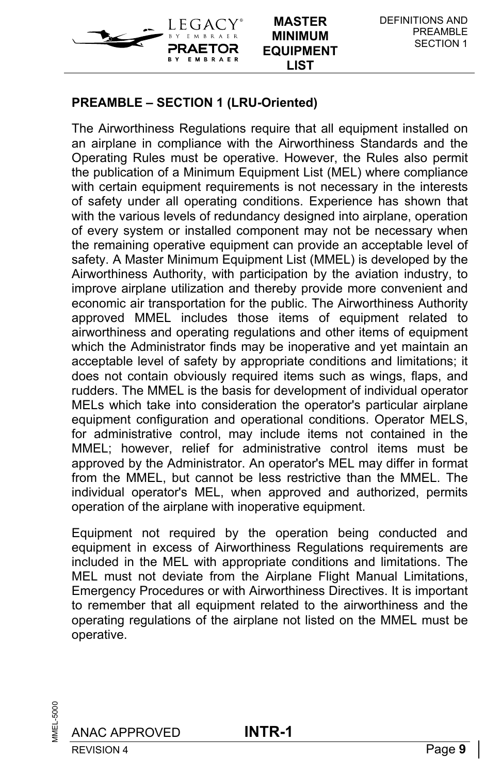

### **PREAMBLE – SECTION 1 (LRU-Oriented)**

EMBRAER

The Airworthiness Regulations require that all equipment installed on an airplane in compliance with the Airworthiness Standards and the Operating Rules must be operative. However, the Rules also permit the publication of a Minimum Equipment List (MEL) where compliance with certain equipment requirements is not necessary in the interests of safety under all operating conditions. Experience has shown that with the various levels of redundancy designed into airplane, operation of every system or installed component may not be necessary when the remaining operative equipment can provide an acceptable level of safety. A Master Minimum Equipment List (MMEL) is developed by the Airworthiness Authority, with participation by the aviation industry, to improve airplane utilization and thereby provide more convenient and economic air transportation for the public. The Airworthiness Authority approved MMEL includes those items of equipment related to airworthiness and operating regulations and other items of equipment which the Administrator finds may be inoperative and yet maintain an acceptable level of safety by appropriate conditions and limitations; it does not contain obviously required items such as wings, flaps, and rudders. The MMEL is the basis for development of individual operator MELs which take into consideration the operator's particular airplane equipment configuration and operational conditions. Operator MELS, for administrative control, may include items not contained in the MMEL; however, relief for administrative control items must be approved by the Administrator. An operator's MEL may differ in format from the MMEL, but cannot be less restrictive than the MMEL. The individual operator's MEL, when approved and authorized, permits operation of the airplane with inoperative equipment.

Equipment not required by the operation being conducted and equipment in excess of Airworthiness Regulations requirements are included in the MEL with appropriate conditions and limitations. The MEL must not deviate from the Airplane Flight Manual Limitations, Emergency Procedures or with Airworthiness Directives. It is important to remember that all equipment related to the airworthiness and the operating regulations of the airplane not listed on the MMEL must be operative.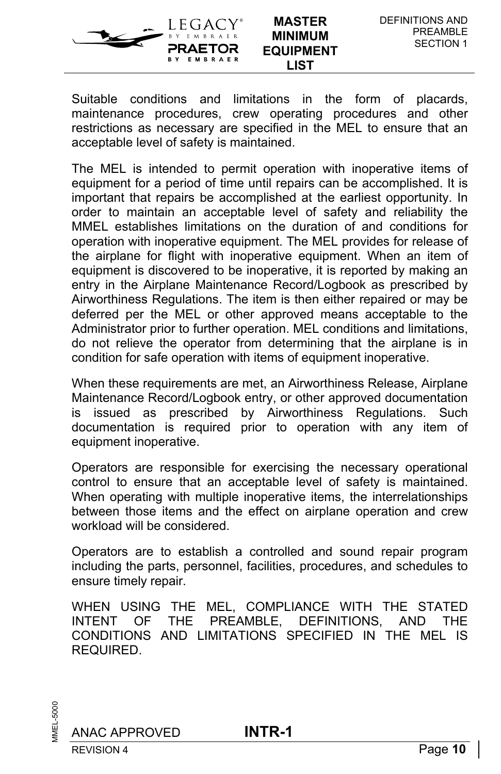

Suitable conditions and limitations in the form of placards, maintenance procedures, crew operating procedures and other restrictions as necessary are specified in the MEL to ensure that an acceptable level of safety is maintained.

The MEL is intended to permit operation with inoperative items of equipment for a period of time until repairs can be accomplished. It is important that repairs be accomplished at the earliest opportunity. In order to maintain an acceptable level of safety and reliability the MMEL establishes limitations on the duration of and conditions for operation with inoperative equipment. The MEL provides for release of the airplane for flight with inoperative equipment. When an item of equipment is discovered to be inoperative, it is reported by making an entry in the Airplane Maintenance Record/Logbook as prescribed by Airworthiness Regulations. The item is then either repaired or may be deferred per the MEL or other approved means acceptable to the Administrator prior to further operation. MEL conditions and limitations, do not relieve the operator from determining that the airplane is in condition for safe operation with items of equipment inoperative.

When these requirements are met, an Airworthiness Release, Airplane Maintenance Record/Logbook entry, or other approved documentation is issued as prescribed by Airworthiness Regulations. Such documentation is required prior to operation with any item of equipment inoperative.

Operators are responsible for exercising the necessary operational control to ensure that an acceptable level of safety is maintained. When operating with multiple inoperative items, the interrelationships between those items and the effect on airplane operation and crew workload will be considered.

Operators are to establish a controlled and sound repair program including the parts, personnel, facilities, procedures, and schedules to ensure timely repair.

WHEN USING THE MEL, COMPLIANCE WITH THE STATED INTENT OF THE PREAMBLE, DEFINITIONS, AND THE CONDITIONS AND LIMITATIONS SPECIFIED IN THE MEL IS REQUIRED.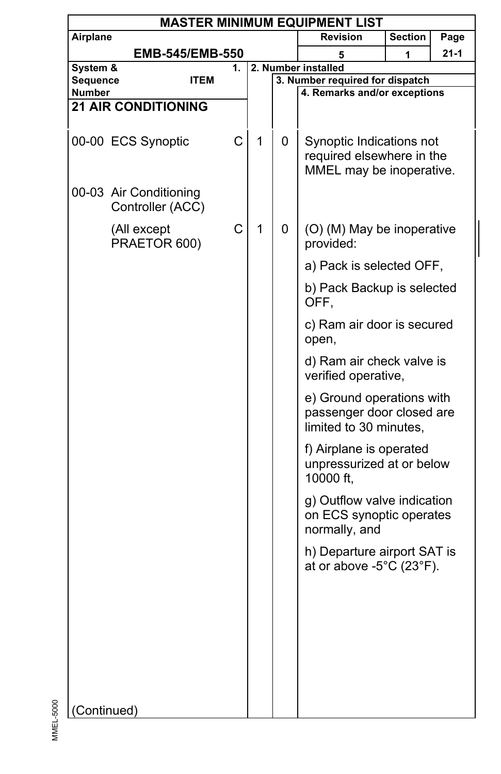|                           |                                            |    |   |   | <b>MASTER MINIMUM EQUIPMENT LIST</b>                                              |                |      |  |
|---------------------------|--------------------------------------------|----|---|---|-----------------------------------------------------------------------------------|----------------|------|--|
| Airplane                  |                                            |    |   |   | <b>Revision</b>                                                                   | <b>Section</b> | Page |  |
|                           | <b>EMB-545/EMB-550</b>                     |    |   |   | 5                                                                                 | 1              | 21-1 |  |
| System &                  |                                            | 1. |   |   | 2. Number installed                                                               |                |      |  |
| Sequence<br><b>Number</b> | <b>ITEM</b>                                |    |   |   | 3. Number required for dispatch<br>4. Remarks and/or exceptions                   |                |      |  |
|                           | <b>21 AIR CONDITIONING</b>                 |    |   |   |                                                                                   |                |      |  |
|                           |                                            |    |   |   |                                                                                   |                |      |  |
|                           | 00-00 ECS Synoptic                         | C  | 1 | 0 | Synoptic Indications not<br>required elsewhere in the<br>MMEL may be inoperative. |                |      |  |
|                           | 00-03 Air Conditioning<br>Controller (ACC) |    |   |   |                                                                                   |                |      |  |
|                           | (All except<br>PRAETOR 600)                | C  | 1 | 0 | (O) (M) May be inoperative<br>provided:                                           |                |      |  |
|                           |                                            |    |   |   | a) Pack is selected OFF,                                                          |                |      |  |
|                           |                                            |    |   |   | b) Pack Backup is selected<br>OFF,                                                |                |      |  |
|                           |                                            |    |   |   | c) Ram air door is secured<br>open,                                               |                |      |  |
|                           |                                            |    |   |   | d) Ram air check valve is<br>verified operative,                                  |                |      |  |
|                           |                                            |    |   |   | e) Ground operations with<br>passenger door closed are<br>limited to 30 minutes,  |                |      |  |
|                           |                                            |    |   |   | f) Airplane is operated<br>unpressurized at or below<br>10000 ft,                 |                |      |  |
|                           |                                            |    |   |   | g) Outflow valve indication<br>on ECS synoptic operates<br>normally, and          |                |      |  |
|                           |                                            |    |   |   | h) Departure airport SAT is<br>at or above -5 $^{\circ}$ C (23 $^{\circ}$ F).     |                |      |  |
|                           |                                            |    |   |   |                                                                                   |                |      |  |
|                           |                                            |    |   |   |                                                                                   |                |      |  |
|                           |                                            |    |   |   |                                                                                   |                |      |  |
|                           |                                            |    |   |   |                                                                                   |                |      |  |
| Continued)                |                                            |    |   |   |                                                                                   |                |      |  |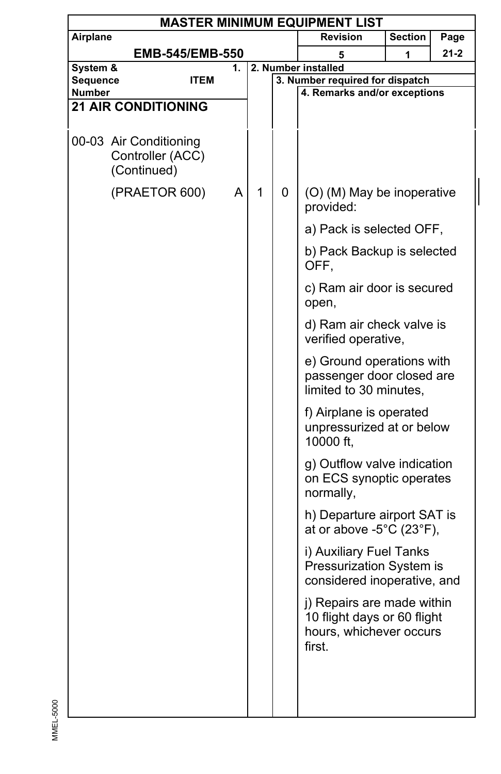| <b>MASTER MINIMUM EQUIPMENT LIST</b> |                                                           |    |   |   |                                                                                                |                |          |  |  |  |  |
|--------------------------------------|-----------------------------------------------------------|----|---|---|------------------------------------------------------------------------------------------------|----------------|----------|--|--|--|--|
| Airplane                             |                                                           |    |   |   | <b>Revision</b>                                                                                | <b>Section</b> | Page     |  |  |  |  |
|                                      | <b>EMB-545/EMB-550</b>                                    |    |   |   | 5                                                                                              | 1              | $21 - 2$ |  |  |  |  |
| System &                             |                                                           | 1. |   |   | 2. Number installed                                                                            |                |          |  |  |  |  |
| Sequence                             | <b>ITEM</b>                                               |    |   |   | 3. Number required for dispatch                                                                |                |          |  |  |  |  |
| Number                               |                                                           |    |   |   | 4. Remarks and/or exceptions                                                                   |                |          |  |  |  |  |
|                                      | <b>21 AIR CONDITIONING</b>                                |    |   |   |                                                                                                |                |          |  |  |  |  |
|                                      |                                                           |    |   |   |                                                                                                |                |          |  |  |  |  |
|                                      | 00-03 Air Conditioning<br>Controller (ACC)<br>(Continued) |    |   |   |                                                                                                |                |          |  |  |  |  |
|                                      | (PRAETOR 600)                                             | A  | 1 | 0 | (O) (M) May be inoperative<br>provided:                                                        |                |          |  |  |  |  |
|                                      |                                                           |    |   |   | a) Pack is selected OFF,                                                                       |                |          |  |  |  |  |
|                                      |                                                           |    |   |   | b) Pack Backup is selected<br>OFF,                                                             |                |          |  |  |  |  |
|                                      |                                                           |    |   |   | c) Ram air door is secured<br>open,                                                            |                |          |  |  |  |  |
|                                      |                                                           |    |   |   | d) Ram air check valve is<br>verified operative,                                               |                |          |  |  |  |  |
|                                      |                                                           |    |   |   | e) Ground operations with<br>passenger door closed are<br>limited to 30 minutes,               |                |          |  |  |  |  |
|                                      |                                                           |    |   |   | f) Airplane is operated<br>unpressurized at or below<br>10000 ft,                              |                |          |  |  |  |  |
|                                      |                                                           |    |   |   | g) Outflow valve indication<br>on ECS synoptic operates<br>normally,                           |                |          |  |  |  |  |
|                                      |                                                           |    |   |   | h) Departure airport SAT is<br>at or above -5°C (23°F),                                        |                |          |  |  |  |  |
|                                      |                                                           |    |   |   | i) Auxiliary Fuel Tanks<br>Pressurization System is<br>considered inoperative, and             |                |          |  |  |  |  |
|                                      |                                                           |    |   |   | j) Repairs are made within<br>10 flight days or 60 flight<br>hours, whichever occurs<br>first. |                |          |  |  |  |  |
|                                      |                                                           |    |   |   |                                                                                                |                |          |  |  |  |  |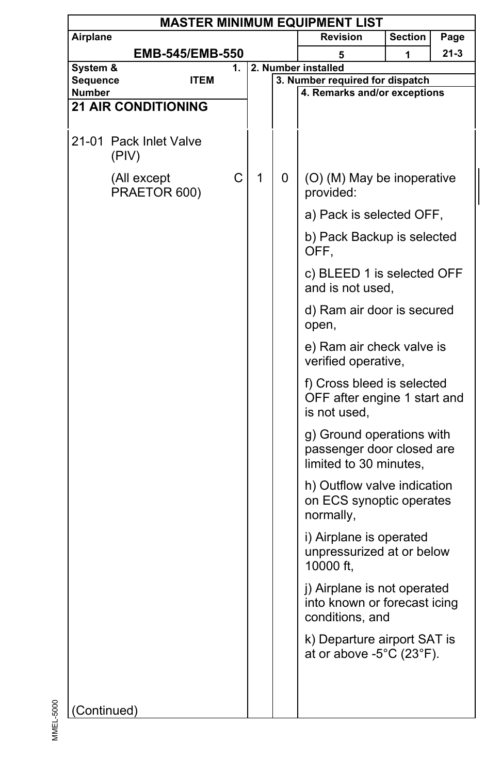|          | <b>MASTER MINIMUM EQUIPMENT LIST</b> |    |   |                     |                                                                                  |                |      |  |  |  |  |
|----------|--------------------------------------|----|---|---------------------|----------------------------------------------------------------------------------|----------------|------|--|--|--|--|
| Airplane |                                      |    |   |                     | <b>Revision</b>                                                                  | <b>Section</b> | Page |  |  |  |  |
|          | <b>EMB-545/EMB-550</b>               |    |   |                     | 5                                                                                | 1              | 21-3 |  |  |  |  |
| System & |                                      | 1. |   | 2. Number installed |                                                                                  |                |      |  |  |  |  |
| Sequence | <b>ITEM</b>                          |    |   |                     | 3. Number required for dispatch                                                  |                |      |  |  |  |  |
| Number   |                                      |    |   |                     | 4. Remarks and/or exceptions                                                     |                |      |  |  |  |  |
|          | <b>21 AIR CONDITIONING</b>           |    |   |                     |                                                                                  |                |      |  |  |  |  |
|          |                                      |    |   |                     |                                                                                  |                |      |  |  |  |  |
|          | 21-01 Pack Inlet Valve<br>(PIV)      |    |   |                     |                                                                                  |                |      |  |  |  |  |
|          | (All except<br>PRAETOR 600)          | C  | 1 | 0                   | (O) (M) May be inoperative<br>provided:                                          |                |      |  |  |  |  |
|          |                                      |    |   |                     | a) Pack is selected OFF,                                                         |                |      |  |  |  |  |
|          |                                      |    |   |                     | b) Pack Backup is selected<br>OFF,                                               |                |      |  |  |  |  |
|          |                                      |    |   |                     | c) BLEED 1 is selected OFF<br>and is not used.                                   |                |      |  |  |  |  |
|          |                                      |    |   |                     | d) Ram air door is secured<br>open,                                              |                |      |  |  |  |  |
|          |                                      |    |   |                     | e) Ram air check valve is<br>verified operative,                                 |                |      |  |  |  |  |
|          |                                      |    |   |                     | f) Cross bleed is selected<br>OFF after engine 1 start and<br>is not used,       |                |      |  |  |  |  |
|          |                                      |    |   |                     | g) Ground operations with<br>passenger door closed are<br>limited to 30 minutes, |                |      |  |  |  |  |
|          |                                      |    |   |                     | h) Outflow valve indication<br>on ECS synoptic operates<br>normally,             |                |      |  |  |  |  |
|          |                                      |    |   |                     | i) Airplane is operated<br>unpressurized at or below<br>10000 ft,                |                |      |  |  |  |  |
|          |                                      |    |   |                     | j) Airplane is not operated<br>into known or forecast icing<br>conditions, and   |                |      |  |  |  |  |
|          |                                      |    |   |                     | k) Departure airport SAT is<br>at or above -5°C (23°F).                          |                |      |  |  |  |  |
|          | Continued)                           |    |   |                     |                                                                                  |                |      |  |  |  |  |
|          |                                      |    |   |                     |                                                                                  |                |      |  |  |  |  |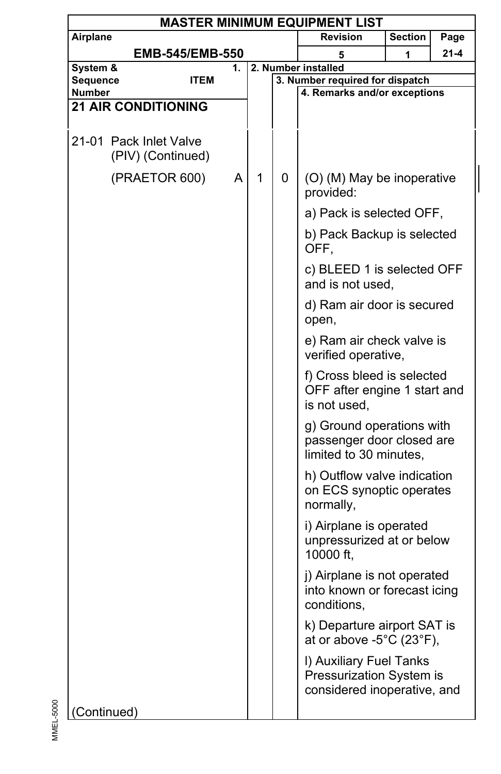|               |                                             | <b>MASTER MINIMUM EQUIPMENT LIST</b> |   |   |                                                                                    |                |      |  |  |  |  |
|---------------|---------------------------------------------|--------------------------------------|---|---|------------------------------------------------------------------------------------|----------------|------|--|--|--|--|
| Airplane      |                                             |                                      |   |   | <b>Revision</b>                                                                    | <b>Section</b> | Page |  |  |  |  |
|               | <b>EMB-545/EMB-550</b>                      |                                      |   |   | 5                                                                                  | 1              | 21-4 |  |  |  |  |
| System &      |                                             | 1.                                   |   |   | 2. Number installed                                                                |                |      |  |  |  |  |
| Sequence      | <b>ITEM</b>                                 |                                      |   |   | 3. Number required for dispatch                                                    |                |      |  |  |  |  |
| <b>Number</b> | <b>21 AIR CONDITIONING</b>                  |                                      |   |   | 4. Remarks and/or exceptions                                                       |                |      |  |  |  |  |
|               |                                             |                                      |   |   |                                                                                    |                |      |  |  |  |  |
|               | 21-01 Pack Inlet Valve<br>(PIV) (Continued) |                                      |   |   |                                                                                    |                |      |  |  |  |  |
|               | (PRAETOR 600)                               | A                                    | 1 | 0 | (O) (M) May be inoperative<br>provided:                                            |                |      |  |  |  |  |
|               |                                             |                                      |   |   | a) Pack is selected OFF,                                                           |                |      |  |  |  |  |
|               |                                             |                                      |   |   | b) Pack Backup is selected<br>OFF,                                                 |                |      |  |  |  |  |
|               |                                             |                                      |   |   | c) BLEED 1 is selected OFF<br>and is not used,                                     |                |      |  |  |  |  |
|               |                                             |                                      |   |   | d) Ram air door is secured<br>open,                                                |                |      |  |  |  |  |
|               |                                             |                                      |   |   | e) Ram air check valve is<br>verified operative,                                   |                |      |  |  |  |  |
|               |                                             |                                      |   |   | f) Cross bleed is selected<br>OFF after engine 1 start and<br>is not used,         |                |      |  |  |  |  |
|               |                                             |                                      |   |   | g) Ground operations with<br>passenger door closed are<br>limited to 30 minutes,   |                |      |  |  |  |  |
|               |                                             |                                      |   |   | h) Outflow valve indication<br>on ECS synoptic operates<br>normally,               |                |      |  |  |  |  |
|               |                                             |                                      |   |   | i) Airplane is operated<br>unpressurized at or below<br>10000 ft.                  |                |      |  |  |  |  |
|               |                                             |                                      |   |   | j) Airplane is not operated<br>into known or forecast icing<br>conditions,         |                |      |  |  |  |  |
|               |                                             |                                      |   |   | k) Departure airport SAT is<br>at or above $-5^{\circ}$ C (23 $^{\circ}$ F),       |                |      |  |  |  |  |
|               |                                             |                                      |   |   | I) Auxiliary Fuel Tanks<br>Pressurization System is<br>considered inoperative, and |                |      |  |  |  |  |
| (Continued)   |                                             |                                      |   |   |                                                                                    |                |      |  |  |  |  |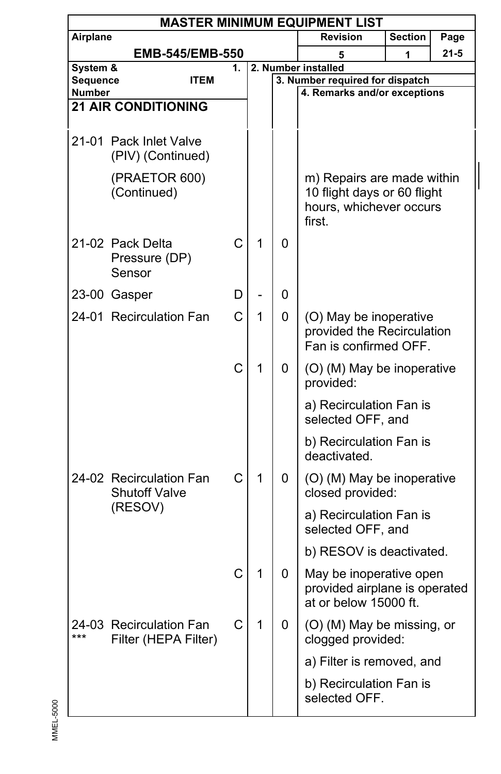|                      | <b>MASTER MINIMUM EQUIPMENT LIST</b>            |    |   |   |                                                                                                |                |          |  |  |  |  |
|----------------------|-------------------------------------------------|----|---|---|------------------------------------------------------------------------------------------------|----------------|----------|--|--|--|--|
| Airplane             |                                                 |    |   |   | <b>Revision</b>                                                                                | <b>Section</b> | Page     |  |  |  |  |
|                      | <b>EMB-545/EMB-550</b>                          |    |   |   | 5                                                                                              | 1              | $21 - 5$ |  |  |  |  |
| System &<br>Sequence | <b>ITEM</b>                                     | 1. |   |   | 2. Number installed<br>3. Number required for dispatch                                         |                |          |  |  |  |  |
| Number               |                                                 |    |   |   | 4. Remarks and/or exceptions                                                                   |                |          |  |  |  |  |
|                      | <b>21 AIR CONDITIONING</b>                      |    |   |   |                                                                                                |                |          |  |  |  |  |
|                      |                                                 |    |   |   |                                                                                                |                |          |  |  |  |  |
|                      | 21-01 Pack Inlet Valve<br>(PIV) (Continued)     |    |   |   |                                                                                                |                |          |  |  |  |  |
|                      | (PRAETOR 600)<br>(Continued)                    |    |   |   | m) Repairs are made within<br>10 flight days or 60 flight<br>hours, whichever occurs<br>first. |                |          |  |  |  |  |
|                      | 21-02 Pack Delta<br>Pressure (DP)<br>Sensor     | C  | 1 | 0 |                                                                                                |                |          |  |  |  |  |
|                      | 23-00 Gasper                                    | D  |   | 0 |                                                                                                |                |          |  |  |  |  |
|                      | 24-01 Recirculation Fan                         | C  | 1 | 0 | (O) May be inoperative<br>provided the Recirculation<br>Fan is confirmed OFF.                  |                |          |  |  |  |  |
|                      |                                                 | C  | 1 | 0 | (O) (M) May be inoperative<br>provided:                                                        |                |          |  |  |  |  |
|                      |                                                 |    |   |   | a) Recirculation Fan is<br>selected OFF, and                                                   |                |          |  |  |  |  |
|                      |                                                 |    |   |   | b) Recirculation Fan is<br>deactivated.                                                        |                |          |  |  |  |  |
|                      | 24-02 Recirculation Fan<br><b>Shutoff Valve</b> | C  | 1 | 0 | (O) (M) May be inoperative<br>closed provided:                                                 |                |          |  |  |  |  |
|                      | (RESOV)                                         |    |   |   | a) Recirculation Fan is<br>selected OFF, and                                                   |                |          |  |  |  |  |
|                      |                                                 |    |   |   | b) RESOV is deactivated.                                                                       |                |          |  |  |  |  |
|                      |                                                 | С  | 1 | 0 | May be inoperative open<br>provided airplane is operated<br>at or below 15000 ft.              |                |          |  |  |  |  |
| ***                  | 24-03 Recirculation Fan<br>Filter (HEPA Filter) | C  | 1 | 0 | (O) (M) May be missing, or<br>clogged provided:                                                |                |          |  |  |  |  |
|                      |                                                 |    |   |   | a) Filter is removed, and                                                                      |                |          |  |  |  |  |
|                      |                                                 |    |   |   | b) Recirculation Fan is<br>selected OFF.                                                       |                |          |  |  |  |  |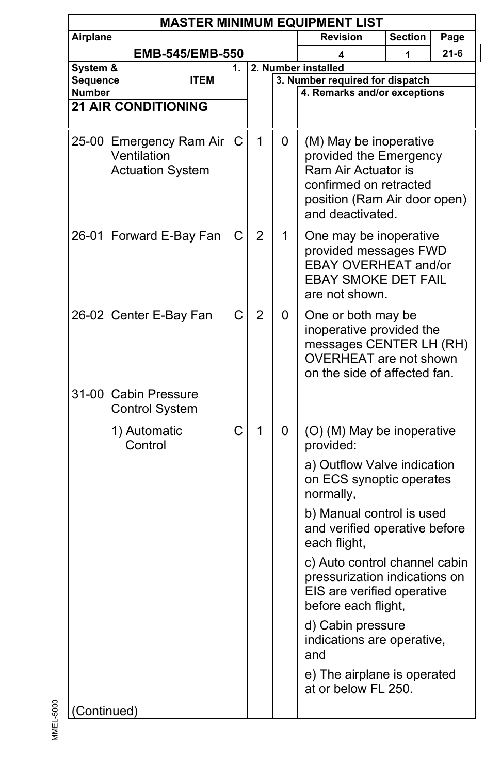|                           | <b>MASTER MINIMUM EQUIPMENT LIST</b>                              |    |                |   |                                                                                                                                                       |                |          |  |  |  |
|---------------------------|-------------------------------------------------------------------|----|----------------|---|-------------------------------------------------------------------------------------------------------------------------------------------------------|----------------|----------|--|--|--|
| Airplane                  |                                                                   |    |                |   | <b>Revision</b>                                                                                                                                       | <b>Section</b> | Page     |  |  |  |
|                           | EMB-545/EMB-550                                                   |    |                |   | 4                                                                                                                                                     | 1              | $21 - 6$ |  |  |  |
| System &                  |                                                                   | 1. |                |   | 2. Number installed                                                                                                                                   |                |          |  |  |  |
| Sequence<br><b>Number</b> | <b>ITEM</b>                                                       |    |                |   | 3. Number required for dispatch<br>4. Remarks and/or exceptions                                                                                       |                |          |  |  |  |
|                           | <b>21 AIR CONDITIONING</b>                                        |    |                |   |                                                                                                                                                       |                |          |  |  |  |
|                           |                                                                   |    |                |   |                                                                                                                                                       |                |          |  |  |  |
|                           | 25-00 Emergency Ram Air<br>Ventilation<br><b>Actuation System</b> | C  | 1              | 0 | (M) May be inoperative<br>provided the Emergency<br>Ram Air Actuator is<br>confirmed on retracted<br>position (Ram Air door open)<br>and deactivated. |                |          |  |  |  |
|                           | 26-01 Forward E-Bay Fan                                           | С  | $\overline{2}$ | 1 | One may be inoperative<br>provided messages FWD<br><b>EBAY OVERHEAT and/or</b><br><b>EBAY SMOKE DET FAIL</b><br>are not shown.                        |                |          |  |  |  |
|                           | 26-02 Center E-Bay Fan                                            | С  | $\overline{2}$ | 0 | One or both may be<br>inoperative provided the<br>messages CENTER LH (RH)<br><b>OVERHEAT</b> are not shown<br>on the side of affected fan.            |                |          |  |  |  |
|                           | 31-00 Cabin Pressure<br><b>Control System</b>                     |    |                |   |                                                                                                                                                       |                |          |  |  |  |
|                           | 1) Automatic<br>Control                                           | C  | 1              | 0 | (O) (M) May be inoperative<br>provided:                                                                                                               |                |          |  |  |  |
|                           |                                                                   |    |                |   | a) Outflow Valve indication<br>on ECS synoptic operates<br>normally,                                                                                  |                |          |  |  |  |
|                           |                                                                   |    |                |   | b) Manual control is used<br>and verified operative before<br>each flight,                                                                            |                |          |  |  |  |
|                           |                                                                   |    |                |   | c) Auto control channel cabin<br>pressurization indications on<br>EIS are verified operative<br>before each flight,                                   |                |          |  |  |  |
|                           |                                                                   |    |                |   | d) Cabin pressure<br>indications are operative,<br>and                                                                                                |                |          |  |  |  |
|                           |                                                                   |    |                |   | e) The airplane is operated<br>at or below FL 250.                                                                                                    |                |          |  |  |  |
| (Continued)               |                                                                   |    |                |   |                                                                                                                                                       |                |          |  |  |  |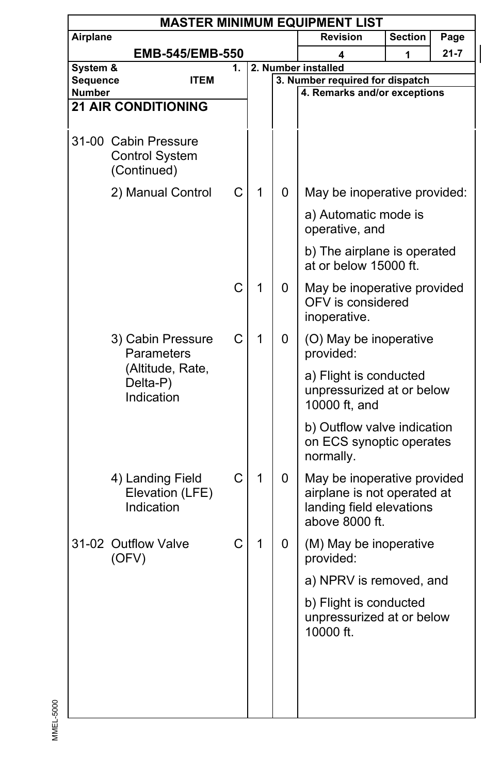|                    | <b>MASTER MINIMUM EQUIPMENT LIST</b>                         |    |              |   |                                                                                                          |                |          |  |  |  |  |  |
|--------------------|--------------------------------------------------------------|----|--------------|---|----------------------------------------------------------------------------------------------------------|----------------|----------|--|--|--|--|--|
| Airplane           |                                                              |    |              |   | <b>Revision</b>                                                                                          | <b>Section</b> | Page     |  |  |  |  |  |
|                    | <b>EMB-545/EMB-550</b>                                       |    |              |   | 4                                                                                                        | 1              | $21 - 7$ |  |  |  |  |  |
| System &           |                                                              | 1. |              |   | 2. Number installed                                                                                      |                |          |  |  |  |  |  |
| Sequence<br>Number | <b>ITEM</b>                                                  |    |              |   | 3. Number required for dispatch<br>4. Remarks and/or exceptions                                          |                |          |  |  |  |  |  |
|                    | <b>21 AIR CONDITIONING</b>                                   |    |              |   |                                                                                                          |                |          |  |  |  |  |  |
|                    |                                                              |    |              |   |                                                                                                          |                |          |  |  |  |  |  |
|                    | 31-00 Cabin Pressure<br><b>Control System</b><br>(Continued) |    |              |   |                                                                                                          |                |          |  |  |  |  |  |
|                    | 2) Manual Control                                            | С  | 1            | 0 | May be inoperative provided:                                                                             |                |          |  |  |  |  |  |
|                    |                                                              |    |              |   | a) Automatic mode is<br>operative, and                                                                   |                |          |  |  |  |  |  |
|                    |                                                              |    |              |   | b) The airplane is operated<br>at or below 15000 ft.                                                     |                |          |  |  |  |  |  |
|                    |                                                              | C  | 1            | 0 | May be inoperative provided<br>OFV is considered<br>inoperative.                                         |                |          |  |  |  |  |  |
|                    | 3) Cabin Pressure<br>Parameters                              | С  | 1            | 0 | (O) May be inoperative<br>provided:                                                                      |                |          |  |  |  |  |  |
|                    | (Altitude, Rate,<br>Delta-P)<br>Indication                   |    |              |   | a) Flight is conducted<br>unpressurized at or below<br>10000 ft, and                                     |                |          |  |  |  |  |  |
|                    |                                                              |    |              |   | b) Outflow valve indication<br>on ECS synoptic operates<br>normally.                                     |                |          |  |  |  |  |  |
|                    | 4) Landing Field<br>Elevation (LFE)<br>Indication            | C  | $\mathbf{1}$ | 0 | May be inoperative provided<br>airplane is not operated at<br>landing field elevations<br>above 8000 ft. |                |          |  |  |  |  |  |
|                    | 31-02 Outflow Valve<br>(OFV)                                 | C  | 1            | 0 | (M) May be inoperative<br>provided:                                                                      |                |          |  |  |  |  |  |
|                    |                                                              |    |              |   | a) NPRV is removed, and                                                                                  |                |          |  |  |  |  |  |
|                    |                                                              |    |              |   | b) Flight is conducted<br>unpressurized at or below<br>10000 ft.                                         |                |          |  |  |  |  |  |
|                    |                                                              |    |              |   |                                                                                                          |                |          |  |  |  |  |  |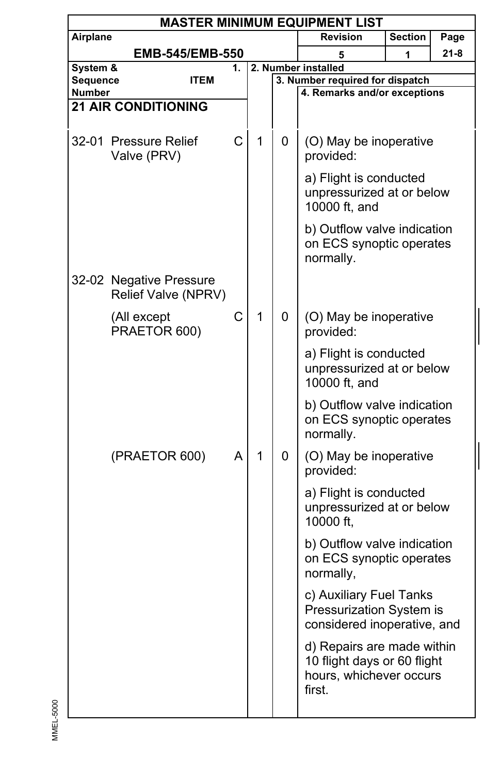| <b>MASTER MINIMUM EQUIPMENT LIST</b> |                                                |    |              |   |                                                                                                |                |      |  |
|--------------------------------------|------------------------------------------------|----|--------------|---|------------------------------------------------------------------------------------------------|----------------|------|--|
| Airplane                             |                                                |    |              |   | <b>Revision</b>                                                                                | <b>Section</b> | Page |  |
|                                      | <b>EMB-545/EMB-550</b>                         |    |              |   | 5                                                                                              | 1              | 21-8 |  |
| System &<br>Sequence                 | ITEM                                           | 1. |              |   | 2. Number installed<br>3. Number required for dispatch                                         |                |      |  |
| Number                               |                                                |    |              |   | 4. Remarks and/or exceptions                                                                   |                |      |  |
|                                      | <b>21 AIR CONDITIONING</b>                     |    |              |   |                                                                                                |                |      |  |
|                                      |                                                |    |              |   |                                                                                                |                |      |  |
|                                      | 32-01 Pressure Relief<br>Valve (PRV)           | C  | 1            | 0 | (O) May be inoperative<br>provided:                                                            |                |      |  |
|                                      |                                                |    |              |   | a) Flight is conducted<br>unpressurized at or below<br>10000 ft, and                           |                |      |  |
|                                      |                                                |    |              |   | b) Outflow valve indication<br>on ECS synoptic operates<br>normally.                           |                |      |  |
|                                      | 32-02 Negative Pressure<br>Relief Valve (NPRV) |    |              |   |                                                                                                |                |      |  |
|                                      | (All except<br>PRAETOR 600)                    | С  | 1            | 0 | (O) May be inoperative<br>provided:                                                            |                |      |  |
|                                      |                                                |    |              |   | a) Flight is conducted<br>unpressurized at or below<br>10000 ft, and                           |                |      |  |
|                                      |                                                |    |              |   | b) Outflow valve indication<br>on ECS synoptic operates<br>normally.                           |                |      |  |
|                                      | (PRAETOR 600)                                  | Α  | $\mathbf{1}$ | 0 | (O) May be inoperative<br>provided:                                                            |                |      |  |
|                                      |                                                |    |              |   | a) Flight is conducted<br>unpressurized at or below<br>10000 ft,                               |                |      |  |
|                                      |                                                |    |              |   | b) Outflow valve indication<br>on ECS synoptic operates<br>normally,                           |                |      |  |
|                                      |                                                |    |              |   | c) Auxiliary Fuel Tanks<br>Pressurization System is<br>considered inoperative, and             |                |      |  |
|                                      |                                                |    |              |   | d) Repairs are made within<br>10 flight days or 60 flight<br>hours, whichever occurs<br>first. |                |      |  |
|                                      |                                                |    |              |   |                                                                                                |                |      |  |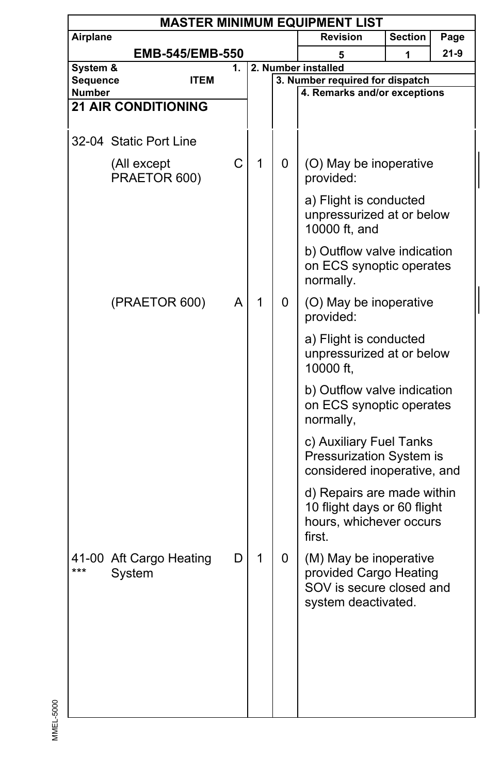|                      | <b>MASTER MINIMUM EQUIPMENT LIST</b> |             |              |   |                                                                                                     |                |        |  |  |  |  |  |
|----------------------|--------------------------------------|-------------|--------------|---|-----------------------------------------------------------------------------------------------------|----------------|--------|--|--|--|--|--|
| Airplane             |                                      |             |              |   | <b>Revision</b>                                                                                     | <b>Section</b> | Page   |  |  |  |  |  |
|                      | <b>EMB-545/EMB-550</b>               |             |              |   | 5                                                                                                   | 1              | $21-9$ |  |  |  |  |  |
| System &<br>Sequence | <b>ITEM</b>                          | 1.          |              |   | 2. Number installed                                                                                 |                |        |  |  |  |  |  |
| Number               |                                      |             |              |   | 3. Number required for dispatch<br>4. Remarks and/or exceptions                                     |                |        |  |  |  |  |  |
|                      | <b>21 AIR CONDITIONING</b>           |             |              |   |                                                                                                     |                |        |  |  |  |  |  |
|                      |                                      |             |              |   |                                                                                                     |                |        |  |  |  |  |  |
|                      | 32-04 Static Port Line               |             |              |   |                                                                                                     |                |        |  |  |  |  |  |
|                      | (All except<br>PRAETOR 600)          | $\mathsf C$ | $\mathbf{1}$ | 0 | (O) May be inoperative<br>provided:                                                                 |                |        |  |  |  |  |  |
|                      |                                      |             |              |   | a) Flight is conducted<br>unpressurized at or below<br>10000 ft, and                                |                |        |  |  |  |  |  |
|                      |                                      |             |              |   | b) Outflow valve indication<br>on ECS synoptic operates<br>normally.                                |                |        |  |  |  |  |  |
|                      | (PRAETOR 600)                        | A           | 1            | 0 | (O) May be inoperative<br>provided:                                                                 |                |        |  |  |  |  |  |
|                      |                                      |             |              |   | a) Flight is conducted<br>unpressurized at or below<br>10000 ft,                                    |                |        |  |  |  |  |  |
|                      |                                      |             |              |   | b) Outflow valve indication<br>on ECS synoptic operates<br>normally,                                |                |        |  |  |  |  |  |
|                      |                                      |             |              |   | c) Auxiliary Fuel Tanks<br>Pressurization System is<br>considered inoperative, and                  |                |        |  |  |  |  |  |
|                      |                                      |             |              |   | d) Repairs are made within<br>10 flight days or 60 flight<br>hours, whichever occurs<br>first.      |                |        |  |  |  |  |  |
| 41-00<br>$***$       | Aft Cargo Heating<br>System          | D           | 1            | 0 | (M) May be inoperative<br>provided Cargo Heating<br>SOV is secure closed and<br>system deactivated. |                |        |  |  |  |  |  |
|                      |                                      |             |              |   |                                                                                                     |                |        |  |  |  |  |  |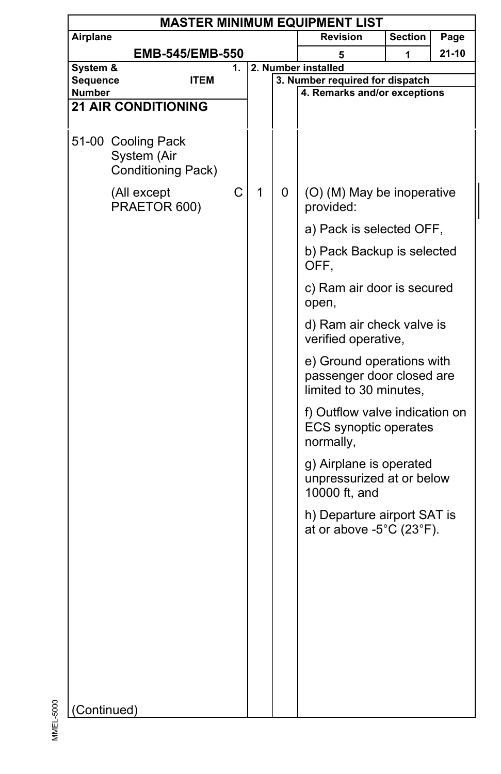| <b>MASTER MINIMUM EQUIPMENT LIST</b> |                                                         |    |              |   |                                                                                  |                |       |  |  |  |  |
|--------------------------------------|---------------------------------------------------------|----|--------------|---|----------------------------------------------------------------------------------|----------------|-------|--|--|--|--|
| Airplane                             |                                                         |    |              |   | Revision                                                                         | <b>Section</b> | Page  |  |  |  |  |
|                                      | <b>EMB-545/EMB-550</b>                                  |    |              |   | 5                                                                                | 1              | 21-10 |  |  |  |  |
| System &                             |                                                         | 1. |              |   | 2. Number installed                                                              |                |       |  |  |  |  |
| Sequence                             | <b>ITEM</b>                                             |    |              |   | 3. Number required for dispatch<br>4. Remarks and/or exceptions                  |                |       |  |  |  |  |
| <b>Number</b>                        | <b>21 AIR CONDITIONING</b>                              |    |              |   |                                                                                  |                |       |  |  |  |  |
|                                      |                                                         |    |              |   |                                                                                  |                |       |  |  |  |  |
|                                      | 51-00 Cooling Pack<br>System (Air<br>Conditioning Pack) |    |              |   |                                                                                  |                |       |  |  |  |  |
|                                      | (All except<br>PRAETOR 600)                             | С  | $\mathbf{1}$ | 0 | (O) (M) May be inoperative<br>provided:                                          |                |       |  |  |  |  |
|                                      |                                                         |    |              |   | a) Pack is selected OFF,                                                         |                |       |  |  |  |  |
|                                      |                                                         |    |              |   | b) Pack Backup is selected<br>OFF,                                               |                |       |  |  |  |  |
|                                      |                                                         |    |              |   | c) Ram air door is secured<br>open,                                              |                |       |  |  |  |  |
|                                      |                                                         |    |              |   | d) Ram air check valve is<br>verified operative,                                 |                |       |  |  |  |  |
|                                      |                                                         |    |              |   | e) Ground operations with<br>passenger door closed are<br>limited to 30 minutes, |                |       |  |  |  |  |
|                                      |                                                         |    |              |   | f) Outflow valve indication on<br><b>ECS synoptic operates</b><br>normally,      |                |       |  |  |  |  |
|                                      |                                                         |    |              |   | g) Airplane is operated<br>unpressurized at or below<br>10000 ft, and            |                |       |  |  |  |  |
|                                      |                                                         |    |              |   | h) Departure airport SAT is<br>at or above -5°C (23°F).                          |                |       |  |  |  |  |
|                                      |                                                         |    |              |   |                                                                                  |                |       |  |  |  |  |
|                                      |                                                         |    |              |   |                                                                                  |                |       |  |  |  |  |
|                                      |                                                         |    |              |   |                                                                                  |                |       |  |  |  |  |
|                                      |                                                         |    |              |   |                                                                                  |                |       |  |  |  |  |
|                                      |                                                         |    |              |   |                                                                                  |                |       |  |  |  |  |
| (Continued)                          |                                                         |    |              |   |                                                                                  |                |       |  |  |  |  |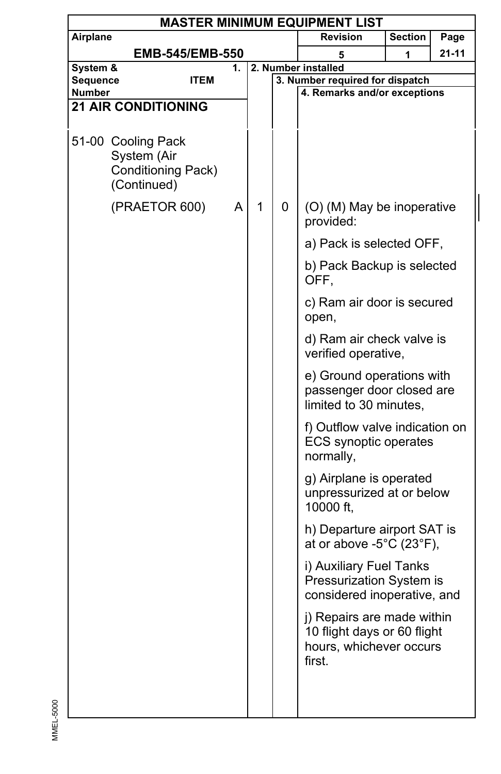|               | <b>MASTER MINIMUM EQUIPMENT LIST</b>                                   |    |   |   |                                                                                                |                |       |  |  |  |  |  |
|---------------|------------------------------------------------------------------------|----|---|---|------------------------------------------------------------------------------------------------|----------------|-------|--|--|--|--|--|
| Airplane      |                                                                        |    |   |   | Revision                                                                                       | <b>Section</b> | Page  |  |  |  |  |  |
|               | <b>EMB-545/EMB-550</b>                                                 |    |   |   | 5                                                                                              | 1              | 21-11 |  |  |  |  |  |
| System &      |                                                                        | 1. |   |   | 2. Number installed                                                                            |                |       |  |  |  |  |  |
| Sequence      | <b>ITEM</b>                                                            |    |   |   | 3. Number required for dispatch                                                                |                |       |  |  |  |  |  |
| <b>Number</b> | <b>21 AIR CONDITIONING</b>                                             |    |   |   | 4. Remarks and/or exceptions                                                                   |                |       |  |  |  |  |  |
|               |                                                                        |    |   |   |                                                                                                |                |       |  |  |  |  |  |
|               | 51-00 Cooling Pack<br>System (Air<br>Conditioning Pack)<br>(Continued) |    |   |   |                                                                                                |                |       |  |  |  |  |  |
|               | (PRAETOR 600)                                                          | A  | 1 | 0 | (O) (M) May be inoperative<br>provided:                                                        |                |       |  |  |  |  |  |
|               |                                                                        |    |   |   | a) Pack is selected OFF,                                                                       |                |       |  |  |  |  |  |
|               |                                                                        |    |   |   | b) Pack Backup is selected<br>OFF,                                                             |                |       |  |  |  |  |  |
|               |                                                                        |    |   |   | c) Ram air door is secured<br>open,                                                            |                |       |  |  |  |  |  |
|               |                                                                        |    |   |   | d) Ram air check valve is<br>verified operative,                                               |                |       |  |  |  |  |  |
|               |                                                                        |    |   |   | e) Ground operations with<br>passenger door closed are<br>limited to 30 minutes,               |                |       |  |  |  |  |  |
|               |                                                                        |    |   |   | f) Outflow valve indication on<br>ECS synoptic operates<br>normally,                           |                |       |  |  |  |  |  |
|               |                                                                        |    |   |   | g) Airplane is operated<br>unpressurized at or below<br>10000 ft,                              |                |       |  |  |  |  |  |
|               |                                                                        |    |   |   | h) Departure airport SAT is<br>at or above -5°C (23°F),                                        |                |       |  |  |  |  |  |
|               |                                                                        |    |   |   | i) Auxiliary Fuel Tanks<br><b>Pressurization System is</b><br>considered inoperative, and      |                |       |  |  |  |  |  |
|               |                                                                        |    |   |   | j) Repairs are made within<br>10 flight days or 60 flight<br>hours, whichever occurs<br>first. |                |       |  |  |  |  |  |
|               |                                                                        |    |   |   |                                                                                                |                |       |  |  |  |  |  |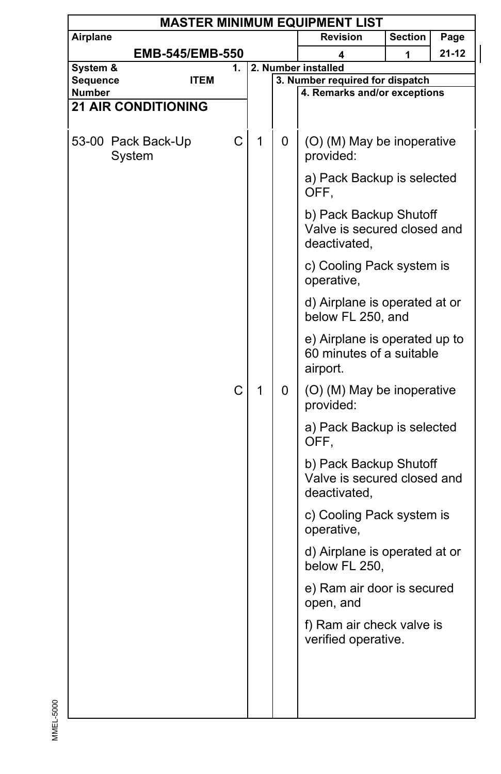| <b>MASTER MINIMUM EQUIPMENT LIST</b> |                              |    |   |   |                                                                       |                |           |
|--------------------------------------|------------------------------|----|---|---|-----------------------------------------------------------------------|----------------|-----------|
| Airplane                             |                              |    |   |   | <b>Revision</b>                                                       | <b>Section</b> | Page      |
|                                      | <b>EMB-545/EMB-550</b>       |    |   |   | 4                                                                     | 1              | $21 - 12$ |
| System &                             |                              | 1. |   |   | 2. Number installed                                                   |                |           |
| Sequence<br>Number                   | <b>ITEM</b>                  |    |   |   | 3. Number required for dispatch<br>4. Remarks and/or exceptions       |                |           |
|                                      | <b>21 AIR CONDITIONING</b>   |    |   |   |                                                                       |                |           |
|                                      |                              |    |   |   |                                                                       |                |           |
|                                      | 53-00 Pack Back-Up<br>System | С  | 1 | 0 | (O) (M) May be inoperative<br>provided:                               |                |           |
|                                      |                              |    |   |   | a) Pack Backup is selected<br>OFF.                                    |                |           |
|                                      |                              |    |   |   | b) Pack Backup Shutoff<br>Valve is secured closed and<br>deactivated, |                |           |
|                                      |                              |    |   |   | c) Cooling Pack system is<br>operative,                               |                |           |
|                                      |                              |    |   |   | d) Airplane is operated at or<br>below FL 250, and                    |                |           |
|                                      |                              |    |   |   | e) Airplane is operated up to<br>60 minutes of a suitable<br>airport. |                |           |
|                                      |                              | C  | 1 | 0 | (O) (M) May be inoperative<br>provided:                               |                |           |
|                                      |                              |    |   |   | a) Pack Backup is selected<br>OFF,                                    |                |           |
|                                      |                              |    |   |   | b) Pack Backup Shutoff<br>Valve is secured closed and<br>deactivated, |                |           |
|                                      |                              |    |   |   | c) Cooling Pack system is<br>operative,                               |                |           |
|                                      |                              |    |   |   | d) Airplane is operated at or<br>below FL 250,                        |                |           |
|                                      |                              |    |   |   | e) Ram air door is secured<br>open, and                               |                |           |
|                                      |                              |    |   |   | f) Ram air check valve is<br>verified operative.                      |                |           |
|                                      |                              |    |   |   |                                                                       |                |           |
|                                      |                              |    |   |   |                                                                       |                |           |
|                                      |                              |    |   |   |                                                                       |                |           |
|                                      |                              |    |   |   |                                                                       |                |           |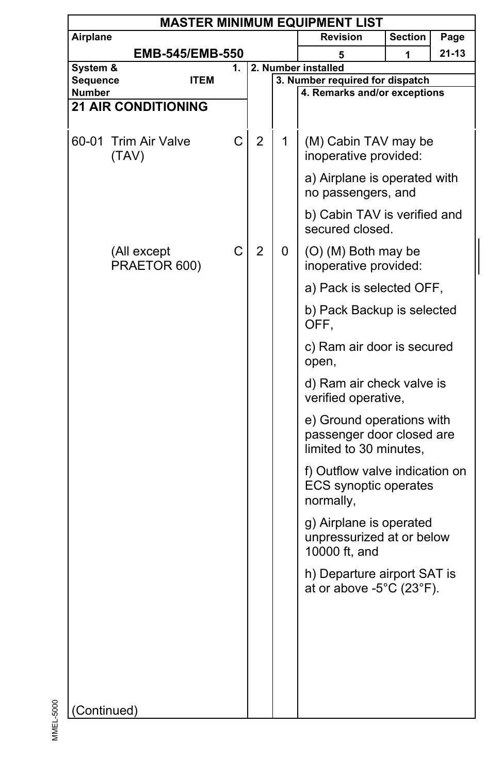| Airplane<br><b>Revision</b><br><b>Section</b><br><b>EMB-545/EMB-550</b><br>1<br>5<br>2. Number installed<br>System &<br>1.<br>3. Number required for dispatch<br>Sequence<br><b>ITEM</b><br><b>Number</b><br>4. Remarks and/or exceptions<br><b>21 AIR CONDITIONING</b><br>C<br>$\overline{2}$<br>60-01<br><b>Trim Air Valve</b><br>1<br>(M) Cabin TAV may be<br>inoperative provided:<br>(TAV)<br>a) Airplane is operated with<br>no passengers, and<br>b) Cabin TAV is verified and<br>secured closed.<br>C<br>$\overline{2}$<br>(All except<br>0<br>(O) (M) Both may be<br>PRAETOR 600)<br>inoperative provided:<br>a) Pack is selected OFF,<br>b) Pack Backup is selected<br>OFF.<br>c) Ram air door is secured<br>open,<br>d) Ram air check valve is<br>verified operative,<br>e) Ground operations with<br>passenger door closed are<br>limited to 30 minutes,<br>f) Outflow valve indication on<br><b>ECS</b> synoptic operates<br>normally,<br>g) Airplane is operated |       | <b>MASTER MINIMUM EQUIPMENT LIST</b> |  |  |  |  |  |  |  |
|--------------------------------------------------------------------------------------------------------------------------------------------------------------------------------------------------------------------------------------------------------------------------------------------------------------------------------------------------------------------------------------------------------------------------------------------------------------------------------------------------------------------------------------------------------------------------------------------------------------------------------------------------------------------------------------------------------------------------------------------------------------------------------------------------------------------------------------------------------------------------------------------------------------------------------------------------------------------------------|-------|--------------------------------------|--|--|--|--|--|--|--|
|                                                                                                                                                                                                                                                                                                                                                                                                                                                                                                                                                                                                                                                                                                                                                                                                                                                                                                                                                                                | Page  |                                      |  |  |  |  |  |  |  |
|                                                                                                                                                                                                                                                                                                                                                                                                                                                                                                                                                                                                                                                                                                                                                                                                                                                                                                                                                                                | 21-13 |                                      |  |  |  |  |  |  |  |
|                                                                                                                                                                                                                                                                                                                                                                                                                                                                                                                                                                                                                                                                                                                                                                                                                                                                                                                                                                                |       |                                      |  |  |  |  |  |  |  |
|                                                                                                                                                                                                                                                                                                                                                                                                                                                                                                                                                                                                                                                                                                                                                                                                                                                                                                                                                                                |       |                                      |  |  |  |  |  |  |  |
|                                                                                                                                                                                                                                                                                                                                                                                                                                                                                                                                                                                                                                                                                                                                                                                                                                                                                                                                                                                |       |                                      |  |  |  |  |  |  |  |
|                                                                                                                                                                                                                                                                                                                                                                                                                                                                                                                                                                                                                                                                                                                                                                                                                                                                                                                                                                                |       |                                      |  |  |  |  |  |  |  |
|                                                                                                                                                                                                                                                                                                                                                                                                                                                                                                                                                                                                                                                                                                                                                                                                                                                                                                                                                                                |       |                                      |  |  |  |  |  |  |  |
|                                                                                                                                                                                                                                                                                                                                                                                                                                                                                                                                                                                                                                                                                                                                                                                                                                                                                                                                                                                |       |                                      |  |  |  |  |  |  |  |
|                                                                                                                                                                                                                                                                                                                                                                                                                                                                                                                                                                                                                                                                                                                                                                                                                                                                                                                                                                                |       |                                      |  |  |  |  |  |  |  |
|                                                                                                                                                                                                                                                                                                                                                                                                                                                                                                                                                                                                                                                                                                                                                                                                                                                                                                                                                                                |       |                                      |  |  |  |  |  |  |  |
|                                                                                                                                                                                                                                                                                                                                                                                                                                                                                                                                                                                                                                                                                                                                                                                                                                                                                                                                                                                |       |                                      |  |  |  |  |  |  |  |
|                                                                                                                                                                                                                                                                                                                                                                                                                                                                                                                                                                                                                                                                                                                                                                                                                                                                                                                                                                                |       |                                      |  |  |  |  |  |  |  |
|                                                                                                                                                                                                                                                                                                                                                                                                                                                                                                                                                                                                                                                                                                                                                                                                                                                                                                                                                                                |       |                                      |  |  |  |  |  |  |  |
|                                                                                                                                                                                                                                                                                                                                                                                                                                                                                                                                                                                                                                                                                                                                                                                                                                                                                                                                                                                |       |                                      |  |  |  |  |  |  |  |
|                                                                                                                                                                                                                                                                                                                                                                                                                                                                                                                                                                                                                                                                                                                                                                                                                                                                                                                                                                                |       |                                      |  |  |  |  |  |  |  |
|                                                                                                                                                                                                                                                                                                                                                                                                                                                                                                                                                                                                                                                                                                                                                                                                                                                                                                                                                                                |       |                                      |  |  |  |  |  |  |  |
| unpressurized at or below<br>10000 ft, and                                                                                                                                                                                                                                                                                                                                                                                                                                                                                                                                                                                                                                                                                                                                                                                                                                                                                                                                     |       |                                      |  |  |  |  |  |  |  |
| h) Departure airport SAT is<br>at or above -5 $^{\circ}$ C (23 $^{\circ}$ F).                                                                                                                                                                                                                                                                                                                                                                                                                                                                                                                                                                                                                                                                                                                                                                                                                                                                                                  |       |                                      |  |  |  |  |  |  |  |
|                                                                                                                                                                                                                                                                                                                                                                                                                                                                                                                                                                                                                                                                                                                                                                                                                                                                                                                                                                                |       |                                      |  |  |  |  |  |  |  |
| Continued)                                                                                                                                                                                                                                                                                                                                                                                                                                                                                                                                                                                                                                                                                                                                                                                                                                                                                                                                                                     |       |                                      |  |  |  |  |  |  |  |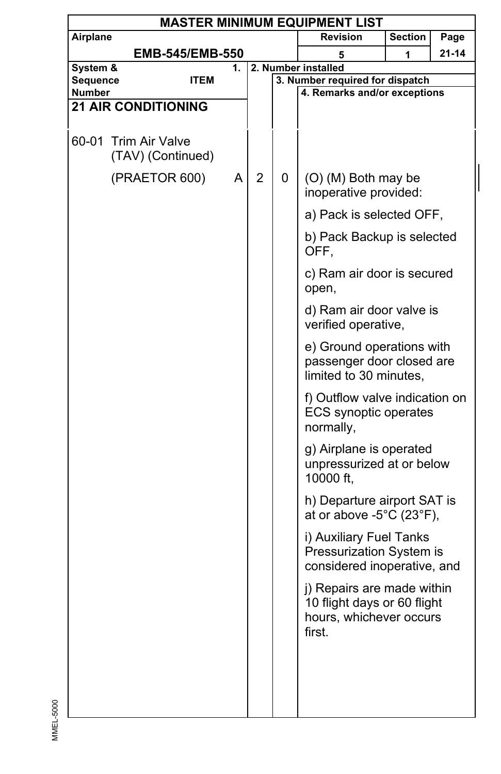| <b>MASTER MINIMUM EQUIPMENT LIST</b>  |                                                                         |    |                |   |                                                                                                |                |       |  |
|---------------------------------------|-------------------------------------------------------------------------|----|----------------|---|------------------------------------------------------------------------------------------------|----------------|-------|--|
| Airplane                              |                                                                         |    |                |   | <b>Revision</b>                                                                                | <b>Section</b> | Page  |  |
|                                       | EMB-545/EMB-550                                                         |    |                |   | 5                                                                                              | 1              | 21-14 |  |
| System &<br>Sequence<br><b>Number</b> | <b>ITEM</b>                                                             | 1. |                |   | 2. Number installed<br>3. Number required for dispatch<br>4. Remarks and/or exceptions         |                |       |  |
|                                       | <b>21 AIR CONDITIONING</b><br>60-01 Trim Air Valve<br>(TAV) (Continued) |    |                |   |                                                                                                |                |       |  |
|                                       | (PRAETOR 600)                                                           | A  | $\overline{2}$ | 0 | (O) (M) Both may be<br>inoperative provided:                                                   |                |       |  |
|                                       |                                                                         |    |                |   | a) Pack is selected OFF,                                                                       |                |       |  |
|                                       |                                                                         |    |                |   | b) Pack Backup is selected<br>OFF,                                                             |                |       |  |
|                                       |                                                                         |    |                |   | c) Ram air door is secured<br>open,                                                            |                |       |  |
|                                       |                                                                         |    |                |   | d) Ram air door valve is<br>verified operative,                                                |                |       |  |
|                                       |                                                                         |    |                |   | e) Ground operations with<br>passenger door closed are<br>limited to 30 minutes,               |                |       |  |
|                                       |                                                                         |    |                |   | f) Outflow valve indication on<br>ECS synoptic operates<br>normally,                           |                |       |  |
|                                       |                                                                         |    |                |   | g) Airplane is operated<br>unpressurized at or below<br>10000 ft,                              |                |       |  |
|                                       |                                                                         |    |                |   | h) Departure airport SAT is<br>at or above -5°C (23°F),                                        |                |       |  |
|                                       |                                                                         |    |                |   | i) Auxiliary Fuel Tanks<br>Pressurization System is<br>considered inoperative, and             |                |       |  |
|                                       |                                                                         |    |                |   | j) Repairs are made within<br>10 flight days or 60 flight<br>hours, whichever occurs<br>first. |                |       |  |
|                                       |                                                                         |    |                |   |                                                                                                |                |       |  |
|                                       |                                                                         |    |                |   |                                                                                                |                |       |  |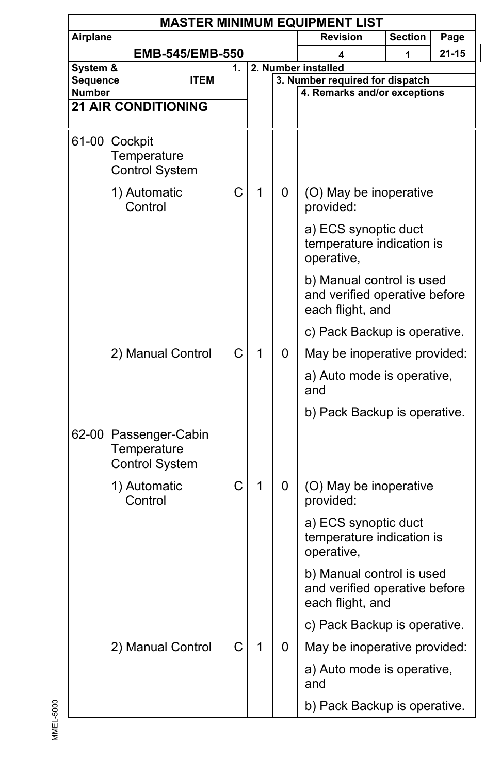| <b>MASTER MINIMUM EQUIPMENT LIST</b> |                                                               |    |              |   |                                                                                |                |       |  |
|--------------------------------------|---------------------------------------------------------------|----|--------------|---|--------------------------------------------------------------------------------|----------------|-------|--|
| Airplane                             |                                                               |    |              |   | <b>Revision</b>                                                                | <b>Section</b> | Page  |  |
|                                      | <b>EMB-545/EMB-550</b>                                        |    |              |   | 4                                                                              | 1              | 21-15 |  |
| System &<br>Sequence                 | <b>ITEM</b>                                                   | 1. |              |   | 2. Number installed<br>3. Number required for dispatch                         |                |       |  |
| Number                               |                                                               |    |              |   | 4. Remarks and/or exceptions                                                   |                |       |  |
|                                      | <b>21 AIR CONDITIONING</b>                                    |    |              |   |                                                                                |                |       |  |
|                                      |                                                               |    |              |   |                                                                                |                |       |  |
|                                      | 61-00 Cockpit<br>Temperature<br><b>Control System</b>         |    |              |   |                                                                                |                |       |  |
|                                      | 1) Automatic<br>Control                                       | C  | $\mathbf{1}$ | 0 | (O) May be inoperative<br>provided:                                            |                |       |  |
|                                      |                                                               |    |              |   | a) ECS synoptic duct<br>temperature indication is<br>operative,                |                |       |  |
|                                      |                                                               |    |              |   | b) Manual control is used<br>and verified operative before<br>each flight, and |                |       |  |
|                                      |                                                               |    |              |   | c) Pack Backup is operative.                                                   |                |       |  |
|                                      | 2) Manual Control                                             | С  | $\mathbf{1}$ | 0 | May be inoperative provided:                                                   |                |       |  |
|                                      |                                                               |    |              |   | a) Auto mode is operative,<br>and                                              |                |       |  |
|                                      |                                                               |    |              |   | b) Pack Backup is operative.                                                   |                |       |  |
|                                      | 62-00 Passenger-Cabin<br>Temperature<br><b>Control System</b> |    |              |   |                                                                                |                |       |  |
|                                      | 1) Automatic<br>Control                                       | C  | $\mathbf{1}$ | 0 | (O) May be inoperative<br>provided:                                            |                |       |  |
|                                      |                                                               |    |              |   | a) ECS synoptic duct<br>temperature indication is<br>operative,                |                |       |  |
|                                      |                                                               |    |              |   | b) Manual control is used<br>and verified operative before<br>each flight, and |                |       |  |
|                                      |                                                               |    |              |   | c) Pack Backup is operative.                                                   |                |       |  |
|                                      | 2) Manual Control                                             |    | 1            | 0 | May be inoperative provided:                                                   |                |       |  |
|                                      |                                                               |    |              |   | a) Auto mode is operative,<br>and                                              |                |       |  |
|                                      |                                                               |    |              |   | b) Pack Backup is operative.                                                   |                |       |  |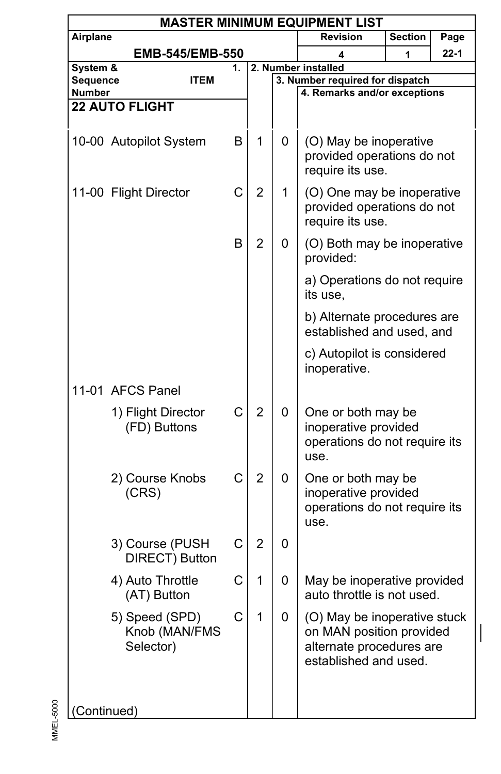|                    |                                              |    |                |   | <b>MASTER MINIMUM EQUIPMENT LIST</b>                                                                          |                |        |
|--------------------|----------------------------------------------|----|----------------|---|---------------------------------------------------------------------------------------------------------------|----------------|--------|
| Airplane           |                                              |    |                |   | <b>Revision</b>                                                                                               | <b>Section</b> | Page   |
|                    | <b>EMB-545/EMB-550</b>                       |    |                |   | 4                                                                                                             | 1              | $22-1$ |
| System &           |                                              | 1. |                |   | 2. Number installed                                                                                           |                |        |
| Sequence<br>Number | <b>ITEM</b>                                  |    |                |   | 3. Number required for dispatch<br>4. Remarks and/or exceptions                                               |                |        |
|                    | <b>22 AUTO FLIGHT</b>                        |    |                |   |                                                                                                               |                |        |
|                    |                                              |    |                |   |                                                                                                               |                |        |
|                    | 10-00 Autopilot System                       | В  | 1              | 0 | (O) May be inoperative<br>provided operations do not<br>require its use.                                      |                |        |
|                    | 11-00 Flight Director                        | C  | $\overline{2}$ | 1 | (O) One may be inoperative<br>provided operations do not<br>require its use.                                  |                |        |
|                    |                                              | B  | 2              | 0 | (O) Both may be inoperative<br>provided:                                                                      |                |        |
|                    |                                              |    |                |   | a) Operations do not require<br>its use,                                                                      |                |        |
|                    |                                              |    |                |   | b) Alternate procedures are<br>established and used, and                                                      |                |        |
|                    |                                              |    |                |   | c) Autopilot is considered<br>inoperative.                                                                    |                |        |
|                    | 11-01 AFCS Panel                             |    |                |   |                                                                                                               |                |        |
|                    | 1) Flight Director<br>(FD) Buttons           | C  | $\overline{2}$ | 0 | One or both may be<br>inoperative provided<br>operations do not require its<br>use.                           |                |        |
|                    | 2) Course Knobs<br>(CRS)                     | C  | $\overline{2}$ | 0 | One or both may be<br>inoperative provided<br>operations do not require its<br>use.                           |                |        |
|                    | 3) Course (PUSH<br><b>DIRECT)</b> Button     | C  | 2              | 0 |                                                                                                               |                |        |
|                    | 4) Auto Throttle<br>(AT) Button              | С  | 1              | 0 | May be inoperative provided<br>auto throttle is not used.                                                     |                |        |
|                    | 5) Speed (SPD)<br>Knob (MAN/FMS<br>Selector) | С  | 1              | 0 | (O) May be inoperative stuck<br>on MAN position provided<br>alternate procedures are<br>established and used. |                |        |
| (Continued)        |                                              |    |                |   |                                                                                                               |                |        |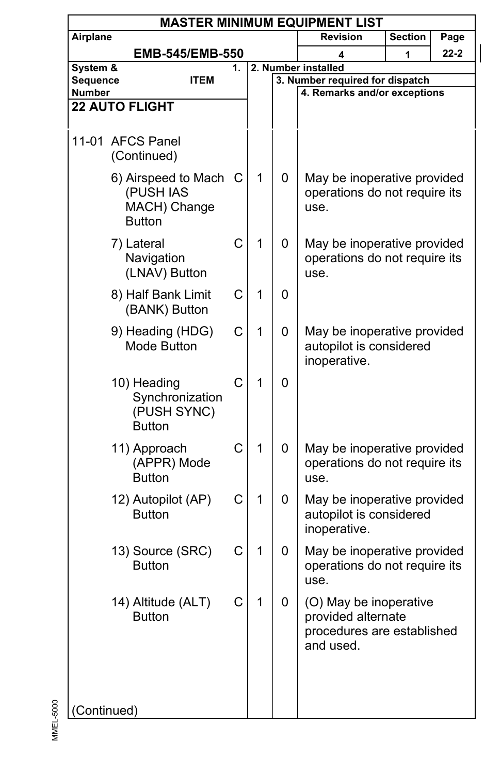| <b>MASTER MINIMUM EQUIPMENT LIST</b> |                                                                   |    |             |        |                                                                                         |                |      |  |
|--------------------------------------|-------------------------------------------------------------------|----|-------------|--------|-----------------------------------------------------------------------------------------|----------------|------|--|
| Airplane                             |                                                                   |    |             |        | <b>Revision</b>                                                                         | <b>Section</b> | Page |  |
|                                      | EMB-545/EMB-550                                                   |    |             | 1<br>4 |                                                                                         |                | 22-2 |  |
| System &                             |                                                                   | 1. |             |        | 2. Number installed                                                                     |                |      |  |
| Sequence<br><b>Number</b>            | <b>ITEM</b>                                                       |    |             |        | 3. Number required for dispatch<br>4. Remarks and/or exceptions                         |                |      |  |
|                                      | <b>22 AUTO FLIGHT</b>                                             |    |             |        |                                                                                         |                |      |  |
|                                      |                                                                   |    |             |        |                                                                                         |                |      |  |
|                                      | 11-01 AFCS Panel<br>(Continued)                                   |    |             |        |                                                                                         |                |      |  |
|                                      | 6) Airspeed to Mach<br>(PUSH IAS<br>MACH) Change<br><b>Button</b> | С  | 1           | 0      | May be inoperative provided<br>operations do not require its<br>use.                    |                |      |  |
|                                      | 7) Lateral<br>Navigation<br>(LNAV) Button                         | C  | $\mathbf 1$ | 0      | May be inoperative provided<br>operations do not require its<br>use.                    |                |      |  |
|                                      | 8) Half Bank Limit<br>(BANK) Button                               | C  | 1           | 0      |                                                                                         |                |      |  |
|                                      | 9) Heading (HDG)<br>Mode Button                                   | C  | 1           | 0      | May be inoperative provided<br>autopilot is considered<br>inoperative.                  |                |      |  |
|                                      | 10) Heading<br>Synchronization<br>(PUSH SYNC)<br><b>Button</b>    | C  | 1           | 0      |                                                                                         |                |      |  |
|                                      | 11) Approach<br>(APPR) Mode<br><b>Button</b>                      | C  | $\mathbf 1$ | 0      | May be inoperative provided<br>operations do not require its<br>use.                    |                |      |  |
|                                      | 12) Autopilot (AP)<br><b>Button</b>                               | C  | 1           | 0      | May be inoperative provided<br>autopilot is considered<br>inoperative.                  |                |      |  |
|                                      | 13) Source (SRC)<br><b>Button</b>                                 | C  | 1           | 0      | May be inoperative provided<br>operations do not require its<br>use.                    |                |      |  |
|                                      | 14) Altitude (ALT)<br><b>Button</b>                               | C  | 1           | 0      | (O) May be inoperative<br>provided alternate<br>procedures are established<br>and used. |                |      |  |
|                                      | Continued)                                                        |    |             |        |                                                                                         |                |      |  |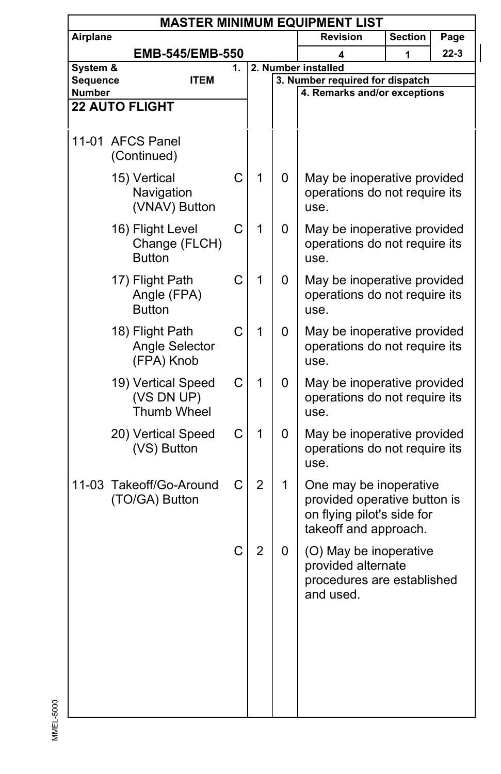| <b>MASTER MINIMUM EQUIPMENT LIST</b> |                                                    |    |                                   |   |                                                                                                               |   |          |  |
|--------------------------------------|----------------------------------------------------|----|-----------------------------------|---|---------------------------------------------------------------------------------------------------------------|---|----------|--|
| Airplane                             |                                                    |    | <b>Revision</b><br><b>Section</b> |   |                                                                                                               |   | Page     |  |
|                                      | EMB-545/EMB-550                                    |    |                                   |   | 4                                                                                                             | 1 | $22 - 3$ |  |
| System &                             |                                                    | 1. |                                   |   | 2. Number installed                                                                                           |   |          |  |
| Sequence<br>Number                   | <b>ITEM</b>                                        |    |                                   |   | 3. Number required for dispatch<br>4. Remarks and/or exceptions                                               |   |          |  |
|                                      | <b>22 AUTO FLIGHT</b>                              |    |                                   |   |                                                                                                               |   |          |  |
|                                      |                                                    |    |                                   |   |                                                                                                               |   |          |  |
|                                      | 11-01 AFCS Panel<br>(Continued)                    |    |                                   |   |                                                                                                               |   |          |  |
|                                      | 15) Vertical<br>Navigation<br>(VNAV) Button        | C  | $\overline{1}$                    | 0 | May be inoperative provided<br>operations do not require its<br>use.                                          |   |          |  |
|                                      | 16) Flight Level<br>Change (FLCH)<br><b>Button</b> | C  | 1                                 | 0 | May be inoperative provided<br>operations do not require its<br>use.                                          |   |          |  |
|                                      | 17) Flight Path<br>Angle (FPA)<br><b>Button</b>    | C  | 1                                 | 0 | May be inoperative provided<br>operations do not require its<br>use.                                          |   |          |  |
|                                      | 18) Flight Path<br>Angle Selector<br>(FPA) Knob    | C  | 1                                 | 0 | May be inoperative provided<br>operations do not require its<br>use.                                          |   |          |  |
|                                      | 19) Vertical Speed<br>(VS DN UP)<br>Thumb Wheel    | C  | 1                                 | 0 | May be inoperative provided<br>operations do not require its<br>use.                                          |   |          |  |
|                                      | 20) Vertical Speed<br>(VS) Button                  | C  | $\mathbf{1}$                      | 0 | May be inoperative provided<br>operations do not require its<br>use.                                          |   |          |  |
|                                      | 11-03 Takeoff/Go-Around<br>(TO/GA) Button          | C  | $\overline{2}$                    | 1 | One may be inoperative<br>provided operative button is<br>on flying pilot's side for<br>takeoff and approach. |   |          |  |
|                                      |                                                    | C  | $\overline{2}$                    | 0 | (O) May be inoperative<br>provided alternate<br>procedures are established<br>and used.                       |   |          |  |
|                                      |                                                    |    |                                   |   |                                                                                                               |   |          |  |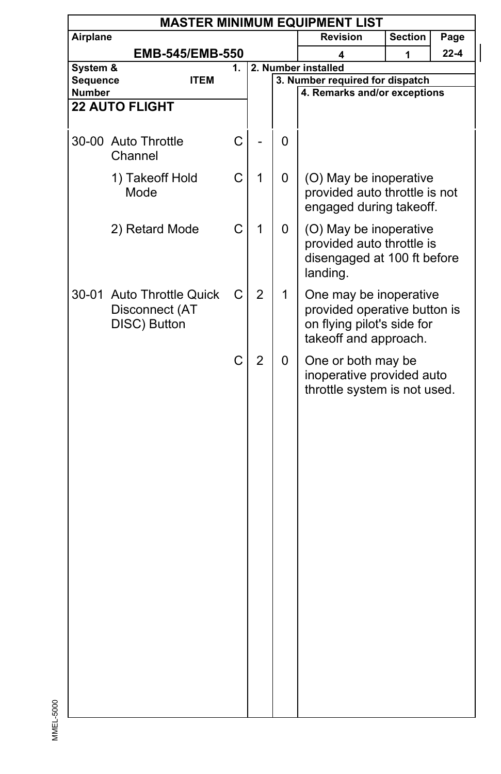| <b>EMB-545/EMB-550</b>                                      |                       |                |                     | <b>Revision</b>                 | <b>Section</b> | Page                                                                                                                                                                                                                                                                                                                                                                                                         |  |
|-------------------------------------------------------------|-----------------------|----------------|---------------------|---------------------------------|----------------|--------------------------------------------------------------------------------------------------------------------------------------------------------------------------------------------------------------------------------------------------------------------------------------------------------------------------------------------------------------------------------------------------------------|--|
|                                                             |                       |                |                     |                                 |                |                                                                                                                                                                                                                                                                                                                                                                                                              |  |
|                                                             |                       |                |                     | 4                               | 1              | 22-4                                                                                                                                                                                                                                                                                                                                                                                                         |  |
|                                                             | 1.                    |                | 2. Number installed |                                 |                |                                                                                                                                                                                                                                                                                                                                                                                                              |  |
| Sequence<br><b>ITEM</b>                                     |                       |                |                     | 3. Number required for dispatch |                |                                                                                                                                                                                                                                                                                                                                                                                                              |  |
|                                                             |                       |                |                     |                                 |                |                                                                                                                                                                                                                                                                                                                                                                                                              |  |
|                                                             |                       |                |                     |                                 |                |                                                                                                                                                                                                                                                                                                                                                                                                              |  |
| 30-00 Auto Throttle<br>Channel                              | C                     |                | 0                   |                                 |                |                                                                                                                                                                                                                                                                                                                                                                                                              |  |
| 1) Takeoff Hold<br>Mode                                     | C                     | 1              | 0                   |                                 |                |                                                                                                                                                                                                                                                                                                                                                                                                              |  |
| 2) Retard Mode                                              | C                     | 1              | 0                   | landing.                        |                |                                                                                                                                                                                                                                                                                                                                                                                                              |  |
| 30-01 Auto Throttle Quick<br>Disconnect (AT<br>DISC) Button | С                     | $\overline{2}$ | $\mathbf{1}$        |                                 |                |                                                                                                                                                                                                                                                                                                                                                                                                              |  |
|                                                             | C                     | $\overline{2}$ | 0                   |                                 |                |                                                                                                                                                                                                                                                                                                                                                                                                              |  |
|                                                             | <b>22 AUTO FLIGHT</b> |                |                     |                                 |                | 4. Remarks and/or exceptions<br>(O) May be inoperative<br>provided auto throttle is not<br>engaged during takeoff.<br>(O) May be inoperative<br>provided auto throttle is<br>disengaged at 100 ft before<br>One may be inoperative<br>provided operative button is<br>on flying pilot's side for<br>takeoff and approach.<br>One or both may be<br>inoperative provided auto<br>throttle system is not used. |  |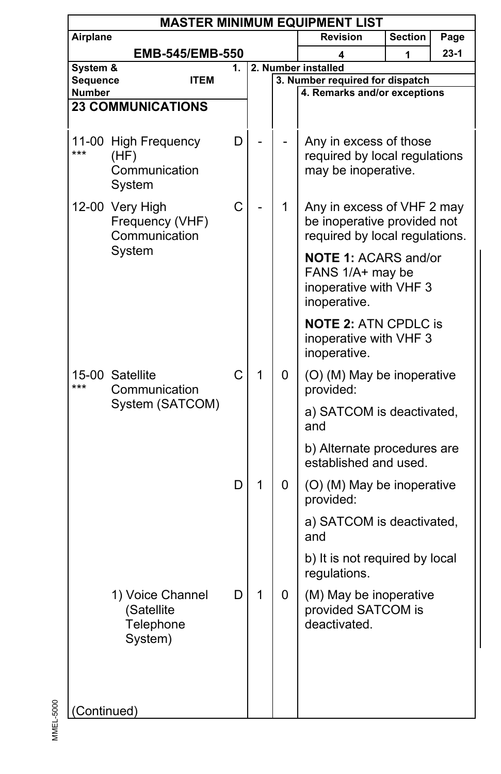| <b>MASTER MINIMUM EQUIPMENT LIST</b> |                                                         |    |                                   |        |                                                                                             |  |        |
|--------------------------------------|---------------------------------------------------------|----|-----------------------------------|--------|---------------------------------------------------------------------------------------------|--|--------|
| Airplane                             |                                                         |    | <b>Revision</b><br><b>Section</b> |        |                                                                                             |  | Page   |
|                                      | <b>EMB-545/EMB-550</b>                                  |    |                                   | 1<br>4 |                                                                                             |  | $23-1$ |
| System &                             |                                                         | 1. |                                   |        | 2. Number installed                                                                         |  |        |
| Sequence<br>Number                   | <b>ITEM</b>                                             |    |                                   |        | 3. Number required for dispatch<br>4. Remarks and/or exceptions                             |  |        |
|                                      | <b>23 COMMUNICATIONS</b>                                |    |                                   |        |                                                                                             |  |        |
|                                      |                                                         |    |                                   |        |                                                                                             |  |        |
| ***                                  | 11-00 High Frequency<br>(HF)<br>Communication<br>System | D  |                                   |        | Any in excess of those<br>required by local regulations<br>may be inoperative.              |  |        |
|                                      | 12-00 Very High<br>Frequency (VHF)<br>Communication     | C  |                                   | 1      | Any in excess of VHF 2 may<br>be inoperative provided not<br>required by local regulations. |  |        |
|                                      | System                                                  |    |                                   |        | <b>NOTE 1: ACARS and/or</b><br>FANS 1/A+ may be<br>inoperative with VHF 3<br>inoperative.   |  |        |
|                                      |                                                         |    |                                   |        | <b>NOTE 2: ATN CPDLC is</b><br>inoperative with VHF 3<br>inoperative.                       |  |        |
| ***                                  | 15-00 Satellite<br>Communication                        | C  | $\mathbf{1}$                      | 0      | (O) (M) May be inoperative<br>provided:                                                     |  |        |
|                                      | System (SATCOM)                                         |    |                                   |        | a) SATCOM is deactivated,<br>and                                                            |  |        |
|                                      |                                                         |    |                                   |        | b) Alternate procedures are<br>established and used.                                        |  |        |
|                                      |                                                         | D  | 1                                 | 0      | (O) (M) May be inoperative<br>provided:                                                     |  |        |
|                                      |                                                         |    |                                   |        | a) SATCOM is deactivated,<br>and                                                            |  |        |
|                                      |                                                         |    |                                   |        | b) It is not required by local<br>regulations.                                              |  |        |
|                                      | 1) Voice Channel<br>(Satellite<br>Telephone<br>System)  | D  | 1                                 | 0      | (M) May be inoperative<br>provided SATCOM is<br>deactivated.                                |  |        |
| (Continued)                          |                                                         |    |                                   |        |                                                                                             |  |        |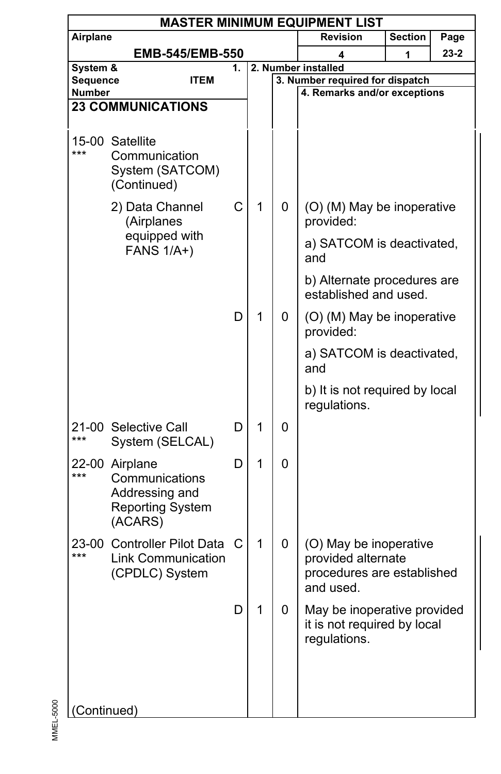| <b>MASTER MINIMUM EQUIPMENT LIST</b>  |                                                                                          |    |              |                |                                                                                         |                |      |  |
|---------------------------------------|------------------------------------------------------------------------------------------|----|--------------|----------------|-----------------------------------------------------------------------------------------|----------------|------|--|
| Airplane                              |                                                                                          |    |              |                | <b>Revision</b>                                                                         | <b>Section</b> | Page |  |
|                                       | <b>EMB-545/EMB-550</b>                                                                   |    |              | 23-2<br>1<br>4 |                                                                                         |                |      |  |
| System &<br>Sequence<br><b>Number</b> | <b>ITEM</b><br><b>23 COMMUNICATIONS</b>                                                  | 1. |              |                | 2. Number installed<br>3. Number required for dispatch<br>4. Remarks and/or exceptions  |                |      |  |
| ***                                   | 15-00 Satellite<br>Communication<br>System (SATCOM)<br>(Continued)                       |    |              |                |                                                                                         |                |      |  |
|                                       | 2) Data Channel<br>(Airplanes                                                            | C  | 1            | 0              | (O) (M) May be inoperative<br>provided:                                                 |                |      |  |
|                                       | equipped with<br>FANS $1/A+$ )                                                           |    |              |                | a) SATCOM is deactivated,<br>and                                                        |                |      |  |
|                                       |                                                                                          |    |              |                | b) Alternate procedures are<br>established and used.                                    |                |      |  |
|                                       |                                                                                          | D  | 1            | 0              | (O) (M) May be inoperative<br>provided:                                                 |                |      |  |
|                                       |                                                                                          |    |              |                | a) SATCOM is deactivated,<br>and                                                        |                |      |  |
|                                       |                                                                                          |    |              |                | b) It is not required by local<br>regulations.                                          |                |      |  |
| ***                                   | 21-00 Selective Call<br>System (SELCAL)                                                  | D  | 1            | 0              |                                                                                         |                |      |  |
| ***                                   | 22-00 Airplane<br>Communications<br>Addressing and<br><b>Reporting System</b><br>(ACARS) | D  | 1            | 0              |                                                                                         |                |      |  |
| 23-00<br>***                          | <b>Controller Pilot Data</b><br><b>Link Communication</b><br>(CPDLC) System              | C  | $\mathbf{1}$ | 0              | (O) May be inoperative<br>provided alternate<br>procedures are established<br>and used. |                |      |  |
|                                       |                                                                                          | D  | 1            | 0              | May be inoperative provided<br>it is not required by local<br>regulations.              |                |      |  |
| (Continued)                           |                                                                                          |    |              |                |                                                                                         |                |      |  |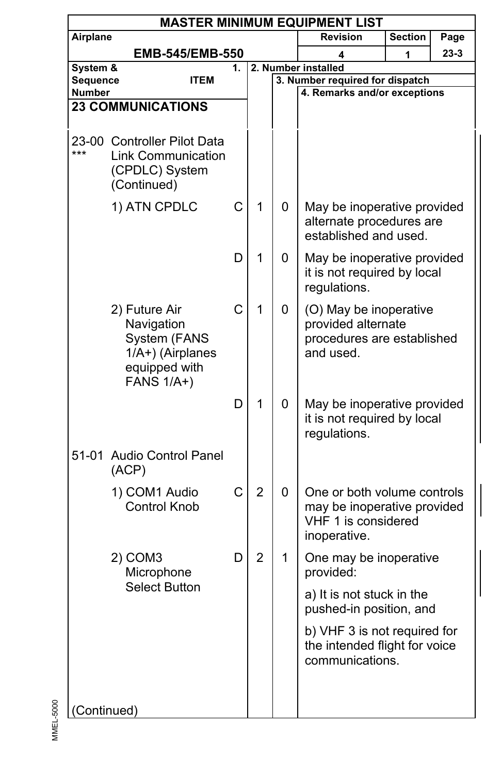|                           | <b>MASTER MINIMUM EQUIPMENT LIST</b>                                                                         |    |                |   |                                                                                                   |                |      |  |  |  |
|---------------------------|--------------------------------------------------------------------------------------------------------------|----|----------------|---|---------------------------------------------------------------------------------------------------|----------------|------|--|--|--|
| Airplane                  |                                                                                                              |    |                |   | <b>Revision</b>                                                                                   | <b>Section</b> | Page |  |  |  |
|                           | <b>EMB-545/EMB-550</b>                                                                                       |    |                |   | 4                                                                                                 | 1              | 23-3 |  |  |  |
| System &                  | <b>ITEM</b>                                                                                                  | 1. |                |   | 2. Number installed                                                                               |                |      |  |  |  |
| Sequence<br><b>Number</b> |                                                                                                              |    |                |   | 3. Number required for dispatch<br>4. Remarks and/or exceptions                                   |                |      |  |  |  |
|                           | <b>23 COMMUNICATIONS</b>                                                                                     |    |                |   |                                                                                                   |                |      |  |  |  |
|                           |                                                                                                              |    |                |   |                                                                                                   |                |      |  |  |  |
| $***$                     | 23-00 Controller Pilot Data<br>Link Communication<br>(CPDLC) System<br>(Continued)                           |    |                |   |                                                                                                   |                |      |  |  |  |
|                           | 1) ATN CPDLC                                                                                                 | C  | $\mathbf{1}$   | 0 | May be inoperative provided<br>alternate procedures are<br>established and used.                  |                |      |  |  |  |
|                           |                                                                                                              | D  | 1              | 0 | May be inoperative provided<br>it is not required by local<br>regulations.                        |                |      |  |  |  |
|                           | 2) Future Air<br>Navigation<br><b>System (FANS</b><br>1/A+) (Airplanes<br>equipped with<br><b>FANS 1/A+)</b> | C  | 1              | 0 | (O) May be inoperative<br>provided alternate<br>procedures are established<br>and used.           |                |      |  |  |  |
|                           |                                                                                                              | D  | 1              | 0 | May be inoperative provided<br>it is not required by local<br>regulations.                        |                |      |  |  |  |
|                           | 51-01 Audio Control Panel<br>(ACP)                                                                           |    |                |   |                                                                                                   |                |      |  |  |  |
|                           | 1) COM1 Audio<br><b>Control Knob</b>                                                                         | C  | $\overline{2}$ | 0 | One or both volume controls<br>may be inoperative provided<br>VHF 1 is considered<br>inoperative. |                |      |  |  |  |
|                           | $2)$ COM3<br>Microphone                                                                                      | D  | $\overline{2}$ | 1 | One may be inoperative<br>provided:                                                               |                |      |  |  |  |
|                           | Select Button                                                                                                |    |                |   | a) It is not stuck in the<br>pushed-in position, and                                              |                |      |  |  |  |
|                           |                                                                                                              |    |                |   | b) VHF 3 is not required for<br>the intended flight for voice<br>communications.                  |                |      |  |  |  |
| (Continued)               |                                                                                                              |    |                |   |                                                                                                   |                |      |  |  |  |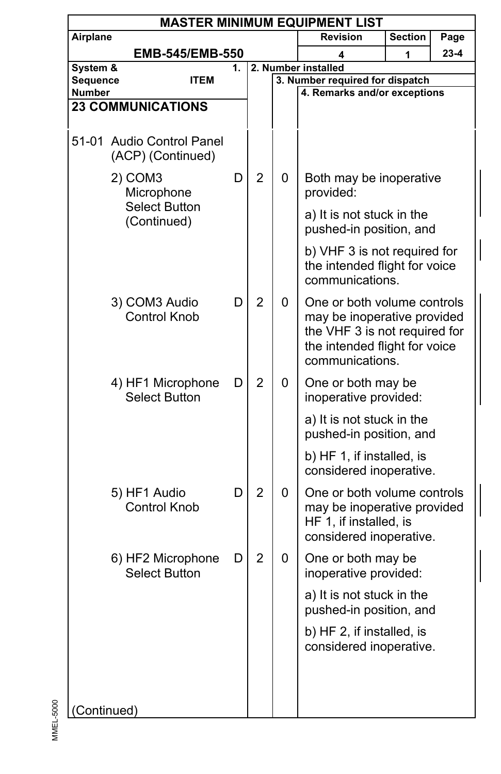| <b>MASTER MINIMUM EQUIPMENT LIST</b> |                                                |    |                |   |                                                                                                                                                 |                         |      |  |
|--------------------------------------|------------------------------------------------|----|----------------|---|-------------------------------------------------------------------------------------------------------------------------------------------------|-------------------------|------|--|
| Airplane                             |                                                |    |                |   | <b>Revision</b>                                                                                                                                 | <b>Section</b>          | Page |  |
|                                      | EMB-545/EMB-550                                |    |                |   | 4                                                                                                                                               | 1                       | 23-4 |  |
| System &<br>Sequence                 | ITEM                                           | 1. |                |   | 2. Number installed                                                                                                                             |                         |      |  |
| Number                               |                                                |    |                |   | 3. Number required for dispatch<br>4. Remarks and/or exceptions                                                                                 |                         |      |  |
|                                      | <b>23 COMMUNICATIONS</b>                       |    |                |   |                                                                                                                                                 |                         |      |  |
|                                      |                                                |    |                |   |                                                                                                                                                 |                         |      |  |
|                                      | 51-01 Audio Control Panel<br>(ACP) (Continued) |    |                |   |                                                                                                                                                 |                         |      |  |
|                                      | 2) COM3<br>Microphone                          | D  | $\overline{2}$ | 0 | provided:                                                                                                                                       | Both may be inoperative |      |  |
|                                      | <b>Select Button</b><br>(Continued)            |    |                |   | a) It is not stuck in the<br>pushed-in position, and                                                                                            |                         |      |  |
|                                      |                                                |    |                |   | b) VHF 3 is not required for<br>the intended flight for voice<br>communications.                                                                |                         |      |  |
|                                      | 3) COM3 Audio<br><b>Control Knob</b>           | D  | $\overline{2}$ | 0 | One or both volume controls<br>may be inoperative provided<br>the VHF 3 is not required for<br>the intended flight for voice<br>communications. |                         |      |  |
|                                      | 4) HF1 Microphone<br><b>Select Button</b>      | D  | $\overline{2}$ | 0 | One or both may be<br>inoperative provided:                                                                                                     |                         |      |  |
|                                      |                                                |    |                |   | a) It is not stuck in the<br>pushed-in position, and                                                                                            |                         |      |  |
|                                      |                                                |    |                |   | b) HF 1, if installed, is<br>considered inoperative.                                                                                            |                         |      |  |
|                                      | 5) HF1 Audio<br><b>Control Knob</b>            | D  | $\overline{2}$ | 0 | One or both volume controls<br>may be inoperative provided<br>HF 1, if installed, is<br>considered inoperative.                                 |                         |      |  |
|                                      | 6) HF2 Microphone<br><b>Select Button</b>      | D  | $\overline{2}$ | 0 | One or both may be<br>inoperative provided:                                                                                                     |                         |      |  |
|                                      |                                                |    |                |   | a) It is not stuck in the<br>pushed-in position, and                                                                                            |                         |      |  |
|                                      |                                                |    |                |   | b) HF 2, if installed, is<br>considered inoperative.                                                                                            |                         |      |  |
|                                      |                                                |    |                |   |                                                                                                                                                 |                         |      |  |
| (Continued)                          |                                                |    |                |   |                                                                                                                                                 |                         |      |  |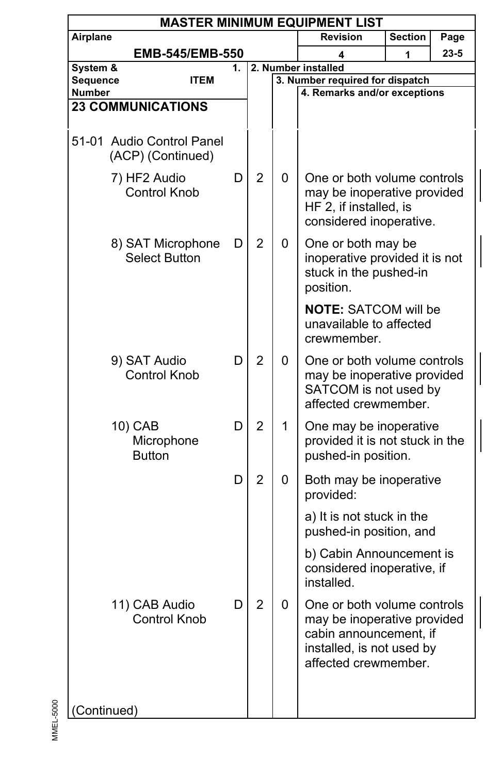| <b>MASTER MINIMUM EQUIPMENT LIST</b> |                                                |    |                |   |                                                                                                                                           |                |      |  |  |  |
|--------------------------------------|------------------------------------------------|----|----------------|---|-------------------------------------------------------------------------------------------------------------------------------------------|----------------|------|--|--|--|
| Airplane                             |                                                |    |                |   | <b>Revision</b>                                                                                                                           | <b>Section</b> | Page |  |  |  |
|                                      | <b>EMB-545/EMB-550</b>                         |    |                |   | 4                                                                                                                                         | 1              | 23-5 |  |  |  |
| System &                             |                                                | 1. |                |   | 2. Number installed                                                                                                                       |                |      |  |  |  |
| Sequence<br>Number                   | <b>ITEM</b>                                    |    |                |   | 3. Number required for dispatch<br>4. Remarks and/or exceptions                                                                           |                |      |  |  |  |
|                                      | <b>23 COMMUNICATIONS</b>                       |    |                |   |                                                                                                                                           |                |      |  |  |  |
|                                      |                                                |    |                |   |                                                                                                                                           |                |      |  |  |  |
|                                      | 51-01 Audio Control Panel<br>(ACP) (Continued) |    |                |   |                                                                                                                                           |                |      |  |  |  |
|                                      | 7) HF2 Audio<br><b>Control Knob</b>            | D  | $\overline{2}$ | 0 | One or both volume controls<br>may be inoperative provided<br>HF 2, if installed, is<br>considered inoperative.                           |                |      |  |  |  |
|                                      | 8) SAT Microphone<br><b>Select Button</b>      | D  | $\overline{2}$ | 0 | One or both may be<br>inoperative provided it is not<br>stuck in the pushed-in<br>position.                                               |                |      |  |  |  |
|                                      |                                                |    |                |   | <b>NOTE: SATCOM will be</b><br>unavailable to affected<br>crewmember.                                                                     |                |      |  |  |  |
|                                      | 9) SAT Audio<br><b>Control Knob</b>            | D  | $\overline{2}$ | 0 | One or both volume controls<br>may be inoperative provided<br>SATCOM is not used by<br>affected crewmember.                               |                |      |  |  |  |
|                                      | 10) CAB<br>Microphone<br><b>Button</b>         | D  | $\overline{2}$ | 1 | One may be inoperative<br>provided it is not stuck in the<br>pushed-in position.                                                          |                |      |  |  |  |
|                                      |                                                | D  | $\overline{2}$ | 0 | Both may be inoperative<br>provided:                                                                                                      |                |      |  |  |  |
|                                      |                                                |    |                |   | a) It is not stuck in the<br>pushed-in position, and                                                                                      |                |      |  |  |  |
|                                      |                                                |    |                |   | b) Cabin Announcement is<br>considered inoperative, if<br>installed.                                                                      |                |      |  |  |  |
|                                      | 11) CAB Audio<br>Control Knob                  | D  | $\overline{2}$ | 0 | One or both volume controls<br>may be inoperative provided<br>cabin announcement, if<br>installed, is not used by<br>affected crewmember. |                |      |  |  |  |
|                                      | Continued)                                     |    |                |   |                                                                                                                                           |                |      |  |  |  |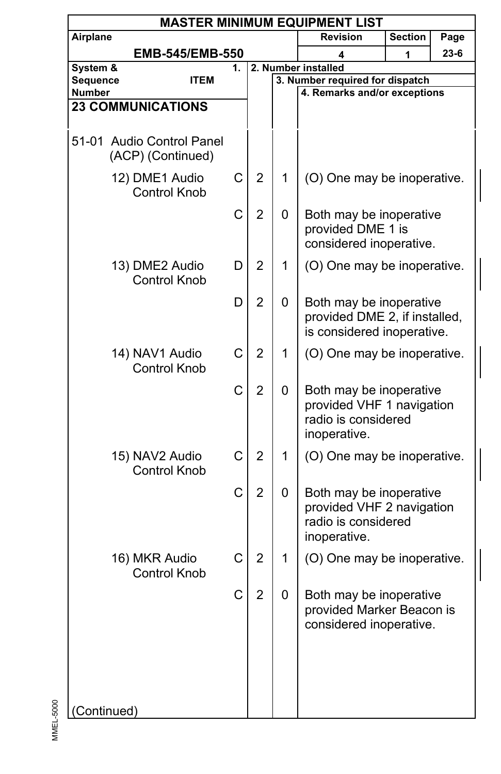| <b>MASTER MINIMUM EQUIPMENT LIST</b> |                                                |    |                |   |                                                                                             |                |      |  |  |
|--------------------------------------|------------------------------------------------|----|----------------|---|---------------------------------------------------------------------------------------------|----------------|------|--|--|
| Airplane                             |                                                |    |                |   | <b>Revision</b>                                                                             | <b>Section</b> | Page |  |  |
|                                      | EMB-545/EMB-550                                |    |                |   | 4                                                                                           | 1              | 23-6 |  |  |
| System &<br>Sequence<br>Number       | <b>ITEM</b>                                    | 1. |                |   | 2. Number installed<br>3. Number required for dispatch<br>4. Remarks and/or exceptions      |                |      |  |  |
|                                      | <b>23 COMMUNICATIONS</b>                       |    |                |   |                                                                                             |                |      |  |  |
|                                      |                                                |    |                |   |                                                                                             |                |      |  |  |
|                                      | 51-01 Audio Control Panel<br>(ACP) (Continued) |    |                |   |                                                                                             |                |      |  |  |
|                                      | 12) DME1 Audio<br><b>Control Knob</b>          | C  | $\overline{2}$ | 1 | (O) One may be inoperative.                                                                 |                |      |  |  |
|                                      |                                                | С  | 2              | 0 | Both may be inoperative<br>provided DME 1 is<br>considered inoperative.                     |                |      |  |  |
|                                      | 13) DME2 Audio<br><b>Control Knob</b>          | D  | $\overline{2}$ | 1 | (O) One may be inoperative.                                                                 |                |      |  |  |
|                                      |                                                | D  | $\overline{2}$ | 0 | Both may be inoperative<br>provided DME 2, if installed,<br>is considered inoperative.      |                |      |  |  |
|                                      | 14) NAV1 Audio<br><b>Control Knob</b>          | C  | $\overline{2}$ | 1 | (O) One may be inoperative.                                                                 |                |      |  |  |
|                                      |                                                | C  | 2              | 0 | Both may be inoperative<br>provided VHF 1 navigation<br>radio is considered<br>inoperative. |                |      |  |  |
|                                      | 15) NAV2 Audio<br><b>Control Knob</b>          | C  | $\overline{2}$ | 1 | (O) One may be inoperative.                                                                 |                |      |  |  |
|                                      |                                                | С  | 2              | 0 | Both may be inoperative<br>provided VHF 2 navigation<br>radio is considered<br>inoperative. |                |      |  |  |
|                                      | 16) MKR Audio<br><b>Control Knob</b>           | С  | $\overline{2}$ | 1 | (O) One may be inoperative.                                                                 |                |      |  |  |
|                                      |                                                | С  | 2              | 0 | Both may be inoperative<br>provided Marker Beacon is<br>considered inoperative.             |                |      |  |  |
|                                      | (Continued)                                    |    |                |   |                                                                                             |                |      |  |  |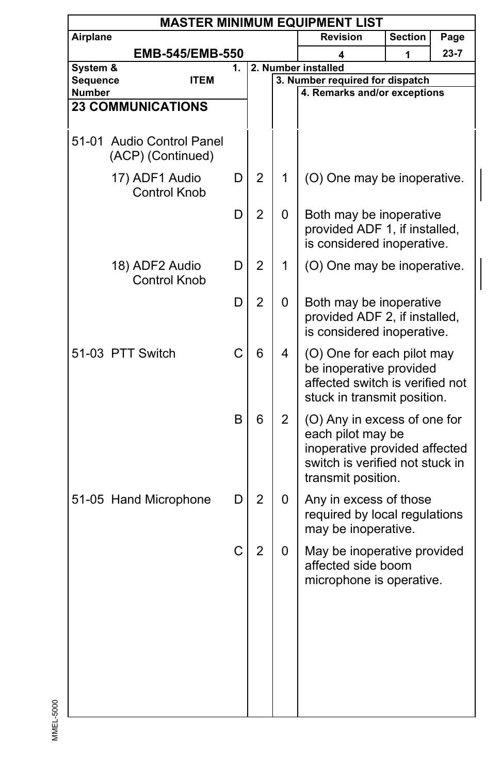| <b>MASTER MINIMUM EQUIPMENT LIST</b> |                  |                                                |    |                |   |                                                                                                                                             |                                                                                          |      |  |  |
|--------------------------------------|------------------|------------------------------------------------|----|----------------|---|---------------------------------------------------------------------------------------------------------------------------------------------|------------------------------------------------------------------------------------------|------|--|--|
| Airplane                             |                  |                                                |    |                |   | <b>Revision</b>                                                                                                                             | <b>Section</b>                                                                           | Page |  |  |
|                                      |                  | <b>EMB-545/EMB-550</b>                         |    |                |   | 4                                                                                                                                           | 1                                                                                        | 23-7 |  |  |
| System &                             |                  |                                                | 1. |                |   | 2. Number installed                                                                                                                         |                                                                                          |      |  |  |
| Sequence<br>Number                   |                  | ITEM                                           |    |                |   | 3. Number required for dispatch<br>4. Remarks and/or exceptions                                                                             |                                                                                          |      |  |  |
|                                      |                  | <b>23 COMMUNICATIONS</b>                       |    |                |   |                                                                                                                                             |                                                                                          |      |  |  |
|                                      |                  |                                                |    |                |   |                                                                                                                                             |                                                                                          |      |  |  |
|                                      |                  | 51-01 Audio Control Panel<br>(ACP) (Continued) |    |                |   |                                                                                                                                             |                                                                                          |      |  |  |
|                                      |                  | 17) ADF1 Audio<br><b>Control Knob</b>          | D  | $\overline{2}$ | 1 |                                                                                                                                             | (O) One may be inoperative.                                                              |      |  |  |
|                                      |                  |                                                | D  | $\overline{2}$ | 0 |                                                                                                                                             | Both may be inoperative<br>provided ADF 1, if installed,<br>is considered inoperative.   |      |  |  |
|                                      |                  | 18) ADF2 Audio<br><b>Control Knob</b>          | D  | $\overline{2}$ | 1 |                                                                                                                                             | (O) One may be inoperative.                                                              |      |  |  |
|                                      |                  |                                                | D  | $\overline{2}$ | 0 |                                                                                                                                             | Both may be inoperative<br>provided ADF 2, if installed,<br>is considered inoperative.   |      |  |  |
|                                      | 51-03 PTT Switch |                                                | C  | 6              | 4 | stuck in transmit position.                                                                                                                 | (O) One for each pilot may<br>be inoperative provided<br>affected switch is verified not |      |  |  |
|                                      |                  |                                                | B  | 6              | 2 | (O) Any in excess of one for<br>each pilot may be<br>inoperative provided affected<br>switch is verified not stuck in<br>transmit position. |                                                                                          |      |  |  |
|                                      |                  | 51-05 Hand Microphone                          | D  | $\overline{2}$ | 0 | Any in excess of those<br>required by local regulations<br>may be inoperative.                                                              |                                                                                          |      |  |  |
|                                      |                  |                                                | C  | $\overline{2}$ | 0 | May be inoperative provided<br>affected side boom<br>microphone is operative.                                                               |                                                                                          |      |  |  |
|                                      |                  |                                                |    |                |   |                                                                                                                                             |                                                                                          |      |  |  |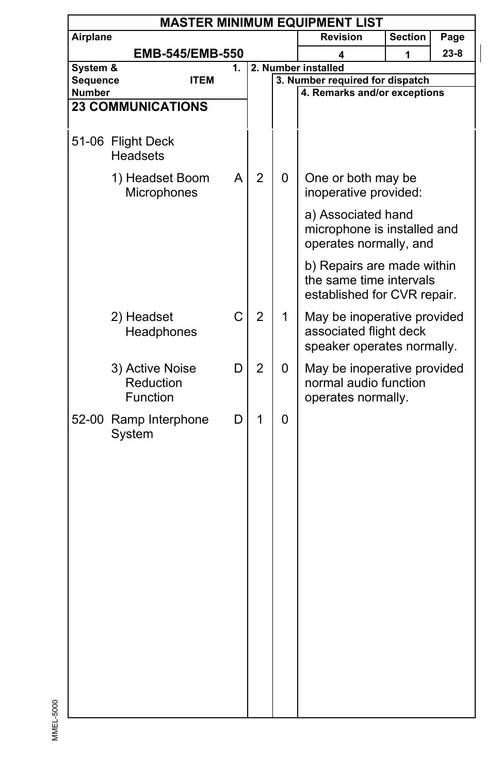|                    | <b>MASTER MINIMUM EQUIPMENT LIST</b>     |    |                |   |                                                                                      |                |      |  |  |  |  |
|--------------------|------------------------------------------|----|----------------|---|--------------------------------------------------------------------------------------|----------------|------|--|--|--|--|
| Airplane           |                                          |    |                |   | <b>Revision</b>                                                                      | <b>Section</b> | Page |  |  |  |  |
|                    | EMB-545/EMB-550                          |    |                |   | 4                                                                                    | 1              | 23-8 |  |  |  |  |
| System &           |                                          | 1. |                |   | 2. Number installed                                                                  |                |      |  |  |  |  |
| Sequence<br>Number | <b>ITEM</b>                              |    |                |   | 3. Number required for dispatch<br>4. Remarks and/or exceptions                      |                |      |  |  |  |  |
|                    | <b>23 COMMUNICATIONS</b>                 |    |                |   |                                                                                      |                |      |  |  |  |  |
|                    |                                          |    |                |   |                                                                                      |                |      |  |  |  |  |
|                    | 51-06 Flight Deck<br><b>Headsets</b>     |    |                |   |                                                                                      |                |      |  |  |  |  |
|                    | 1) Headset Boom<br>Microphones           | Α  | $\overline{2}$ | 0 | One or both may be<br>inoperative provided:                                          |                |      |  |  |  |  |
|                    |                                          |    |                |   | a) Associated hand<br>microphone is installed and<br>operates normally, and          |                |      |  |  |  |  |
|                    |                                          |    |                |   | b) Repairs are made within<br>the same time intervals<br>established for CVR repair. |                |      |  |  |  |  |
|                    | 2) Headset<br>Headphones                 | C  | $\overline{2}$ | 1 | May be inoperative provided<br>associated flight deck<br>speaker operates normally.  |                |      |  |  |  |  |
|                    | 3) Active Noise<br>Reduction<br>Function | D  | $\overline{2}$ | 0 | May be inoperative provided<br>normal audio function<br>operates normally.           |                |      |  |  |  |  |
|                    | 52-00 Ramp Interphone<br>System          | D  | 1              | 0 |                                                                                      |                |      |  |  |  |  |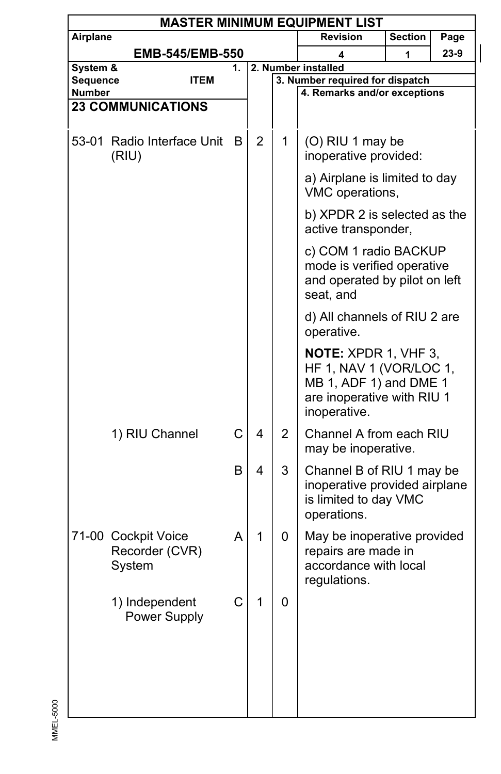|                    | <b>MASTER MINIMUM EQUIPMENT LIST</b>            |    |                |   |                                                                                                                                |                                           |      |  |  |  |
|--------------------|-------------------------------------------------|----|----------------|---|--------------------------------------------------------------------------------------------------------------------------------|-------------------------------------------|------|--|--|--|
| Airplane           |                                                 |    |                |   | <b>Revision</b>                                                                                                                | <b>Section</b>                            | Page |  |  |  |
|                    | <b>EMB-545/EMB-550</b>                          |    |                |   | 4                                                                                                                              | 1                                         | 23-9 |  |  |  |
| System &           |                                                 | 1. |                |   | 2. Number installed<br>3. Number required for dispatch                                                                         |                                           |      |  |  |  |
| Sequence<br>Number | <b>ITEM</b>                                     |    |                |   |                                                                                                                                |                                           |      |  |  |  |
|                    | <b>23 COMMUNICATIONS</b>                        |    |                |   | 4. Remarks and/or exceptions                                                                                                   |                                           |      |  |  |  |
|                    |                                                 |    |                |   |                                                                                                                                |                                           |      |  |  |  |
|                    | 53-01 Radio Interface Unit<br>(RIU)             | B  | 2              | 1 |                                                                                                                                | (O) RIU 1 may be<br>inoperative provided: |      |  |  |  |
|                    |                                                 |    |                |   | a) Airplane is limited to day<br>VMC operations,                                                                               |                                           |      |  |  |  |
|                    |                                                 |    |                |   | b) XPDR 2 is selected as the<br>active transponder,                                                                            |                                           |      |  |  |  |
|                    |                                                 |    |                |   | c) COM 1 radio BACKUP<br>mode is verified operative<br>and operated by pilot on left<br>seat, and                              |                                           |      |  |  |  |
|                    |                                                 |    |                |   | d) All channels of RIU 2 are<br>operative.                                                                                     |                                           |      |  |  |  |
|                    |                                                 |    |                |   | <b>NOTE: XPDR 1, VHF 3,</b><br>HF 1, NAV 1 (VOR/LOC 1,<br>MB 1, ADF 1) and DME 1<br>are inoperative with RIU 1<br>inoperative. |                                           |      |  |  |  |
|                    | 1) RIU Channel                                  | C  | $\overline{4}$ | 2 | Channel A from each RIU<br>may be inoperative.                                                                                 |                                           |      |  |  |  |
|                    |                                                 | B  | 4              | 3 | Channel B of RIU 1 may be<br>inoperative provided airplane<br>is limited to day VMC<br>operations.                             |                                           |      |  |  |  |
|                    | 71-00 Cockpit Voice<br>Recorder (CVR)<br>System | Α  | $\mathbf{1}$   | 0 | May be inoperative provided<br>repairs are made in<br>accordance with local<br>regulations.                                    |                                           |      |  |  |  |
|                    | 1) Independent<br>Power Supply                  | C  |                | 0 |                                                                                                                                |                                           |      |  |  |  |
|                    |                                                 |    |                |   |                                                                                                                                |                                           |      |  |  |  |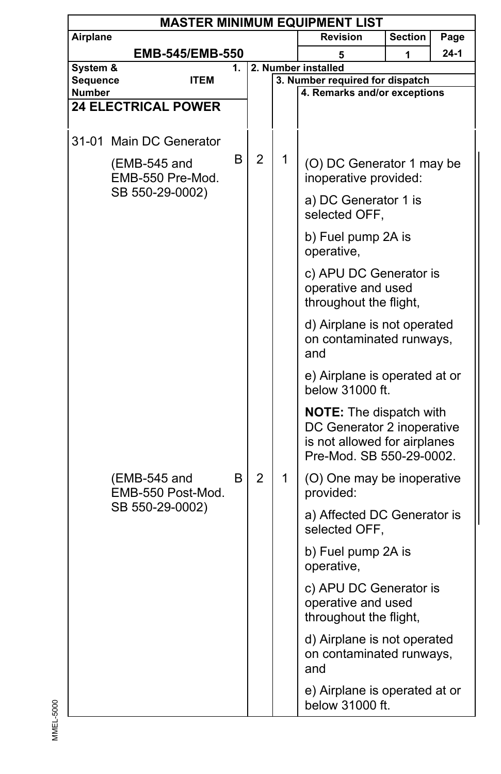| <b>MASTER MINIMUM EQUIPMENT LIST</b>          |                                   |    |                |   |                                                                                                                          |   |        |  |
|-----------------------------------------------|-----------------------------------|----|----------------|---|--------------------------------------------------------------------------------------------------------------------------|---|--------|--|
| Airplane<br><b>Revision</b><br><b>Section</b> |                                   |    |                |   |                                                                                                                          |   | Page   |  |
|                                               | <b>EMB-545/EMB-550</b>            |    |                |   | 5                                                                                                                        | 1 | $24-1$ |  |
| System &                                      |                                   | 1. |                |   | 2. Number installed                                                                                                      |   |        |  |
| Sequence<br>Number                            | <b>ITEM</b>                       |    |                |   | 3. Number required for dispatch<br>4. Remarks and/or exceptions                                                          |   |        |  |
|                                               | <b>24 ELECTRICAL POWER</b>        |    |                |   |                                                                                                                          |   |        |  |
|                                               |                                   |    |                |   |                                                                                                                          |   |        |  |
|                                               | 31-01 Main DC Generator           |    |                |   |                                                                                                                          |   |        |  |
|                                               | (EMB-545 and<br>EMB-550 Pre-Mod.  | B  | $\overline{2}$ | 1 | (O) DC Generator 1 may be<br>inoperative provided:                                                                       |   |        |  |
|                                               | SB 550-29-0002)                   |    |                |   | a) DC Generator 1 is<br>selected OFF,                                                                                    |   |        |  |
|                                               |                                   |    |                |   | b) Fuel pump 2A is<br>operative,                                                                                         |   |        |  |
|                                               |                                   |    |                |   | c) APU DC Generator is<br>operative and used<br>throughout the flight,                                                   |   |        |  |
|                                               |                                   |    |                |   | d) Airplane is not operated<br>on contaminated runways,<br>and                                                           |   |        |  |
|                                               |                                   |    |                |   | e) Airplane is operated at or<br>below 31000 ft.                                                                         |   |        |  |
|                                               |                                   |    |                |   | <b>NOTE:</b> The dispatch with<br>DC Generator 2 inoperative<br>is not allowed for airplanes<br>Pre-Mod. SB 550-29-0002. |   |        |  |
|                                               | (EMB-545 and<br>EMB-550 Post-Mod. | B  | $\overline{2}$ | 1 | (O) One may be inoperative<br>provided:                                                                                  |   |        |  |
|                                               | SB 550-29-0002)                   |    |                |   | a) Affected DC Generator is<br>selected OFF,                                                                             |   |        |  |
|                                               |                                   |    |                |   | b) Fuel pump 2A is<br>operative,                                                                                         |   |        |  |
|                                               |                                   |    |                |   | c) APU DC Generator is<br>operative and used<br>throughout the flight,                                                   |   |        |  |
|                                               |                                   |    |                |   | d) Airplane is not operated<br>on contaminated runways,<br>and                                                           |   |        |  |
|                                               |                                   |    |                |   | e) Airplane is operated at or<br>below 31000 ft.                                                                         |   |        |  |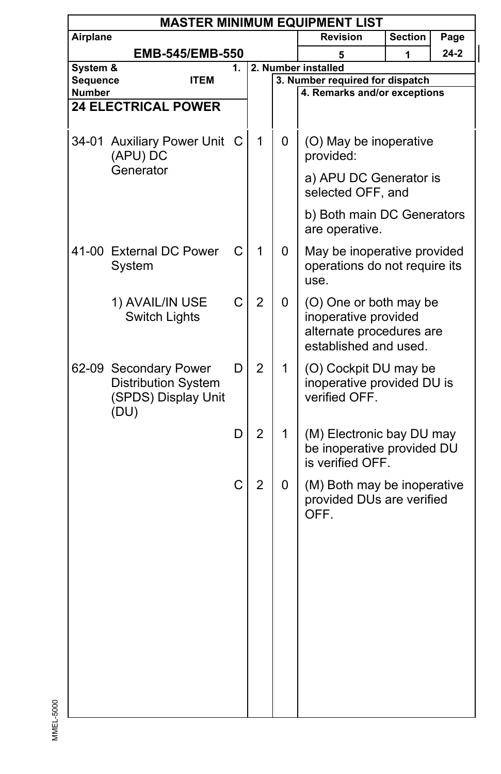| <b>MASTER MINIMUM EQUIPMENT LIST</b> |                                                                                    |                                           |                |   |                                                                                                     |   |      |  |
|--------------------------------------|------------------------------------------------------------------------------------|-------------------------------------------|----------------|---|-----------------------------------------------------------------------------------------------------|---|------|--|
| Airplane                             |                                                                                    | <b>Revision</b><br><b>Section</b><br>Page |                |   |                                                                                                     |   |      |  |
|                                      | EMB-545/EMB-550                                                                    |                                           |                |   | 5                                                                                                   | 1 | 24-2 |  |
| System &                             |                                                                                    | 1.                                        |                |   | 2. Number installed                                                                                 |   |      |  |
| Sequence<br><b>Number</b>            | <b>ITEM</b>                                                                        |                                           |                |   | 3. Number required for dispatch<br>4. Remarks and/or exceptions                                     |   |      |  |
|                                      | <b>24 ELECTRICAL POWER</b>                                                         |                                           |                |   |                                                                                                     |   |      |  |
|                                      |                                                                                    |                                           |                |   |                                                                                                     |   |      |  |
|                                      | 34-01 Auxiliary Power Unit C<br>(APU) DC                                           |                                           | 1              | 0 | (O) May be inoperative<br>provided:                                                                 |   |      |  |
|                                      | Generator                                                                          |                                           |                |   | a) APU DC Generator is<br>selected OFF, and                                                         |   |      |  |
|                                      |                                                                                    |                                           |                |   | b) Both main DC Generators<br>are operative.                                                        |   |      |  |
|                                      | 41-00 External DC Power<br>System                                                  | С                                         | $\mathbf 1$    | 0 | May be inoperative provided<br>operations do not require its<br>use.                                |   |      |  |
|                                      | 1) AVAIL/IN USE<br>Switch Lights                                                   | C                                         | $\overline{2}$ | 0 | (O) One or both may be<br>inoperative provided<br>alternate procedures are<br>established and used. |   |      |  |
|                                      | 62-09 Secondary Power<br><b>Distribution System</b><br>(SPDS) Display Unit<br>(DU) | D                                         | $\overline{2}$ | 1 | (O) Cockpit DU may be<br>inoperative provided DU is<br>verified OFF.                                |   |      |  |
|                                      |                                                                                    | D                                         | $\overline{2}$ | 1 | (M) Electronic bay DU may<br>be inoperative provided DU<br>is verified OFF.                         |   |      |  |
|                                      |                                                                                    | C                                         | $\overline{2}$ | 0 | (M) Both may be inoperative<br>provided DUs are verified<br>OFF.                                    |   |      |  |

 $\overline{\phantom{a}}$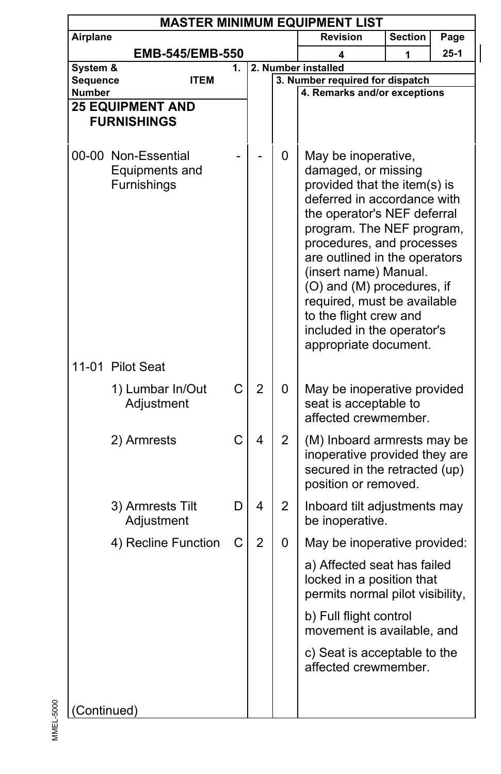|                    | <b>MASTER MINIMUM EQUIPMENT LIST</b>                 |    |                         |   |                                                                                                                                                                                                                                                                                                                                                                                                            |                |      |  |  |  |
|--------------------|------------------------------------------------------|----|-------------------------|---|------------------------------------------------------------------------------------------------------------------------------------------------------------------------------------------------------------------------------------------------------------------------------------------------------------------------------------------------------------------------------------------------------------|----------------|------|--|--|--|
| Airplane           |                                                      |    |                         |   | <b>Revision</b>                                                                                                                                                                                                                                                                                                                                                                                            | <b>Section</b> | Page |  |  |  |
|                    | <b>EMB-545/EMB-550</b>                               |    |                         |   | $25 - 1$                                                                                                                                                                                                                                                                                                                                                                                                   |                |      |  |  |  |
| System &           |                                                      | 1. |                         |   | 2. Number installed                                                                                                                                                                                                                                                                                                                                                                                        |                |      |  |  |  |
| Sequence<br>Number | <b>ITEM</b>                                          |    |                         |   | 3. Number required for dispatch                                                                                                                                                                                                                                                                                                                                                                            |                |      |  |  |  |
|                    | <b>25 EQUIPMENT AND</b>                              |    |                         |   | 4. Remarks and/or exceptions                                                                                                                                                                                                                                                                                                                                                                               |                |      |  |  |  |
|                    | <b>FURNISHINGS</b>                                   |    |                         |   |                                                                                                                                                                                                                                                                                                                                                                                                            |                |      |  |  |  |
|                    |                                                      |    |                         |   |                                                                                                                                                                                                                                                                                                                                                                                                            |                |      |  |  |  |
|                    | 00-00 Non-Essential<br>Equipments and<br>Furnishings |    |                         | 0 | May be inoperative,<br>damaged, or missing<br>provided that the item(s) is<br>deferred in accordance with<br>the operator's NEF deferral<br>program. The NEF program,<br>procedures, and processes<br>are outlined in the operators<br>(insert name) Manual.<br>(O) and (M) procedures, if<br>required, must be available<br>to the flight crew and<br>included in the operator's<br>appropriate document. |                |      |  |  |  |
|                    | 11-01 Pilot Seat                                     |    |                         |   |                                                                                                                                                                                                                                                                                                                                                                                                            |                |      |  |  |  |
|                    | 1) Lumbar In/Out<br>Adjustment                       | Ć  | $\overline{2}$          | 0 | May be inoperative provided<br>seat is acceptable to<br>affected crewmember.                                                                                                                                                                                                                                                                                                                               |                |      |  |  |  |
|                    | 2) Armrests                                          | C  | $\overline{\mathbf{4}}$ | 2 | (M) Inboard armrests may be<br>inoperative provided they are<br>secured in the retracted (up)<br>position or removed.                                                                                                                                                                                                                                                                                      |                |      |  |  |  |
|                    | 3) Armrests Tilt<br>Adjustment                       | D  | 4                       | 2 | Inboard tilt adjustments may<br>be inoperative.                                                                                                                                                                                                                                                                                                                                                            |                |      |  |  |  |
|                    | 4) Recline Function                                  | С  | 2                       | 0 | May be inoperative provided:                                                                                                                                                                                                                                                                                                                                                                               |                |      |  |  |  |
|                    |                                                      |    |                         |   | a) Affected seat has failed<br>locked in a position that<br>permits normal pilot visibility,                                                                                                                                                                                                                                                                                                               |                |      |  |  |  |
|                    |                                                      |    |                         |   | b) Full flight control<br>movement is available, and                                                                                                                                                                                                                                                                                                                                                       |                |      |  |  |  |
|                    |                                                      |    |                         |   | c) Seat is acceptable to the<br>affected crewmember.                                                                                                                                                                                                                                                                                                                                                       |                |      |  |  |  |
| (Continued)        |                                                      |    |                         |   |                                                                                                                                                                                                                                                                                                                                                                                                            |                |      |  |  |  |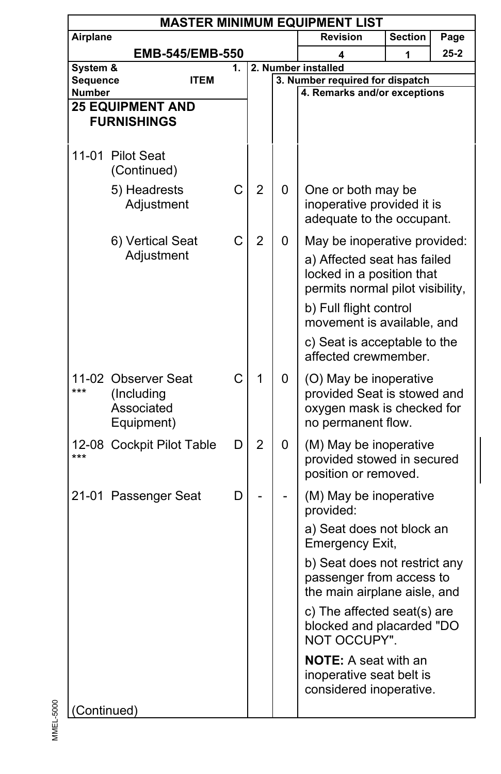|               | <b>MASTER MINIMUM EQUIPMENT LIST</b>                          |   |                |   |                                                                                                           |                |          |  |  |
|---------------|---------------------------------------------------------------|---|----------------|---|-----------------------------------------------------------------------------------------------------------|----------------|----------|--|--|
| Airplane      |                                                               |   |                |   | <b>Revision</b>                                                                                           | <b>Section</b> | Page     |  |  |
|               | EMB-545/EMB-550                                               |   |                |   | 4                                                                                                         | 1              | $25 - 2$ |  |  |
|               | System &<br>1.<br>Sequence<br><b>ITEM</b>                     |   |                |   | 2. Number installed<br>3. Number required for dispatch                                                    |                |          |  |  |
| <b>Number</b> |                                                               |   |                |   | 4. Remarks and/or exceptions                                                                              |                |          |  |  |
|               | <b>25 EQUIPMENT AND</b>                                       |   |                |   |                                                                                                           |                |          |  |  |
|               | <b>FURNISHINGS</b>                                            |   |                |   |                                                                                                           |                |          |  |  |
|               | 11-01 Pilot Seat<br>(Continued)                               |   |                |   |                                                                                                           |                |          |  |  |
|               | 5) Headrests<br>Adjustment                                    | C | $\overline{2}$ | 0 | One or both may be<br>inoperative provided it is<br>adequate to the occupant.                             |                |          |  |  |
|               | 6) Vertical Seat                                              | C | $\overline{2}$ | 0 | May be inoperative provided:                                                                              |                |          |  |  |
|               | Adjustment                                                    |   |                |   | a) Affected seat has failed<br>locked in a position that<br>permits normal pilot visibility,              |                |          |  |  |
|               |                                                               |   |                |   | b) Full flight control<br>movement is available, and                                                      |                |          |  |  |
|               |                                                               |   |                |   | c) Seat is acceptable to the<br>affected crewmember.                                                      |                |          |  |  |
| ***           | 11-02 Observer Seat<br>(Including<br>Associated<br>Equipment) | C | 1              | 0 | (O) May be inoperative<br>provided Seat is stowed and<br>oxygen mask is checked for<br>no permanent flow. |                |          |  |  |
| ***           | 12-08 Cockpit Pilot Table                                     | D | $\overline{2}$ | 0 | (M) May be inoperative<br>provided stowed in secured<br>position or removed.                              |                |          |  |  |
|               | 21-01 Passenger Seat                                          | D |                |   | (M) May be inoperative<br>provided:                                                                       |                |          |  |  |
|               |                                                               |   |                |   | a) Seat does not block an<br>Emergency Exit,                                                              |                |          |  |  |
|               |                                                               |   |                |   | b) Seat does not restrict any<br>passenger from access to<br>the main airplane aisle, and                 |                |          |  |  |
|               |                                                               |   |                |   | c) The affected seat(s) are<br>blocked and placarded "DO<br>NOT OCCUPY".                                  |                |          |  |  |
|               |                                                               |   |                |   | <b>NOTE:</b> A seat with an<br>inoperative seat belt is<br>considered inoperative.                        |                |          |  |  |
| (Continued)   |                                                               |   |                |   |                                                                                                           |                |          |  |  |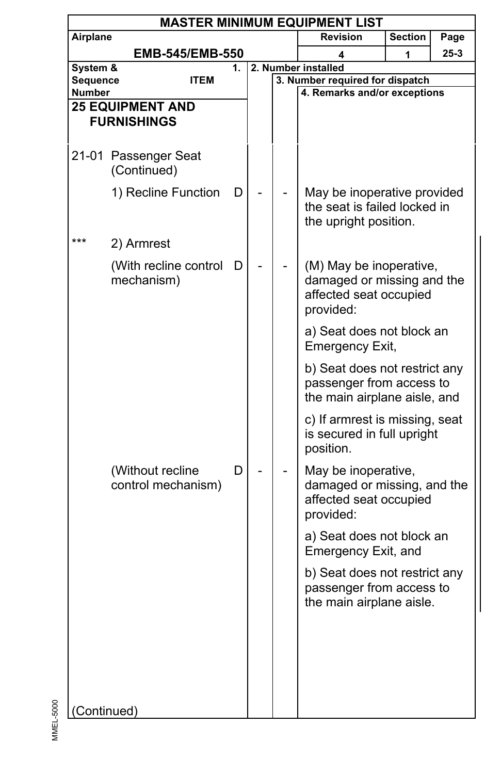|                           | <b>MASTER MINIMUM EQUIPMENT LIST</b>   |    |  |  |                                                                                              |                |          |  |  |  |  |
|---------------------------|----------------------------------------|----|--|--|----------------------------------------------------------------------------------------------|----------------|----------|--|--|--|--|
| Airplane                  |                                        |    |  |  | <b>Revision</b>                                                                              | <b>Section</b> | Page     |  |  |  |  |
|                           | <b>EMB-545/EMB-550</b>                 |    |  |  | 4                                                                                            | 1              | $25 - 3$ |  |  |  |  |
| System &                  |                                        | 1. |  |  | 2. Number installed<br>3. Number required for dispatch                                       |                |          |  |  |  |  |
| Sequence<br><b>Number</b> | <b>ITEM</b>                            |    |  |  | 4. Remarks and/or exceptions                                                                 |                |          |  |  |  |  |
|                           | <b>25 EQUIPMENT AND</b>                |    |  |  |                                                                                              |                |          |  |  |  |  |
|                           | <b>FURNISHINGS</b>                     |    |  |  |                                                                                              |                |          |  |  |  |  |
|                           |                                        |    |  |  |                                                                                              |                |          |  |  |  |  |
|                           | 21-01 Passenger Seat<br>(Continued)    |    |  |  |                                                                                              |                |          |  |  |  |  |
|                           | 1) Recline Function                    | D  |  |  | May be inoperative provided<br>the seat is failed locked in<br>the upright position.         |                |          |  |  |  |  |
| ***                       | 2) Armrest                             |    |  |  |                                                                                              |                |          |  |  |  |  |
|                           | (With recline control<br>mechanism)    | D  |  |  | (M) May be inoperative,<br>damaged or missing and the<br>affected seat occupied<br>provided: |                |          |  |  |  |  |
|                           |                                        |    |  |  | a) Seat does not block an<br>Emergency Exit,                                                 |                |          |  |  |  |  |
|                           |                                        |    |  |  | b) Seat does not restrict any<br>passenger from access to<br>the main airplane aisle, and    |                |          |  |  |  |  |
|                           |                                        |    |  |  | c) If armrest is missing, seat<br>is secured in full upright<br>position.                    |                |          |  |  |  |  |
|                           | (Without recline<br>control mechanism) | D  |  |  | May be inoperative,<br>damaged or missing, and the<br>affected seat occupied<br>provided:    |                |          |  |  |  |  |
|                           |                                        |    |  |  | a) Seat does not block an<br>Emergency Exit, and                                             |                |          |  |  |  |  |
|                           |                                        |    |  |  | b) Seat does not restrict any<br>passenger from access to<br>the main airplane aisle.        |                |          |  |  |  |  |
|                           |                                        |    |  |  |                                                                                              |                |          |  |  |  |  |
|                           |                                        |    |  |  |                                                                                              |                |          |  |  |  |  |
| (Continued)               |                                        |    |  |  |                                                                                              |                |          |  |  |  |  |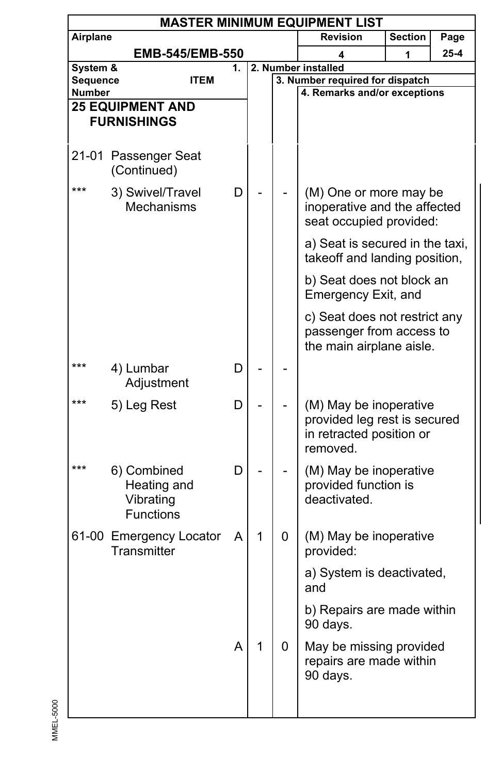|                           | <b>MASTER MINIMUM EQUIPMENT LIST</b>                        |    |   |   |                                                                                                |                |          |  |  |  |  |
|---------------------------|-------------------------------------------------------------|----|---|---|------------------------------------------------------------------------------------------------|----------------|----------|--|--|--|--|
| Airplane                  |                                                             |    |   |   | <b>Revision</b>                                                                                | <b>Section</b> | Page     |  |  |  |  |
|                           | EMB-545/EMB-550                                             |    |   |   | 4                                                                                              | 1              | $25 - 4$ |  |  |  |  |
| System &                  |                                                             | 1. |   |   | 2. Number installed                                                                            |                |          |  |  |  |  |
| Sequence<br><b>Number</b> | <b>ITEM</b>                                                 |    |   |   | 3. Number required for dispatch<br>4. Remarks and/or exceptions                                |                |          |  |  |  |  |
|                           | <b>25 EQUIPMENT AND</b>                                     |    |   |   |                                                                                                |                |          |  |  |  |  |
|                           | <b>FURNISHINGS</b>                                          |    |   |   |                                                                                                |                |          |  |  |  |  |
|                           |                                                             |    |   |   |                                                                                                |                |          |  |  |  |  |
|                           | 21-01 Passenger Seat<br>(Continued)                         |    |   |   |                                                                                                |                |          |  |  |  |  |
| $***$                     | 3) Swivel/Travel<br>Mechanisms                              | D  |   |   | (M) One or more may be<br>inoperative and the affected<br>seat occupied provided:              |                |          |  |  |  |  |
|                           |                                                             |    |   |   | a) Seat is secured in the taxi,<br>takeoff and landing position,                               |                |          |  |  |  |  |
|                           |                                                             |    |   |   | b) Seat does not block an<br>Emergency Exit, and                                               |                |          |  |  |  |  |
|                           |                                                             |    |   |   | c) Seat does not restrict any<br>passenger from access to<br>the main airplane aisle.          |                |          |  |  |  |  |
| ***                       | 4) Lumbar<br>Adjustment                                     | D  |   |   |                                                                                                |                |          |  |  |  |  |
| $***$                     | 5) Leg Rest                                                 | D  |   |   | (M) May be inoperative<br>provided leg rest is secured<br>in retracted position or<br>removed. |                |          |  |  |  |  |
| ***                       | 6) Combined<br>Heating and<br>Vibrating<br><b>Functions</b> | D  |   |   | (M) May be inoperative<br>provided function is<br>deactivated.                                 |                |          |  |  |  |  |
|                           | 61-00 Emergency Locator<br>Transmitter                      | A  | 1 | 0 | (M) May be inoperative<br>provided:                                                            |                |          |  |  |  |  |
|                           |                                                             |    |   |   | a) System is deactivated,<br>and                                                               |                |          |  |  |  |  |
|                           |                                                             |    |   |   | b) Repairs are made within<br>90 days.                                                         |                |          |  |  |  |  |
|                           |                                                             | A  | 1 | 0 | May be missing provided<br>repairs are made within<br>90 days.                                 |                |          |  |  |  |  |
|                           |                                                             |    |   |   |                                                                                                |                |          |  |  |  |  |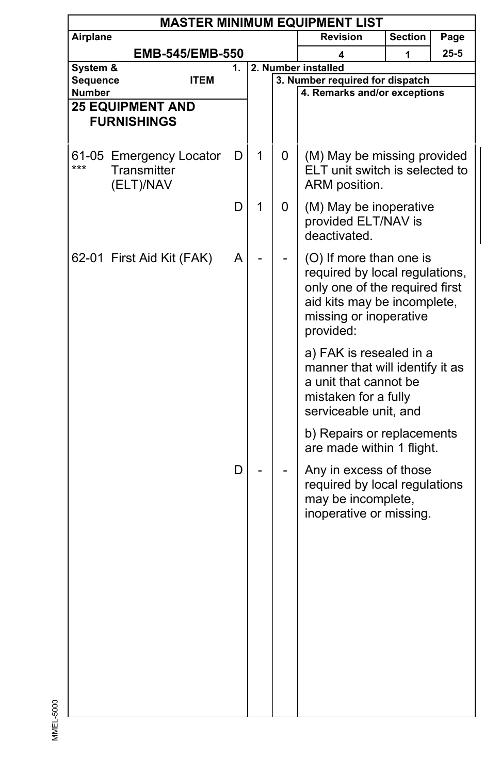| <b>MASTER MINIMUM EQUIPMENT LIST</b> |                                                     |    |   |   |                                                                                                                                                                   |                |      |  |  |
|--------------------------------------|-----------------------------------------------------|----|---|---|-------------------------------------------------------------------------------------------------------------------------------------------------------------------|----------------|------|--|--|
| Airplane                             |                                                     |    |   |   | <b>Revision</b>                                                                                                                                                   | <b>Section</b> | Page |  |  |
|                                      | <b>EMB-545/EMB-550</b>                              |    |   |   | 4                                                                                                                                                                 | 1              | 25-5 |  |  |
| System &                             |                                                     | 1. |   |   | 2. Number installed                                                                                                                                               |                |      |  |  |
| Sequence<br><b>Number</b>            | <b>ITEM</b>                                         |    |   |   | 3. Number required for dispatch<br>4. Remarks and/or exceptions                                                                                                   |                |      |  |  |
|                                      | <b>25 EQUIPMENT AND</b>                             |    |   |   |                                                                                                                                                                   |                |      |  |  |
|                                      | <b>FURNISHINGS</b>                                  |    |   |   |                                                                                                                                                                   |                |      |  |  |
|                                      |                                                     |    |   |   |                                                                                                                                                                   |                |      |  |  |
| ***                                  | 61-05 Emergency Locator<br>Transmitter<br>(ELT)/NAV | D  | 1 | 0 | (M) May be missing provided<br>ELT unit switch is selected to<br>ARM position.                                                                                    |                |      |  |  |
|                                      |                                                     | D  | 1 | 0 | (M) May be inoperative<br>provided ELT/NAV is<br>deactivated.                                                                                                     |                |      |  |  |
|                                      | 62-01 First Aid Kit (FAK)                           | A  |   |   | (O) If more than one is<br>required by local regulations,<br>only one of the required first<br>aid kits may be incomplete,<br>missing or inoperative<br>provided: |                |      |  |  |
|                                      |                                                     |    |   |   | a) FAK is resealed in a<br>manner that will identify it as<br>a unit that cannot be<br>mistaken for a fully<br>serviceable unit, and                              |                |      |  |  |
|                                      |                                                     |    |   |   | b) Repairs or replacements<br>are made within 1 flight.                                                                                                           |                |      |  |  |
|                                      |                                                     | D  |   |   | Any in excess of those<br>required by local regulations<br>may be incomplete,<br>inoperative or missing.                                                          |                |      |  |  |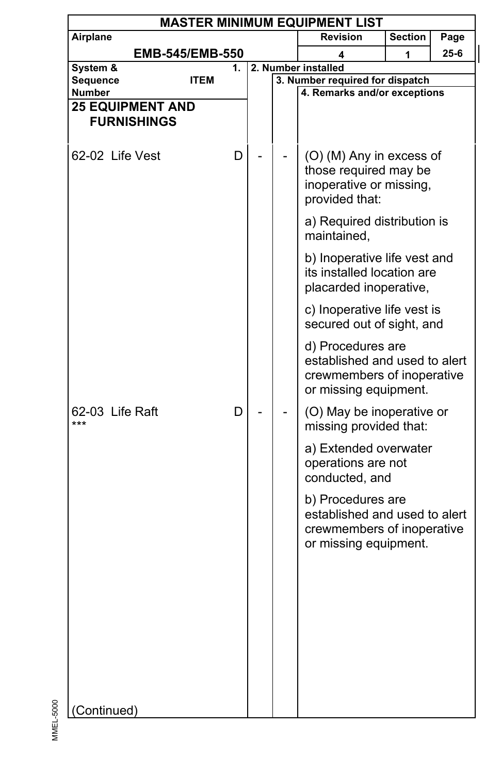| <b>MASTER MINIMUM EQUIPMENT LIST</b> |             |    |                              |  |                                                                                                           |                |          |  |  |
|--------------------------------------|-------------|----|------------------------------|--|-----------------------------------------------------------------------------------------------------------|----------------|----------|--|--|
| Airplane                             |             |    |                              |  | <b>Revision</b>                                                                                           | <b>Section</b> | Page     |  |  |
| <b>EMB-545/EMB-550</b>               |             |    |                              |  | 4                                                                                                         | 1              | $25 - 6$ |  |  |
| System &                             |             | 1. |                              |  | 2. Number installed                                                                                       |                |          |  |  |
| Sequence<br>Number                   | <b>ITEM</b> |    |                              |  | 3. Number required for dispatch                                                                           |                |          |  |  |
| <b>25 EQUIPMENT AND</b>              |             |    | 4. Remarks and/or exceptions |  |                                                                                                           |                |          |  |  |
| <b>FURNISHINGS</b>                   |             |    |                              |  |                                                                                                           |                |          |  |  |
|                                      |             |    |                              |  |                                                                                                           |                |          |  |  |
| 62-02 Life Vest                      |             | D  |                              |  | (O) (M) Any in excess of<br>those required may be<br>inoperative or missing,<br>provided that:            |                |          |  |  |
|                                      |             |    |                              |  | a) Required distribution is<br>maintained,                                                                |                |          |  |  |
|                                      |             |    |                              |  | b) Inoperative life vest and<br>its installed location are<br>placarded inoperative,                      |                |          |  |  |
|                                      |             |    |                              |  | c) Inoperative life vest is<br>secured out of sight, and                                                  |                |          |  |  |
|                                      |             |    |                              |  | d) Procedures are<br>established and used to alert<br>crewmembers of inoperative<br>or missing equipment. |                |          |  |  |
| 62-03 Life Raft<br>***               |             | D  |                              |  | (O) May be inoperative or<br>missing provided that:                                                       |                |          |  |  |
|                                      |             |    |                              |  | a) Extended overwater<br>operations are not<br>conducted, and                                             |                |          |  |  |
|                                      |             |    |                              |  | b) Procedures are<br>established and used to alert<br>crewmembers of inoperative<br>or missing equipment. |                |          |  |  |
|                                      |             |    |                              |  |                                                                                                           |                |          |  |  |
|                                      |             |    |                              |  |                                                                                                           |                |          |  |  |
|                                      |             |    |                              |  |                                                                                                           |                |          |  |  |
|                                      |             |    |                              |  |                                                                                                           |                |          |  |  |
| (Continued)                          |             |    |                              |  |                                                                                                           |                |          |  |  |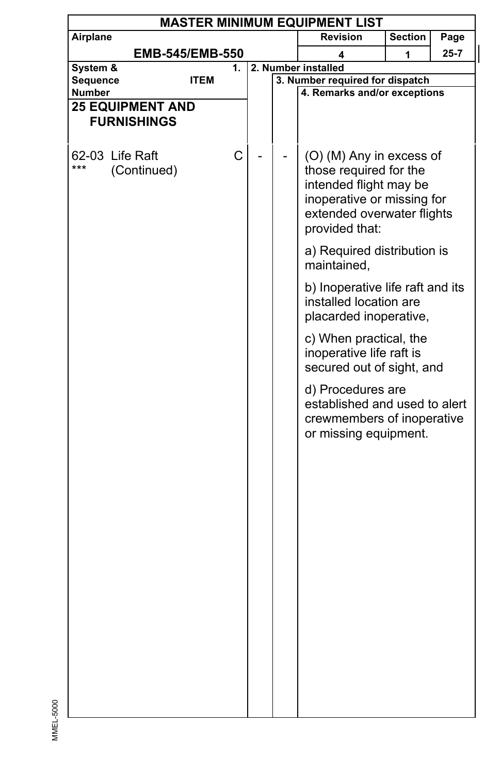| <b>MASTER MINIMUM EQUIPMENT LIST</b>  |                        |    |                                                                                                           |  |                                                                                                                                                            |                |      |  |  |  |
|---------------------------------------|------------------------|----|-----------------------------------------------------------------------------------------------------------|--|------------------------------------------------------------------------------------------------------------------------------------------------------------|----------------|------|--|--|--|
| Airplane                              |                        |    |                                                                                                           |  | <b>Revision</b>                                                                                                                                            | <b>Section</b> | Page |  |  |  |
|                                       | <b>EMB-545/EMB-550</b> |    |                                                                                                           |  | 4                                                                                                                                                          | 1              | 25-7 |  |  |  |
| System &                              |                        | 1. |                                                                                                           |  | 2. Number installed                                                                                                                                        |                |      |  |  |  |
| Sequence                              | ITEM                   |    |                                                                                                           |  | 3. Number required for dispatch                                                                                                                            |                |      |  |  |  |
| <b>Number</b>                         |                        |    |                                                                                                           |  | 4. Remarks and/or exceptions                                                                                                                               |                |      |  |  |  |
| <b>25 EQUIPMENT AND</b>               |                        |    |                                                                                                           |  |                                                                                                                                                            |                |      |  |  |  |
| <b>FURNISHINGS</b>                    |                        |    |                                                                                                           |  |                                                                                                                                                            |                |      |  |  |  |
| 62-03 Life Raft<br>***<br>(Continued) |                        | C  |                                                                                                           |  | (O) (M) Any in excess of<br>those required for the<br>intended flight may be<br>inoperative or missing for<br>extended overwater flights<br>provided that: |                |      |  |  |  |
|                                       |                        |    |                                                                                                           |  | a) Required distribution is<br>maintained,                                                                                                                 |                |      |  |  |  |
|                                       |                        |    |                                                                                                           |  | b) Inoperative life raft and its<br>installed location are<br>placarded inoperative,                                                                       |                |      |  |  |  |
|                                       |                        |    | c) When practical, the<br>inoperative life raft is<br>secured out of sight, and                           |  |                                                                                                                                                            |                |      |  |  |  |
|                                       |                        |    | d) Procedures are<br>established and used to alert<br>crewmembers of inoperative<br>or missing equipment. |  |                                                                                                                                                            |                |      |  |  |  |
|                                       |                        |    |                                                                                                           |  |                                                                                                                                                            |                |      |  |  |  |
|                                       |                        |    |                                                                                                           |  |                                                                                                                                                            |                |      |  |  |  |
|                                       |                        |    |                                                                                                           |  |                                                                                                                                                            |                |      |  |  |  |
|                                       |                        |    |                                                                                                           |  |                                                                                                                                                            |                |      |  |  |  |
|                                       |                        |    |                                                                                                           |  |                                                                                                                                                            |                |      |  |  |  |

 $\overline{\phantom{a}}$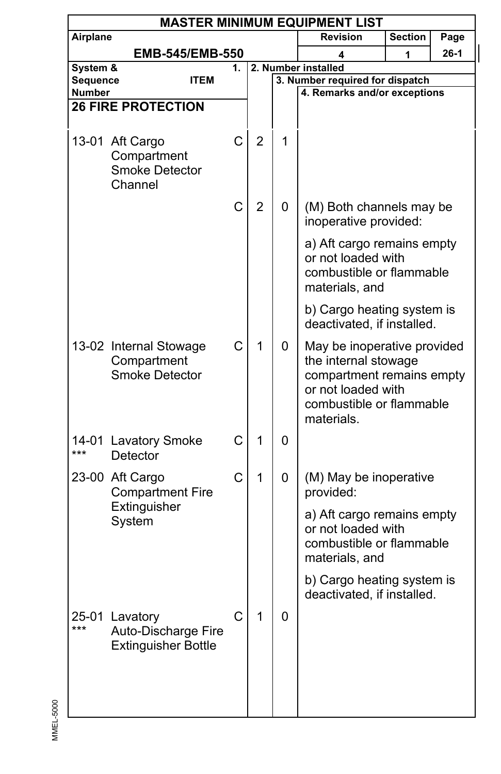| <b>MASTER MINIMUM EQUIPMENT LIST</b> |                                                                     |    |                |   |                                                                                                                                                  |                |        |  |  |  |  |
|--------------------------------------|---------------------------------------------------------------------|----|----------------|---|--------------------------------------------------------------------------------------------------------------------------------------------------|----------------|--------|--|--|--|--|
| Airplane                             |                                                                     |    |                |   | <b>Revision</b>                                                                                                                                  | <b>Section</b> | Page   |  |  |  |  |
|                                      | <b>EMB-545/EMB-550</b>                                              |    |                |   | 4                                                                                                                                                | 1              | $26-1$ |  |  |  |  |
| System &<br>Sequence<br>Number       | <b>ITEM</b>                                                         | 1. |                |   | 2. Number installed<br>3. Number required for dispatch<br>4. Remarks and/or exceptions                                                           |                |        |  |  |  |  |
|                                      | <b>26 FIRE PROTECTION</b>                                           |    |                |   |                                                                                                                                                  |                |        |  |  |  |  |
|                                      | 13-01 Aft Cargo<br>Compartment<br><b>Smoke Detector</b><br>Channel  | C  | $\overline{2}$ | 1 |                                                                                                                                                  |                |        |  |  |  |  |
|                                      |                                                                     | C  | $\overline{2}$ | 0 | (M) Both channels may be<br>inoperative provided:                                                                                                |                |        |  |  |  |  |
|                                      |                                                                     |    |                |   | a) Aft cargo remains empty<br>or not loaded with<br>combustible or flammable<br>materials, and                                                   |                |        |  |  |  |  |
|                                      |                                                                     |    |                |   | b) Cargo heating system is<br>deactivated, if installed.                                                                                         |                |        |  |  |  |  |
|                                      | 13-02 Internal Stowage<br>Compartment<br>Smoke Detector             | С  | 1              | 0 | May be inoperative provided<br>the internal stowage<br>compartment remains empty<br>or not loaded with<br>combustible or flammable<br>materials. |                |        |  |  |  |  |
| ***                                  | 14-01 Lavatory Smoke<br>Detector                                    | C  | 1              | 0 |                                                                                                                                                  |                |        |  |  |  |  |
|                                      | 23-00 Aft Cargo<br><b>Compartment Fire</b>                          | С  | 1              | 0 | (M) May be inoperative<br>provided:                                                                                                              |                |        |  |  |  |  |
|                                      | Extinguisher<br>System                                              |    |                |   | a) Aft cargo remains empty<br>or not loaded with<br>combustible or flammable<br>materials, and                                                   |                |        |  |  |  |  |
|                                      |                                                                     |    |                |   | b) Cargo heating system is<br>deactivated, if installed.                                                                                         |                |        |  |  |  |  |
| ***                                  | 25-01 Lavatory<br>Auto-Discharge Fire<br><b>Extinguisher Bottle</b> | C  | 1              | 0 |                                                                                                                                                  |                |        |  |  |  |  |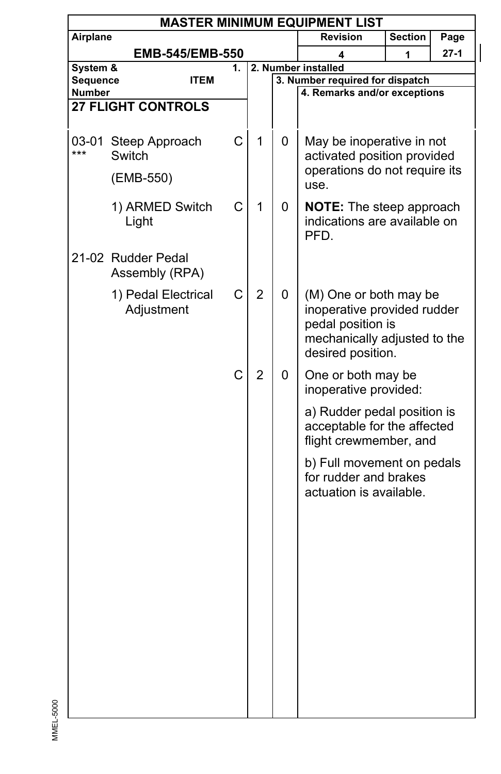|                    | <b>MASTER MINIMUM EQUIPMENT LIST</b>  |                |                |   |                                                                                           |                                                                                                            |        |  |  |  |  |
|--------------------|---------------------------------------|----------------|----------------|---|-------------------------------------------------------------------------------------------|------------------------------------------------------------------------------------------------------------|--------|--|--|--|--|
| Airplane           |                                       |                |                |   | <b>Revision</b>                                                                           | <b>Section</b>                                                                                             | Page   |  |  |  |  |
|                    | EMB-545/EMB-550                       |                |                |   | 4                                                                                         | 1                                                                                                          | $27-1$ |  |  |  |  |
| System &           |                                       | 1.             |                |   | 2. Number installed                                                                       |                                                                                                            |        |  |  |  |  |
| Sequence<br>Number | <b>ITEM</b>                           |                |                |   | 3. Number required for dispatch<br>4. Remarks and/or exceptions                           |                                                                                                            |        |  |  |  |  |
|                    | <b>27 FLIGHT CONTROLS</b>             |                |                |   |                                                                                           |                                                                                                            |        |  |  |  |  |
|                    |                                       |                |                |   |                                                                                           |                                                                                                            |        |  |  |  |  |
| 03-01<br>***       | Steep Approach<br>Switch<br>(EMB-550) | C              | 1              | 0 | May be inoperative in not<br>activated position provided<br>operations do not require its |                                                                                                            |        |  |  |  |  |
|                    | 1) ARMED Switch<br>Light              | C              | 1              | 0 | use.<br><b>NOTE:</b> The steep approach<br>indications are available on<br>PFD.           |                                                                                                            |        |  |  |  |  |
|                    | 21-02 Rudder Pedal<br>Assembly (RPA)  |                |                |   |                                                                                           |                                                                                                            |        |  |  |  |  |
|                    | 1) Pedal Electrical<br>Adjustment     | C              | $\overline{2}$ | 0 | desired position.                                                                         | (M) One or both may be<br>inoperative provided rudder<br>pedal position is<br>mechanically adjusted to the |        |  |  |  |  |
|                    |                                       | $\overline{C}$ | $\overline{2}$ | 0 | One or both may be<br>inoperative provided:                                               |                                                                                                            |        |  |  |  |  |
|                    |                                       |                |                |   | a) Rudder pedal position is<br>acceptable for the affected<br>flight crewmember, and      |                                                                                                            |        |  |  |  |  |
|                    |                                       |                |                |   | b) Full movement on pedals<br>for rudder and brakes<br>actuation is available.            |                                                                                                            |        |  |  |  |  |
|                    |                                       |                |                |   |                                                                                           |                                                                                                            |        |  |  |  |  |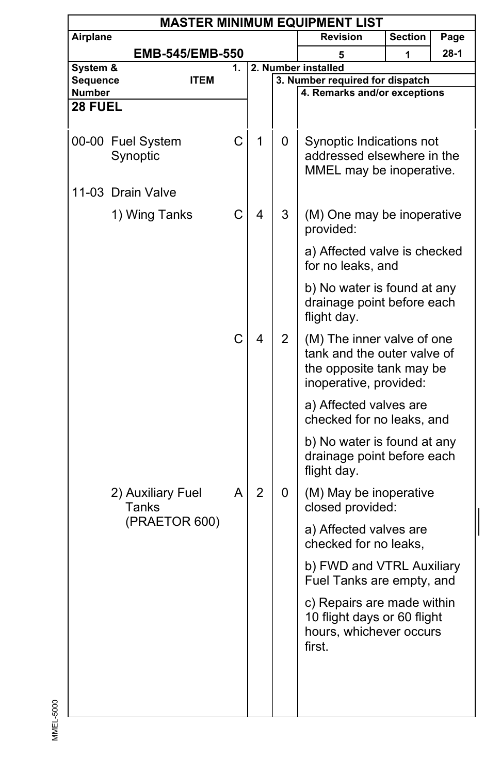| <b>MASTER MINIMUM EQUIPMENT LIST</b> |                               |   |                |   |                                                                                                                 |                |        |  |  |  |
|--------------------------------------|-------------------------------|---|----------------|---|-----------------------------------------------------------------------------------------------------------------|----------------|--------|--|--|--|
| Airplane                             |                               |   |                |   | <b>Revision</b>                                                                                                 | <b>Section</b> | Page   |  |  |  |
|                                      | <b>EMB-545/EMB-550</b>        |   |                |   | 5                                                                                                               | 1              | $28-1$ |  |  |  |
|                                      | System &<br>1.<br>Sequence    |   |                |   | 2. Number installed                                                                                             |                |        |  |  |  |
| Number                               | <b>ITEM</b>                   |   |                |   | 3. Number required for dispatch<br>4. Remarks and/or exceptions                                                 |                |        |  |  |  |
| 28 FUEL                              |                               |   |                |   |                                                                                                                 |                |        |  |  |  |
|                                      | 00-00 Fuel System<br>Synoptic | C | 1              | 0 | Synoptic Indications not<br>addressed elsewhere in the<br>MMEL may be inoperative.                              |                |        |  |  |  |
|                                      | 11-03 Drain Valve             |   |                |   |                                                                                                                 |                |        |  |  |  |
|                                      | 1) Wing Tanks                 | C | 4              | 3 | (M) One may be inoperative<br>provided:                                                                         |                |        |  |  |  |
|                                      |                               |   |                |   | a) Affected valve is checked<br>for no leaks, and                                                               |                |        |  |  |  |
|                                      |                               |   |                |   | b) No water is found at any<br>drainage point before each<br>flight day.                                        |                |        |  |  |  |
|                                      |                               | C | $\overline{4}$ | 2 | (M) The inner valve of one<br>tank and the outer valve of<br>the opposite tank may be<br>inoperative, provided: |                |        |  |  |  |
|                                      |                               |   |                |   | a) Affected valves are<br>checked for no leaks, and                                                             |                |        |  |  |  |
|                                      |                               |   |                |   | b) No water is found at any<br>drainage point before each<br>flight day.                                        |                |        |  |  |  |
|                                      | 2) Auxiliary Fuel<br>Tanks    | A | $\overline{2}$ | 0 | (M) May be inoperative<br>closed provided:                                                                      |                |        |  |  |  |
|                                      | (PRAETOR 600)                 |   |                |   | a) Affected valves are<br>checked for no leaks,                                                                 |                |        |  |  |  |
|                                      |                               |   |                |   | b) FWD and VTRL Auxiliary<br>Fuel Tanks are empty, and                                                          |                |        |  |  |  |
|                                      |                               |   |                |   | c) Repairs are made within<br>10 flight days or 60 flight<br>hours, whichever occurs<br>first.                  |                |        |  |  |  |
|                                      |                               |   |                |   |                                                                                                                 |                |        |  |  |  |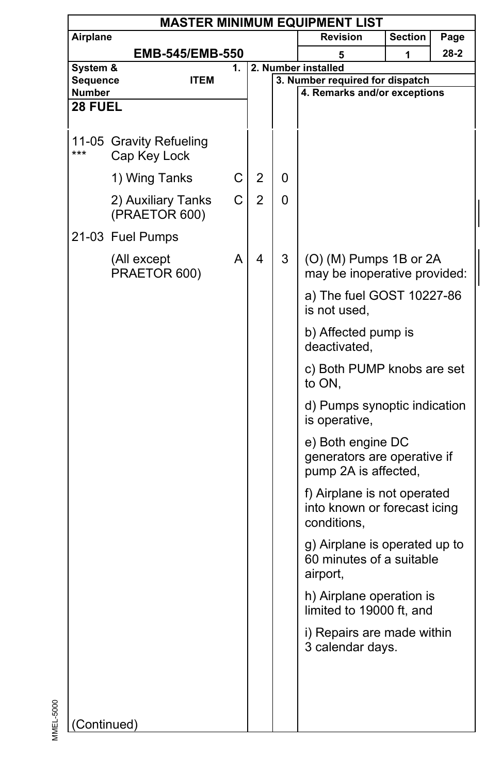|                           | <b>MASTER MINIMUM EQUIPMENT LIST</b>    |    |                |   |                                                                            |                |          |  |  |  |  |  |
|---------------------------|-----------------------------------------|----|----------------|---|----------------------------------------------------------------------------|----------------|----------|--|--|--|--|--|
| Airplane                  |                                         |    |                |   | <b>Revision</b>                                                            | <b>Section</b> | Page     |  |  |  |  |  |
|                           | <b>EMB-545/EMB-550</b>                  |    |                |   | 5                                                                          | 1              | $28 - 2$ |  |  |  |  |  |
| System &                  |                                         | 1. |                |   | 2. Number installed                                                        |                |          |  |  |  |  |  |
| Sequence<br><b>Number</b> | <b>ITEM</b>                             |    |                |   | 3. Number required for dispatch<br>4. Remarks and/or exceptions            |                |          |  |  |  |  |  |
| 28 FUEL                   |                                         |    |                |   |                                                                            |                |          |  |  |  |  |  |
|                           |                                         |    |                |   |                                                                            |                |          |  |  |  |  |  |
| $***$                     | 11-05 Gravity Refueling<br>Cap Key Lock |    |                |   |                                                                            |                |          |  |  |  |  |  |
|                           | 1) Wing Tanks                           | С  | 2              | 0 |                                                                            |                |          |  |  |  |  |  |
|                           | 2) Auxiliary Tanks<br>(PRAETOR 600)     | C  | $\overline{2}$ | 0 |                                                                            |                |          |  |  |  |  |  |
|                           | 21-03 Fuel Pumps                        |    |                |   |                                                                            |                |          |  |  |  |  |  |
|                           | (All except<br>PRAETOR 600)             | A  | 4              | 3 | $(O)$ (M) Pumps 1B or 2A<br>may be inoperative provided:                   |                |          |  |  |  |  |  |
|                           |                                         |    |                |   | a) The fuel GOST 10227-86<br>is not used,                                  |                |          |  |  |  |  |  |
|                           |                                         |    |                |   | b) Affected pump is<br>deactivated,                                        |                |          |  |  |  |  |  |
|                           |                                         |    |                |   | c) Both PUMP knobs are set<br>to ON,                                       |                |          |  |  |  |  |  |
|                           |                                         |    |                |   | d) Pumps synoptic indication<br>is operative,                              |                |          |  |  |  |  |  |
|                           |                                         |    |                |   | e) Both engine DC<br>generators are operative if<br>pump 2A is affected,   |                |          |  |  |  |  |  |
|                           |                                         |    |                |   | f) Airplane is not operated<br>into known or forecast icing<br>conditions, |                |          |  |  |  |  |  |
|                           |                                         |    |                |   | g) Airplane is operated up to<br>60 minutes of a suitable<br>airport,      |                |          |  |  |  |  |  |
|                           |                                         |    |                |   | h) Airplane operation is<br>limited to 19000 ft, and                       |                |          |  |  |  |  |  |
|                           |                                         |    |                |   | i) Repairs are made within<br>3 calendar days.                             |                |          |  |  |  |  |  |
|                           |                                         |    |                |   |                                                                            |                |          |  |  |  |  |  |
|                           |                                         |    |                |   |                                                                            |                |          |  |  |  |  |  |
| (Continued)               |                                         |    |                |   |                                                                            |                |          |  |  |  |  |  |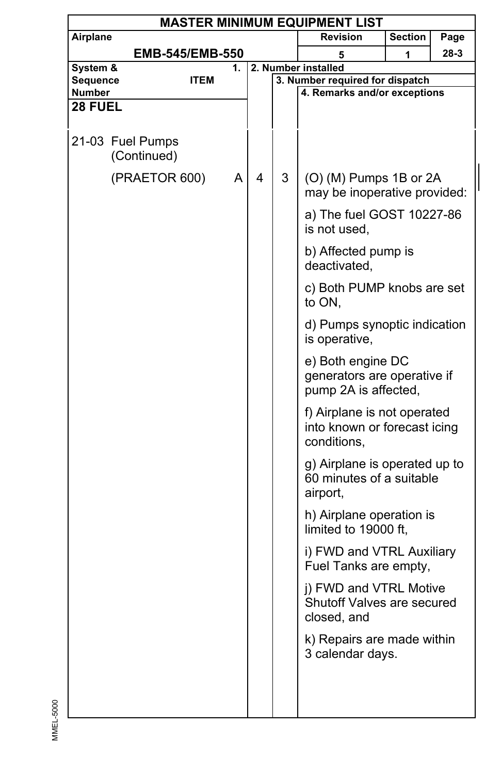| Airplane                 |                                 |    |                |                              |                                                                            | <b>MASTER MINIMUM EQUIPMENT LIST</b> |      |  |  |  |  |  |  |  |  |  |
|--------------------------|---------------------------------|----|----------------|------------------------------|----------------------------------------------------------------------------|--------------------------------------|------|--|--|--|--|--|--|--|--|--|
|                          |                                 |    |                |                              | <b>Revision</b>                                                            | Section                              | Page |  |  |  |  |  |  |  |  |  |
|                          | <b>EMB-545/EMB-550</b>          |    |                |                              | 5                                                                          | 1                                    | 28-3 |  |  |  |  |  |  |  |  |  |
| System &                 |                                 | 1. |                |                              | 2. Number installed                                                        |                                      |      |  |  |  |  |  |  |  |  |  |
| Sequence                 | <b>ITEM</b>                     |    |                |                              | 3. Number required for dispatch                                            |                                      |      |  |  |  |  |  |  |  |  |  |
| <b>Number</b><br>28 FUEL |                                 |    |                |                              | 4. Remarks and/or exceptions                                               |                                      |      |  |  |  |  |  |  |  |  |  |
|                          |                                 |    |                |                              |                                                                            |                                      |      |  |  |  |  |  |  |  |  |  |
|                          | 21-03 Fuel Pumps<br>(Continued) |    |                |                              |                                                                            |                                      |      |  |  |  |  |  |  |  |  |  |
|                          | (PRAETOR 600)                   | Α  | $\overline{4}$ | 3                            | $(O)$ (M) Pumps 1B or 2A<br>may be inoperative provided:                   |                                      |      |  |  |  |  |  |  |  |  |  |
|                          |                                 |    |                |                              | a) The fuel GOST 10227-86<br>is not used,                                  |                                      |      |  |  |  |  |  |  |  |  |  |
|                          |                                 |    |                |                              | b) Affected pump is<br>deactivated,                                        |                                      |      |  |  |  |  |  |  |  |  |  |
|                          |                                 |    |                |                              | c) Both PUMP knobs are set<br>to ON,                                       |                                      |      |  |  |  |  |  |  |  |  |  |
|                          |                                 |    |                | d) Pumps synoptic indication |                                                                            |                                      |      |  |  |  |  |  |  |  |  |  |
|                          |                                 |    |                |                              | e) Both engine DC<br>generators are operative if<br>pump 2A is affected,   |                                      |      |  |  |  |  |  |  |  |  |  |
|                          |                                 |    |                |                              | f) Airplane is not operated<br>into known or forecast icing<br>conditions, |                                      |      |  |  |  |  |  |  |  |  |  |
|                          |                                 |    |                |                              | g) Airplane is operated up to<br>60 minutes of a suitable<br>airport,      |                                      |      |  |  |  |  |  |  |  |  |  |
|                          |                                 |    |                |                              | h) Airplane operation is<br>limited to 19000 ft,                           |                                      |      |  |  |  |  |  |  |  |  |  |
|                          |                                 |    |                |                              | i) FWD and VTRL Auxiliary<br>Fuel Tanks are empty,                         |                                      |      |  |  |  |  |  |  |  |  |  |
|                          |                                 |    |                |                              | j) FWD and VTRL Motive<br>Shutoff Valves are secured<br>closed, and        |                                      |      |  |  |  |  |  |  |  |  |  |
|                          |                                 |    |                |                              | k) Repairs are made within<br>3 calendar days.                             |                                      |      |  |  |  |  |  |  |  |  |  |
|                          |                                 |    |                |                              |                                                                            |                                      |      |  |  |  |  |  |  |  |  |  |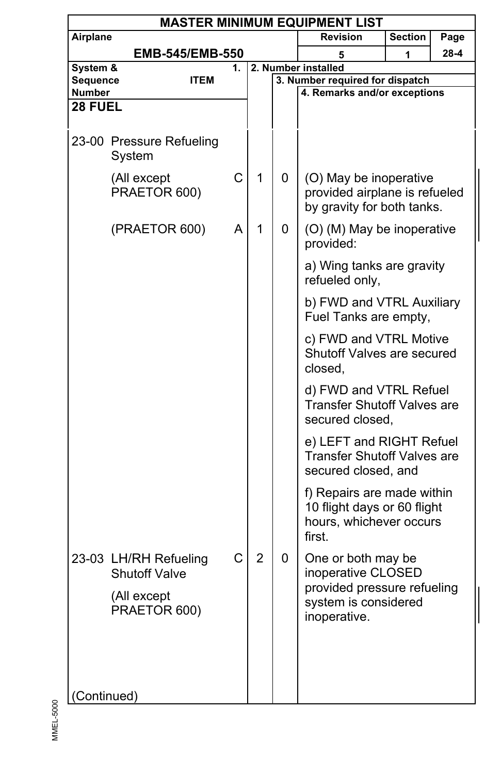| <b>MASTER MINIMUM EQUIPMENT LIST</b> |                                               |    |             |   |                                                                                                |                |          |  |  |  |  |
|--------------------------------------|-----------------------------------------------|----|-------------|---|------------------------------------------------------------------------------------------------|----------------|----------|--|--|--|--|
| Airplane                             |                                               |    |             |   | <b>Revision</b>                                                                                | <b>Section</b> | Page     |  |  |  |  |
|                                      | <b>EMB-545/EMB-550</b>                        |    |             |   | 5                                                                                              | 1              | $28 - 4$ |  |  |  |  |
| System &                             |                                               | 1. |             |   | 2. Number installed                                                                            |                |          |  |  |  |  |
| Sequence<br><b>Number</b>            | <b>ITEM</b>                                   |    |             |   | 3. Number required for dispatch<br>4. Remarks and/or exceptions                                |                |          |  |  |  |  |
| 28 FUEL                              |                                               |    |             |   |                                                                                                |                |          |  |  |  |  |
|                                      |                                               |    |             |   |                                                                                                |                |          |  |  |  |  |
|                                      | 23-00 Pressure Refueling<br>System            |    |             |   |                                                                                                |                |          |  |  |  |  |
|                                      | (All except<br>PRAETOR 600)                   | C  | $\mathbf 1$ | 0 | (O) May be inoperative<br>provided airplane is refueled<br>by gravity for both tanks.          |                |          |  |  |  |  |
|                                      | (PRAETOR 600)                                 | Α  | 1           | 0 | (O) (M) May be inoperative<br>provided:                                                        |                |          |  |  |  |  |
|                                      |                                               |    |             |   | a) Wing tanks are gravity<br>refueled only,                                                    |                |          |  |  |  |  |
|                                      |                                               |    |             |   | b) FWD and VTRL Auxiliary<br>Fuel Tanks are empty,                                             |                |          |  |  |  |  |
|                                      |                                               |    |             |   | c) FWD and VTRL Motive<br>Shutoff Valves are secured<br>closed,                                |                |          |  |  |  |  |
|                                      |                                               |    |             |   | d) FWD and VTRL Refuel<br><b>Transfer Shutoff Valves are</b><br>secured closed,                |                |          |  |  |  |  |
|                                      |                                               |    |             |   | e) LEFT and RIGHT Refuel<br><b>Transfer Shutoff Valves are</b><br>secured closed, and          |                |          |  |  |  |  |
|                                      |                                               |    |             |   | f) Repairs are made within<br>10 flight days or 60 flight<br>hours, whichever occurs<br>first. |                |          |  |  |  |  |
|                                      | 23-03 LH/RH Refueling<br><b>Shutoff Valve</b> | С  | 2           | 0 | One or both may be<br>inoperative CLOSED                                                       |                |          |  |  |  |  |
|                                      | (All except<br>PRAETOR 600)                   |    |             |   | provided pressure refueling<br>system is considered<br>inoperative.                            |                |          |  |  |  |  |
|                                      |                                               |    |             |   |                                                                                                |                |          |  |  |  |  |
| (Continued)                          |                                               |    |             |   |                                                                                                |                |          |  |  |  |  |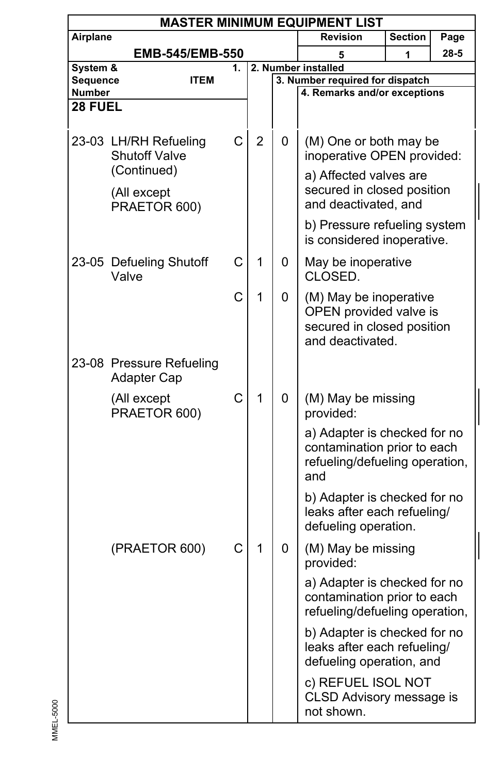|                    | <b>MASTER MINIMUM EQUIPMENT LIST</b>                         |    |                |   |                                                                                                      |                |          |  |  |  |  |  |
|--------------------|--------------------------------------------------------------|----|----------------|---|------------------------------------------------------------------------------------------------------|----------------|----------|--|--|--|--|--|
| Airplane           |                                                              |    |                |   | <b>Revision</b>                                                                                      | <b>Section</b> | Page     |  |  |  |  |  |
|                    | EMB-545/EMB-550                                              |    |                |   | 5                                                                                                    | 1              | $28 - 5$ |  |  |  |  |  |
| System &           |                                                              | 1. |                |   | 2. Number installed                                                                                  |                |          |  |  |  |  |  |
| Sequence<br>Number | <b>ITEM</b>                                                  |    |                |   | 3. Number required for dispatch<br>4. Remarks and/or exceptions                                      |                |          |  |  |  |  |  |
| 28 FUEL            |                                                              |    |                |   |                                                                                                      |                |          |  |  |  |  |  |
|                    |                                                              |    |                |   |                                                                                                      |                |          |  |  |  |  |  |
|                    | 23-03 LH/RH Refueling<br><b>Shutoff Valve</b><br>(Continued) | C  | $\overline{2}$ | 0 | (M) One or both may be<br>inoperative OPEN provided:<br>a) Affected valves are                       |                |          |  |  |  |  |  |
|                    | (All except<br>PRAETOR 600)                                  |    |                |   | secured in closed position<br>and deactivated, and                                                   |                |          |  |  |  |  |  |
|                    |                                                              |    |                |   | b) Pressure refueling system<br>is considered inoperative.                                           |                |          |  |  |  |  |  |
|                    | 23-05 Defueling Shutoff<br>Valve                             | C  | $\mathbf{1}$   | 0 | May be inoperative<br>CLOSED.                                                                        |                |          |  |  |  |  |  |
|                    |                                                              | C  | 1              | 0 | (M) May be inoperative<br>OPEN provided valve is<br>secured in closed position<br>and deactivated.   |                |          |  |  |  |  |  |
|                    | 23-08 Pressure Refueling<br>Adapter Cap                      |    |                |   |                                                                                                      |                |          |  |  |  |  |  |
|                    | (All except<br>PRAETOR 600)                                  | C  | 1              | 0 | (M) May be missing<br>provided:                                                                      |                |          |  |  |  |  |  |
|                    |                                                              |    |                |   | a) Adapter is checked for no<br>contamination prior to each<br>refueling/defueling operation,<br>and |                |          |  |  |  |  |  |
|                    |                                                              |    |                |   | b) Adapter is checked for no<br>leaks after each refueling/<br>defueling operation.                  |                |          |  |  |  |  |  |
|                    | (PRAETOR 600)                                                | C  | 1              | 0 | (M) May be missing<br>provided:                                                                      |                |          |  |  |  |  |  |
|                    |                                                              |    |                |   | a) Adapter is checked for no<br>contamination prior to each<br>refueling/defueling operation,        |                |          |  |  |  |  |  |
|                    |                                                              |    |                |   | b) Adapter is checked for no<br>leaks after each refueling/<br>defueling operation, and              |                |          |  |  |  |  |  |
|                    |                                                              |    |                |   | c) REFUEL ISOL NOT<br>CLSD Advisory message is<br>not shown.                                         |                |          |  |  |  |  |  |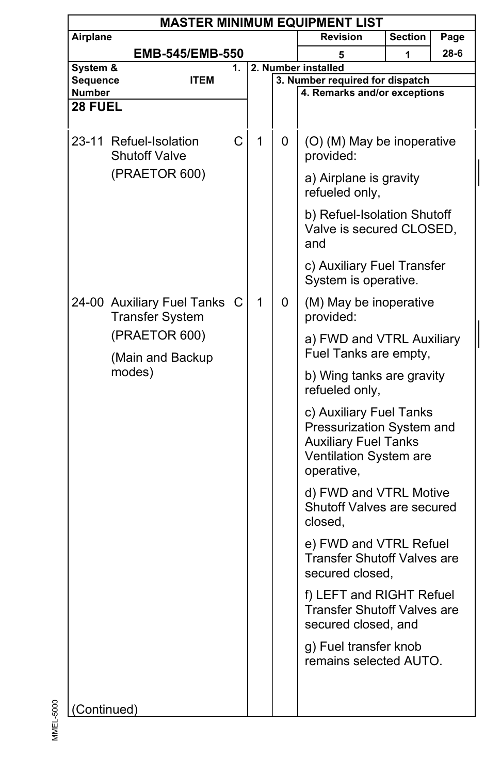| <b>MASTER MINIMUM EQUIPMENT LIST</b> |                                                        |    |   |                                                    |                                                                                                                             |                |      |  |  |  |
|--------------------------------------|--------------------------------------------------------|----|---|----------------------------------------------------|-----------------------------------------------------------------------------------------------------------------------------|----------------|------|--|--|--|
| Airplane                             |                                                        |    |   |                                                    | <b>Revision</b>                                                                                                             | <b>Section</b> | Page |  |  |  |
|                                      | <b>EMB-545/EMB-550</b>                                 |    |   |                                                    | 5                                                                                                                           | 1              | 28-6 |  |  |  |
| System &                             |                                                        | 1. |   |                                                    | 2. Number installed                                                                                                         |                |      |  |  |  |
| Sequence<br>Number                   | <b>ITEM</b>                                            |    |   |                                                    | 3. Number required for dispatch<br>4. Remarks and/or exceptions                                                             |                |      |  |  |  |
| 28 FUEL                              |                                                        |    |   |                                                    |                                                                                                                             |                |      |  |  |  |
|                                      |                                                        |    |   |                                                    |                                                                                                                             |                |      |  |  |  |
|                                      | 23-11 Refuel-Isolation<br><b>Shutoff Valve</b>         | C  | 1 | 0                                                  | (O) (M) May be inoperative<br>provided:                                                                                     |                |      |  |  |  |
|                                      | (PRAETOR 600)                                          |    |   |                                                    | a) Airplane is gravity<br>refueled only,                                                                                    |                |      |  |  |  |
|                                      |                                                        |    |   |                                                    | b) Refuel-Isolation Shutoff<br>Valve is secured CLOSED,<br>and                                                              |                |      |  |  |  |
|                                      |                                                        |    |   |                                                    | c) Auxiliary Fuel Transfer<br>System is operative.                                                                          |                |      |  |  |  |
|                                      | 24-00 Auxiliary Fuel Tanks C<br><b>Transfer System</b> |    | 1 | 0                                                  | (M) May be inoperative<br>provided:                                                                                         |                |      |  |  |  |
| (PRAETOR 600)<br>(Main and Backup    |                                                        |    |   | a) FWD and VTRL Auxiliary<br>Fuel Tanks are empty, |                                                                                                                             |                |      |  |  |  |
|                                      | modes)                                                 |    |   |                                                    | b) Wing tanks are gravity<br>refueled only,                                                                                 |                |      |  |  |  |
|                                      |                                                        |    |   |                                                    | c) Auxiliary Fuel Tanks<br>Pressurization System and<br><b>Auxiliary Fuel Tanks</b><br>Ventilation System are<br>operative, |                |      |  |  |  |
|                                      |                                                        |    |   |                                                    | d) FWD and VTRL Motive<br>Shutoff Valves are secured<br>closed,                                                             |                |      |  |  |  |
|                                      |                                                        |    |   |                                                    | e) FWD and VTRL Refuel<br><b>Transfer Shutoff Valves are</b><br>secured closed,                                             |                |      |  |  |  |
|                                      |                                                        |    |   |                                                    | f) LEFT and RIGHT Refuel<br><b>Transfer Shutoff Valves are</b><br>secured closed, and                                       |                |      |  |  |  |
|                                      |                                                        |    |   |                                                    | g) Fuel transfer knob<br>remains selected AUTO.                                                                             |                |      |  |  |  |
| (Continued)                          |                                                        |    |   |                                                    |                                                                                                                             |                |      |  |  |  |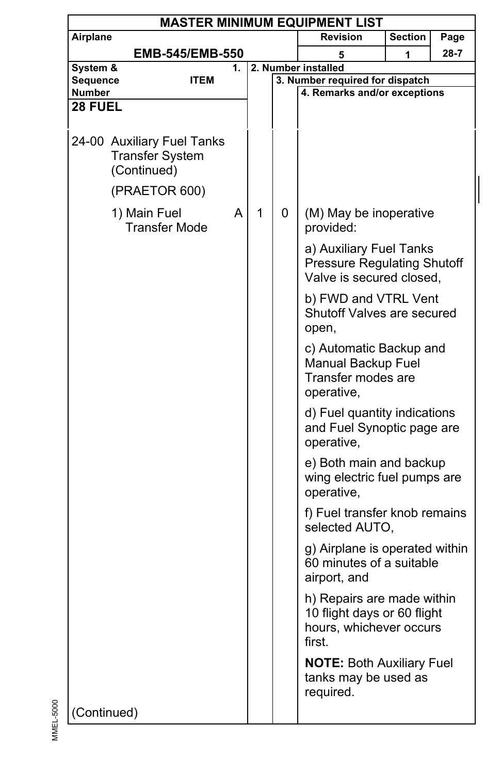|                      |                                                                     |             |    |   |   | <b>MASTER MINIMUM EQUIPMENT LIST</b>                                                           |                |          |
|----------------------|---------------------------------------------------------------------|-------------|----|---|---|------------------------------------------------------------------------------------------------|----------------|----------|
| Airplane             |                                                                     |             |    |   |   | <b>Revision</b>                                                                                | <b>Section</b> | Page     |
|                      | EMB-545/EMB-550                                                     |             |    |   |   | 5                                                                                              | 1              | $28 - 7$ |
| System &<br>Sequence |                                                                     | <b>ITEM</b> | 1. |   |   | 2. Number installed<br>3. Number required for dispatch                                         |                |          |
| Number               |                                                                     |             |    |   |   | 4. Remarks and/or exceptions                                                                   |                |          |
| <b>28 FUEL</b>       |                                                                     |             |    |   |   |                                                                                                |                |          |
|                      |                                                                     |             |    |   |   |                                                                                                |                |          |
|                      | 24-00 Auxiliary Fuel Tanks<br><b>Transfer System</b><br>(Continued) |             |    |   |   |                                                                                                |                |          |
|                      | (PRAETOR 600)                                                       |             |    |   |   |                                                                                                |                |          |
|                      | 1) Main Fuel<br><b>Transfer Mode</b>                                |             | A  | 1 | 0 | (M) May be inoperative<br>provided:                                                            |                |          |
|                      |                                                                     |             |    |   |   | a) Auxiliary Fuel Tanks<br><b>Pressure Regulating Shutoff</b><br>Valve is secured closed,      |                |          |
|                      |                                                                     |             |    |   |   | b) FWD and VTRL Vent<br>Shutoff Valves are secured<br>open,                                    |                |          |
|                      |                                                                     |             |    |   |   | c) Automatic Backup and<br>Manual Backup Fuel<br>Transfer modes are<br>operative,              |                |          |
|                      |                                                                     |             |    |   |   | d) Fuel quantity indications<br>and Fuel Synoptic page are<br>operative,                       |                |          |
|                      |                                                                     |             |    |   |   | e) Both main and backup<br>wing electric fuel pumps are<br>operative,                          |                |          |
|                      |                                                                     |             |    |   |   | f) Fuel transfer knob remains<br>selected AUTO,                                                |                |          |
|                      |                                                                     |             |    |   |   | g) Airplane is operated within<br>60 minutes of a suitable<br>airport, and                     |                |          |
|                      |                                                                     |             |    |   |   | h) Repairs are made within<br>10 flight days or 60 flight<br>hours, whichever occurs<br>first. |                |          |
|                      |                                                                     |             |    |   |   | <b>NOTE: Both Auxiliary Fuel</b><br>tanks may be used as<br>required.                          |                |          |
| (Continued)          |                                                                     |             |    |   |   |                                                                                                |                |          |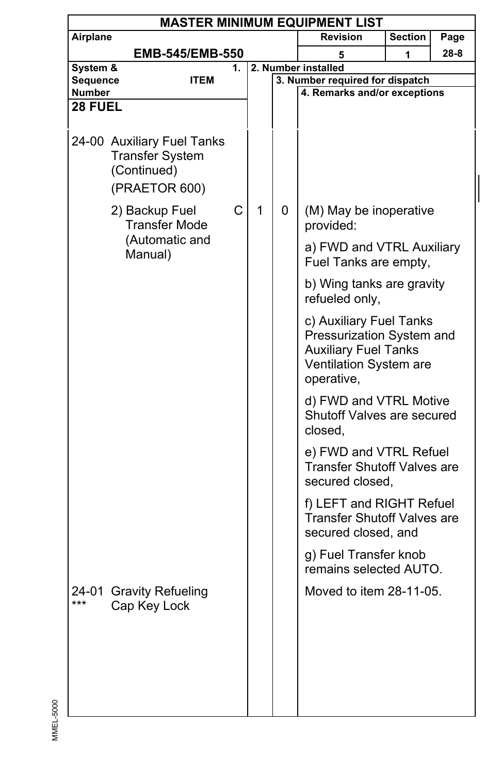| <b>MASTER MINIMUM EQUIPMENT LIST</b> |                                                                                      |    |                                             |                                                                                                                             |                                                                                       |                |      |  |  |  |  |
|--------------------------------------|--------------------------------------------------------------------------------------|----|---------------------------------------------|-----------------------------------------------------------------------------------------------------------------------------|---------------------------------------------------------------------------------------|----------------|------|--|--|--|--|
| Airplane                             |                                                                                      |    |                                             |                                                                                                                             | <b>Revision</b>                                                                       | <b>Section</b> | Page |  |  |  |  |
|                                      | <b>EMB-545/EMB-550</b>                                                               |    |                                             |                                                                                                                             | 5                                                                                     | 1              | 28-8 |  |  |  |  |
| System &                             |                                                                                      | 1. |                                             |                                                                                                                             | 2. Number installed                                                                   |                |      |  |  |  |  |
| Sequence                             | <b>ITEM</b>                                                                          |    |                                             |                                                                                                                             | 3. Number required for dispatch                                                       |                |      |  |  |  |  |
| Number                               |                                                                                      |    |                                             |                                                                                                                             | 4. Remarks and/or exceptions                                                          |                |      |  |  |  |  |
| 28 FUEL                              |                                                                                      |    |                                             |                                                                                                                             |                                                                                       |                |      |  |  |  |  |
|                                      | 24-00 Auxiliary Fuel Tanks<br><b>Transfer System</b><br>(Continued)<br>(PRAETOR 600) |    |                                             |                                                                                                                             |                                                                                       |                |      |  |  |  |  |
|                                      | C<br>2) Backup Fuel<br><b>Transfer Mode</b>                                          |    | 1                                           | 0                                                                                                                           | (M) May be inoperative<br>provided:                                                   |                |      |  |  |  |  |
|                                      | (Automatic and<br>Manual)                                                            |    |                                             |                                                                                                                             | a) FWD and VTRL Auxiliary<br>Fuel Tanks are empty,                                    |                |      |  |  |  |  |
|                                      |                                                                                      |    | b) Wing tanks are gravity<br>refueled only, |                                                                                                                             |                                                                                       |                |      |  |  |  |  |
|                                      |                                                                                      |    |                                             | c) Auxiliary Fuel Tanks<br>Pressurization System and<br><b>Auxiliary Fuel Tanks</b><br>Ventilation System are<br>operative, |                                                                                       |                |      |  |  |  |  |
|                                      |                                                                                      |    |                                             |                                                                                                                             | d) FWD and VTRL Motive<br>Shutoff Valves are secured<br>closed,                       |                |      |  |  |  |  |
|                                      |                                                                                      |    |                                             |                                                                                                                             | e) FWD and VTRL Refuel<br><b>Transfer Shutoff Valves are</b><br>secured closed,       |                |      |  |  |  |  |
|                                      |                                                                                      |    |                                             |                                                                                                                             | f) LEFT and RIGHT Refuel<br><b>Transfer Shutoff Valves are</b><br>secured closed, and |                |      |  |  |  |  |
|                                      |                                                                                      |    |                                             |                                                                                                                             | g) Fuel Transfer knob<br>remains selected AUTO.                                       |                |      |  |  |  |  |
| 24-01<br>***                         | <b>Gravity Refueling</b><br>Cap Key Lock                                             |    |                                             |                                                                                                                             | Moved to item 28-11-05.                                                               |                |      |  |  |  |  |
|                                      |                                                                                      |    |                                             |                                                                                                                             |                                                                                       |                |      |  |  |  |  |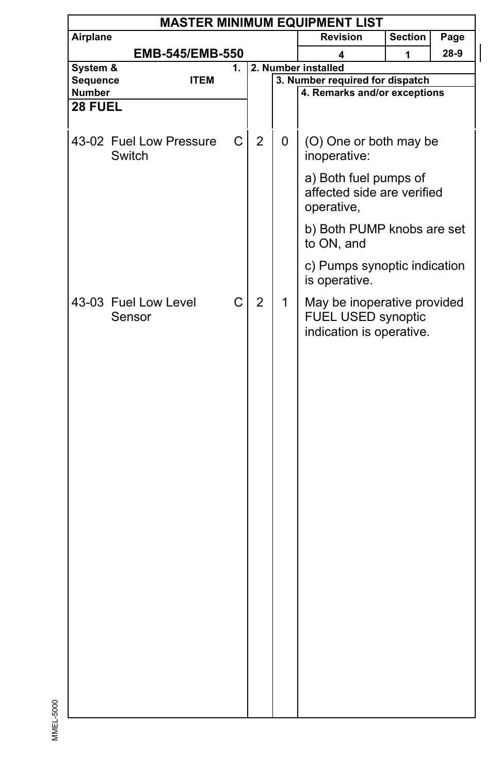| <b>MASTER MINIMUM EQUIPMENT LIST</b> |                                   |  |    |                |   |                                                                               |                |      |  |  |
|--------------------------------------|-----------------------------------|--|----|----------------|---|-------------------------------------------------------------------------------|----------------|------|--|--|
| Airplane                             |                                   |  |    |                |   | <b>Revision</b>                                                               | <b>Section</b> | Page |  |  |
|                                      | EMB-545/EMB-550                   |  |    |                |   | 4                                                                             | 1              | 28-9 |  |  |
| System &                             |                                   |  | 1. |                |   | 2. Number installed                                                           |                |      |  |  |
| Sequence<br><b>ITEM</b><br>Number    |                                   |  |    |                |   | 3. Number required for dispatch<br>4. Remarks and/or exceptions               |                |      |  |  |
| <b>28 FUEL</b>                       |                                   |  |    |                |   |                                                                               |                |      |  |  |
|                                      |                                   |  |    |                |   |                                                                               |                |      |  |  |
|                                      | 43-02 Fuel Low Pressure<br>Switch |  | C  | $\overline{2}$ | 0 | (O) One or both may be<br>inoperative:                                        |                |      |  |  |
|                                      |                                   |  |    |                |   | a) Both fuel pumps of<br>affected side are verified<br>operative,             |                |      |  |  |
|                                      |                                   |  |    |                |   | b) Both PUMP knobs are set<br>to ON, and                                      |                |      |  |  |
|                                      |                                   |  |    |                |   | c) Pumps synoptic indication<br>is operative.                                 |                |      |  |  |
|                                      | 43-03 Fuel Low Level<br>Sensor    |  | C  | $\overline{2}$ | 1 | May be inoperative provided<br>FUEL USED synoptic<br>indication is operative. |                |      |  |  |
|                                      |                                   |  |    |                |   |                                                                               |                |      |  |  |
|                                      |                                   |  |    |                |   |                                                                               |                |      |  |  |
|                                      |                                   |  |    |                |   |                                                                               |                |      |  |  |
|                                      |                                   |  |    |                |   |                                                                               |                |      |  |  |
|                                      |                                   |  |    |                |   |                                                                               |                |      |  |  |
|                                      |                                   |  |    |                |   |                                                                               |                |      |  |  |
|                                      |                                   |  |    |                |   |                                                                               |                |      |  |  |
|                                      |                                   |  |    |                |   |                                                                               |                |      |  |  |
|                                      |                                   |  |    |                |   |                                                                               |                |      |  |  |
|                                      |                                   |  |    |                |   |                                                                               |                |      |  |  |
|                                      |                                   |  |    |                |   |                                                                               |                |      |  |  |
|                                      |                                   |  |    |                |   |                                                                               |                |      |  |  |
|                                      |                                   |  |    |                |   |                                                                               |                |      |  |  |
|                                      |                                   |  |    |                |   |                                                                               |                |      |  |  |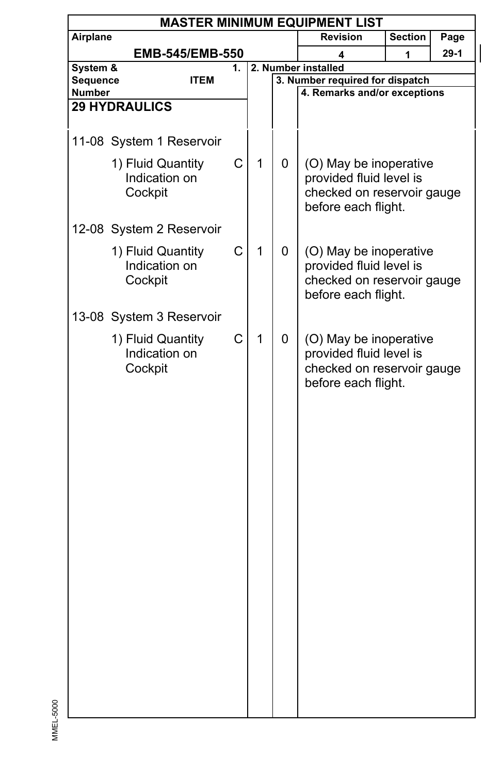| <b>MASTER MINIMUM EQUIPMENT LIST</b>          |                                                                    |                                                                                                                    |   |                                                                                                        |                     |                                                                                                                                                                                                                                                                                     |  |  |  |
|-----------------------------------------------|--------------------------------------------------------------------|--------------------------------------------------------------------------------------------------------------------|---|--------------------------------------------------------------------------------------------------------|---------------------|-------------------------------------------------------------------------------------------------------------------------------------------------------------------------------------------------------------------------------------------------------------------------------------|--|--|--|
|                                               |                                                                    |                                                                                                                    |   | <b>Revision</b>                                                                                        | <b>Section</b>      | Page                                                                                                                                                                                                                                                                                |  |  |  |
|                                               |                                                                    |                                                                                                                    |   | 4                                                                                                      | 1                   | 29-1                                                                                                                                                                                                                                                                                |  |  |  |
|                                               | 1.                                                                 |                                                                                                                    |   |                                                                                                        |                     |                                                                                                                                                                                                                                                                                     |  |  |  |
|                                               |                                                                    |                                                                                                                    |   |                                                                                                        |                     |                                                                                                                                                                                                                                                                                     |  |  |  |
|                                               |                                                                    |                                                                                                                    |   |                                                                                                        |                     |                                                                                                                                                                                                                                                                                     |  |  |  |
|                                               |                                                                    |                                                                                                                    |   |                                                                                                        |                     |                                                                                                                                                                                                                                                                                     |  |  |  |
|                                               |                                                                    |                                                                                                                    |   |                                                                                                        |                     |                                                                                                                                                                                                                                                                                     |  |  |  |
| 1) Fluid Quantity<br>Indication on<br>Cockpit | C                                                                  | $\mathbf{1}$                                                                                                       | 0 |                                                                                                        |                     |                                                                                                                                                                                                                                                                                     |  |  |  |
|                                               |                                                                    |                                                                                                                    |   |                                                                                                        |                     |                                                                                                                                                                                                                                                                                     |  |  |  |
| 1) Fluid Quantity<br>Indication on<br>Cockpit | C                                                                  | 1                                                                                                                  | 0 | (O) May be inoperative<br>provided fluid level is<br>checked on reservoir gauge<br>before each flight. |                     |                                                                                                                                                                                                                                                                                     |  |  |  |
|                                               |                                                                    |                                                                                                                    |   |                                                                                                        |                     |                                                                                                                                                                                                                                                                                     |  |  |  |
| 1) Fluid Quantity<br>Indication on<br>Cockpit | С                                                                  | 1                                                                                                                  | 0 |                                                                                                        |                     |                                                                                                                                                                                                                                                                                     |  |  |  |
|                                               | Airplane<br>System &<br>Sequence<br>Number<br><b>29 HYDRAULICS</b> | EMB-545/EMB-550<br><b>ITEM</b><br>11-08 System 1 Reservoir<br>12-08 System 2 Reservoir<br>13-08 System 3 Reservoir |   |                                                                                                        | 2. Number installed | 3. Number required for dispatch<br>4. Remarks and/or exceptions<br>(O) May be inoperative<br>provided fluid level is<br>checked on reservoir gauge<br>before each flight.<br>(O) May be inoperative<br>provided fluid level is<br>checked on reservoir gauge<br>before each flight. |  |  |  |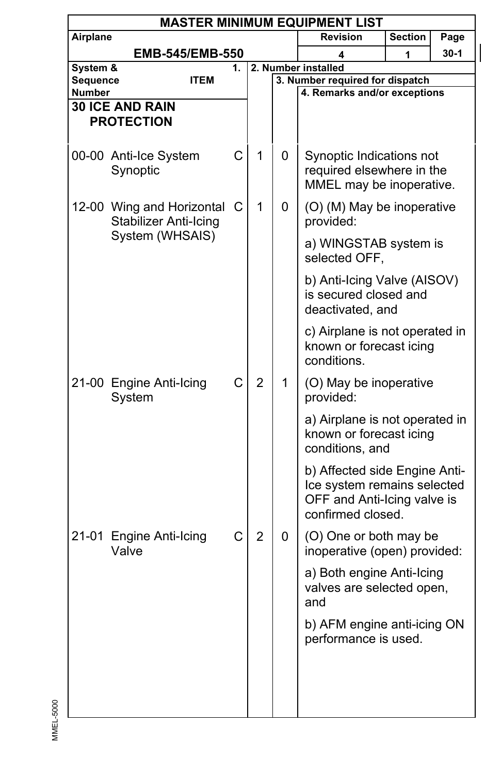| <b>MASTER MINIMUM EQUIPMENT LIST</b> |                                                    |    |                                                                          |   |                                                                                                                  |                |      |  |  |  |
|--------------------------------------|----------------------------------------------------|----|--------------------------------------------------------------------------|---|------------------------------------------------------------------------------------------------------------------|----------------|------|--|--|--|
| Airplane                             |                                                    |    |                                                                          |   | <b>Revision</b>                                                                                                  | <b>Section</b> | Page |  |  |  |
|                                      | <b>EMB-545/EMB-550</b>                             |    |                                                                          |   | 4                                                                                                                | 1              | 30-1 |  |  |  |
| System &                             |                                                    | 1. |                                                                          |   | 2. Number installed                                                                                              |                |      |  |  |  |
| Sequence<br><b>Number</b>            | <b>ITEM</b>                                        |    |                                                                          |   | 3. Number required for dispatch<br>4. Remarks and/or exceptions                                                  |                |      |  |  |  |
|                                      | <b>30 ICE AND RAIN</b>                             |    |                                                                          |   |                                                                                                                  |                |      |  |  |  |
|                                      | <b>PROTECTION</b>                                  |    |                                                                          |   |                                                                                                                  |                |      |  |  |  |
|                                      |                                                    |    |                                                                          |   |                                                                                                                  |                |      |  |  |  |
|                                      | 00-00 Anti-Ice System<br>Synoptic                  | С  | 1                                                                        | 0 | Synoptic Indications not<br>required elsewhere in the<br>MMEL may be inoperative.                                |                |      |  |  |  |
|                                      | 12-00 Wing and Horizontal<br>Stabilizer Anti-Icing | С  | 1                                                                        | 0 | (O) (M) May be inoperative<br>provided:                                                                          |                |      |  |  |  |
|                                      | System (WHSAIS)                                    |    |                                                                          |   | a) WINGSTAB system is<br>selected OFF,                                                                           |                |      |  |  |  |
|                                      |                                                    |    | b) Anti-Icing Valve (AISOV)<br>is secured closed and<br>deactivated, and |   |                                                                                                                  |                |      |  |  |  |
|                                      |                                                    |    |                                                                          |   | c) Airplane is not operated in<br>known or forecast icing<br>conditions.                                         |                |      |  |  |  |
|                                      | 21-00 Engine Anti-Icing<br>System                  | C  | $\overline{2}$                                                           | 1 | (O) May be inoperative<br>provided:                                                                              |                |      |  |  |  |
|                                      |                                                    |    |                                                                          |   | a) Airplane is not operated in<br>known or forecast icing<br>conditions, and                                     |                |      |  |  |  |
|                                      |                                                    |    |                                                                          |   | b) Affected side Engine Anti-<br>Ice system remains selected<br>OFF and Anti-Icing valve is<br>confirmed closed. |                |      |  |  |  |
|                                      | 21-01 Engine Anti-Icing<br>Valve                   | C  | $\overline{2}$                                                           | 0 | (O) One or both may be<br>inoperative (open) provided:                                                           |                |      |  |  |  |
|                                      |                                                    |    |                                                                          |   | a) Both engine Anti-Icing<br>valves are selected open,<br>and                                                    |                |      |  |  |  |
|                                      |                                                    |    |                                                                          |   | b) AFM engine anti-icing ON<br>performance is used.                                                              |                |      |  |  |  |
|                                      |                                                    |    |                                                                          |   |                                                                                                                  |                |      |  |  |  |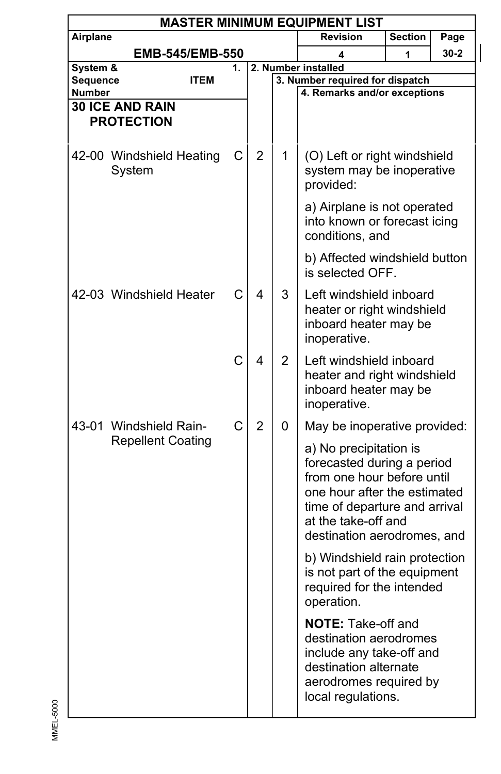| <b>MASTER MINIMUM EQUIPMENT LIST</b> |                                    |    |                         |   |                                                                                                                                                                                                           |                |          |  |  |
|--------------------------------------|------------------------------------|----|-------------------------|---|-----------------------------------------------------------------------------------------------------------------------------------------------------------------------------------------------------------|----------------|----------|--|--|
| Airplane                             |                                    |    |                         |   | <b>Revision</b>                                                                                                                                                                                           | <b>Section</b> | Page     |  |  |
|                                      | <b>EMB-545/EMB-550</b>             |    |                         |   | 4                                                                                                                                                                                                         | 1              | $30 - 2$ |  |  |
| System &                             |                                    | 1. |                         |   | 2. Number installed                                                                                                                                                                                       |                |          |  |  |
| Sequence<br>Number                   | ITEM                               |    |                         |   | 3. Number required for dispatch<br>4. Remarks and/or exceptions                                                                                                                                           |                |          |  |  |
|                                      | <b>30 ICE AND RAIN</b>             |    |                         |   |                                                                                                                                                                                                           |                |          |  |  |
|                                      | <b>PROTECTION</b>                  |    |                         |   |                                                                                                                                                                                                           |                |          |  |  |
|                                      |                                    |    |                         |   |                                                                                                                                                                                                           |                |          |  |  |
|                                      | 42-00 Windshield Heating<br>System | С  | 2                       | 1 | (O) Left or right windshield<br>system may be inoperative<br>provided:                                                                                                                                    |                |          |  |  |
|                                      |                                    |    |                         |   | a) Airplane is not operated<br>into known or forecast icing<br>conditions, and                                                                                                                            |                |          |  |  |
|                                      |                                    |    |                         |   | b) Affected windshield button<br>is selected OFF.                                                                                                                                                         |                |          |  |  |
|                                      | 42-03 Windshield Heater            | С  | $\overline{\mathbf{4}}$ | 3 | Left windshield inboard<br>heater or right windshield<br>inboard heater may be<br>inoperative.                                                                                                            |                |          |  |  |
|                                      |                                    | C  | $\overline{4}$          | 2 | Left windshield inboard<br>heater and right windshield<br>inboard heater may be<br>inoperative.                                                                                                           |                |          |  |  |
|                                      | 43-01 Windshield Rain-             | C  | $\overline{2}$          | 0 | May be inoperative provided:                                                                                                                                                                              |                |          |  |  |
|                                      | <b>Repellent Coating</b>           |    |                         |   | a) No precipitation is<br>forecasted during a period<br>from one hour before until<br>one hour after the estimated<br>time of departure and arrival<br>at the take-off and<br>destination aerodromes, and |                |          |  |  |
|                                      |                                    |    |                         |   | b) Windshield rain protection<br>is not part of the equipment<br>required for the intended<br>operation.                                                                                                  |                |          |  |  |
|                                      |                                    |    |                         |   | <b>NOTE: Take-off and</b><br>destination aerodromes<br>include any take-off and<br>destination alternate<br>aerodromes required by<br>local regulations.                                                  |                |          |  |  |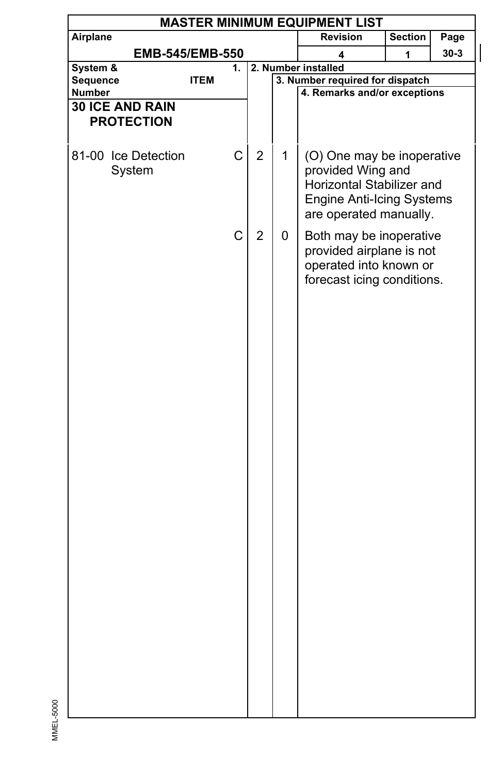| <b>MASTER MINIMUM EQUIPMENT LIST</b> |                               |                 |                |              |                                                                                                                                            |                |          |  |  |  |
|--------------------------------------|-------------------------------|-----------------|----------------|--------------|--------------------------------------------------------------------------------------------------------------------------------------------|----------------|----------|--|--|--|
| Airplane                             |                               |                 |                |              | <b>Revision</b>                                                                                                                            | <b>Section</b> | Page     |  |  |  |
|                                      |                               | EMB-545/EMB-550 |                |              | 4                                                                                                                                          | 1              | $30 - 3$ |  |  |  |
| System &                             |                               | 1.              |                |              | 2. Number installed                                                                                                                        |                |          |  |  |  |
| Sequence                             |                               | <b>ITEM</b>     |                |              | 3. Number required for dispatch                                                                                                            |                |          |  |  |  |
| Number                               |                               |                 |                |              | 4. Remarks and/or exceptions                                                                                                               |                |          |  |  |  |
|                                      | <b>30 ICE AND RAIN</b>        |                 |                |              |                                                                                                                                            |                |          |  |  |  |
|                                      | <b>PROTECTION</b>             |                 |                |              |                                                                                                                                            |                |          |  |  |  |
|                                      | 81-00 Ice Detection<br>System | $\mathsf C$     | $\overline{2}$ | $\mathbf{1}$ | (O) One may be inoperative<br>provided Wing and<br>Horizontal Stabilizer and<br><b>Engine Anti-Icing Systems</b><br>are operated manually. |                |          |  |  |  |
|                                      |                               | $\mathsf C$     | $\overline{2}$ | 0            | Both may be inoperative<br>provided airplane is not<br>operated into known or<br>forecast icing conditions.                                |                |          |  |  |  |
|                                      |                               |                 |                |              |                                                                                                                                            |                |          |  |  |  |
|                                      |                               |                 |                |              |                                                                                                                                            |                |          |  |  |  |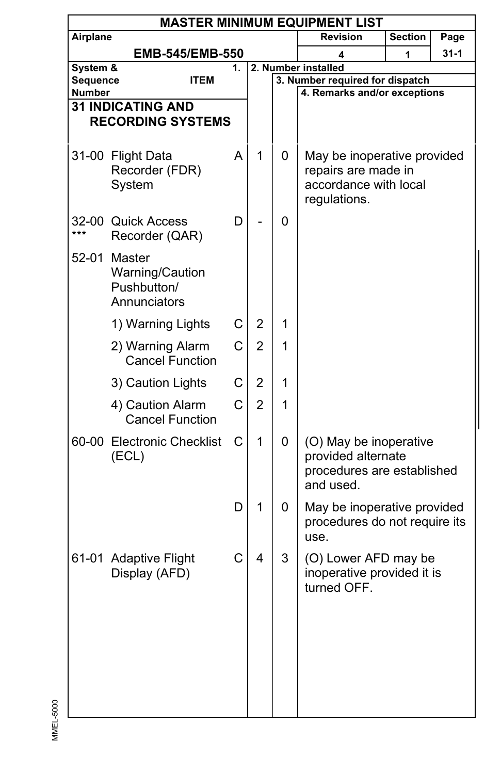|                                           | <b>MASTER MINIMUM EQUIPMENT LIST</b>                     |             |                |   |                                                                                             |                |          |  |  |  |
|-------------------------------------------|----------------------------------------------------------|-------------|----------------|---|---------------------------------------------------------------------------------------------|----------------|----------|--|--|--|
| Airplane                                  |                                                          |             |                |   | <b>Revision</b>                                                                             | <b>Section</b> | Page     |  |  |  |
|                                           | <b>EMB-545/EMB-550</b>                                   |             |                |   | 4                                                                                           | 1              | $31 - 1$ |  |  |  |
| System &<br>1.<br>Sequence<br><b>ITEM</b> |                                                          |             |                |   | 2. Number installed<br>3. Number required for dispatch                                      |                |          |  |  |  |
| <b>Number</b>                             |                                                          |             |                |   | 4. Remarks and/or exceptions                                                                |                |          |  |  |  |
| <b>31 INDICATING AND</b>                  |                                                          |             |                |   |                                                                                             |                |          |  |  |  |
|                                           | <b>RECORDING SYSTEMS</b>                                 |             |                |   |                                                                                             |                |          |  |  |  |
|                                           | 31-00 Flight Data<br>Recorder (FDR)<br>System            | A           | 1              | 0 | May be inoperative provided<br>repairs are made in<br>accordance with local<br>regulations. |                |          |  |  |  |
| ***                                       | 32-00 Quick Access<br>Recorder (QAR)                     | D           |                | 0 |                                                                                             |                |          |  |  |  |
| 52-01                                     | Master<br>Warning/Caution<br>Pushbutton/<br>Annunciators |             |                |   |                                                                                             |                |          |  |  |  |
|                                           | 1) Warning Lights                                        | $\mathsf C$ | 2              | 1 |                                                                                             |                |          |  |  |  |
|                                           | 2) Warning Alarm<br><b>Cancel Function</b>               | C           | $\overline{2}$ | 1 |                                                                                             |                |          |  |  |  |
|                                           | 3) Caution Lights                                        | C           | $\overline{2}$ | 1 |                                                                                             |                |          |  |  |  |
|                                           | 4) Caution Alarm<br><b>Cancel Function</b>               | C           | $\overline{2}$ | 1 |                                                                                             |                |          |  |  |  |
|                                           | 60-00 Electronic Checklist<br>(ECL)                      | C           | 1              | 0 | (O) May be inoperative<br>provided alternate<br>procedures are established<br>and used.     |                |          |  |  |  |
|                                           |                                                          | D           | 1              | 0 | May be inoperative provided<br>procedures do not require its<br>use.                        |                |          |  |  |  |
|                                           | 61-01 Adaptive Flight<br>Display (AFD)                   | C           | 4              | 3 | (O) Lower AFD may be<br>inoperative provided it is<br>turned OFF.                           |                |          |  |  |  |
|                                           |                                                          |             |                |   |                                                                                             |                |          |  |  |  |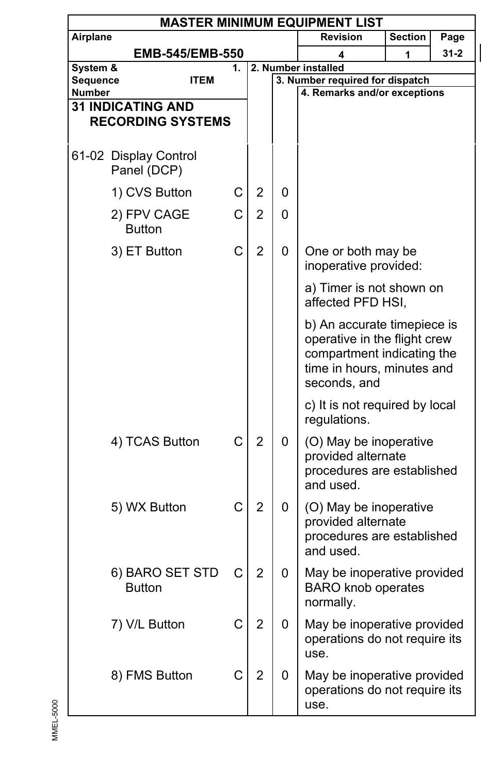|                                   | <b>MASTER MINIMUM EQUIPMENT LIST</b> |    |                |   |                                                                                                                                         |                |          |  |  |  |  |
|-----------------------------------|--------------------------------------|----|----------------|---|-----------------------------------------------------------------------------------------------------------------------------------------|----------------|----------|--|--|--|--|
| Airplane                          |                                      |    |                |   | <b>Revision</b>                                                                                                                         | <b>Section</b> | Page     |  |  |  |  |
|                                   | <b>EMB-545/EMB-550</b>               |    |                |   | 4                                                                                                                                       | 1              | $31 - 2$ |  |  |  |  |
| System &                          |                                      | 1. |                |   | 2. Number installed                                                                                                                     |                |          |  |  |  |  |
| Sequence<br><b>ITEM</b><br>Number |                                      |    |                |   | 3. Number required for dispatch<br>4. Remarks and/or exceptions                                                                         |                |          |  |  |  |  |
|                                   | <b>31 INDICATING AND</b>             |    |                |   |                                                                                                                                         |                |          |  |  |  |  |
|                                   | <b>RECORDING SYSTEMS</b>             |    |                |   |                                                                                                                                         |                |          |  |  |  |  |
|                                   |                                      |    |                |   |                                                                                                                                         |                |          |  |  |  |  |
|                                   | 61-02 Display Control<br>Panel (DCP) |    |                |   |                                                                                                                                         |                |          |  |  |  |  |
|                                   | 1) CVS Button                        | С  | $\overline{2}$ | 0 |                                                                                                                                         |                |          |  |  |  |  |
|                                   | 2) FPV CAGE<br><b>Button</b>         | C  | $\overline{2}$ | 0 |                                                                                                                                         |                |          |  |  |  |  |
|                                   | 3) ET Button                         | C  | $\overline{2}$ | 0 | One or both may be<br>inoperative provided:                                                                                             |                |          |  |  |  |  |
|                                   |                                      |    |                |   | a) Timer is not shown on<br>affected PFD HSI,                                                                                           |                |          |  |  |  |  |
|                                   |                                      |    |                |   | b) An accurate timepiece is<br>operative in the flight crew<br>compartment indicating the<br>time in hours, minutes and<br>seconds, and |                |          |  |  |  |  |
|                                   |                                      |    |                |   | c) It is not required by local<br>regulations.                                                                                          |                |          |  |  |  |  |
|                                   | 4) TCAS Button                       | C  | $\overline{2}$ | 0 | (O) May be inoperative<br>provided alternate<br>procedures are established<br>and used.                                                 |                |          |  |  |  |  |
|                                   | 5) WX Button                         | C  | $\overline{2}$ | 0 | (O) May be inoperative<br>provided alternate<br>procedures are established<br>and used.                                                 |                |          |  |  |  |  |
|                                   | 6) BARO SET STD<br>Button            | С  | 2              | 0 | May be inoperative provided<br>BARO knob operates<br>normally.                                                                          |                |          |  |  |  |  |
|                                   | 7) V/L Button                        | C  | $\overline{2}$ | 0 | May be inoperative provided<br>operations do not require its<br>use.                                                                    |                |          |  |  |  |  |
|                                   | 8) FMS Button                        | C  | $\overline{2}$ | 0 | May be inoperative provided<br>operations do not require its<br>use.                                                                    |                |          |  |  |  |  |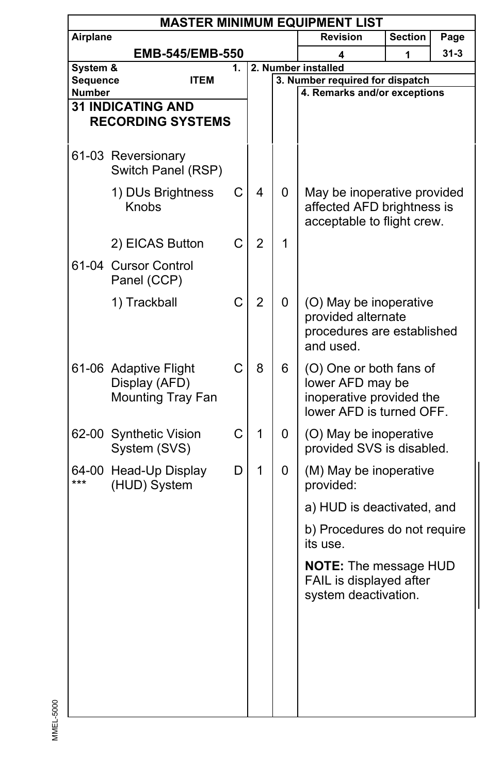|                                           |                                                             |   |                |   | <b>MASTER MINIMUM EQUIPMENT LIST</b>                                                                |                |      |
|-------------------------------------------|-------------------------------------------------------------|---|----------------|---|-----------------------------------------------------------------------------------------------------|----------------|------|
| Airplane                                  |                                                             |   |                |   | <b>Revision</b>                                                                                     | <b>Section</b> | Page |
| <b>EMB-545/EMB-550</b>                    |                                                             |   |                |   | 4                                                                                                   | 1              | 31-3 |
| System &<br>1.<br>Sequence<br><b>ITEM</b> |                                                             |   |                |   | 2. Number installed<br>3. Number required for dispatch                                              |                |      |
| <b>Number</b>                             |                                                             |   |                |   | 4. Remarks and/or exceptions                                                                        |                |      |
|                                           | <b>31 INDICATING AND</b>                                    |   |                |   |                                                                                                     |                |      |
| <b>RECORDING SYSTEMS</b>                  |                                                             |   |                |   |                                                                                                     |                |      |
|                                           | 61-03 Reversionary<br>Switch Panel (RSP)                    |   |                |   |                                                                                                     |                |      |
|                                           | 1) DUs Brightness<br>Knobs                                  | С | $\overline{4}$ | 0 | May be inoperative provided<br>affected AFD brightness is<br>acceptable to flight crew.             |                |      |
|                                           | 2) EICAS Button                                             | C | $\overline{2}$ | 1 |                                                                                                     |                |      |
|                                           | 61-04 Cursor Control<br>Panel (CCP)                         |   |                |   |                                                                                                     |                |      |
|                                           | 1) Trackball                                                | C | $\overline{2}$ | 0 | (O) May be inoperative<br>provided alternate<br>procedures are established<br>and used.             |                |      |
|                                           | 61-06 Adaptive Flight<br>Display (AFD)<br>Mounting Tray Fan | C | 8              | 6 | (O) One or both fans of<br>lower AFD may be<br>inoperative provided the<br>lower AFD is turned OFF. |                |      |
|                                           | 62-00 Synthetic Vision<br>System (SVS)                      | C | 1              | 0 | (O) May be inoperative<br>provided SVS is disabled.                                                 |                |      |
| ***                                       | 64-00 Head-Up Display<br>(HUD) System                       | D | 1              | 0 | (M) May be inoperative<br>provided:                                                                 |                |      |
|                                           |                                                             |   |                |   | a) HUD is deactivated, and                                                                          |                |      |
|                                           |                                                             |   |                |   | b) Procedures do not require<br>its use.                                                            |                |      |
|                                           |                                                             |   |                |   | <b>NOTE: The message HUD</b><br>FAIL is displayed after<br>system deactivation.                     |                |      |
|                                           |                                                             |   |                |   |                                                                                                     |                |      |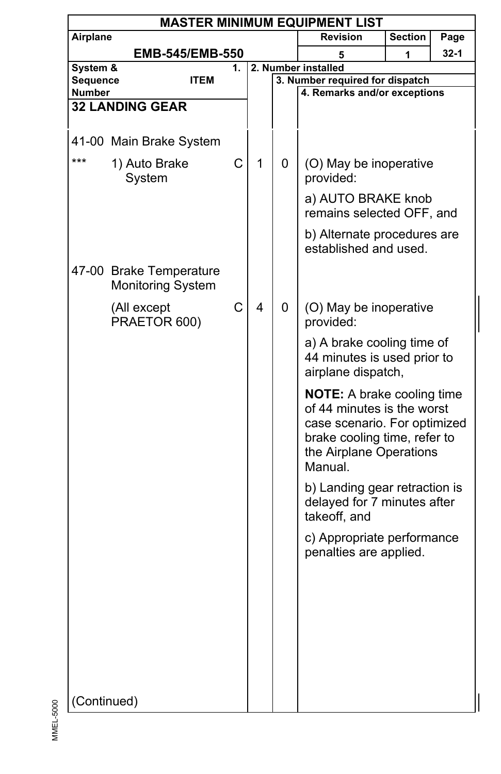| <b>MASTER MINIMUM EQUIPMENT LIST</b> |                                                     |    |                |                 |                                                                                                                                                                       |      |        |  |  |
|--------------------------------------|-----------------------------------------------------|----|----------------|-----------------|-----------------------------------------------------------------------------------------------------------------------------------------------------------------------|------|--------|--|--|
| Airplane                             |                                                     |    |                | <b>Revision</b> | <b>Section</b>                                                                                                                                                        | Page |        |  |  |
|                                      | <b>EMB-545/EMB-550</b>                              |    |                |                 | 5                                                                                                                                                                     | 1    | $32-1$ |  |  |
| System &                             |                                                     | 1. |                |                 | 2. Number installed                                                                                                                                                   |      |        |  |  |
| Sequence<br>Number                   | ITEM                                                |    |                |                 | 3. Number required for dispatch<br>4. Remarks and/or exceptions                                                                                                       |      |        |  |  |
|                                      | <b>32 LANDING GEAR</b>                              |    |                |                 |                                                                                                                                                                       |      |        |  |  |
|                                      |                                                     |    |                |                 |                                                                                                                                                                       |      |        |  |  |
|                                      | 41-00 Main Brake System                             |    |                |                 |                                                                                                                                                                       |      |        |  |  |
| $***$                                | 1) Auto Brake<br>System                             | C  | $\mathbf{1}$   | 0               | (O) May be inoperative<br>provided:                                                                                                                                   |      |        |  |  |
|                                      |                                                     |    |                |                 | a) AUTO BRAKE knob<br>remains selected OFF, and                                                                                                                       |      |        |  |  |
|                                      |                                                     |    |                |                 | b) Alternate procedures are<br>established and used.                                                                                                                  |      |        |  |  |
|                                      | 47-00 Brake Temperature<br><b>Monitoring System</b> |    |                |                 |                                                                                                                                                                       |      |        |  |  |
|                                      | (All except<br>PRAETOR 600)                         | C  | $\overline{4}$ | 0               | (O) May be inoperative<br>provided:                                                                                                                                   |      |        |  |  |
|                                      |                                                     |    |                |                 | a) A brake cooling time of<br>44 minutes is used prior to<br>airplane dispatch,                                                                                       |      |        |  |  |
|                                      |                                                     |    |                |                 | <b>NOTE:</b> A brake cooling time<br>of 44 minutes is the worst<br>case scenario. For optimized<br>brake cooling time, refer to<br>the Airplane Operations<br>Manual. |      |        |  |  |
|                                      |                                                     |    |                |                 | b) Landing gear retraction is<br>delayed for 7 minutes after<br>takeoff, and                                                                                          |      |        |  |  |
|                                      |                                                     |    |                |                 | c) Appropriate performance<br>penalties are applied.                                                                                                                  |      |        |  |  |
|                                      |                                                     |    |                |                 |                                                                                                                                                                       |      |        |  |  |
|                                      |                                                     |    |                |                 |                                                                                                                                                                       |      |        |  |  |
|                                      |                                                     |    |                |                 |                                                                                                                                                                       |      |        |  |  |
|                                      |                                                     |    |                |                 |                                                                                                                                                                       |      |        |  |  |
| (Continued)                          |                                                     |    |                |                 |                                                                                                                                                                       |      |        |  |  |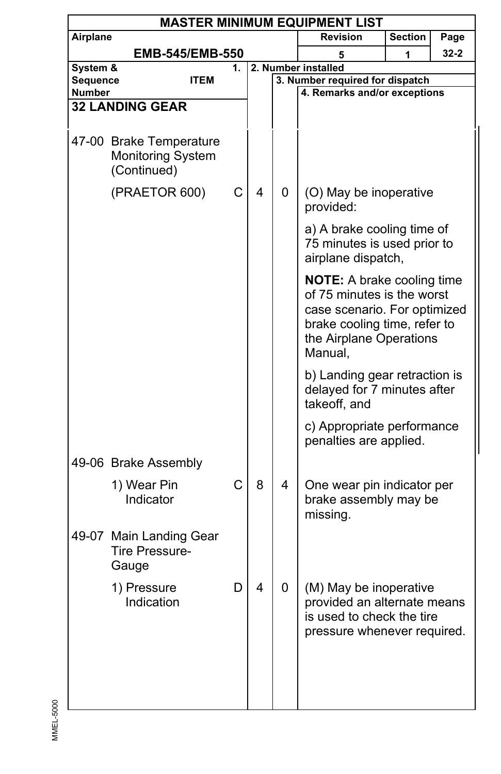| <b>MASTER MINIMUM EQUIPMENT LIST</b> |                                                                    |    |                |   |                                                                                                                                                                       |                |          |  |  |  |  |
|--------------------------------------|--------------------------------------------------------------------|----|----------------|---|-----------------------------------------------------------------------------------------------------------------------------------------------------------------------|----------------|----------|--|--|--|--|
| Airplane                             |                                                                    |    |                |   | <b>Revision</b>                                                                                                                                                       | <b>Section</b> | Page     |  |  |  |  |
|                                      | <b>EMB-545/EMB-550</b>                                             |    |                |   | 5                                                                                                                                                                     | 1              | $32 - 2$ |  |  |  |  |
| System &                             |                                                                    | 1. |                |   | 2. Number installed<br>3. Number required for dispatch                                                                                                                |                |          |  |  |  |  |
| Sequence<br>Number                   | <b>ITEM</b>                                                        |    |                |   | 4. Remarks and/or exceptions                                                                                                                                          |                |          |  |  |  |  |
|                                      | <b>32 LANDING GEAR</b>                                             |    |                |   |                                                                                                                                                                       |                |          |  |  |  |  |
|                                      |                                                                    |    |                |   |                                                                                                                                                                       |                |          |  |  |  |  |
|                                      | 47-00 Brake Temperature<br><b>Monitoring System</b><br>(Continued) |    |                |   |                                                                                                                                                                       |                |          |  |  |  |  |
|                                      | (PRAETOR 600)                                                      | С  | $\overline{4}$ | 0 | (O) May be inoperative<br>provided:                                                                                                                                   |                |          |  |  |  |  |
|                                      |                                                                    |    |                |   | a) A brake cooling time of<br>75 minutes is used prior to<br>airplane dispatch,                                                                                       |                |          |  |  |  |  |
|                                      |                                                                    |    |                |   | <b>NOTE:</b> A brake cooling time<br>of 75 minutes is the worst<br>case scenario. For optimized<br>brake cooling time, refer to<br>the Airplane Operations<br>Manual, |                |          |  |  |  |  |
|                                      |                                                                    |    |                |   | b) Landing gear retraction is<br>delayed for 7 minutes after<br>takeoff, and                                                                                          |                |          |  |  |  |  |
|                                      |                                                                    |    |                |   | c) Appropriate performance<br>penalties are applied.                                                                                                                  |                |          |  |  |  |  |
|                                      | 49-06 Brake Assembly                                               |    |                |   |                                                                                                                                                                       |                |          |  |  |  |  |
|                                      | 1) Wear Pin<br>Indicator                                           | C  | 8              | 4 | One wear pin indicator per<br>brake assembly may be<br>missing.                                                                                                       |                |          |  |  |  |  |
|                                      | 49-07 Main Landing Gear<br><b>Tire Pressure-</b><br>Gauge          |    |                |   |                                                                                                                                                                       |                |          |  |  |  |  |
|                                      | 1) Pressure<br>Indication                                          | D  | 4              | 0 | (M) May be inoperative<br>provided an alternate means<br>is used to check the tire<br>pressure whenever required.                                                     |                |          |  |  |  |  |
|                                      |                                                                    |    |                |   |                                                                                                                                                                       |                |          |  |  |  |  |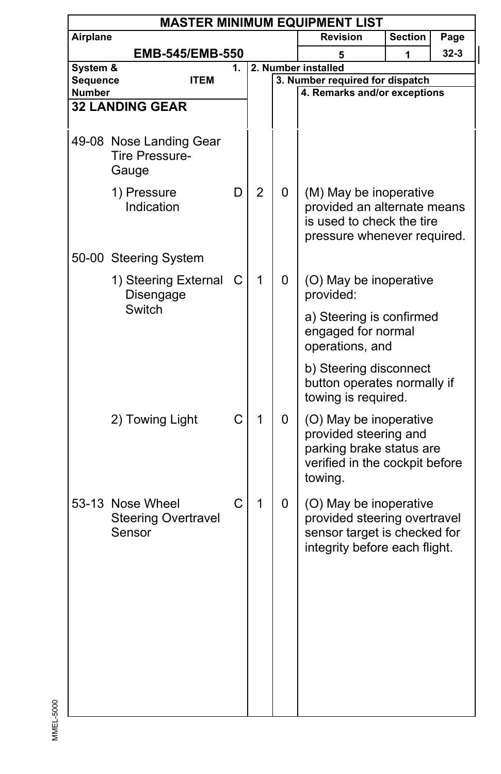|                    | <b>MASTER MINIMUM EQUIPMENT LIST</b>                     |   |                |   |                                                                                                                          |                |      |  |  |  |
|--------------------|----------------------------------------------------------|---|----------------|---|--------------------------------------------------------------------------------------------------------------------------|----------------|------|--|--|--|
| Airplane           |                                                          |   |                |   | <b>Revision</b>                                                                                                          | <b>Section</b> | Page |  |  |  |
|                    | EMB-545/EMB-550                                          |   |                | 5 | 1                                                                                                                        | $32 - 3$       |      |  |  |  |
| System &<br>1.     |                                                          |   |                |   | 2. Number installed                                                                                                      |                |      |  |  |  |
| Sequence<br>Number | ITEM                                                     |   |                |   | 3. Number required for dispatch<br>4. Remarks and/or exceptions                                                          |                |      |  |  |  |
|                    | <b>32 LANDING GEAR</b>                                   |   |                |   |                                                                                                                          |                |      |  |  |  |
|                    |                                                          |   |                |   |                                                                                                                          |                |      |  |  |  |
|                    | 49-08 Nose Landing Gear<br>Tire Pressure-<br>Gauge       |   |                |   |                                                                                                                          |                |      |  |  |  |
|                    | 1) Pressure<br>Indication                                | D | $\overline{2}$ | 0 | (M) May be inoperative<br>provided an alternate means<br>is used to check the tire<br>pressure whenever required.        |                |      |  |  |  |
|                    | 50-00 Steering System                                    |   |                |   |                                                                                                                          |                |      |  |  |  |
|                    | 1) Steering External<br>Disengage                        | С | 1              | 0 | (O) May be inoperative<br>provided:                                                                                      |                |      |  |  |  |
|                    | Switch                                                   |   |                |   | a) Steering is confirmed<br>engaged for normal<br>operations, and                                                        |                |      |  |  |  |
|                    |                                                          |   |                |   | b) Steering disconnect<br>button operates normally if<br>towing is required.                                             |                |      |  |  |  |
|                    | 2) Towing Light                                          | C | $\mathbf{1}$   | 0 | (O) May be inoperative<br>provided steering and<br>parking brake status are<br>verified in the cockpit before<br>towing. |                |      |  |  |  |
|                    | 53-13 Nose Wheel<br><b>Steering Overtravel</b><br>Sensor | C | $\mathbf{1}$   | 0 | (O) May be inoperative<br>provided steering overtravel<br>sensor target is checked for<br>integrity before each flight.  |                |      |  |  |  |
|                    |                                                          |   |                |   |                                                                                                                          |                |      |  |  |  |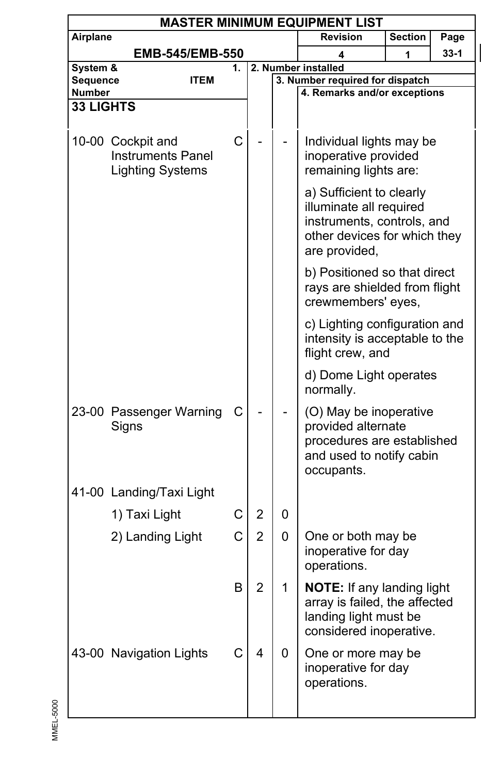| <b>MASTER MINIMUM EQUIPMENT LIST</b> |                                                                          |    |                |                                                                 |                                                                                                                        |                                                                                                                   |      |  |  |  |
|--------------------------------------|--------------------------------------------------------------------------|----|----------------|-----------------------------------------------------------------|------------------------------------------------------------------------------------------------------------------------|-------------------------------------------------------------------------------------------------------------------|------|--|--|--|
| Airplane                             |                                                                          |    |                |                                                                 | <b>Revision</b>                                                                                                        | <b>Section</b>                                                                                                    | Page |  |  |  |
|                                      | <b>EMB-545/EMB-550</b>                                                   |    |                |                                                                 | 4                                                                                                                      | 1                                                                                                                 | 33-1 |  |  |  |
| System &                             |                                                                          | 1. |                |                                                                 | 2. Number installed                                                                                                    |                                                                                                                   |      |  |  |  |
| Sequence<br>Number                   | <b>ITEM</b>                                                              |    |                | 3. Number required for dispatch<br>4. Remarks and/or exceptions |                                                                                                                        |                                                                                                                   |      |  |  |  |
| <b>33 LIGHTS</b>                     |                                                                          |    |                |                                                                 |                                                                                                                        |                                                                                                                   |      |  |  |  |
|                                      |                                                                          |    |                |                                                                 |                                                                                                                        |                                                                                                                   |      |  |  |  |
|                                      | 10-00 Cockpit and<br><b>Instruments Panel</b><br><b>Lighting Systems</b> | С  |                |                                                                 |                                                                                                                        | Individual lights may be<br>inoperative provided<br>remaining lights are:                                         |      |  |  |  |
|                                      |                                                                          |    |                |                                                                 | are provided,                                                                                                          | a) Sufficient to clearly<br>illuminate all required<br>instruments, controls, and<br>other devices for which they |      |  |  |  |
|                                      |                                                                          |    |                |                                                                 | b) Positioned so that direct<br>rays are shielded from flight<br>crewmembers' eyes,                                    |                                                                                                                   |      |  |  |  |
|                                      |                                                                          |    |                |                                                                 | c) Lighting configuration and<br>intensity is acceptable to the<br>flight crew, and                                    |                                                                                                                   |      |  |  |  |
|                                      |                                                                          |    |                |                                                                 | d) Dome Light operates<br>normally.                                                                                    |                                                                                                                   |      |  |  |  |
|                                      | 23-00 Passenger Warning<br>Signs                                         | С  |                |                                                                 | (O) May be inoperative<br>provided alternate<br>procedures are established<br>and used to notify cabin<br>occupants.   |                                                                                                                   |      |  |  |  |
|                                      | 41-00 Landing/Taxi Light                                                 |    |                |                                                                 |                                                                                                                        |                                                                                                                   |      |  |  |  |
|                                      |                                                                          |    | $\overline{2}$ |                                                                 |                                                                                                                        |                                                                                                                   |      |  |  |  |
|                                      | 1) Taxi Light                                                            | С  |                | 0                                                               |                                                                                                                        |                                                                                                                   |      |  |  |  |
|                                      | 2) Landing Light                                                         | C  | $\overline{2}$ | 0                                                               | One or both may be<br>inoperative for day<br>operations.                                                               |                                                                                                                   |      |  |  |  |
|                                      |                                                                          | ь  | 2              | 1                                                               | <b>NOTE:</b> If any landing light<br>array is failed, the affected<br>landing light must be<br>considered inoperative. |                                                                                                                   |      |  |  |  |
|                                      | 43-00 Navigation Lights                                                  | C  | 4              | 0                                                               | One or more may be<br>inoperative for day<br>operations.                                                               |                                                                                                                   |      |  |  |  |
|                                      |                                                                          |    |                |                                                                 |                                                                                                                        |                                                                                                                   |      |  |  |  |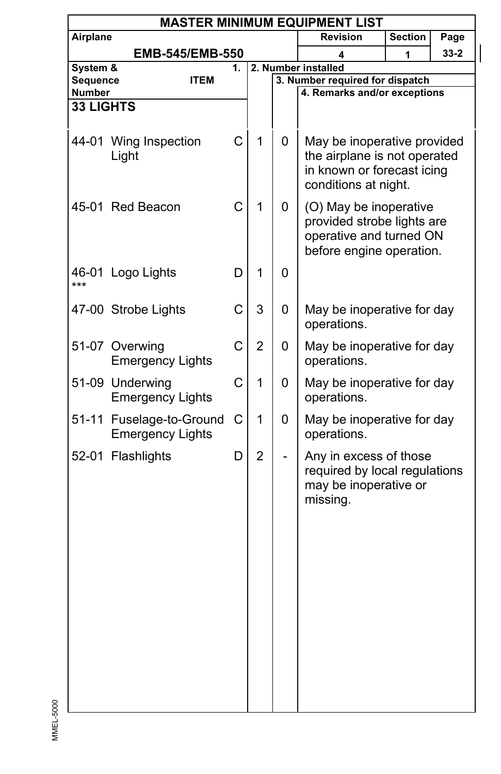|                           | <b>MASTER MINIMUM EQUIPMENT LIST</b>                |   |                |   |                                                                                                             |                                                                                           |          |  |  |  |
|---------------------------|-----------------------------------------------------|---|----------------|---|-------------------------------------------------------------------------------------------------------------|-------------------------------------------------------------------------------------------|----------|--|--|--|
| Airplane                  |                                                     |   |                |   | <b>Revision</b>                                                                                             | <b>Section</b>                                                                            | Page     |  |  |  |
|                           | <b>EMB-545/EMB-550</b>                              |   |                |   | 4                                                                                                           | 1                                                                                         | $33 - 2$ |  |  |  |
| System &                  | 1.                                                  |   |                |   | 2. Number installed                                                                                         |                                                                                           |          |  |  |  |
| Sequence<br><b>Number</b> | <b>ITEM</b>                                         |   |                |   | 3. Number required for dispatch<br>4. Remarks and/or exceptions                                             |                                                                                           |          |  |  |  |
| <b>33 LIGHTS</b>          |                                                     |   |                |   |                                                                                                             |                                                                                           |          |  |  |  |
|                           |                                                     |   |                |   |                                                                                                             |                                                                                           |          |  |  |  |
|                           | 44-01 Wing Inspection<br>Light                      | C | 1              | 0 | conditions at night.                                                                                        | May be inoperative provided<br>the airplane is not operated<br>in known or forecast icing |          |  |  |  |
|                           | 45-01 Red Beacon                                    | C | $\mathbf{1}$   | 0 | (O) May be inoperative<br>provided strobe lights are<br>operative and turned ON<br>before engine operation. |                                                                                           |          |  |  |  |
| ***                       | 46-01 Logo Lights                                   | D | 1              | 0 |                                                                                                             |                                                                                           |          |  |  |  |
|                           | 47-00 Strobe Lights                                 | С | 3              | 0 | May be inoperative for day<br>operations.                                                                   |                                                                                           |          |  |  |  |
|                           | 51-07 Overwing<br><b>Emergency Lights</b>           | C | $\overline{2}$ | 0 | May be inoperative for day<br>operations.                                                                   |                                                                                           |          |  |  |  |
|                           | 51-09 Underwing<br><b>Emergency Lights</b>          | C | 1              | 0 | May be inoperative for day<br>operations.                                                                   |                                                                                           |          |  |  |  |
|                           | 51-11 Fuselage-to-Ground<br><b>Emergency Lights</b> | С | 1              | 0 | May be inoperative for day<br>operations.                                                                   |                                                                                           |          |  |  |  |
|                           | 52-01 Flashlights                                   | D | $\overline{2}$ |   | Any in excess of those<br>required by local regulations<br>may be inoperative or<br>missing.                |                                                                                           |          |  |  |  |
|                           |                                                     |   |                |   |                                                                                                             |                                                                                           |          |  |  |  |
|                           |                                                     |   |                |   |                                                                                                             |                                                                                           |          |  |  |  |
|                           |                                                     |   |                |   |                                                                                                             |                                                                                           |          |  |  |  |
|                           |                                                     |   |                |   |                                                                                                             |                                                                                           |          |  |  |  |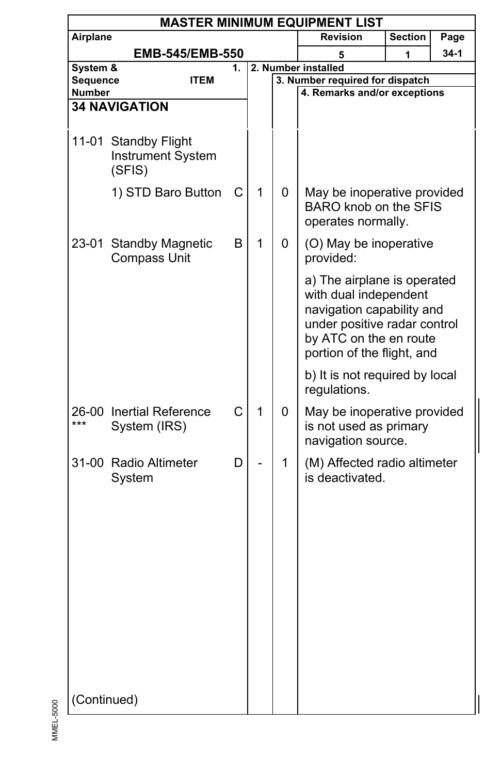|                    | <b>MASTER MINIMUM EQUIPMENT LIST</b>                |    |              |                                                                 |                                                                                                                                                                           |                |        |  |  |  |
|--------------------|-----------------------------------------------------|----|--------------|-----------------------------------------------------------------|---------------------------------------------------------------------------------------------------------------------------------------------------------------------------|----------------|--------|--|--|--|
| Airplane           |                                                     |    |              |                                                                 | <b>Revision</b>                                                                                                                                                           | <b>Section</b> | Page   |  |  |  |
|                    | EMB-545/EMB-550                                     |    |              |                                                                 | 5                                                                                                                                                                         | 1              | $34-1$ |  |  |  |
| System &           |                                                     | 1. |              |                                                                 | 2. Number installed                                                                                                                                                       |                |        |  |  |  |
| Sequence<br>Number | <b>ITEM</b>                                         |    |              | 3. Number required for dispatch<br>4. Remarks and/or exceptions |                                                                                                                                                                           |                |        |  |  |  |
|                    | <b>34 NAVIGATION</b>                                |    |              |                                                                 |                                                                                                                                                                           |                |        |  |  |  |
|                    |                                                     |    |              |                                                                 |                                                                                                                                                                           |                |        |  |  |  |
|                    | 11-01 Standby Flight<br>Instrument System<br>(SFIS) |    |              |                                                                 |                                                                                                                                                                           |                |        |  |  |  |
|                    | 1) STD Baro Button                                  | С  | 1            | 0                                                               | May be inoperative provided<br>BARO knob on the SFIS<br>operates normally.                                                                                                |                |        |  |  |  |
|                    | 23-01 Standby Magnetic<br>Compass Unit              | B  | 1            | 0                                                               | (O) May be inoperative<br>provided:                                                                                                                                       |                |        |  |  |  |
|                    |                                                     |    |              |                                                                 | a) The airplane is operated<br>with dual independent<br>navigation capability and<br>under positive radar control<br>by ATC on the en route<br>portion of the flight, and |                |        |  |  |  |
|                    |                                                     |    |              |                                                                 | b) It is not required by local<br>regulations.                                                                                                                            |                |        |  |  |  |
| ***                | 26-00 Inertial Reference<br>System (IRS)            | Ć  | $\mathbf{1}$ | 0                                                               | May be inoperative provided<br>is not used as primary<br>navigation source.                                                                                               |                |        |  |  |  |
|                    | 31-00 Radio Altimeter<br>System                     | D  |              | 1                                                               | (M) Affected radio altimeter<br>is deactivated.                                                                                                                           |                |        |  |  |  |
| (Continued)        |                                                     |    |              |                                                                 |                                                                                                                                                                           |                |        |  |  |  |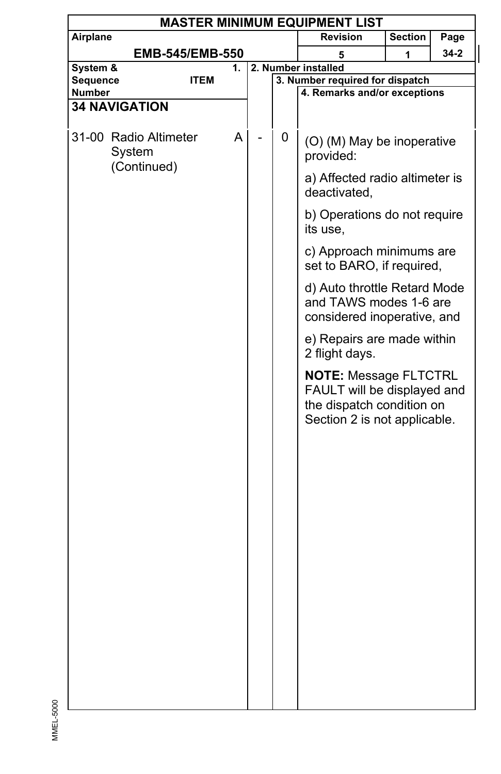| <b>MASTER MINIMUM EQUIPMENT LIST</b> |                                                |                                                   |  |                                                                                                                          |                                                                                       |                |          |  |  |
|--------------------------------------|------------------------------------------------|---------------------------------------------------|--|--------------------------------------------------------------------------------------------------------------------------|---------------------------------------------------------------------------------------|----------------|----------|--|--|
| Airplane                             |                                                |                                                   |  |                                                                                                                          | <b>Revision</b>                                                                       | <b>Section</b> | Page     |  |  |
|                                      | <b>EMB-545/EMB-550</b>                         |                                                   |  |                                                                                                                          | 5                                                                                     | 1              | $34 - 2$ |  |  |
| System &                             |                                                | 1.                                                |  |                                                                                                                          | 2. Number installed                                                                   |                |          |  |  |
| Sequence                             | <b>ITEM</b>                                    |                                                   |  |                                                                                                                          | 3. Number required for dispatch                                                       |                |          |  |  |
| <b>Number</b>                        |                                                |                                                   |  |                                                                                                                          | 4. Remarks and/or exceptions                                                          |                |          |  |  |
|                                      | <b>34 NAVIGATION</b>                           |                                                   |  |                                                                                                                          |                                                                                       |                |          |  |  |
|                                      |                                                |                                                   |  |                                                                                                                          |                                                                                       |                |          |  |  |
|                                      | 31-00 Radio Altimeter<br>System<br>(Continued) | A<br>0<br>(O) (M) May be inoperative<br>provided: |  |                                                                                                                          |                                                                                       |                |          |  |  |
|                                      |                                                | a) Affected radio altimeter is<br>deactivated,    |  |                                                                                                                          |                                                                                       |                |          |  |  |
|                                      |                                                |                                                   |  |                                                                                                                          | b) Operations do not require<br>its use,                                              |                |          |  |  |
|                                      |                                                |                                                   |  |                                                                                                                          | c) Approach minimums are<br>set to BARO, if required,                                 |                |          |  |  |
|                                      |                                                |                                                   |  |                                                                                                                          | d) Auto throttle Retard Mode<br>and TAWS modes 1-6 are<br>considered inoperative, and |                |          |  |  |
|                                      |                                                |                                                   |  |                                                                                                                          | e) Repairs are made within<br>2 flight days.                                          |                |          |  |  |
|                                      |                                                |                                                   |  | <b>NOTE: Message FLTCTRL</b><br>FAULT will be displayed and<br>the dispatch condition on<br>Section 2 is not applicable. |                                                                                       |                |          |  |  |
|                                      |                                                |                                                   |  |                                                                                                                          |                                                                                       |                |          |  |  |
|                                      |                                                |                                                   |  |                                                                                                                          |                                                                                       |                |          |  |  |
|                                      |                                                |                                                   |  |                                                                                                                          |                                                                                       |                |          |  |  |
|                                      |                                                |                                                   |  |                                                                                                                          |                                                                                       |                |          |  |  |
|                                      |                                                |                                                   |  |                                                                                                                          |                                                                                       |                |          |  |  |
|                                      |                                                |                                                   |  |                                                                                                                          |                                                                                       |                |          |  |  |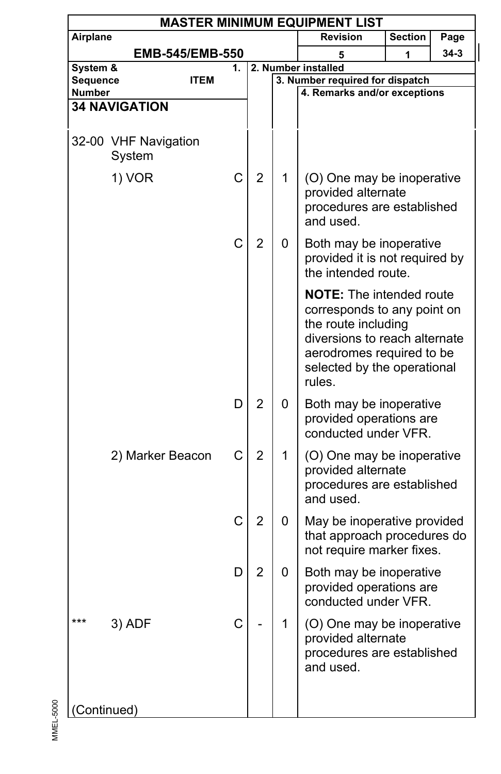| <b>MASTER MINIMUM EQUIPMENT LIST</b> |                                |                                                                                |                |                     |                                                                                                                                                                                              |                |      |  |  |
|--------------------------------------|--------------------------------|--------------------------------------------------------------------------------|----------------|---------------------|----------------------------------------------------------------------------------------------------------------------------------------------------------------------------------------------|----------------|------|--|--|
| Airplane                             |                                |                                                                                |                |                     | <b>Revision</b>                                                                                                                                                                              | <b>Section</b> | Page |  |  |
|                                      | EMB-545/EMB-550                |                                                                                |                | 5                   | 1                                                                                                                                                                                            | $34 - 3$       |      |  |  |
| System &                             | 1.                             |                                                                                |                | 2. Number installed |                                                                                                                                                                                              |                |      |  |  |
| Sequence<br>Number                   |                                | <b>ITEM</b><br>3. Number required for dispatch<br>4. Remarks and/or exceptions |                |                     |                                                                                                                                                                                              |                |      |  |  |
|                                      | <b>34 NAVIGATION</b>           |                                                                                |                |                     |                                                                                                                                                                                              |                |      |  |  |
|                                      |                                |                                                                                |                |                     |                                                                                                                                                                                              |                |      |  |  |
|                                      | 32-00 VHF Navigation<br>System |                                                                                |                |                     |                                                                                                                                                                                              |                |      |  |  |
|                                      | 1) VOR                         | C                                                                              | $\overline{2}$ | 1                   | (O) One may be inoperative<br>provided alternate<br>procedures are established<br>and used.                                                                                                  |                |      |  |  |
|                                      |                                | C                                                                              | $\overline{2}$ | 0                   | Both may be inoperative<br>provided it is not required by<br>the intended route.                                                                                                             |                |      |  |  |
|                                      |                                |                                                                                |                |                     | <b>NOTE:</b> The intended route<br>corresponds to any point on<br>the route including<br>diversions to reach alternate<br>aerodromes required to be<br>selected by the operational<br>rules. |                |      |  |  |
|                                      |                                | D                                                                              | $\overline{2}$ | 0                   | Both may be inoperative<br>provided operations are<br>conducted under VFR.                                                                                                                   |                |      |  |  |
|                                      | 2) Marker Beacon               | C                                                                              | $\overline{2}$ | 1                   | (O) One may be inoperative<br>provided alternate<br>procedures are established<br>and used.                                                                                                  |                |      |  |  |
|                                      |                                | C                                                                              | $\overline{2}$ | 0                   | May be inoperative provided<br>that approach procedures do<br>not require marker fixes.                                                                                                      |                |      |  |  |
|                                      |                                | D                                                                              | $\overline{2}$ | 0                   | Both may be inoperative<br>provided operations are<br>conducted under VFR.                                                                                                                   |                |      |  |  |
| ***                                  | 3) ADF                         | C                                                                              |                | 1                   | (O) One may be inoperative<br>provided alternate<br>procedures are established<br>and used.                                                                                                  |                |      |  |  |
|                                      | Continued)                     |                                                                                |                |                     |                                                                                                                                                                                              |                |      |  |  |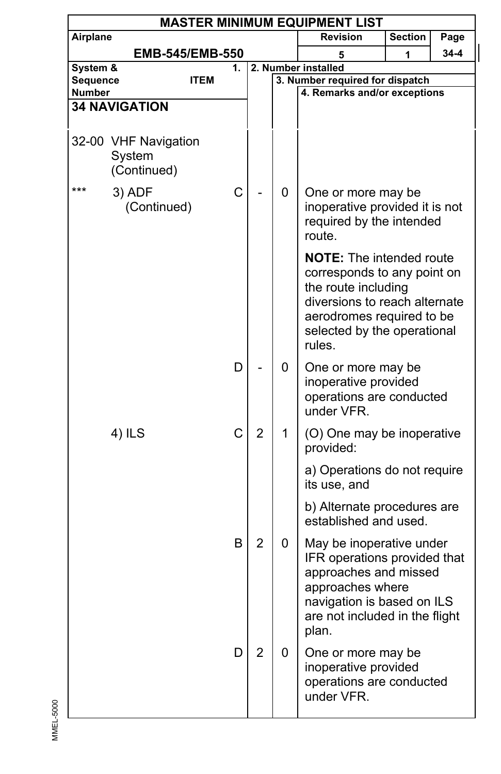| <b>MASTER MINIMUM EQUIPMENT LIST</b> |                                               |   |                |   |                                                                                                                                                                                              |                |      |  |  |  |
|--------------------------------------|-----------------------------------------------|---|----------------|---|----------------------------------------------------------------------------------------------------------------------------------------------------------------------------------------------|----------------|------|--|--|--|
| Airplane                             |                                               |   |                |   | <b>Revision</b>                                                                                                                                                                              | <b>Section</b> | Page |  |  |  |
|                                      | <b>EMB-545/EMB-550</b>                        |   |                |   | 5                                                                                                                                                                                            | 1              | 34-4 |  |  |  |
| System &                             | 1.                                            |   |                |   | 2. Number installed                                                                                                                                                                          |                |      |  |  |  |
|                                      | Sequence<br><b>ITEM</b><br>Number             |   |                |   | 3. Number required for dispatch<br>4. Remarks and/or exceptions                                                                                                                              |                |      |  |  |  |
|                                      | <b>34 NAVIGATION</b>                          |   |                |   |                                                                                                                                                                                              |                |      |  |  |  |
|                                      |                                               |   |                |   |                                                                                                                                                                                              |                |      |  |  |  |
|                                      | 32-00 VHF Navigation<br>System<br>(Continued) |   |                |   |                                                                                                                                                                                              |                |      |  |  |  |
| $***$                                | 3) ADF<br>(Continued)                         | C |                | 0 | One or more may be<br>inoperative provided it is not<br>required by the intended<br>route.                                                                                                   |                |      |  |  |  |
|                                      |                                               |   |                |   | <b>NOTE:</b> The intended route<br>corresponds to any point on<br>the route including<br>diversions to reach alternate<br>aerodromes required to be<br>selected by the operational<br>rules. |                |      |  |  |  |
|                                      |                                               | D |                | 0 | One or more may be<br>inoperative provided<br>operations are conducted<br>under VFR.                                                                                                         |                |      |  |  |  |
|                                      | $4)$ ILS                                      | C | $\overline{2}$ | 1 | (O) One may be inoperative<br>provided:                                                                                                                                                      |                |      |  |  |  |
|                                      |                                               |   |                |   | a) Operations do not require<br>its use, and                                                                                                                                                 |                |      |  |  |  |
|                                      |                                               |   |                |   | b) Alternate procedures are<br>established and used.                                                                                                                                         |                |      |  |  |  |
|                                      |                                               | В | 2              | 0 | May be inoperative under<br>IFR operations provided that<br>approaches and missed<br>approaches where<br>navigation is based on ILS<br>are not included in the flight<br>plan.               |                |      |  |  |  |
|                                      |                                               | D | $\overline{2}$ | 0 | One or more may be<br>inoperative provided<br>operations are conducted<br>under VFR.                                                                                                         |                |      |  |  |  |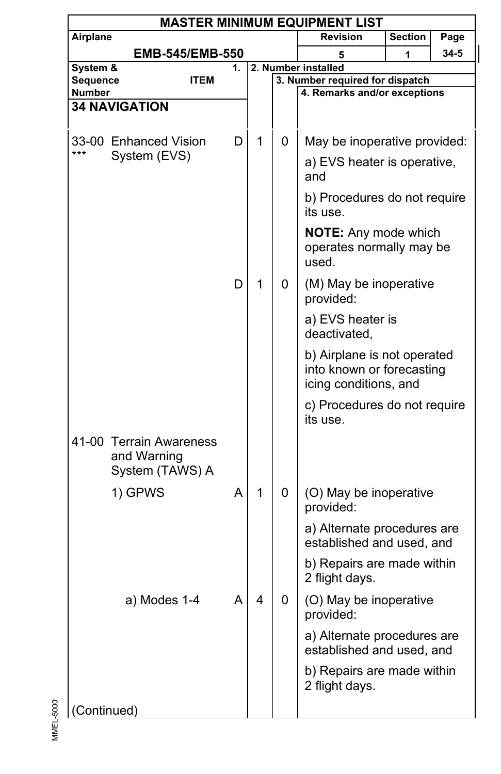| <b>MASTER MINIMUM EQUIPMENT LIST</b> |                                                           |    |              |   |                                                                                   |                |      |  |  |
|--------------------------------------|-----------------------------------------------------------|----|--------------|---|-----------------------------------------------------------------------------------|----------------|------|--|--|
| Airplane                             |                                                           |    |              |   | <b>Revision</b>                                                                   | <b>Section</b> | Page |  |  |
|                                      | <b>EMB-545/EMB-550</b>                                    |    |              | 5 | 1                                                                                 | 34-5           |      |  |  |
| System &                             |                                                           | 1. |              |   | 2. Number installed                                                               |                |      |  |  |
| Sequence<br>Number                   | <b>ITEM</b>                                               |    |              |   | 3. Number required for dispatch<br>4. Remarks and/or exceptions                   |                |      |  |  |
|                                      | <b>34 NAVIGATION</b>                                      |    |              |   |                                                                                   |                |      |  |  |
|                                      |                                                           |    |              |   |                                                                                   |                |      |  |  |
| ***                                  | 33-00 Enhanced Vision                                     | D  | 1            | 0 | May be inoperative provided:                                                      |                |      |  |  |
|                                      | System (EVS)                                              |    |              |   | a) EVS heater is operative,<br>and                                                |                |      |  |  |
|                                      |                                                           |    |              |   | b) Procedures do not require<br>its use.                                          |                |      |  |  |
|                                      |                                                           |    |              |   | NOTE: Any mode which<br>operates normally may be<br>used.                         |                |      |  |  |
|                                      |                                                           | D  | 1            | 0 | (M) May be inoperative<br>provided:                                               |                |      |  |  |
|                                      |                                                           |    |              |   | a) EVS heater is<br>deactivated,                                                  |                |      |  |  |
|                                      |                                                           |    |              |   | b) Airplane is not operated<br>into known or forecasting<br>icing conditions, and |                |      |  |  |
|                                      |                                                           |    |              |   | c) Procedures do not require<br>its use.                                          |                |      |  |  |
|                                      | 41-00 Terrain Awareness<br>and Warning<br>System (TAWS) A |    |              |   |                                                                                   |                |      |  |  |
|                                      | 1) GPWS                                                   | A  | $\mathbf{1}$ | 0 | (O) May be inoperative<br>provided:                                               |                |      |  |  |
|                                      |                                                           |    |              |   | a) Alternate procedures are<br>established and used, and                          |                |      |  |  |
|                                      |                                                           |    |              |   | b) Repairs are made within<br>2 flight days.                                      |                |      |  |  |
|                                      | a) Modes 1-4                                              | А  | 4            | 0 | (O) May be inoperative<br>provided:                                               |                |      |  |  |
|                                      |                                                           |    |              |   | a) Alternate procedures are<br>established and used, and                          |                |      |  |  |
|                                      |                                                           |    |              |   | b) Repairs are made within<br>2 flight days.                                      |                |      |  |  |
| (Continued)                          |                                                           |    |              |   |                                                                                   |                |      |  |  |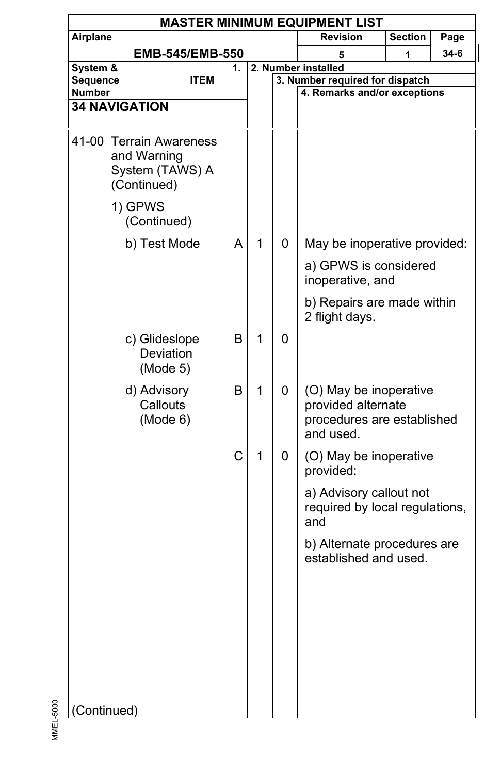|                           | <b>MASTER MINIMUM EQUIPMENT LIST</b>                                     |    |   |   |                                                                                         |                |      |  |  |  |  |
|---------------------------|--------------------------------------------------------------------------|----|---|---|-----------------------------------------------------------------------------------------|----------------|------|--|--|--|--|
| Airplane                  |                                                                          |    |   |   | <b>Revision</b>                                                                         | <b>Section</b> | Page |  |  |  |  |
|                           | <b>EMB-545/EMB-550</b>                                                   |    |   |   | 5                                                                                       | 1              | 34-6 |  |  |  |  |
| System &                  |                                                                          | 1. |   |   | 2. Number installed                                                                     |                |      |  |  |  |  |
| Sequence<br><b>Number</b> | <b>ITEM</b>                                                              |    |   |   | 3. Number required for dispatch<br>4. Remarks and/or exceptions                         |                |      |  |  |  |  |
|                           | <b>34 NAVIGATION</b>                                                     |    |   |   |                                                                                         |                |      |  |  |  |  |
|                           |                                                                          |    |   |   |                                                                                         |                |      |  |  |  |  |
|                           | 41-00 Terrain Awareness<br>and Warning<br>System (TAWS) A<br>(Continued) |    |   |   |                                                                                         |                |      |  |  |  |  |
|                           | 1) GPWS<br>(Continued)                                                   |    |   |   |                                                                                         |                |      |  |  |  |  |
|                           | b) Test Mode                                                             | A  | 1 | 0 | May be inoperative provided:                                                            |                |      |  |  |  |  |
|                           |                                                                          |    |   |   | a) GPWS is considered<br>inoperative, and                                               |                |      |  |  |  |  |
|                           |                                                                          |    |   |   | b) Repairs are made within<br>2 flight days.                                            |                |      |  |  |  |  |
|                           | c) Glideslope<br>Deviation<br>(Mode 5)                                   | B  | 1 | 0 |                                                                                         |                |      |  |  |  |  |
|                           | d) Advisory<br>Callouts<br>(Mode 6)                                      | B  | 1 | 0 | (O) May be inoperative<br>provided alternate<br>procedures are established<br>and used. |                |      |  |  |  |  |
|                           |                                                                          | C  | 1 | 0 | (O) May be inoperative<br>provided:                                                     |                |      |  |  |  |  |
|                           |                                                                          |    |   |   | a) Advisory callout not<br>required by local regulations,<br>and                        |                |      |  |  |  |  |
|                           |                                                                          |    |   |   | b) Alternate procedures are<br>established and used.                                    |                |      |  |  |  |  |
|                           |                                                                          |    |   |   |                                                                                         |                |      |  |  |  |  |
|                           |                                                                          |    |   |   |                                                                                         |                |      |  |  |  |  |
|                           |                                                                          |    |   |   |                                                                                         |                |      |  |  |  |  |
|                           |                                                                          |    |   |   |                                                                                         |                |      |  |  |  |  |
| (Continued)               |                                                                          |    |   |   |                                                                                         |                |      |  |  |  |  |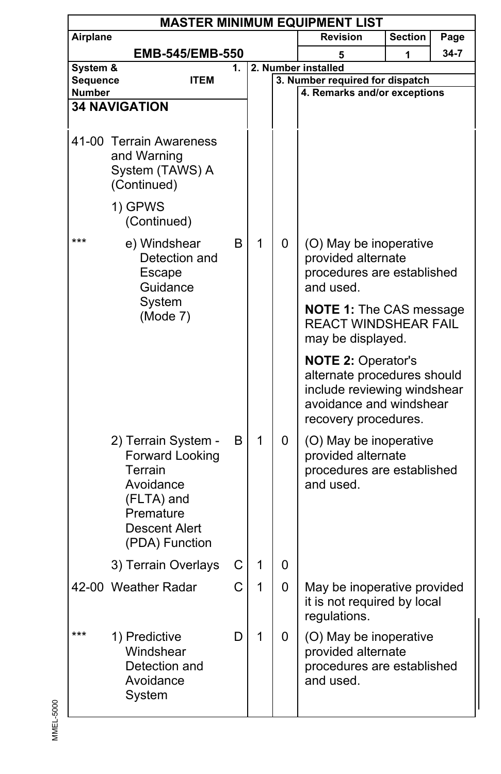|                                   | <b>MASTER MINIMUM EQUIPMENT LIST</b>                                                                                         |                                                                                    |              |   |                                                                                                                                            |                |      |  |  |  |
|-----------------------------------|------------------------------------------------------------------------------------------------------------------------------|------------------------------------------------------------------------------------|--------------|---|--------------------------------------------------------------------------------------------------------------------------------------------|----------------|------|--|--|--|
| Airplane                          |                                                                                                                              |                                                                                    |              |   | <b>Revision</b>                                                                                                                            | <b>Section</b> | Page |  |  |  |
|                                   | <b>EMB-545/EMB-550</b>                                                                                                       |                                                                                    |              |   | 5                                                                                                                                          | 1              | 34-7 |  |  |  |
| System &                          |                                                                                                                              | 1.                                                                                 |              |   | 2. Number installed                                                                                                                        |                |      |  |  |  |
| Sequence<br><b>ITEM</b><br>Number |                                                                                                                              |                                                                                    |              |   | 3. Number required for dispatch<br>4. Remarks and/or exceptions                                                                            |                |      |  |  |  |
|                                   | <b>34 NAVIGATION</b>                                                                                                         |                                                                                    |              |   |                                                                                                                                            |                |      |  |  |  |
|                                   | 41-00 Terrain Awareness<br>and Warning<br>System (TAWS) A<br>(Continued)<br>1) GPWS<br>(Continued)                           |                                                                                    |              |   |                                                                                                                                            |                |      |  |  |  |
| ***                               | e) Windshear<br>Detection and<br>Escape<br>Guidance                                                                          | R                                                                                  | 1            | 0 | (O) May be inoperative<br>provided alternate<br>procedures are established<br>and used.                                                    |                |      |  |  |  |
|                                   | System<br>(Mode 7)                                                                                                           | <b>NOTE 1: The CAS message</b><br><b>REACT WINDSHEAR FAIL</b><br>may be displayed. |              |   |                                                                                                                                            |                |      |  |  |  |
|                                   |                                                                                                                              |                                                                                    |              |   | <b>NOTE 2: Operator's</b><br>alternate procedures should<br>include reviewing windshear<br>avoidance and windshear<br>recovery procedures. |                |      |  |  |  |
|                                   | 2) Terrain System -<br>Forward Looking<br>Terrain<br>Avoidance<br>(FLTA) and<br>Premature<br>Descent Alert<br>(PDA) Function | B                                                                                  | $\mathbf{1}$ | 0 | (O) May be inoperative<br>provided alternate<br>procedures are established<br>and used.                                                    |                |      |  |  |  |
|                                   | 3) Terrain Overlays                                                                                                          | С                                                                                  | 1            | 0 |                                                                                                                                            |                |      |  |  |  |
|                                   | 42-00 Weather Radar                                                                                                          | С                                                                                  | 1            | 0 | May be inoperative provided<br>it is not required by local<br>regulations.                                                                 |                |      |  |  |  |
| ***                               | 1) Predictive<br>Windshear<br>Detection and<br>Avoidance<br>System                                                           | D                                                                                  | 1            | 0 | (O) May be inoperative<br>provided alternate<br>procedures are established<br>and used.                                                    |                |      |  |  |  |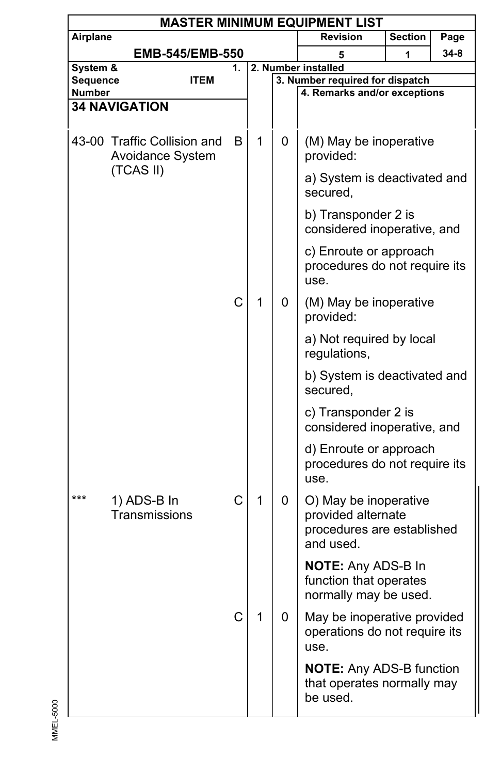|                    |                                                 |                                          |   |   | <b>MASTER MINIMUM EQUIPMENT LIST</b>                                                   |                |      |
|--------------------|-------------------------------------------------|------------------------------------------|---|---|----------------------------------------------------------------------------------------|----------------|------|
| Airplane           |                                                 |                                          |   |   | Revision                                                                               | <b>Section</b> | Page |
|                    | <b>EMB-545/EMB-550</b>                          |                                          |   |   | 5                                                                                      | 1              | 34-8 |
| System &           |                                                 | 1.                                       |   |   | 2. Number installed                                                                    |                |      |
| Sequence<br>Number | <b>ITEM</b>                                     |                                          |   |   | 3. Number required for dispatch<br>4. Remarks and/or exceptions                        |                |      |
|                    | <b>34 NAVIGATION</b>                            |                                          |   |   |                                                                                        |                |      |
|                    |                                                 |                                          |   |   |                                                                                        |                |      |
|                    | 43-00 Traffic Collision and<br>Avoidance System | B                                        | 1 | 0 | (M) May be inoperative<br>provided:                                                    |                |      |
|                    | (TCAS II)                                       |                                          |   |   | a) System is deactivated and<br>secured,                                               |                |      |
|                    |                                                 |                                          |   |   | b) Transponder 2 is<br>considered inoperative, and                                     |                |      |
|                    |                                                 |                                          |   |   | c) Enroute or approach<br>procedures do not require its<br>use.                        |                |      |
|                    |                                                 | C                                        | 1 | 0 | (M) May be inoperative<br>provided:                                                    |                |      |
|                    |                                                 | a) Not required by local<br>regulations, |   |   |                                                                                        |                |      |
|                    |                                                 |                                          |   |   | b) System is deactivated and<br>secured,                                               |                |      |
|                    |                                                 |                                          |   |   | c) Transponder 2 is<br>considered inoperative, and                                     |                |      |
|                    |                                                 |                                          |   |   | d) Enroute or approach<br>procedures do not require its<br>use.                        |                |      |
| ***                | 1) ADS-B In<br>Transmissions                    | C                                        | 1 | 0 | O) May be inoperative<br>provided alternate<br>procedures are established<br>and used. |                |      |
|                    |                                                 |                                          |   |   | <b>NOTE: Any ADS-B In</b><br>function that operates<br>normally may be used.           |                |      |
|                    |                                                 | С                                        | 1 | 0 | May be inoperative provided<br>operations do not require its<br>use.                   |                |      |
|                    |                                                 |                                          |   |   | <b>NOTE:</b> Any ADS-B function<br>that operates normally may<br>be used.              |                |      |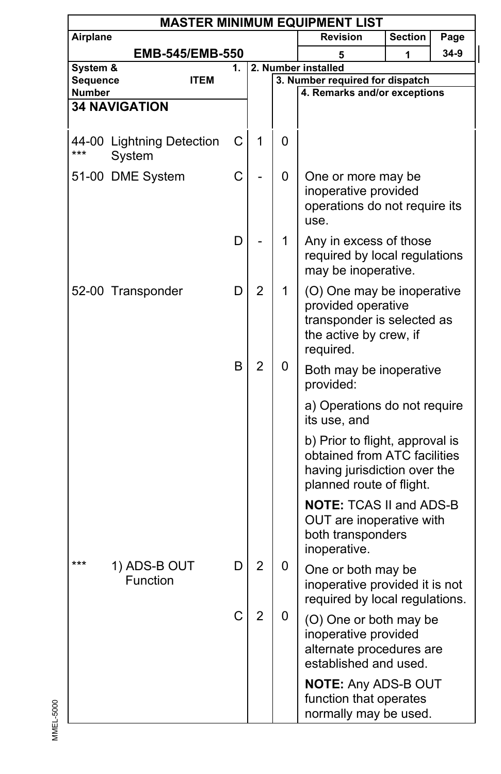|                    | <b>MASTER MINIMUM EQUIPMENT LIST</b> |    |                |   |                                                                                                                             |                |      |  |  |  |  |
|--------------------|--------------------------------------|----|----------------|---|-----------------------------------------------------------------------------------------------------------------------------|----------------|------|--|--|--|--|
| Airplane           |                                      |    |                |   | <b>Revision</b>                                                                                                             | <b>Section</b> | Page |  |  |  |  |
|                    | EMB-545/EMB-550                      |    |                |   | 5                                                                                                                           | 1              | 34-9 |  |  |  |  |
| System &           |                                      | 1. |                |   | 2. Number installed                                                                                                         |                |      |  |  |  |  |
| Sequence<br>Number | <b>ITEM</b>                          |    |                |   | 3. Number required for dispatch<br>4. Remarks and/or exceptions                                                             |                |      |  |  |  |  |
|                    | <b>34 NAVIGATION</b>                 |    |                |   |                                                                                                                             |                |      |  |  |  |  |
|                    |                                      |    |                |   |                                                                                                                             |                |      |  |  |  |  |
| ***                | 44-00 Lightning Detection<br>System  | С  | 1              | 0 |                                                                                                                             |                |      |  |  |  |  |
|                    | 51-00 DME System                     | C  |                | 0 | One or more may be<br>inoperative provided<br>operations do not require its<br>use.                                         |                |      |  |  |  |  |
|                    |                                      | D  |                | 1 | Any in excess of those<br>required by local regulations<br>may be inoperative.                                              |                |      |  |  |  |  |
|                    | 52-00 Transponder                    | D  | $\overline{2}$ | 1 | (O) One may be inoperative<br>provided operative<br>transponder is selected as<br>the active by crew, if<br>required.       |                |      |  |  |  |  |
|                    |                                      | B  | $\overline{2}$ | 0 | Both may be inoperative<br>provided:                                                                                        |                |      |  |  |  |  |
|                    |                                      |    |                |   | a) Operations do not require<br>its use, and                                                                                |                |      |  |  |  |  |
|                    |                                      |    |                |   | b) Prior to flight, approval is<br>obtained from ATC facilities<br>having jurisdiction over the<br>planned route of flight. |                |      |  |  |  |  |
|                    |                                      |    |                |   | <b>NOTE: TCAS II and ADS-B</b><br>OUT are inoperative with<br>both transponders<br>inoperative.                             |                |      |  |  |  |  |
| ***                | 1) ADS-B OUT<br>Function             | D  | 2              | 0 | One or both may be<br>inoperative provided it is not<br>required by local regulations.                                      |                |      |  |  |  |  |
|                    |                                      | C  | $\overline{2}$ | 0 | (O) One or both may be<br>inoperative provided<br>alternate procedures are<br>established and used.                         |                |      |  |  |  |  |
|                    |                                      |    |                |   | <b>NOTE: Any ADS-B OUT</b><br>function that operates<br>normally may be used.                                               |                |      |  |  |  |  |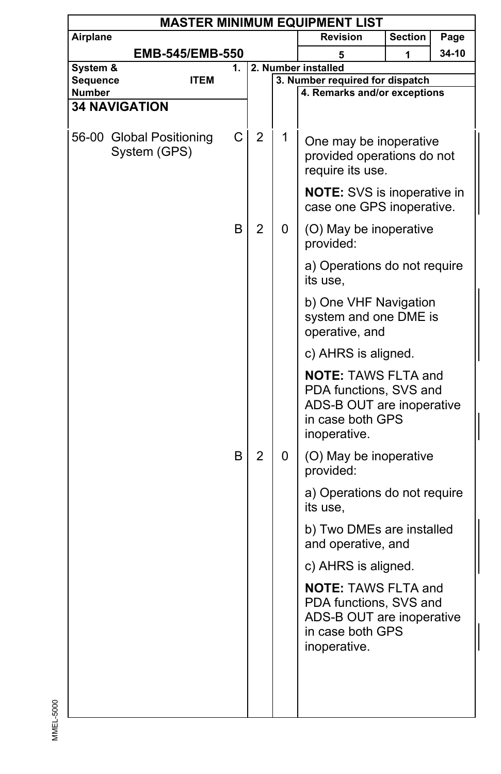| <b>MASTER MINIMUM EQUIPMENT LIST</b> |                                          |    |                |   |                                                                                                                       |                |       |  |
|--------------------------------------|------------------------------------------|----|----------------|---|-----------------------------------------------------------------------------------------------------------------------|----------------|-------|--|
| Airplane                             |                                          |    |                |   | <b>Revision</b>                                                                                                       | <b>Section</b> | Page  |  |
|                                      | <b>EMB-545/EMB-550</b>                   |    |                |   | 5                                                                                                                     | 1              | 34-10 |  |
| System &                             |                                          | 1. |                |   | 2. Number installed                                                                                                   |                |       |  |
| Sequence<br>Number                   | <b>ITEM</b>                              |    |                |   | 3. Number required for dispatch                                                                                       |                |       |  |
| <b>34 NAVIGATION</b>                 |                                          |    |                |   | 4. Remarks and/or exceptions                                                                                          |                |       |  |
|                                      |                                          |    |                |   |                                                                                                                       |                |       |  |
|                                      | 56-00 Global Positioning<br>System (GPS) | С  | 2              | 1 | One may be inoperative<br>provided operations do not<br>require its use.                                              |                |       |  |
|                                      |                                          |    |                |   | <b>NOTE:</b> SVS is inoperative in<br>case one GPS inoperative.                                                       |                |       |  |
|                                      |                                          | B  | $\overline{2}$ | 0 | (O) May be inoperative<br>provided:                                                                                   |                |       |  |
|                                      |                                          |    |                |   | a) Operations do not require<br>its use,                                                                              |                |       |  |
|                                      |                                          |    |                |   | b) One VHF Navigation<br>system and one DME is<br>operative, and                                                      |                |       |  |
|                                      |                                          |    |                |   | c) AHRS is aligned.                                                                                                   |                |       |  |
|                                      |                                          |    |                |   | <b>NOTE: TAWS FLTA and</b><br>PDA functions, SVS and<br>ADS-B OUT are inoperative<br>in case both GPS<br>inoperative. |                |       |  |
|                                      |                                          | B  | $\overline{2}$ | 0 | (O) May be inoperative<br>provided:                                                                                   |                |       |  |
|                                      |                                          |    |                |   | a) Operations do not require<br>its use,                                                                              |                |       |  |
|                                      |                                          |    |                |   | b) Two DMEs are installed<br>and operative, and                                                                       |                |       |  |
|                                      |                                          |    |                |   | c) AHRS is aligned.                                                                                                   |                |       |  |
|                                      |                                          |    |                |   | <b>NOTE: TAWS FLTA and</b><br>PDA functions, SVS and<br>ADS-B OUT are inoperative<br>in case both GPS<br>inoperative. |                |       |  |
|                                      |                                          |    |                |   |                                                                                                                       |                |       |  |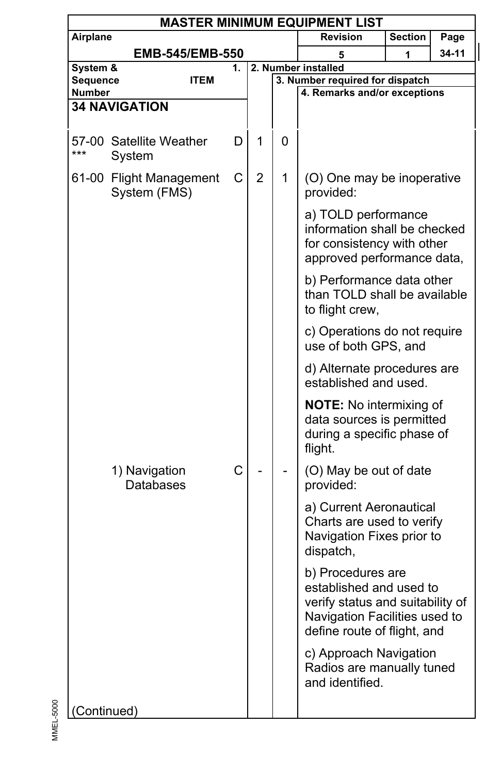| <b>MASTER MINIMUM EQUIPMENT LIST</b> |                                         |    |                |   |                                                                                                                                                  |                |       |  |  |
|--------------------------------------|-----------------------------------------|----|----------------|---|--------------------------------------------------------------------------------------------------------------------------------------------------|----------------|-------|--|--|
| Airplane                             |                                         |    |                |   | <b>Revision</b>                                                                                                                                  | <b>Section</b> | Page  |  |  |
|                                      | <b>EMB-545/EMB-550</b>                  |    |                |   | 5                                                                                                                                                | 1              | 34-11 |  |  |
| System &                             |                                         | 1. |                |   | 2. Number installed                                                                                                                              |                |       |  |  |
| Sequence<br>Number                   | <b>ITEM</b>                             |    |                |   | 3. Number required for dispatch<br>4. Remarks and/or exceptions                                                                                  |                |       |  |  |
|                                      | <b>34 NAVIGATION</b>                    |    |                |   |                                                                                                                                                  |                |       |  |  |
|                                      |                                         |    |                |   |                                                                                                                                                  |                |       |  |  |
| ***                                  | 57-00 Satellite Weather<br>System       | D  | 1              | 0 |                                                                                                                                                  |                |       |  |  |
|                                      | 61-00 Flight Management<br>System (FMS) | C  | $\overline{2}$ | 1 | (O) One may be inoperative<br>provided:                                                                                                          |                |       |  |  |
|                                      |                                         |    |                |   | a) TOLD performance<br>information shall be checked<br>for consistency with other<br>approved performance data,                                  |                |       |  |  |
|                                      |                                         |    |                |   | b) Performance data other<br>than TOLD shall be available<br>to flight crew,                                                                     |                |       |  |  |
|                                      |                                         |    |                |   | c) Operations do not require<br>use of both GPS, and                                                                                             |                |       |  |  |
|                                      |                                         |    |                |   | d) Alternate procedures are<br>established and used.                                                                                             |                |       |  |  |
|                                      |                                         |    |                |   | <b>NOTE:</b> No intermixing of<br>data sources is permitted<br>during a specific phase of<br>flight.                                             |                |       |  |  |
|                                      | 1) Navigation<br>Databases              | C  |                |   | (O) May be out of date<br>provided:                                                                                                              |                |       |  |  |
|                                      |                                         |    |                |   | a) Current Aeronautical<br>Charts are used to verify<br>Navigation Fixes prior to<br>dispatch,                                                   |                |       |  |  |
|                                      |                                         |    |                |   | b) Procedures are<br>established and used to<br>verify status and suitability of<br>Navigation Facilities used to<br>define route of flight, and |                |       |  |  |
|                                      |                                         |    |                |   | c) Approach Navigation<br>Radios are manually tuned<br>and identified.                                                                           |                |       |  |  |
| (Continued)                          |                                         |    |                |   |                                                                                                                                                  |                |       |  |  |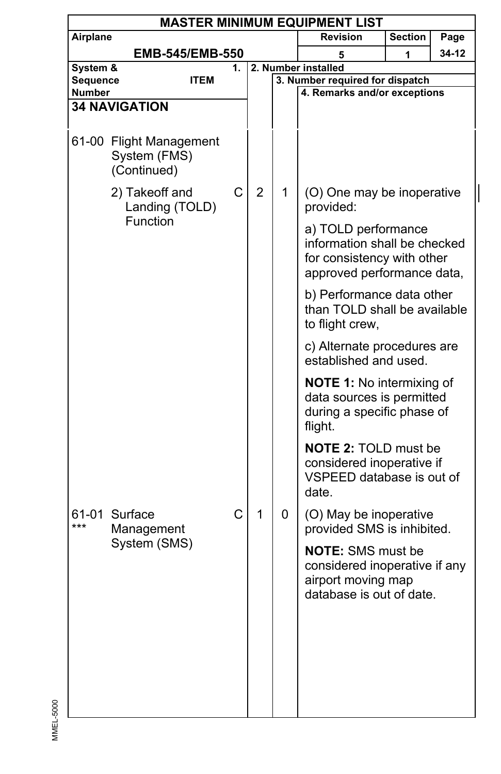| <b>MASTER MINIMUM EQUIPMENT LIST</b> |                                                                                |                                                                                                                             |                |   |                                                                                                             |                |       |  |  |  |  |
|--------------------------------------|--------------------------------------------------------------------------------|-----------------------------------------------------------------------------------------------------------------------------|----------------|---|-------------------------------------------------------------------------------------------------------------|----------------|-------|--|--|--|--|
| Airplane                             |                                                                                |                                                                                                                             |                |   | <b>Revision</b>                                                                                             | <b>Section</b> | Page  |  |  |  |  |
|                                      | <b>EMB-545/EMB-550</b>                                                         |                                                                                                                             |                |   | 5                                                                                                           | 1              | 34-12 |  |  |  |  |
| System &<br>Sequence<br>Number       | <b>ITEM</b>                                                                    | 1.                                                                                                                          |                |   | 2. Number installed<br>3. Number required for dispatch<br>4. Remarks and/or exceptions                      |                |       |  |  |  |  |
|                                      | <b>34 NAVIGATION</b><br>61-00 Flight Management<br>System (FMS)<br>(Continued) |                                                                                                                             |                |   |                                                                                                             |                |       |  |  |  |  |
|                                      | 2) Takeoff and<br>Landing (TOLD)                                               | C                                                                                                                           | $\overline{2}$ | 1 | (O) One may be inoperative<br>provided:                                                                     |                |       |  |  |  |  |
|                                      |                                                                                | Function<br>a) TOLD performance<br>information shall be checked<br>for consistency with other<br>approved performance data, |                |   |                                                                                                             |                |       |  |  |  |  |
|                                      |                                                                                |                                                                                                                             |                |   | b) Performance data other<br>than TOLD shall be available<br>to flight crew,                                |                |       |  |  |  |  |
|                                      |                                                                                |                                                                                                                             |                |   | c) Alternate procedures are<br>established and used.                                                        |                |       |  |  |  |  |
|                                      |                                                                                |                                                                                                                             |                |   | <b>NOTE 1: No intermixing of</b><br>data sources is permitted<br>during a specific phase of<br>flight.      |                |       |  |  |  |  |
|                                      |                                                                                |                                                                                                                             |                |   | <b>NOTE 2: TOLD must be</b><br>considered inoperative if<br>VSPEED database is out of<br>date.              |                |       |  |  |  |  |
| $***$                                | 61-01 Surface<br>Management                                                    | C                                                                                                                           | $\mathbf{1}$   | 0 | (O) May be inoperative<br>provided SMS is inhibited.                                                        |                |       |  |  |  |  |
|                                      | System (SMS)                                                                   |                                                                                                                             |                |   | <b>NOTE:</b> SMS must be<br>considered inoperative if any<br>airport moving map<br>database is out of date. |                |       |  |  |  |  |
|                                      |                                                                                |                                                                                                                             |                |   |                                                                                                             |                |       |  |  |  |  |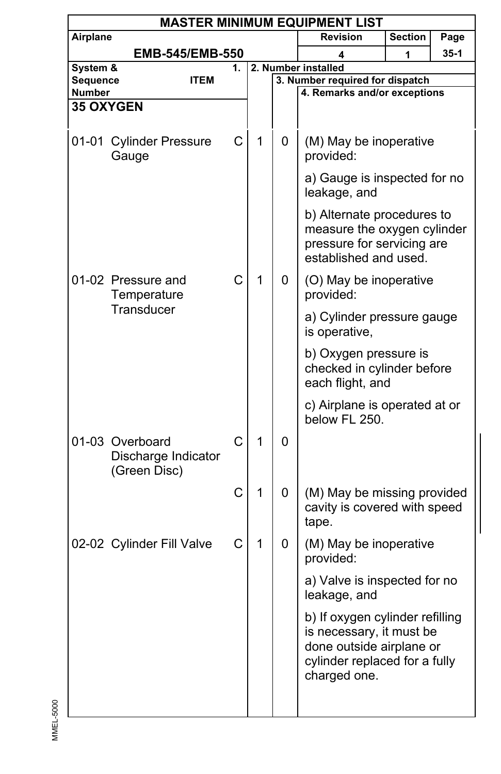|                    | <b>MASTER MINIMUM EQUIPMENT LIST</b>                   |    |   |   |                                                                                                                                          |                |        |  |  |  |
|--------------------|--------------------------------------------------------|----|---|---|------------------------------------------------------------------------------------------------------------------------------------------|----------------|--------|--|--|--|
| Airplane           |                                                        |    |   |   | <b>Revision</b>                                                                                                                          | <b>Section</b> | Page   |  |  |  |
|                    | <b>EMB-545/EMB-550</b>                                 |    |   |   | 4                                                                                                                                        | 1              | $35-1$ |  |  |  |
| System &           |                                                        | 1. |   |   | 2. Number installed                                                                                                                      |                |        |  |  |  |
| Sequence<br>Number | <b>ITEM</b>                                            |    |   |   | 3. Number required for dispatch<br>4. Remarks and/or exceptions                                                                          |                |        |  |  |  |
|                    | <b>35 OXYGEN</b>                                       |    |   |   |                                                                                                                                          |                |        |  |  |  |
|                    |                                                        |    |   |   |                                                                                                                                          |                |        |  |  |  |
|                    | 01-01 Cylinder Pressure<br>Gauge                       | С  | 1 | 0 | (M) May be inoperative<br>provided:                                                                                                      |                |        |  |  |  |
|                    |                                                        |    |   |   | a) Gauge is inspected for no<br>leakage, and                                                                                             |                |        |  |  |  |
|                    |                                                        |    |   |   | b) Alternate procedures to<br>measure the oxygen cylinder<br>pressure for servicing are<br>established and used.                         |                |        |  |  |  |
|                    | 01-02 Pressure and<br>Temperature                      | C  | 1 | 0 | (O) May be inoperative<br>provided:                                                                                                      |                |        |  |  |  |
|                    | Transducer                                             |    |   |   | a) Cylinder pressure gauge<br>is operative,                                                                                              |                |        |  |  |  |
|                    |                                                        |    |   |   | b) Oxygen pressure is<br>checked in cylinder before<br>each flight, and                                                                  |                |        |  |  |  |
|                    |                                                        |    |   |   | c) Airplane is operated at or<br>below FL 250.                                                                                           |                |        |  |  |  |
|                    | 01-03 Overboard<br>Discharge Indicator<br>(Green Disc) | C  | 1 | 0 |                                                                                                                                          |                |        |  |  |  |
|                    |                                                        | C  | 1 | 0 | (M) May be missing provided<br>cavity is covered with speed<br>tape.                                                                     |                |        |  |  |  |
|                    | 02-02 Cylinder Fill Valve                              | C  | 1 | 0 | (M) May be inoperative<br>provided:                                                                                                      |                |        |  |  |  |
|                    |                                                        |    |   |   | a) Valve is inspected for no<br>leakage, and                                                                                             |                |        |  |  |  |
|                    |                                                        |    |   |   | b) If oxygen cylinder refilling<br>is necessary, it must be<br>done outside airplane or<br>cylinder replaced for a fully<br>charged one. |                |        |  |  |  |
|                    |                                                        |    |   |   |                                                                                                                                          |                |        |  |  |  |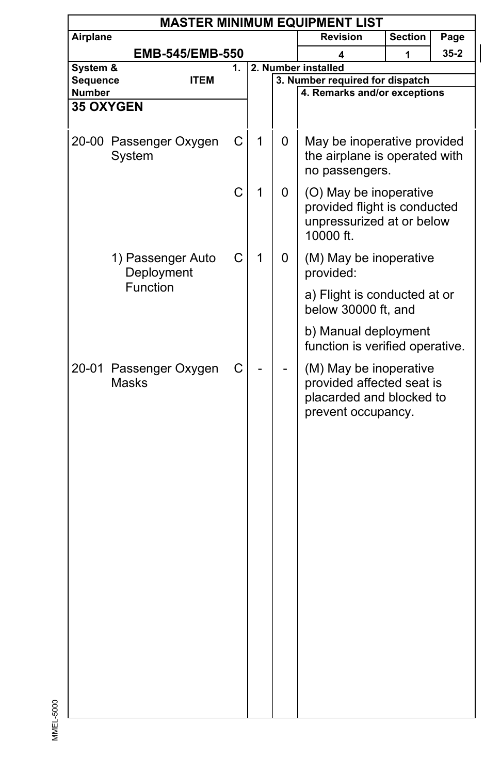|                           | <b>MASTER MINIMUM EQUIPMENT LIST</b> |                                  |    |   |   |                                                                                                       |                |      |  |  |  |
|---------------------------|--------------------------------------|----------------------------------|----|---|---|-------------------------------------------------------------------------------------------------------|----------------|------|--|--|--|
| Airplane                  |                                      |                                  |    |   |   | <b>Revision</b>                                                                                       | <b>Section</b> | Page |  |  |  |
|                           |                                      | EMB-545/EMB-550                  |    |   |   | $35 - 2$<br>1<br>4                                                                                    |                |      |  |  |  |
| System &                  |                                      |                                  | 1. |   |   | 2. Number installed                                                                                   |                |      |  |  |  |
| Sequence<br><b>Number</b> |                                      | <b>ITEM</b>                      |    |   |   | 3. Number required for dispatch<br>4. Remarks and/or exceptions                                       |                |      |  |  |  |
| <b>35 OXYGEN</b>          |                                      |                                  |    |   |   |                                                                                                       |                |      |  |  |  |
|                           |                                      |                                  |    |   |   |                                                                                                       |                |      |  |  |  |
|                           |                                      | 20-00 Passenger Oxygen<br>System | С  | 1 | 0 | May be inoperative provided<br>the airplane is operated with<br>no passengers.                        |                |      |  |  |  |
|                           |                                      |                                  | C  | 1 | 0 | (O) May be inoperative<br>provided flight is conducted<br>unpressurized at or below<br>10000 ft.      |                |      |  |  |  |
|                           |                                      | 1) Passenger Auto<br>Deployment  | С  | 1 | 0 | (M) May be inoperative<br>provided:                                                                   |                |      |  |  |  |
| Function                  |                                      |                                  |    |   |   | a) Flight is conducted at or<br>below 30000 ft, and                                                   |                |      |  |  |  |
|                           |                                      |                                  |    |   |   | b) Manual deployment<br>function is verified operative.                                               |                |      |  |  |  |
| 20-01                     | Masks                                | Passenger Oxygen                 | С  |   |   | (M) May be inoperative<br>provided affected seat is<br>placarded and blocked to<br>prevent occupancy. |                |      |  |  |  |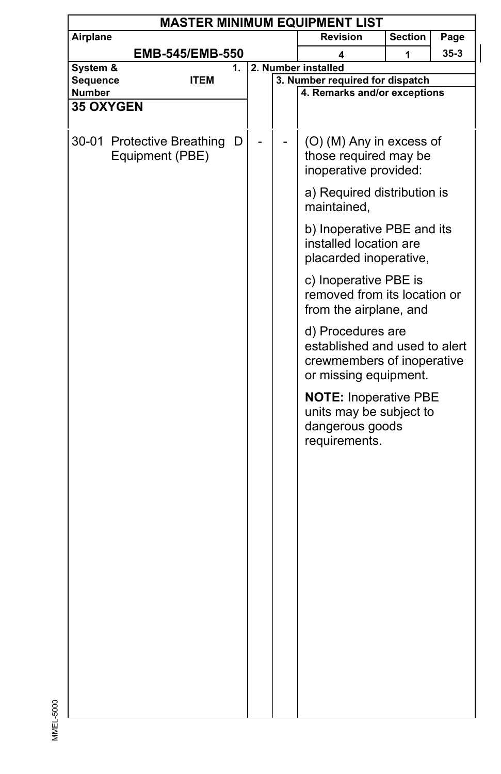| <b>MASTER MINIMUM EQUIPMENT LIST</b> |                                               |    |  |  |                                                                                                           |                |          |  |  |  |
|--------------------------------------|-----------------------------------------------|----|--|--|-----------------------------------------------------------------------------------------------------------|----------------|----------|--|--|--|
| Airplane                             |                                               |    |  |  | <b>Revision</b>                                                                                           | <b>Section</b> | Page     |  |  |  |
|                                      | <b>EMB-545/EMB-550</b>                        |    |  |  | 4                                                                                                         | 1              | $35 - 3$ |  |  |  |
| System &                             |                                               | 1. |  |  | 2. Number installed                                                                                       |                |          |  |  |  |
| Sequence                             | <b>ITEM</b>                                   |    |  |  | 3. Number required for dispatch                                                                           |                |          |  |  |  |
| <b>Number</b>                        |                                               |    |  |  | 4. Remarks and/or exceptions                                                                              |                |          |  |  |  |
|                                      | <b>35 OXYGEN</b>                              |    |  |  |                                                                                                           |                |          |  |  |  |
|                                      | 30-01 Protective Breathing<br>Equipment (PBE) | D  |  |  | (O) (M) Any in excess of<br>those required may be<br>inoperative provided:                                |                |          |  |  |  |
|                                      |                                               |    |  |  | a) Required distribution is<br>maintained,                                                                |                |          |  |  |  |
|                                      |                                               |    |  |  | b) Inoperative PBE and its<br>installed location are<br>placarded inoperative,                            |                |          |  |  |  |
|                                      |                                               |    |  |  | c) Inoperative PBE is<br>removed from its location or<br>from the airplane, and                           |                |          |  |  |  |
|                                      |                                               |    |  |  | d) Procedures are<br>established and used to alert<br>crewmembers of inoperative<br>or missing equipment. |                |          |  |  |  |
|                                      |                                               |    |  |  | <b>NOTE: Inoperative PBE</b><br>units may be subject to<br>dangerous goods<br>requirements.               |                |          |  |  |  |
|                                      |                                               |    |  |  |                                                                                                           |                |          |  |  |  |
|                                      |                                               |    |  |  |                                                                                                           |                |          |  |  |  |
|                                      |                                               |    |  |  |                                                                                                           |                |          |  |  |  |
|                                      |                                               |    |  |  |                                                                                                           |                |          |  |  |  |
|                                      |                                               |    |  |  |                                                                                                           |                |          |  |  |  |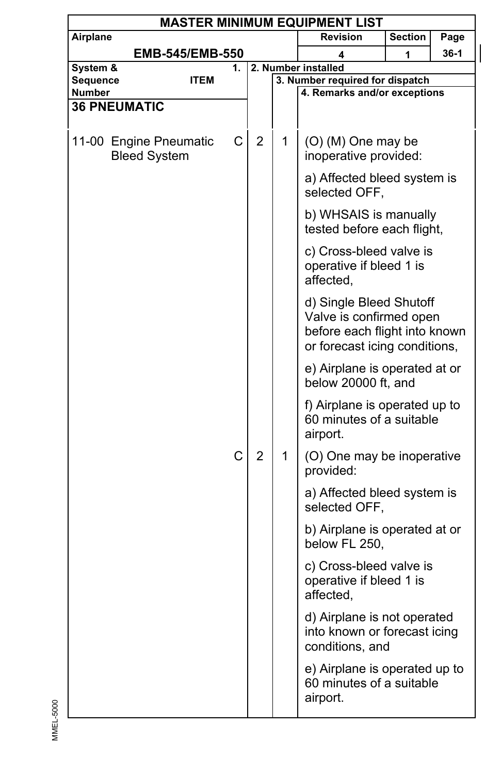| <b>MASTER MINIMUM EQUIPMENT LIST</b> |                        |    |                |                     |                                                                                                                      |                |      |  |  |  |
|--------------------------------------|------------------------|----|----------------|---------------------|----------------------------------------------------------------------------------------------------------------------|----------------|------|--|--|--|
| Airplane                             |                        |    |                |                     | <b>Revision</b>                                                                                                      | <b>Section</b> | Page |  |  |  |
|                                      | <b>EMB-545/EMB-550</b> |    |                |                     | 36-1<br>1<br>4                                                                                                       |                |      |  |  |  |
| System &                             |                        | 1. |                | 2. Number installed |                                                                                                                      |                |      |  |  |  |
| Sequence<br>Number                   | <b>ITEM</b>            |    |                |                     | 3. Number required for dispatch<br>4. Remarks and/or exceptions                                                      |                |      |  |  |  |
| <b>36 PNEUMATIC</b>                  |                        |    |                |                     |                                                                                                                      |                |      |  |  |  |
|                                      |                        |    |                |                     |                                                                                                                      |                |      |  |  |  |
| 11-00 Engine Pneumatic               | <b>Bleed System</b>    | С  | $\overline{2}$ | 1                   | (O) (M) One may be<br>inoperative provided:                                                                          |                |      |  |  |  |
|                                      |                        |    |                |                     | a) Affected bleed system is<br>selected OFF,                                                                         |                |      |  |  |  |
|                                      |                        |    |                |                     | b) WHSAIS is manually<br>tested before each flight,                                                                  |                |      |  |  |  |
|                                      |                        |    |                |                     | c) Cross-bleed valve is<br>operative if bleed 1 is<br>affected.                                                      |                |      |  |  |  |
|                                      |                        |    |                |                     | d) Single Bleed Shutoff<br>Valve is confirmed open<br>before each flight into known<br>or forecast icing conditions, |                |      |  |  |  |
|                                      |                        |    |                |                     | e) Airplane is operated at or<br>below 20000 ft, and                                                                 |                |      |  |  |  |
|                                      |                        |    |                |                     | f) Airplane is operated up to<br>60 minutes of a suitable<br>airport.                                                |                |      |  |  |  |
|                                      |                        | C  | $\overline{2}$ | 1                   | (O) One may be inoperative<br>provided:                                                                              |                |      |  |  |  |
|                                      |                        |    |                |                     | a) Affected bleed system is<br>selected OFF,                                                                         |                |      |  |  |  |
|                                      |                        |    |                |                     | b) Airplane is operated at or<br>below FL 250,                                                                       |                |      |  |  |  |
|                                      |                        |    |                |                     | c) Cross-bleed valve is<br>operative if bleed 1 is<br>affected,                                                      |                |      |  |  |  |
|                                      |                        |    |                |                     | d) Airplane is not operated<br>into known or forecast icing<br>conditions, and                                       |                |      |  |  |  |
|                                      |                        |    |                |                     | e) Airplane is operated up to<br>60 minutes of a suitable<br>airport.                                                |                |      |  |  |  |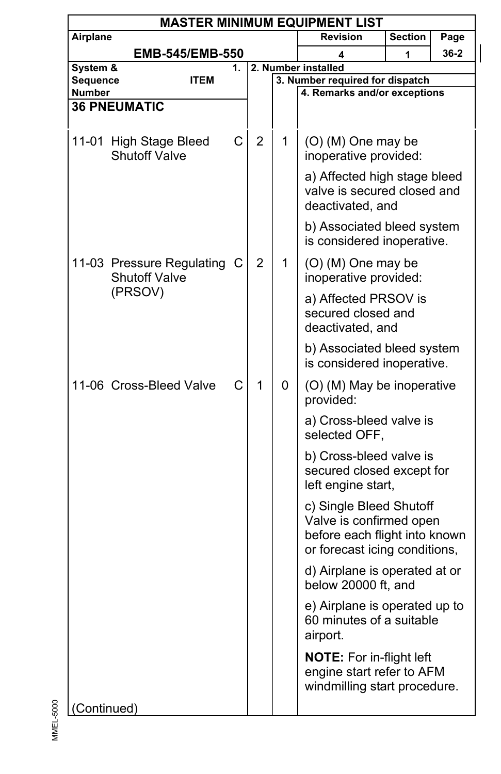|                                                   |                                                |    |                |                                                                |                                                                                                                      | <b>MASTER MINIMUM EQUIPMENT LIST</b> |      |  |  |  |  |  |  |  |  |
|---------------------------------------------------|------------------------------------------------|----|----------------|----------------------------------------------------------------|----------------------------------------------------------------------------------------------------------------------|--------------------------------------|------|--|--|--|--|--|--|--|--|
| Airplane                                          |                                                |    |                |                                                                | <b>Revision</b>                                                                                                      | <b>Section</b>                       | Page |  |  |  |  |  |  |  |  |
|                                                   | <b>EMB-545/EMB-550</b>                         |    |                |                                                                | 4                                                                                                                    | 1                                    | 36-2 |  |  |  |  |  |  |  |  |
| System &                                          |                                                | 1. |                |                                                                | 2. Number installed                                                                                                  |                                      |      |  |  |  |  |  |  |  |  |
| Sequence<br>Number                                | <b>ITEM</b>                                    |    |                |                                                                | 3. Number required for dispatch<br>4. Remarks and/or exceptions                                                      |                                      |      |  |  |  |  |  |  |  |  |
|                                                   | <b>36 PNEUMATIC</b>                            |    |                |                                                                |                                                                                                                      |                                      |      |  |  |  |  |  |  |  |  |
|                                                   |                                                |    |                |                                                                |                                                                                                                      |                                      |      |  |  |  |  |  |  |  |  |
|                                                   | 11-01 High Stage Bleed<br><b>Shutoff Valve</b> | С  | 2              | 1                                                              | (O) (M) One may be<br>inoperative provided:                                                                          |                                      |      |  |  |  |  |  |  |  |  |
|                                                   |                                                |    |                |                                                                | a) Affected high stage bleed<br>valve is secured closed and<br>deactivated, and                                      |                                      |      |  |  |  |  |  |  |  |  |
|                                                   |                                                |    |                |                                                                | b) Associated bleed system<br>is considered inoperative.                                                             |                                      |      |  |  |  |  |  |  |  |  |
| 11-03 Pressure Regulating<br><b>Shutoff Valve</b> |                                                | C  | $\overline{2}$ | $\mathbf 1$                                                    | (O) (M) One may be<br>inoperative provided:                                                                          |                                      |      |  |  |  |  |  |  |  |  |
| (PRSOV)                                           |                                                |    |                | a) Affected PRSOV is<br>secured closed and<br>deactivated, and |                                                                                                                      |                                      |      |  |  |  |  |  |  |  |  |
|                                                   |                                                |    |                |                                                                | b) Associated bleed system<br>is considered inoperative.                                                             |                                      |      |  |  |  |  |  |  |  |  |
|                                                   | 11-06 Cross-Bleed Valve                        | С  | 1              | 0                                                              | (O) (M) May be inoperative<br>provided:                                                                              |                                      |      |  |  |  |  |  |  |  |  |
|                                                   |                                                |    |                |                                                                | a) Cross-bleed valve is<br>selected OFF,                                                                             |                                      |      |  |  |  |  |  |  |  |  |
|                                                   |                                                |    |                |                                                                | b) Cross-bleed valve is<br>secured closed except for<br>left engine start,                                           |                                      |      |  |  |  |  |  |  |  |  |
|                                                   |                                                |    |                |                                                                | c) Single Bleed Shutoff<br>Valve is confirmed open<br>before each flight into known<br>or forecast icing conditions, |                                      |      |  |  |  |  |  |  |  |  |
|                                                   |                                                |    |                |                                                                | d) Airplane is operated at or<br>below 20000 ft, and                                                                 |                                      |      |  |  |  |  |  |  |  |  |
|                                                   |                                                |    |                |                                                                | e) Airplane is operated up to<br>60 minutes of a suitable<br>airport.                                                |                                      |      |  |  |  |  |  |  |  |  |
|                                                   |                                                |    |                |                                                                | <b>NOTE:</b> For in-flight left<br>engine start refer to AFM<br>windmilling start procedure.                         |                                      |      |  |  |  |  |  |  |  |  |
| (Continued)                                       |                                                |    |                |                                                                |                                                                                                                      |                                      |      |  |  |  |  |  |  |  |  |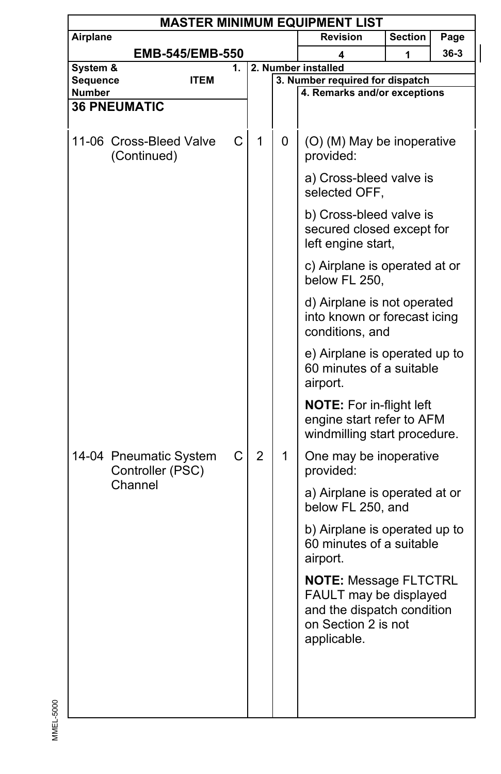| <b>MASTER MINIMUM EQUIPMENT LIST</b> |                                            |    |                |             |                                                                                                                            |                            |          |  |  |  |
|--------------------------------------|--------------------------------------------|----|----------------|-------------|----------------------------------------------------------------------------------------------------------------------------|----------------------------|----------|--|--|--|
| Airplane                             |                                            |    |                |             | <b>Revision</b>                                                                                                            | <b>Section</b>             | Page     |  |  |  |
|                                      | <b>EMB-545/EMB-550</b>                     |    |                |             | 4                                                                                                                          | 1                          | $36 - 3$ |  |  |  |
| System &                             |                                            | 1. |                |             | 2. Number installed                                                                                                        |                            |          |  |  |  |
| Sequence<br>Number                   | <b>ITEM</b>                                |    |                |             | 3. Number required for dispatch<br>4. Remarks and/or exceptions                                                            |                            |          |  |  |  |
|                                      | <b>36 PNEUMATIC</b>                        |    |                |             |                                                                                                                            |                            |          |  |  |  |
|                                      |                                            |    |                |             |                                                                                                                            |                            |          |  |  |  |
|                                      | 11-06 Cross-Bleed Valve<br>(Continued)     | С  | 1              | 0           | provided:                                                                                                                  | (O) (M) May be inoperative |          |  |  |  |
|                                      |                                            |    |                |             | a) Cross-bleed valve is<br>selected OFF,                                                                                   |                            |          |  |  |  |
|                                      |                                            |    |                |             | b) Cross-bleed valve is<br>secured closed except for<br>left engine start,                                                 |                            |          |  |  |  |
|                                      |                                            |    |                |             | c) Airplane is operated at or<br>below FL 250,                                                                             |                            |          |  |  |  |
|                                      |                                            |    |                |             | d) Airplane is not operated<br>into known or forecast icing<br>conditions, and                                             |                            |          |  |  |  |
|                                      |                                            |    |                |             | e) Airplane is operated up to<br>60 minutes of a suitable<br>airport.                                                      |                            |          |  |  |  |
|                                      |                                            |    |                |             | <b>NOTE:</b> For in-flight left<br>engine start refer to AFM<br>windmilling start procedure.                               |                            |          |  |  |  |
|                                      | 14-04 Pneumatic System<br>Controller (PSC) | С  | $\overline{2}$ | $\mathbf 1$ | One may be inoperative<br>provided:                                                                                        |                            |          |  |  |  |
|                                      | Channel                                    |    |                |             | a) Airplane is operated at or<br>below FL 250, and                                                                         |                            |          |  |  |  |
|                                      |                                            |    |                |             | b) Airplane is operated up to<br>60 minutes of a suitable<br>airport.                                                      |                            |          |  |  |  |
|                                      |                                            |    |                |             | <b>NOTE: Message FLTCTRL</b><br>FAULT may be displayed<br>and the dispatch condition<br>on Section 2 is not<br>applicable. |                            |          |  |  |  |
|                                      |                                            |    |                |             |                                                                                                                            |                            |          |  |  |  |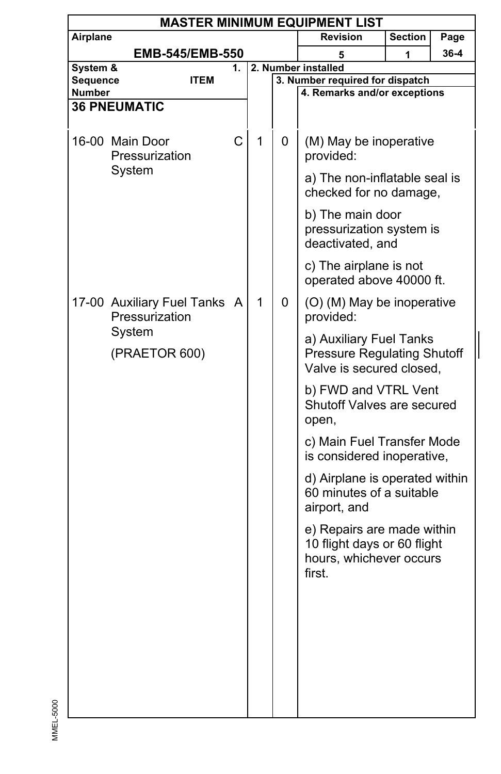|                    | <b>MASTER MINIMUM EQUIPMENT LIST</b>           |    |   |   |                                                                                                |                |      |  |  |
|--------------------|------------------------------------------------|----|---|---|------------------------------------------------------------------------------------------------|----------------|------|--|--|
| Airplane           |                                                |    |   |   | <b>Revision</b>                                                                                | <b>Section</b> | Page |  |  |
|                    | <b>EMB-545/EMB-550</b>                         |    |   |   | 5                                                                                              | 1              | 36-4 |  |  |
| System &           |                                                | 1. |   |   | 2. Number installed                                                                            |                |      |  |  |
| Sequence<br>Number | <b>ITEM</b>                                    |    |   |   | 3. Number required for dispatch<br>4. Remarks and/or exceptions                                |                |      |  |  |
|                    | <b>36 PNEUMATIC</b>                            |    |   |   |                                                                                                |                |      |  |  |
|                    |                                                |    |   |   |                                                                                                |                |      |  |  |
|                    | 16-00 Main Door<br>Pressurization              | C  | 1 | 0 | (M) May be inoperative<br>provided:                                                            |                |      |  |  |
|                    | System                                         |    |   |   | a) The non-inflatable seal is<br>checked for no damage,                                        |                |      |  |  |
|                    |                                                |    |   |   | b) The main door<br>pressurization system is<br>deactivated, and                               |                |      |  |  |
|                    |                                                |    |   |   | c) The airplane is not<br>operated above 40000 ft.                                             |                |      |  |  |
|                    | 17-00 Auxiliary Fuel Tanks A<br>Pressurization |    | 1 | 0 | (O) (M) May be inoperative<br>provided:                                                        |                |      |  |  |
|                    | System<br>(PRAETOR 600)                        |    |   |   | a) Auxiliary Fuel Tanks<br><b>Pressure Regulating Shutoff</b><br>Valve is secured closed,      |                |      |  |  |
|                    |                                                |    |   |   | b) FWD and VTRL Vent<br>Shutoff Valves are secured<br>open,                                    |                |      |  |  |
|                    |                                                |    |   |   | c) Main Fuel Transfer Mode<br>is considered inoperative,                                       |                |      |  |  |
|                    |                                                |    |   |   | d) Airplane is operated within<br>60 minutes of a suitable<br>airport, and                     |                |      |  |  |
|                    |                                                |    |   |   | e) Repairs are made within<br>10 flight days or 60 flight<br>hours, whichever occurs<br>first. |                |      |  |  |
|                    |                                                |    |   |   |                                                                                                |                |      |  |  |
|                    |                                                |    |   |   |                                                                                                |                |      |  |  |
|                    |                                                |    |   |   |                                                                                                |                |      |  |  |
|                    |                                                |    |   |   |                                                                                                |                |      |  |  |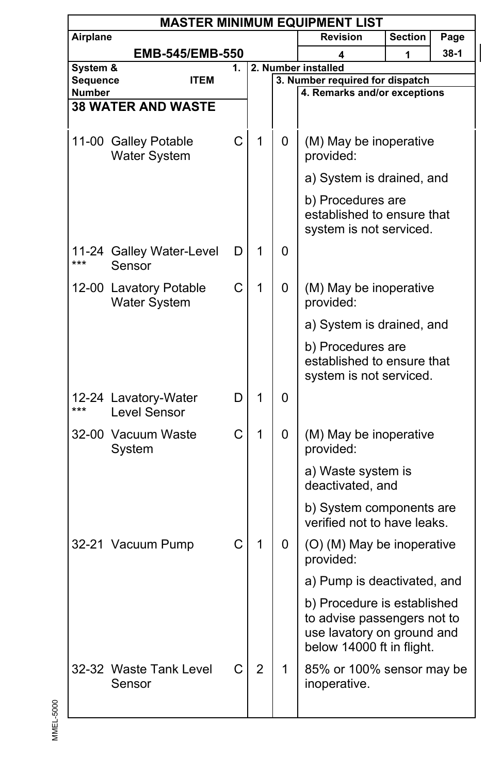| <b>MASTER MINIMUM EQUIPMENT LIST</b>          |                                                      |                 |   |                                                 |                     |                                                                                                                                                                                                                                                                                                                                                                                                                                                                                                                                                                                                                                          |  |  |  |  |
|-----------------------------------------------|------------------------------------------------------|-----------------|---|-------------------------------------------------|---------------------|------------------------------------------------------------------------------------------------------------------------------------------------------------------------------------------------------------------------------------------------------------------------------------------------------------------------------------------------------------------------------------------------------------------------------------------------------------------------------------------------------------------------------------------------------------------------------------------------------------------------------------------|--|--|--|--|
| Airplane                                      |                                                      |                 |   | <b>Revision</b>                                 | <b>Section</b>      | Page                                                                                                                                                                                                                                                                                                                                                                                                                                                                                                                                                                                                                                     |  |  |  |  |
|                                               |                                                      |                 |   | 4                                               | 1                   | $38-1$                                                                                                                                                                                                                                                                                                                                                                                                                                                                                                                                                                                                                                   |  |  |  |  |
| System &                                      | 1.                                                   |                 |   |                                                 |                     |                                                                                                                                                                                                                                                                                                                                                                                                                                                                                                                                                                                                                                          |  |  |  |  |
|                                               |                                                      |                 |   |                                                 |                     |                                                                                                                                                                                                                                                                                                                                                                                                                                                                                                                                                                                                                                          |  |  |  |  |
|                                               |                                                      |                 |   |                                                 |                     |                                                                                                                                                                                                                                                                                                                                                                                                                                                                                                                                                                                                                                          |  |  |  |  |
|                                               |                                                      |                 |   |                                                 |                     |                                                                                                                                                                                                                                                                                                                                                                                                                                                                                                                                                                                                                                          |  |  |  |  |
| 11-00 Galley Potable<br><b>Water System</b>   | C                                                    | 1               | 0 | provided:                                       |                     |                                                                                                                                                                                                                                                                                                                                                                                                                                                                                                                                                                                                                                          |  |  |  |  |
|                                               |                                                      |                 |   |                                                 |                     |                                                                                                                                                                                                                                                                                                                                                                                                                                                                                                                                                                                                                                          |  |  |  |  |
|                                               |                                                      |                 |   | b) Procedures are<br>established to ensure that |                     |                                                                                                                                                                                                                                                                                                                                                                                                                                                                                                                                                                                                                                          |  |  |  |  |
| 11-24 Galley Water-Level<br>Sensor            | D                                                    | 1               | 0 |                                                 |                     |                                                                                                                                                                                                                                                                                                                                                                                                                                                                                                                                                                                                                                          |  |  |  |  |
| 12-00 Lavatory Potable<br><b>Water System</b> | С                                                    | 1               | 0 | provided:                                       |                     |                                                                                                                                                                                                                                                                                                                                                                                                                                                                                                                                                                                                                                          |  |  |  |  |
|                                               |                                                      |                 |   |                                                 |                     |                                                                                                                                                                                                                                                                                                                                                                                                                                                                                                                                                                                                                                          |  |  |  |  |
|                                               |                                                      |                 |   |                                                 |                     |                                                                                                                                                                                                                                                                                                                                                                                                                                                                                                                                                                                                                                          |  |  |  |  |
| 12-24 Lavatory-Water<br><b>Level Sensor</b>   | D                                                    | 1               | 0 |                                                 |                     |                                                                                                                                                                                                                                                                                                                                                                                                                                                                                                                                                                                                                                          |  |  |  |  |
| 32-00 Vacuum Waste<br>System                  | C                                                    | 1               | 0 | provided:                                       |                     |                                                                                                                                                                                                                                                                                                                                                                                                                                                                                                                                                                                                                                          |  |  |  |  |
|                                               |                                                      |                 |   |                                                 |                     |                                                                                                                                                                                                                                                                                                                                                                                                                                                                                                                                                                                                                                          |  |  |  |  |
|                                               |                                                      |                 |   |                                                 |                     |                                                                                                                                                                                                                                                                                                                                                                                                                                                                                                                                                                                                                                          |  |  |  |  |
| 32-21 Vacuum Pump                             | C                                                    | 1               | 0 | provided:                                       |                     |                                                                                                                                                                                                                                                                                                                                                                                                                                                                                                                                                                                                                                          |  |  |  |  |
|                                               |                                                      |                 |   |                                                 |                     |                                                                                                                                                                                                                                                                                                                                                                                                                                                                                                                                                                                                                                          |  |  |  |  |
|                                               |                                                      |                 |   |                                                 |                     |                                                                                                                                                                                                                                                                                                                                                                                                                                                                                                                                                                                                                                          |  |  |  |  |
| 32-32 Waste Tank Level<br>Sensor              | C                                                    | $\overline{2}$  | 1 | inoperative.                                    |                     |                                                                                                                                                                                                                                                                                                                                                                                                                                                                                                                                                                                                                                          |  |  |  |  |
| Number                                        | Sequence<br><b>ITEM</b><br><b>38 WATER AND WASTE</b> | EMB-545/EMB-550 |   |                                                 | 2. Number installed | 3. Number required for dispatch<br>4. Remarks and/or exceptions<br>(M) May be inoperative<br>a) System is drained, and<br>system is not serviced.<br>(M) May be inoperative<br>a) System is drained, and<br>b) Procedures are<br>established to ensure that<br>system is not serviced.<br>(M) May be inoperative<br>a) Waste system is<br>deactivated, and<br>b) System components are<br>verified not to have leaks.<br>(O) (M) May be inoperative<br>a) Pump is deactivated, and<br>b) Procedure is established<br>to advise passengers not to<br>use lavatory on ground and<br>below 14000 ft in flight.<br>85% or 100% sensor may be |  |  |  |  |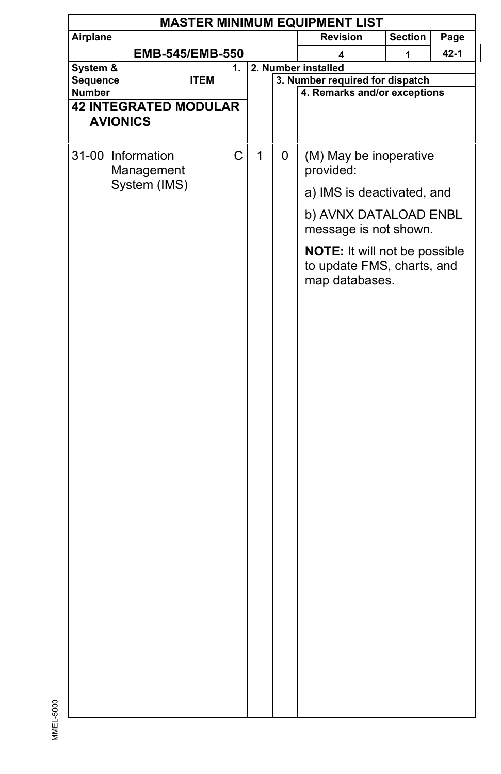| <b>MASTER MINIMUM EQUIPMENT LIST</b> |                              |             |   |                              |                                                                                      |                |          |  |  |
|--------------------------------------|------------------------------|-------------|---|------------------------------|--------------------------------------------------------------------------------------|----------------|----------|--|--|
| Airplane                             |                              |             |   |                              | <b>Revision</b>                                                                      | <b>Section</b> | Page     |  |  |
|                                      | EMB-545/EMB-550              |             |   |                              | 4                                                                                    | 1              | $42 - 1$ |  |  |
| System &                             |                              | 1.          |   |                              | 2. Number installed                                                                  |                |          |  |  |
| Sequence                             | <b>ITEM</b>                  |             |   |                              | 3. Number required for dispatch                                                      |                |          |  |  |
| Number                               |                              |             |   | 4. Remarks and/or exceptions |                                                                                      |                |          |  |  |
|                                      | <b>42 INTEGRATED MODULAR</b> |             |   |                              |                                                                                      |                |          |  |  |
|                                      | <b>AVIONICS</b>              |             |   |                              |                                                                                      |                |          |  |  |
|                                      |                              |             |   |                              |                                                                                      |                |          |  |  |
|                                      | 31-00 Information            | $\mathsf C$ | 1 | 0                            | (M) May be inoperative                                                               |                |          |  |  |
|                                      | Management                   |             |   |                              | provided:                                                                            |                |          |  |  |
|                                      | System (IMS)                 |             |   |                              | a) IMS is deactivated, and                                                           |                |          |  |  |
|                                      |                              |             |   |                              | b) AVNX DATALOAD ENBL                                                                |                |          |  |  |
|                                      |                              |             |   |                              | message is not shown.                                                                |                |          |  |  |
|                                      |                              |             |   |                              | <b>NOTE:</b> It will not be possible<br>to update FMS, charts, and<br>map databases. |                |          |  |  |
|                                      |                              |             |   |                              |                                                                                      |                |          |  |  |
|                                      |                              |             |   |                              |                                                                                      |                |          |  |  |
|                                      |                              |             |   |                              |                                                                                      |                |          |  |  |
|                                      |                              |             |   |                              |                                                                                      |                |          |  |  |
|                                      |                              |             |   |                              |                                                                                      |                |          |  |  |
|                                      |                              |             |   |                              |                                                                                      |                |          |  |  |
|                                      |                              |             |   |                              |                                                                                      |                |          |  |  |
|                                      |                              |             |   |                              |                                                                                      |                |          |  |  |
|                                      |                              |             |   |                              |                                                                                      |                |          |  |  |
|                                      |                              |             |   |                              |                                                                                      |                |          |  |  |
|                                      |                              |             |   |                              |                                                                                      |                |          |  |  |
|                                      |                              |             |   |                              |                                                                                      |                |          |  |  |
|                                      |                              |             |   |                              |                                                                                      |                |          |  |  |
|                                      |                              |             |   |                              |                                                                                      |                |          |  |  |
|                                      |                              |             |   |                              |                                                                                      |                |          |  |  |
|                                      |                              |             |   |                              |                                                                                      |                |          |  |  |
|                                      |                              |             |   |                              |                                                                                      |                |          |  |  |
|                                      |                              |             |   |                              |                                                                                      |                |          |  |  |
|                                      |                              |             |   |                              |                                                                                      |                |          |  |  |
|                                      |                              |             |   |                              |                                                                                      |                |          |  |  |
|                                      |                              |             |   |                              |                                                                                      |                |          |  |  |
|                                      |                              |             |   |                              |                                                                                      |                |          |  |  |
|                                      |                              |             |   |                              |                                                                                      |                |          |  |  |
|                                      |                              |             |   |                              |                                                                                      |                |          |  |  |
|                                      |                              |             |   |                              |                                                                                      |                |          |  |  |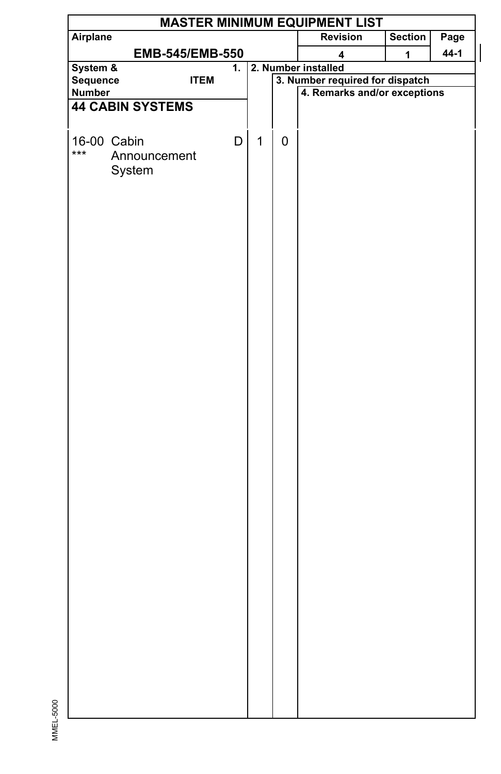| <b>MASTER MINIMUM EQUIPMENT LIST</b>                       |                |      |  |  |  |  |  |  |  |  |  |
|------------------------------------------------------------|----------------|------|--|--|--|--|--|--|--|--|--|
| Airplane<br><b>Revision</b>                                | <b>Section</b> | Page |  |  |  |  |  |  |  |  |  |
| EMB-545/EMB-550<br>4                                       | 1              | 44-1 |  |  |  |  |  |  |  |  |  |
| System &<br>2. Number installed<br>1.                      |                |      |  |  |  |  |  |  |  |  |  |
| Sequence<br><b>ITEM</b><br>3. Number required for dispatch |                |      |  |  |  |  |  |  |  |  |  |
| 4. Remarks and/or exceptions<br><b>Number</b>              |                |      |  |  |  |  |  |  |  |  |  |
| <b>44 CABIN SYSTEMS</b>                                    |                |      |  |  |  |  |  |  |  |  |  |
|                                                            |                |      |  |  |  |  |  |  |  |  |  |
| 16-00 Cabin<br>$\mathbf 1$<br>0<br>D                       |                |      |  |  |  |  |  |  |  |  |  |
| $***$<br>Announcement                                      |                |      |  |  |  |  |  |  |  |  |  |
| System                                                     |                |      |  |  |  |  |  |  |  |  |  |
|                                                            |                |      |  |  |  |  |  |  |  |  |  |
|                                                            |                |      |  |  |  |  |  |  |  |  |  |
|                                                            |                |      |  |  |  |  |  |  |  |  |  |
|                                                            |                |      |  |  |  |  |  |  |  |  |  |
|                                                            |                |      |  |  |  |  |  |  |  |  |  |
|                                                            |                |      |  |  |  |  |  |  |  |  |  |
|                                                            |                |      |  |  |  |  |  |  |  |  |  |
|                                                            |                |      |  |  |  |  |  |  |  |  |  |
|                                                            |                |      |  |  |  |  |  |  |  |  |  |
|                                                            |                |      |  |  |  |  |  |  |  |  |  |
|                                                            |                |      |  |  |  |  |  |  |  |  |  |
|                                                            |                |      |  |  |  |  |  |  |  |  |  |
|                                                            |                |      |  |  |  |  |  |  |  |  |  |
|                                                            |                |      |  |  |  |  |  |  |  |  |  |
|                                                            |                |      |  |  |  |  |  |  |  |  |  |
|                                                            |                |      |  |  |  |  |  |  |  |  |  |
|                                                            |                |      |  |  |  |  |  |  |  |  |  |
|                                                            |                |      |  |  |  |  |  |  |  |  |  |
|                                                            |                |      |  |  |  |  |  |  |  |  |  |
|                                                            |                |      |  |  |  |  |  |  |  |  |  |
|                                                            |                |      |  |  |  |  |  |  |  |  |  |
|                                                            |                |      |  |  |  |  |  |  |  |  |  |
|                                                            |                |      |  |  |  |  |  |  |  |  |  |
|                                                            |                |      |  |  |  |  |  |  |  |  |  |
|                                                            |                |      |  |  |  |  |  |  |  |  |  |
|                                                            |                |      |  |  |  |  |  |  |  |  |  |
|                                                            |                |      |  |  |  |  |  |  |  |  |  |
|                                                            |                |      |  |  |  |  |  |  |  |  |  |
|                                                            |                |      |  |  |  |  |  |  |  |  |  |
|                                                            |                |      |  |  |  |  |  |  |  |  |  |
|                                                            |                |      |  |  |  |  |  |  |  |  |  |
|                                                            |                |      |  |  |  |  |  |  |  |  |  |
|                                                            |                |      |  |  |  |  |  |  |  |  |  |
|                                                            |                |      |  |  |  |  |  |  |  |  |  |
|                                                            |                |      |  |  |  |  |  |  |  |  |  |
|                                                            |                |      |  |  |  |  |  |  |  |  |  |
|                                                            |                |      |  |  |  |  |  |  |  |  |  |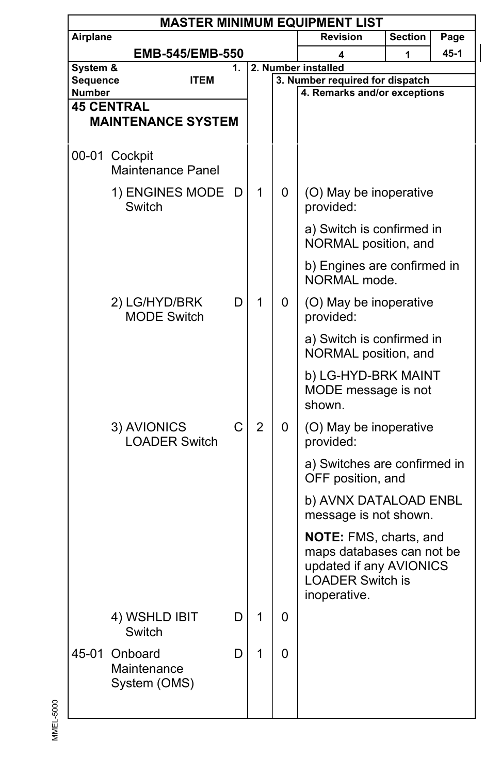|                                       | <b>MASTER MINIMUM EQUIPMENT LIST</b>                                   |    |                |   |                                                                                                                                  |                |      |  |  |  |  |
|---------------------------------------|------------------------------------------------------------------------|----|----------------|---|----------------------------------------------------------------------------------------------------------------------------------|----------------|------|--|--|--|--|
| Airplane                              |                                                                        |    |                |   | <b>Revision</b>                                                                                                                  | <b>Section</b> | Page |  |  |  |  |
|                                       | <b>EMB-545/EMB-550</b>                                                 |    |                |   | 4                                                                                                                                | 1              | 45-1 |  |  |  |  |
| System &<br>Sequence<br><b>Number</b> | <b>ITEM</b><br><b>45 CENTRAL</b>                                       | 1. |                |   | 2. Number installed<br>3. Number required for dispatch<br>4. Remarks and/or exceptions                                           |                |      |  |  |  |  |
|                                       | <b>MAINTENANCE SYSTEM</b><br>00-01 Cockpit<br><b>Maintenance Panel</b> |    |                |   |                                                                                                                                  |                |      |  |  |  |  |
|                                       | 1) ENGINES MODE D<br>Switch                                            |    | 1              | 0 | (O) May be inoperative<br>provided:                                                                                              |                |      |  |  |  |  |
|                                       |                                                                        |    |                |   | a) Switch is confirmed in<br>NORMAL position, and                                                                                |                |      |  |  |  |  |
|                                       |                                                                        |    |                |   | b) Engines are confirmed in<br>NORMAL mode.                                                                                      |                |      |  |  |  |  |
|                                       | 2) LG/HYD/BRK<br><b>MODE Switch</b>                                    | D  | 1              | 0 | (O) May be inoperative<br>provided:                                                                                              |                |      |  |  |  |  |
|                                       |                                                                        |    |                |   | a) Switch is confirmed in<br>NORMAL position, and                                                                                |                |      |  |  |  |  |
|                                       |                                                                        |    |                |   | b) LG-HYD-BRK MAINT<br>MODE message is not<br>shown.                                                                             |                |      |  |  |  |  |
|                                       | 3) AVIONICS<br><b>LOADER Switch</b>                                    | C  | $\overline{2}$ | 0 | (O) May be inoperative<br>provided:                                                                                              |                |      |  |  |  |  |
|                                       |                                                                        |    |                |   | a) Switches are confirmed in<br>OFF position, and                                                                                |                |      |  |  |  |  |
|                                       |                                                                        |    |                |   | b) AVNX DATALOAD ENBL<br>message is not shown.                                                                                   |                |      |  |  |  |  |
|                                       |                                                                        |    |                |   | <b>NOTE:</b> FMS, charts, and<br>maps databases can not be<br>updated if any AVIONICS<br><b>LOADER Switch is</b><br>inoperative. |                |      |  |  |  |  |
|                                       | 4) WSHLD IBIT<br>Switch                                                | D  | 1              | 0 |                                                                                                                                  |                |      |  |  |  |  |
|                                       | 45-01 Onboard<br>Maintenance<br>System (OMS)                           | D  | 1              | 0 |                                                                                                                                  |                |      |  |  |  |  |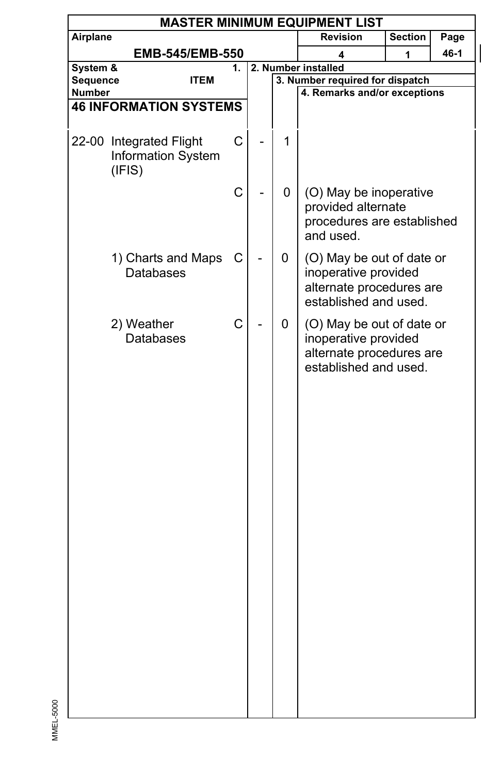|                                   |                                 |    |   | <b>MASTER MINIMUM EQUIPMENT LIST</b>                                                                   |                |      |
|-----------------------------------|---------------------------------|----|---|--------------------------------------------------------------------------------------------------------|----------------|------|
| Airplane                          |                                 |    |   | <b>Revision</b>                                                                                        | <b>Section</b> | Page |
|                                   | EMB-545/EMB-550                 |    |   | 4                                                                                                      | 1              | 46-1 |
| System &                          | <b>ITEM</b>                     | 1. |   | 2. Number installed                                                                                    |                |      |
| Sequence<br><b>Number</b>         |                                 |    |   | 3. Number required for dispatch<br>4. Remarks and/or exceptions                                        |                |      |
|                                   | <b>46 INFORMATION SYSTEMS</b>   |    |   |                                                                                                        |                |      |
|                                   |                                 |    |   |                                                                                                        |                |      |
| 22-00 Integrated Flight<br>(IFIS) | Information System              | С  | 1 |                                                                                                        |                |      |
|                                   |                                 | C  | 0 | (O) May be inoperative<br>provided alternate<br>procedures are established<br>and used.                |                |      |
|                                   | 1) Charts and Maps<br>Databases | С  | 0 | (O) May be out of date or<br>inoperative provided<br>alternate procedures are<br>established and used. |                |      |
| 2) Weather                        | <b>Databases</b>                | C  | 0 | (O) May be out of date or<br>inoperative provided<br>alternate procedures are<br>established and used. |                |      |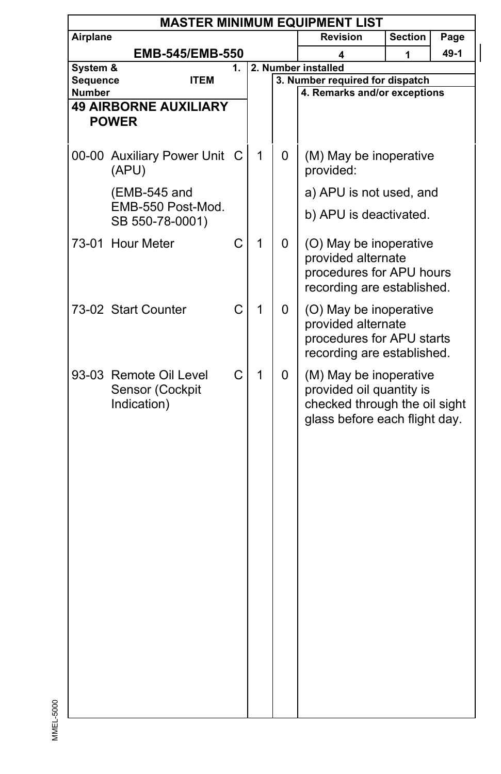| <b>MASTER MINIMUM EQUIPMENT LIST</b> |                                                          |    |   |   |                                                                                                                      |                |      |  |  |
|--------------------------------------|----------------------------------------------------------|----|---|---|----------------------------------------------------------------------------------------------------------------------|----------------|------|--|--|
| Airplane                             |                                                          |    |   |   | <b>Revision</b>                                                                                                      | <b>Section</b> | Page |  |  |
|                                      | <b>EMB-545/EMB-550</b>                                   |    |   |   | 4                                                                                                                    | 1              | 49-1 |  |  |
| System &                             |                                                          | 1. |   |   | 2. Number installed                                                                                                  |                |      |  |  |
| Sequence<br><b>Number</b>            | <b>ITEM</b>                                              |    |   |   | 3. Number required for dispatch<br>4. Remarks and/or exceptions                                                      |                |      |  |  |
|                                      | <b>49 AIRBORNE AUXILIARY</b>                             |    |   |   |                                                                                                                      |                |      |  |  |
|                                      | <b>POWER</b>                                             |    |   |   |                                                                                                                      |                |      |  |  |
|                                      |                                                          |    |   |   |                                                                                                                      |                |      |  |  |
|                                      | 00-00 Auxiliary Power Unit C<br>(APU)                    |    | 1 | 0 | (M) May be inoperative<br>provided:                                                                                  |                |      |  |  |
|                                      | (EMB-545 and<br>EMB-550 Post-Mod.                        |    |   |   | a) APU is not used, and                                                                                              |                |      |  |  |
|                                      | SB 550-78-0001)                                          |    |   |   | b) APU is deactivated.                                                                                               |                |      |  |  |
|                                      | 73-01 Hour Meter                                         | C  | 1 | 0 | (O) May be inoperative<br>provided alternate<br>procedures for APU hours<br>recording are established.               |                |      |  |  |
|                                      | 73-02 Start Counter                                      | C  | 1 | 0 | (O) May be inoperative<br>provided alternate<br>procedures for APU starts<br>recording are established.              |                |      |  |  |
|                                      | 93-03 Remote Oil Level<br>Sensor (Cockpit<br>Indication) | C  | 1 | 0 | (M) May be inoperative<br>provided oil quantity is<br>checked through the oil sight<br>glass before each flight day. |                |      |  |  |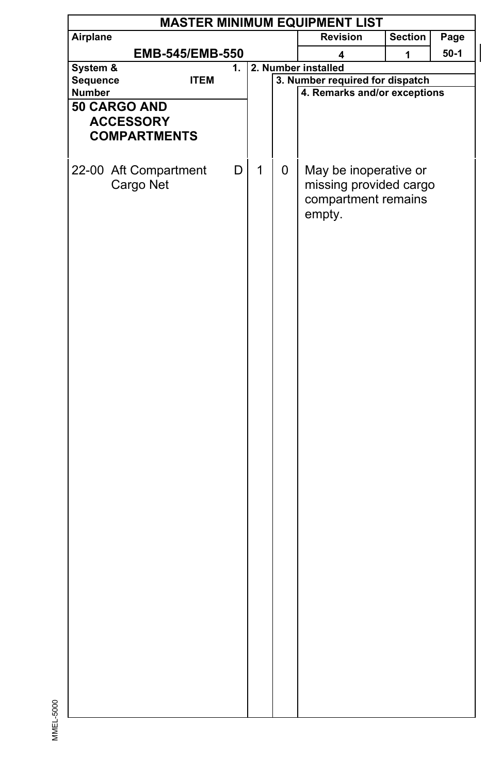| <b>MASTER MINIMUM EQUIPMENT LIST</b> |                                                                        |    |   |   |                                                                                        |                |        |  |  |
|--------------------------------------|------------------------------------------------------------------------|----|---|---|----------------------------------------------------------------------------------------|----------------|--------|--|--|
| Airplane                             |                                                                        |    |   |   | <b>Revision</b>                                                                        | <b>Section</b> | Page   |  |  |
|                                      | EMB-545/EMB-550                                                        |    |   |   | 4                                                                                      | 1              | $50-1$ |  |  |
| System &<br>Sequence<br>Number       | <b>ITEM</b><br>50 CARGO AND<br><b>ACCESSORY</b><br><b>COMPARTMENTS</b> | 1. |   |   | 2. Number installed<br>3. Number required for dispatch<br>4. Remarks and/or exceptions |                |        |  |  |
|                                      | 22-00 Aft Compartment<br>Cargo Net                                     | D  | 1 | 0 | May be inoperative or<br>missing provided cargo<br>compartment remains<br>empty.       |                |        |  |  |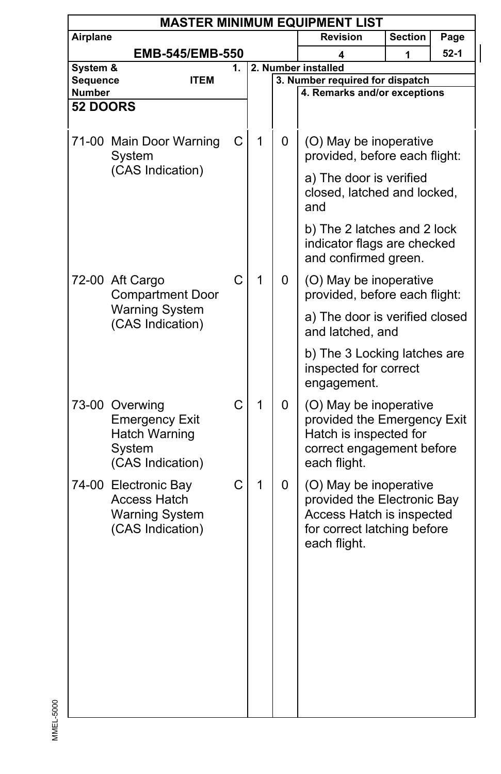| <b>MASTER MINIMUM EQUIPMENT LIST</b> |                                                                                               |                |                |   |                                                                                                                                   |                |        |  |  |
|--------------------------------------|-----------------------------------------------------------------------------------------------|----------------|----------------|---|-----------------------------------------------------------------------------------------------------------------------------------|----------------|--------|--|--|
| Airplane                             |                                                                                               |                |                |   | <b>Revision</b>                                                                                                                   | <b>Section</b> | Page   |  |  |
|                                      | EMB-545/EMB-550                                                                               |                |                |   | 4                                                                                                                                 | 1              | $52-1$ |  |  |
| System &                             |                                                                                               | 1.             |                |   | 2. Number installed                                                                                                               |                |        |  |  |
| Sequence<br><b>Number</b>            | <b>ITEM</b>                                                                                   |                |                |   | 3. Number required for dispatch<br>4. Remarks and/or exceptions                                                                   |                |        |  |  |
| 52 DOORS                             |                                                                                               |                |                |   |                                                                                                                                   |                |        |  |  |
|                                      |                                                                                               |                |                |   |                                                                                                                                   |                |        |  |  |
|                                      | 71-00 Main Door Warning<br>System<br>(CAS Indication)                                         | С              | 1              | 0 | (O) May be inoperative<br>provided, before each flight:                                                                           |                |        |  |  |
|                                      |                                                                                               |                |                |   | a) The door is verified<br>closed, latched and locked,<br>and                                                                     |                |        |  |  |
|                                      |                                                                                               |                |                |   | b) The 2 latches and 2 lock<br>indicator flags are checked<br>and confirmed green.                                                |                |        |  |  |
|                                      | 72-00 Aft Cargo<br><b>Compartment Door</b><br><b>Warning System</b><br>(CAS Indication)       | C              | 1              | 0 | (O) May be inoperative<br>provided, before each flight:                                                                           |                |        |  |  |
|                                      |                                                                                               |                |                |   | a) The door is verified closed<br>and latched, and                                                                                |                |        |  |  |
|                                      |                                                                                               |                |                |   | b) The 3 Locking latches are<br>inspected for correct<br>engagement.                                                              |                |        |  |  |
|                                      | 73-00 Overwing<br><b>Emergency Exit</b><br><b>Hatch Warning</b><br>System<br>(CAS Indication) | $\overline{C}$ | $\overline{1}$ | 0 | (O) May be inoperative<br>provided the Emergency Exit<br>Hatch is inspected for<br>correct engagement before<br>each flight.      |                |        |  |  |
|                                      | 74-00 Electronic Bay<br><b>Access Hatch</b><br><b>Warning System</b><br>(CAS Indication)      | C              | 1              | 0 | (O) May be inoperative<br>provided the Electronic Bay<br>Access Hatch is inspected<br>for correct latching before<br>each flight. |                |        |  |  |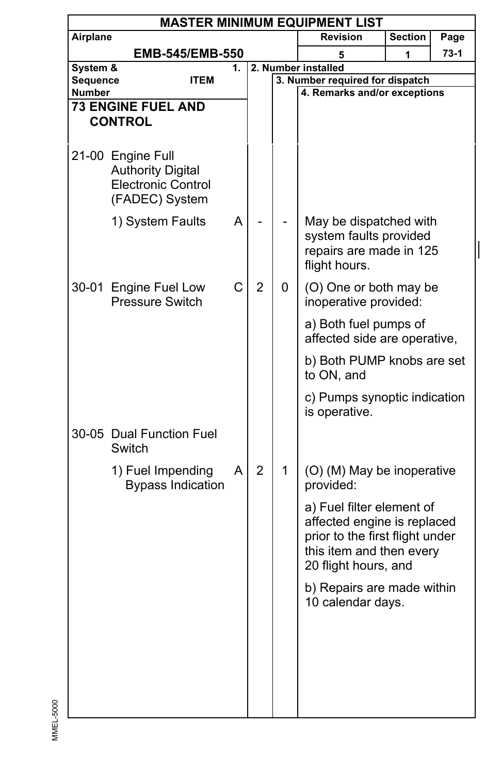|                      | <b>MASTER MINIMUM EQUIPMENT LIST</b>                                                         |    |                |   |                                                                                                                                                 |                |        |  |  |  |
|----------------------|----------------------------------------------------------------------------------------------|----|----------------|---|-------------------------------------------------------------------------------------------------------------------------------------------------|----------------|--------|--|--|--|
| Airplane             |                                                                                              |    |                |   | <b>Revision</b>                                                                                                                                 | <b>Section</b> | Page   |  |  |  |
|                      | <b>EMB-545/EMB-550</b>                                                                       |    |                |   | 5                                                                                                                                               | 1              | $73-1$ |  |  |  |
| System &<br>Sequence | <b>ITEM</b>                                                                                  | 1. |                |   | 2. Number installed<br>3. Number required for dispatch                                                                                          |                |        |  |  |  |
| Number               |                                                                                              |    |                |   | 4. Remarks and/or exceptions                                                                                                                    |                |        |  |  |  |
|                      | <b>73 ENGINE FUEL AND</b>                                                                    |    |                |   |                                                                                                                                                 |                |        |  |  |  |
|                      | <b>CONTROL</b>                                                                               |    |                |   |                                                                                                                                                 |                |        |  |  |  |
|                      | 21-00 Engine Full<br><b>Authority Digital</b><br><b>Electronic Control</b><br>(FADEC) System |    |                |   |                                                                                                                                                 |                |        |  |  |  |
|                      | 1) System Faults                                                                             | A  |                |   | May be dispatched with<br>system faults provided<br>repairs are made in 125<br>flight hours.                                                    |                |        |  |  |  |
|                      | 30-01 Engine Fuel Low<br><b>Pressure Switch</b>                                              | С  | $\overline{2}$ | 0 | (O) One or both may be<br>inoperative provided:                                                                                                 |                |        |  |  |  |
|                      |                                                                                              |    |                |   | a) Both fuel pumps of<br>affected side are operative,                                                                                           |                |        |  |  |  |
|                      |                                                                                              |    |                |   | b) Both PUMP knobs are set<br>to ON, and                                                                                                        |                |        |  |  |  |
|                      |                                                                                              |    |                |   | c) Pumps synoptic indication<br>is operative.                                                                                                   |                |        |  |  |  |
|                      | 30-05 Dual Function Fuel<br>Switch                                                           |    |                |   |                                                                                                                                                 |                |        |  |  |  |
|                      | 1) Fuel Impending<br><b>Bypass Indication</b>                                                | A  | $\overline{2}$ | 1 | (O) (M) May be inoperative<br>provided:                                                                                                         |                |        |  |  |  |
|                      |                                                                                              |    |                |   | a) Fuel filter element of<br>affected engine is replaced<br>prior to the first flight under<br>this item and then every<br>20 flight hours, and |                |        |  |  |  |
|                      |                                                                                              |    |                |   | b) Repairs are made within<br>10 calendar days.                                                                                                 |                |        |  |  |  |
|                      |                                                                                              |    |                |   |                                                                                                                                                 |                |        |  |  |  |
|                      |                                                                                              |    |                |   |                                                                                                                                                 |                |        |  |  |  |

 $\overline{\phantom{a}}$ 

MMEL-5000 MMEL-5000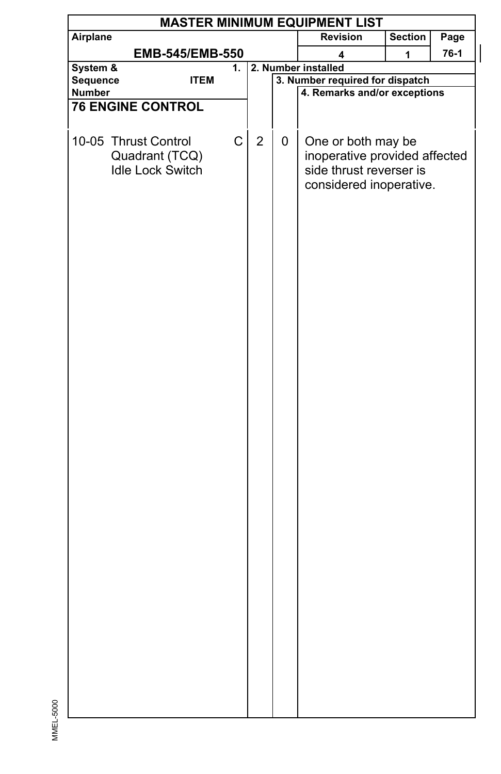| <b>MASTER MINIMUM EQUIPMENT LIST</b> |                          |             |                |   |                                 |                |        |  |  |
|--------------------------------------|--------------------------|-------------|----------------|---|---------------------------------|----------------|--------|--|--|
| Airplane                             |                          |             |                |   | Revision                        | <b>Section</b> | Page   |  |  |
|                                      | EMB-545/EMB-550          |             |                |   | 4                               | 1              | $76-1$ |  |  |
| System &                             |                          | 1.          |                |   | 2. Number installed             |                |        |  |  |
| Sequence                             |                          | <b>ITEM</b> |                |   | 3. Number required for dispatch |                |        |  |  |
| <b>Number</b>                        |                          |             |                |   | 4. Remarks and/or exceptions    |                |        |  |  |
|                                      | <b>76 ENGINE CONTROL</b> |             |                |   |                                 |                |        |  |  |
|                                      | 10-05 Thrust Control     | $\mathsf C$ | $\overline{2}$ | 0 | One or both may be              |                |        |  |  |
|                                      | Quadrant (TCQ)           |             |                |   | inoperative provided affected   |                |        |  |  |
|                                      | <b>Idle Lock Switch</b>  |             |                |   | side thrust reverser is         |                |        |  |  |
|                                      |                          |             |                |   | considered inoperative.         |                |        |  |  |
|                                      |                          |             |                |   |                                 |                |        |  |  |
|                                      |                          |             |                |   |                                 |                |        |  |  |
|                                      |                          |             |                |   |                                 |                |        |  |  |
|                                      |                          |             |                |   |                                 |                |        |  |  |
|                                      |                          |             |                |   |                                 |                |        |  |  |
|                                      |                          |             |                |   |                                 |                |        |  |  |
|                                      |                          |             |                |   |                                 |                |        |  |  |
|                                      |                          |             |                |   |                                 |                |        |  |  |
|                                      |                          |             |                |   |                                 |                |        |  |  |
|                                      |                          |             |                |   |                                 |                |        |  |  |
|                                      |                          |             |                |   |                                 |                |        |  |  |
|                                      |                          |             |                |   |                                 |                |        |  |  |
|                                      |                          |             |                |   |                                 |                |        |  |  |
|                                      |                          |             |                |   |                                 |                |        |  |  |
|                                      |                          |             |                |   |                                 |                |        |  |  |
|                                      |                          |             |                |   |                                 |                |        |  |  |
|                                      |                          |             |                |   |                                 |                |        |  |  |
|                                      |                          |             |                |   |                                 |                |        |  |  |
|                                      |                          |             |                |   |                                 |                |        |  |  |
|                                      |                          |             |                |   |                                 |                |        |  |  |
|                                      |                          |             |                |   |                                 |                |        |  |  |
|                                      |                          |             |                |   |                                 |                |        |  |  |
|                                      |                          |             |                |   |                                 |                |        |  |  |
|                                      |                          |             |                |   |                                 |                |        |  |  |
|                                      |                          |             |                |   |                                 |                |        |  |  |
|                                      |                          |             |                |   |                                 |                |        |  |  |
|                                      |                          |             |                |   |                                 |                |        |  |  |
|                                      |                          |             |                |   |                                 |                |        |  |  |
|                                      |                          |             |                |   |                                 |                |        |  |  |
|                                      |                          |             |                |   |                                 |                |        |  |  |
|                                      |                          |             |                |   |                                 |                |        |  |  |
|                                      |                          |             |                |   |                                 |                |        |  |  |
|                                      |                          |             |                |   |                                 |                |        |  |  |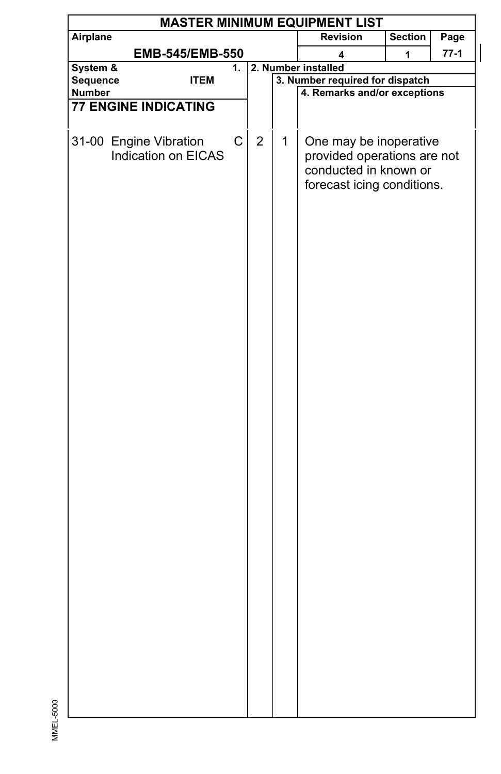| <b>MASTER MINIMUM EQUIPMENT LIST</b> |                             |             |                |              |                                                                                    |                |        |  |  |
|--------------------------------------|-----------------------------|-------------|----------------|--------------|------------------------------------------------------------------------------------|----------------|--------|--|--|
| Airplane                             |                             |             |                |              | <b>Revision</b>                                                                    | <b>Section</b> | Page   |  |  |
|                                      | EMB-545/EMB-550             |             |                |              | 4                                                                                  | 1              | $77-1$ |  |  |
|                                      | System &<br>1.              |             |                |              | 2. Number installed                                                                |                |        |  |  |
| Sequence                             | <b>ITEM</b>                 |             |                |              | 3. Number required for dispatch                                                    |                |        |  |  |
| <b>Number</b>                        |                             |             |                |              | 4. Remarks and/or exceptions                                                       |                |        |  |  |
|                                      | <b>77 ENGINE INDICATING</b> |             |                |              |                                                                                    |                |        |  |  |
|                                      |                             |             |                |              |                                                                                    |                |        |  |  |
|                                      | 31-00 Engine Vibration      | $\mathsf C$ | $\overline{2}$ | $\mathbf{1}$ | One may be inoperative                                                             |                |        |  |  |
|                                      | Indication on EICAS         |             |                |              | provided operations are not<br>conducted in known or<br>forecast icing conditions. |                |        |  |  |
|                                      |                             |             |                |              |                                                                                    |                |        |  |  |
|                                      |                             |             |                |              |                                                                                    |                |        |  |  |
|                                      |                             |             |                |              |                                                                                    |                |        |  |  |
|                                      |                             |             |                |              |                                                                                    |                |        |  |  |
|                                      |                             |             |                |              |                                                                                    |                |        |  |  |
|                                      |                             |             |                |              |                                                                                    |                |        |  |  |
|                                      |                             |             |                |              |                                                                                    |                |        |  |  |
|                                      |                             |             |                |              |                                                                                    |                |        |  |  |
|                                      |                             |             |                |              |                                                                                    |                |        |  |  |
|                                      |                             |             |                |              |                                                                                    |                |        |  |  |
|                                      |                             |             |                |              |                                                                                    |                |        |  |  |
|                                      |                             |             |                |              |                                                                                    |                |        |  |  |
|                                      |                             |             |                |              |                                                                                    |                |        |  |  |
|                                      |                             |             |                |              |                                                                                    |                |        |  |  |
|                                      |                             |             |                |              |                                                                                    |                |        |  |  |
|                                      |                             |             |                |              |                                                                                    |                |        |  |  |
|                                      |                             |             |                |              |                                                                                    |                |        |  |  |
|                                      |                             |             |                |              |                                                                                    |                |        |  |  |
|                                      |                             |             |                |              |                                                                                    |                |        |  |  |
|                                      |                             |             |                |              |                                                                                    |                |        |  |  |
|                                      |                             |             |                |              |                                                                                    |                |        |  |  |
|                                      |                             |             |                |              |                                                                                    |                |        |  |  |
|                                      |                             |             |                |              |                                                                                    |                |        |  |  |
|                                      |                             |             |                |              |                                                                                    |                |        |  |  |
|                                      |                             |             |                |              |                                                                                    |                |        |  |  |
|                                      |                             |             |                |              |                                                                                    |                |        |  |  |
|                                      |                             |             |                |              |                                                                                    |                |        |  |  |
|                                      |                             |             |                |              |                                                                                    |                |        |  |  |
|                                      |                             |             |                |              |                                                                                    |                |        |  |  |
|                                      |                             |             |                |              |                                                                                    |                |        |  |  |
|                                      |                             |             |                |              |                                                                                    |                |        |  |  |
|                                      |                             |             |                |              |                                                                                    |                |        |  |  |
|                                      |                             |             |                |              |                                                                                    |                |        |  |  |
|                                      |                             |             |                |              |                                                                                    |                |        |  |  |
|                                      |                             |             |                |              |                                                                                    |                |        |  |  |
|                                      |                             |             |                |              |                                                                                    |                |        |  |  |
|                                      |                             |             |                |              |                                                                                    |                |        |  |  |
|                                      |                             |             |                |              |                                                                                    |                |        |  |  |
|                                      |                             |             |                |              |                                                                                    |                |        |  |  |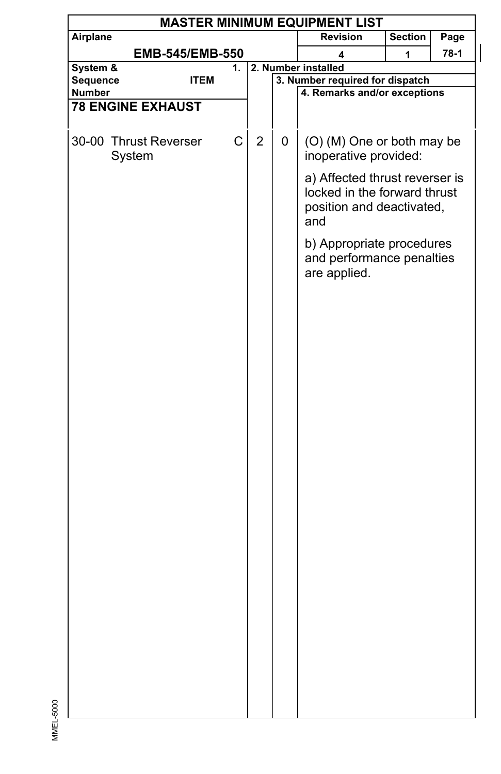| <b>MASTER MINIMUM EQUIPMENT LIST</b> |                                 |             |                |                                 |                                                                                                    |                |        |  |  |
|--------------------------------------|---------------------------------|-------------|----------------|---------------------------------|----------------------------------------------------------------------------------------------------|----------------|--------|--|--|
| Airplane                             |                                 |             |                |                                 | <b>Revision</b>                                                                                    | <b>Section</b> | Page   |  |  |
|                                      | EMB-545/EMB-550                 |             |                |                                 | 4                                                                                                  | 1              | $78-1$ |  |  |
| System &                             |                                 | 1.          |                |                                 | 2. Number installed                                                                                |                |        |  |  |
| Sequence                             |                                 | <b>ITEM</b> |                | 3. Number required for dispatch |                                                                                                    |                |        |  |  |
| Number                               |                                 |             |                | 4. Remarks and/or exceptions    |                                                                                                    |                |        |  |  |
|                                      | <b>78 ENGINE EXHAUST</b>        |             |                |                                 |                                                                                                    |                |        |  |  |
|                                      | 30-00 Thrust Reverser<br>System | C           | $\overline{2}$ | 0                               | (O) (M) One or both may be<br>inoperative provided:                                                |                |        |  |  |
|                                      |                                 |             |                |                                 | a) Affected thrust reverser is<br>locked in the forward thrust<br>position and deactivated,<br>and |                |        |  |  |
|                                      |                                 |             |                |                                 | b) Appropriate procedures<br>and performance penalties<br>are applied.                             |                |        |  |  |
|                                      |                                 |             |                |                                 |                                                                                                    |                |        |  |  |
|                                      |                                 |             |                |                                 |                                                                                                    |                |        |  |  |
|                                      |                                 |             |                |                                 |                                                                                                    |                |        |  |  |
|                                      |                                 |             |                |                                 |                                                                                                    |                |        |  |  |
|                                      |                                 |             |                |                                 |                                                                                                    |                |        |  |  |
|                                      |                                 |             |                |                                 |                                                                                                    |                |        |  |  |
|                                      |                                 |             |                |                                 |                                                                                                    |                |        |  |  |
|                                      |                                 |             |                |                                 |                                                                                                    |                |        |  |  |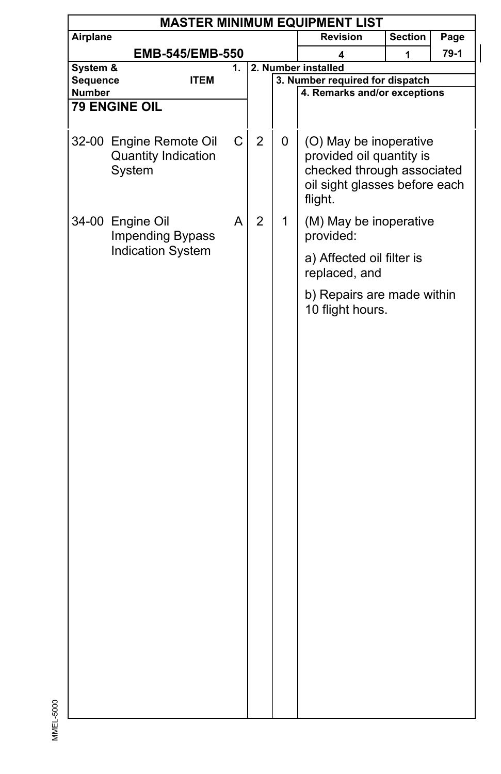|          | <b>MASTER MINIMUM EQUIPMENT LIST</b>                             |              |                |   |                                                                                                                              |                |      |  |  |  |
|----------|------------------------------------------------------------------|--------------|----------------|---|------------------------------------------------------------------------------------------------------------------------------|----------------|------|--|--|--|
| Airplane |                                                                  |              |                |   | <b>Revision</b>                                                                                                              | <b>Section</b> | Page |  |  |  |
|          | <b>EMB-545/EMB-550</b>                                           |              |                |   | 4                                                                                                                            | 1              | 79-1 |  |  |  |
| System & |                                                                  | 1.           |                |   | 2. Number installed                                                                                                          |                |      |  |  |  |
| Sequence | <b>ITEM</b>                                                      |              |                |   | 3. Number required for dispatch                                                                                              |                |      |  |  |  |
| Number   |                                                                  |              |                |   | 4. Remarks and/or exceptions                                                                                                 |                |      |  |  |  |
|          | <b>79 ENGINE OIL</b>                                             |              |                |   |                                                                                                                              |                |      |  |  |  |
|          | 32-00 Engine Remote Oil<br><b>Quantity Indication</b><br>System  | $\mathsf{C}$ | $\overline{2}$ | 0 | (O) May be inoperative<br>provided oil quantity is<br>checked through associated<br>oil sight glasses before each<br>flight. |                |      |  |  |  |
|          | 34-00 Engine Oil<br>Impending Bypass<br><b>Indication System</b> | A            | $\overline{2}$ | 1 | (M) May be inoperative<br>provided:                                                                                          |                |      |  |  |  |
|          |                                                                  |              |                |   | a) Affected oil filter is<br>replaced, and                                                                                   |                |      |  |  |  |
|          |                                                                  |              |                |   | b) Repairs are made within<br>10 flight hours.                                                                               |                |      |  |  |  |
|          |                                                                  |              |                |   |                                                                                                                              |                |      |  |  |  |
|          |                                                                  |              |                |   |                                                                                                                              |                |      |  |  |  |
|          |                                                                  |              |                |   |                                                                                                                              |                |      |  |  |  |
|          |                                                                  |              |                |   |                                                                                                                              |                |      |  |  |  |
|          |                                                                  |              |                |   |                                                                                                                              |                |      |  |  |  |
|          |                                                                  |              |                |   |                                                                                                                              |                |      |  |  |  |
|          |                                                                  |              |                |   |                                                                                                                              |                |      |  |  |  |
|          |                                                                  |              |                |   |                                                                                                                              |                |      |  |  |  |
|          |                                                                  |              |                |   |                                                                                                                              |                |      |  |  |  |
|          |                                                                  |              |                |   |                                                                                                                              |                |      |  |  |  |
|          |                                                                  |              |                |   |                                                                                                                              |                |      |  |  |  |
|          |                                                                  |              |                |   |                                                                                                                              |                |      |  |  |  |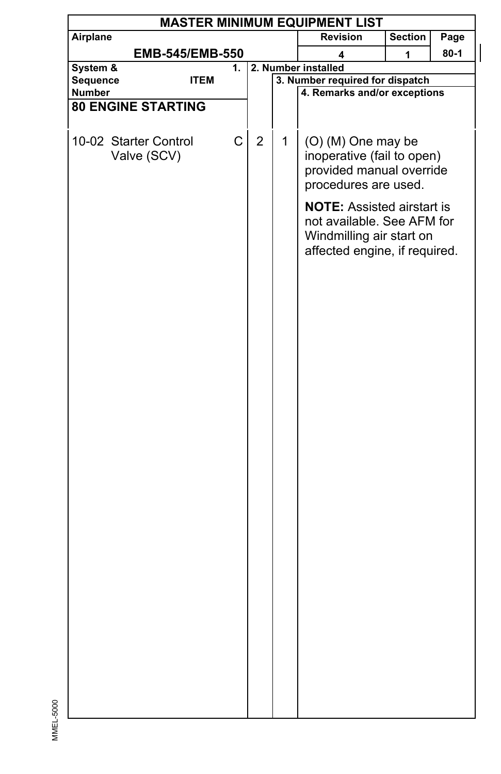|             | <b>MASTER MINIMUM EQUIPMENT LIST</b> |             |                |                                 |                                   |                |          |  |  |
|-------------|--------------------------------------|-------------|----------------|---------------------------------|-----------------------------------|----------------|----------|--|--|
| Airplane    |                                      |             |                |                                 | <b>Revision</b>                   | <b>Section</b> | Page     |  |  |
|             | <b>EMB-545/EMB-550</b>               |             |                |                                 | 4                                 | 1              | $80 - 1$ |  |  |
| System &    |                                      | 1.          |                |                                 | 2. Number installed               |                |          |  |  |
| Sequence    |                                      | <b>ITEM</b> |                | 3. Number required for dispatch |                                   |                |          |  |  |
| Number      |                                      |             |                |                                 | 4. Remarks and/or exceptions      |                |          |  |  |
|             | <b>80 ENGINE STARTING</b>            |             |                |                                 |                                   |                |          |  |  |
|             |                                      |             |                |                                 |                                   |                |          |  |  |
|             | 10-02 Starter Control                | С           | $\overline{2}$ | 1                               | (O) (M) One may be                |                |          |  |  |
| Valve (SCV) |                                      |             |                | inoperative (fail to open)      |                                   |                |          |  |  |
|             |                                      |             |                |                                 | provided manual override          |                |          |  |  |
|             |                                      |             |                |                                 | procedures are used.              |                |          |  |  |
|             |                                      |             |                |                                 |                                   |                |          |  |  |
|             |                                      |             |                |                                 | <b>NOTE:</b> Assisted airstart is |                |          |  |  |
|             |                                      |             |                |                                 | not available. See AFM for        |                |          |  |  |
|             |                                      |             |                |                                 | Windmilling air start on          |                |          |  |  |
|             |                                      |             |                |                                 | affected engine, if required.     |                |          |  |  |
|             |                                      |             |                |                                 |                                   |                |          |  |  |
|             |                                      |             |                |                                 |                                   |                |          |  |  |
|             |                                      |             |                |                                 |                                   |                |          |  |  |
|             |                                      |             |                |                                 |                                   |                |          |  |  |
|             |                                      |             |                |                                 |                                   |                |          |  |  |
|             |                                      |             |                |                                 |                                   |                |          |  |  |
|             |                                      |             |                |                                 |                                   |                |          |  |  |
|             |                                      |             |                |                                 |                                   |                |          |  |  |
|             |                                      |             |                |                                 |                                   |                |          |  |  |
|             |                                      |             |                |                                 |                                   |                |          |  |  |
|             |                                      |             |                |                                 |                                   |                |          |  |  |
|             |                                      |             |                |                                 |                                   |                |          |  |  |
|             |                                      |             |                |                                 |                                   |                |          |  |  |
|             |                                      |             |                |                                 |                                   |                |          |  |  |
|             |                                      |             |                |                                 |                                   |                |          |  |  |
|             |                                      |             |                |                                 |                                   |                |          |  |  |
|             |                                      |             |                |                                 |                                   |                |          |  |  |
|             |                                      |             |                |                                 |                                   |                |          |  |  |
|             |                                      |             |                |                                 |                                   |                |          |  |  |
|             |                                      |             |                |                                 |                                   |                |          |  |  |
|             |                                      |             |                |                                 |                                   |                |          |  |  |
|             |                                      |             |                |                                 |                                   |                |          |  |  |
|             |                                      |             |                |                                 |                                   |                |          |  |  |
|             |                                      |             |                |                                 |                                   |                |          |  |  |
|             |                                      |             |                |                                 |                                   |                |          |  |  |
|             |                                      |             |                |                                 |                                   |                |          |  |  |
|             |                                      |             |                |                                 |                                   |                |          |  |  |
|             |                                      |             |                |                                 |                                   |                |          |  |  |
|             |                                      |             |                |                                 |                                   |                |          |  |  |
|             |                                      |             |                |                                 |                                   |                |          |  |  |
|             |                                      |             |                |                                 |                                   |                |          |  |  |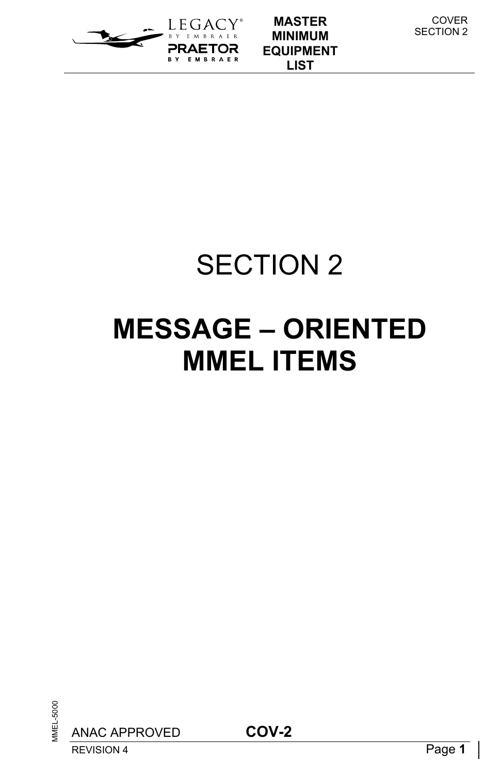



**MASTER MINIMUM EQUIPMENT LIST**

# SECTION 2

# **MESSAGE – ORIENTED MMEL ITEMS**

MMEL-5000 MMEL-5000

ANAC APPROVED **COV-2** 

REVISION 4 Page 1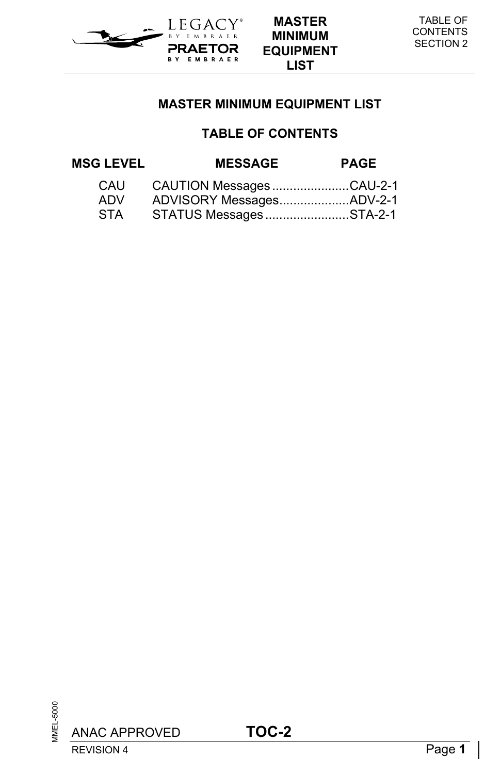

### **MASTER MINIMUM EQUIPMENT LIST**

## **TABLE OF CONTENTS**

| <b>MSG LEVEL</b> | <b>MESSAGE</b>           | <b>PAGE</b> |
|------------------|--------------------------|-------------|
| CAU              | CAUTION MessagesCAU-2-1  |             |
| ADV              | ADVISORY MessagesADV-2-1 |             |
| <b>STA</b>       | STATUS MessagesSTA-2-1   |             |

ANAC APPROVED **TOC-2** 

REVISION 4 Page 1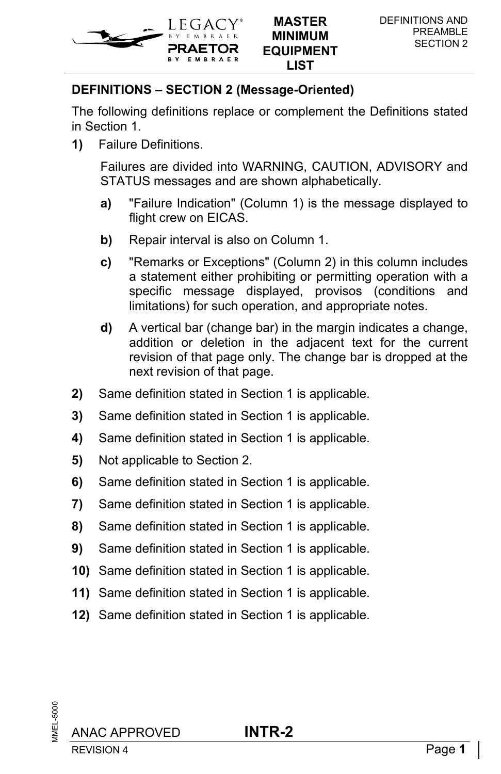

**MASTER** 

### **DEFINITIONS – SECTION 2 (Message-Oriented)**

The following definitions replace or complement the Definitions stated in Section 1.

**1)** Failure Definitions.

Failures are divided into WARNING, CAUTION, ADVISORY and STATUS messages and are shown alphabetically.

- **a)** "Failure Indication" (Column 1) is the message displayed to flight crew on EICAS.
- **b)** Repair interval is also on Column 1.
- **c)** "Remarks or Exceptions" (Column 2) in this column includes a statement either prohibiting or permitting operation with a specific message displayed, provisos (conditions and limitations) for such operation, and appropriate notes.
- **d)** A vertical bar (change bar) in the margin indicates a change, addition or deletion in the adjacent text for the current revision of that page only. The change bar is dropped at the next revision of that page.
- **2)** Same definition stated in Section 1 is applicable.
- **3)** Same definition stated in Section 1 is applicable.
- **4)** Same definition stated in Section 1 is applicable.
- **5)** Not applicable to Section 2.
- **6)** Same definition stated in Section 1 is applicable.
- **7)** Same definition stated in Section 1 is applicable.
- **8)** Same definition stated in Section 1 is applicable.
- **9)** Same definition stated in Section 1 is applicable.
- **10)** Same definition stated in Section 1 is applicable.
- **11)** Same definition stated in Section 1 is applicable.
- **12)** Same definition stated in Section 1 is applicable.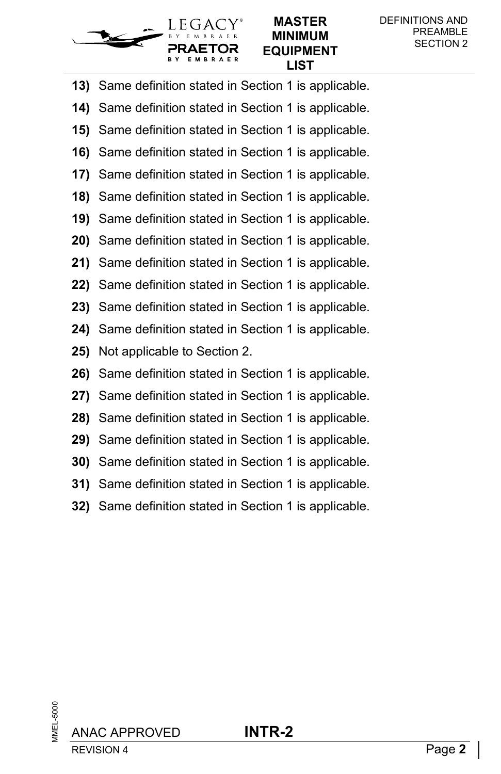

|     | LIJ I                                              |  |
|-----|----------------------------------------------------|--|
| 13) | Same definition stated in Section 1 is applicable. |  |
| 14) | Same definition stated in Section 1 is applicable. |  |
| 15) | Same definition stated in Section 1 is applicable. |  |
| 16) | Same definition stated in Section 1 is applicable. |  |
| 17) | Same definition stated in Section 1 is applicable. |  |
| 18) | Same definition stated in Section 1 is applicable. |  |
| 19) | Same definition stated in Section 1 is applicable. |  |
| 20) | Same definition stated in Section 1 is applicable. |  |
| 21) | Same definition stated in Section 1 is applicable. |  |
| 22) | Same definition stated in Section 1 is applicable. |  |
| 23) | Same definition stated in Section 1 is applicable. |  |
| 24) | Same definition stated in Section 1 is applicable. |  |
| 25) | Not applicable to Section 2.                       |  |
| 26) | Same definition stated in Section 1 is applicable. |  |
| 27) | Same definition stated in Section 1 is applicable. |  |
| 28) | Same definition stated in Section 1 is applicable. |  |
| 29) | Same definition stated in Section 1 is applicable. |  |
| 30) | Same definition stated in Section 1 is applicable. |  |
| 31) | Same definition stated in Section 1 is applicable. |  |
| 32) | Same definition stated in Section 1 is applicable. |  |
|     |                                                    |  |

 $\overline{\phantom{a}}$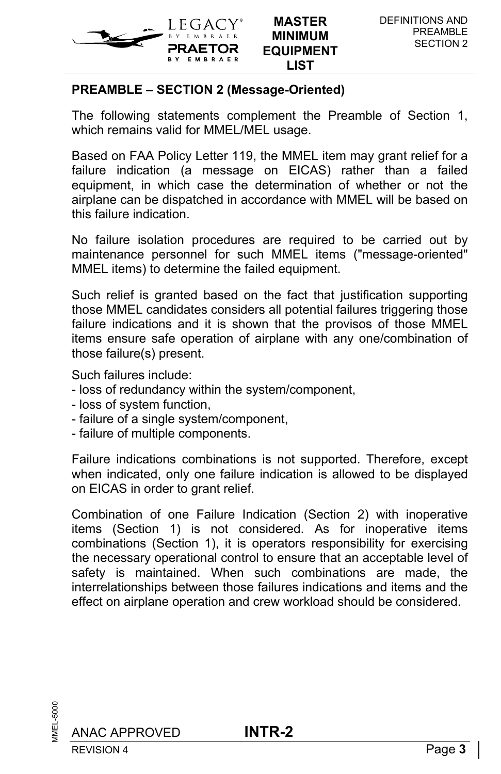

LEGACY **PRAETOR** 

The following statements complement the Preamble of Section 1, which remains valid for MMEL/MEL usage.

**MASTER MINIMUM EQUIPMENT** 

Based on FAA Policy Letter 119, the MMEL item may grant relief for a failure indication (a message on EICAS) rather than a failed equipment, in which case the determination of whether or not the airplane can be dispatched in accordance with MMEL will be based on this failure indication.

No failure isolation procedures are required to be carried out by maintenance personnel for such MMEL items ("message-oriented" MMEL items) to determine the failed equipment.

Such relief is granted based on the fact that justification supporting those MMEL candidates considers all potential failures triggering those failure indications and it is shown that the provisos of those MMEL items ensure safe operation of airplane with any one/combination of those failure(s) present.

Such failures include:

- loss of redundancy within the system/component,
- loss of system function,
- failure of a single system/component,
- failure of multiple components.

Failure indications combinations is not supported. Therefore, except when indicated, only one failure indication is allowed to be displayed on EICAS in order to grant relief.

Combination of one Failure Indication (Section 2) with inoperative items (Section 1) is not considered. As for inoperative items combinations (Section 1), it is operators responsibility for exercising the necessary operational control to ensure that an acceptable level of safety is maintained. When such combinations are made, the interrelationships between those failures indications and items and the effect on airplane operation and crew workload should be considered.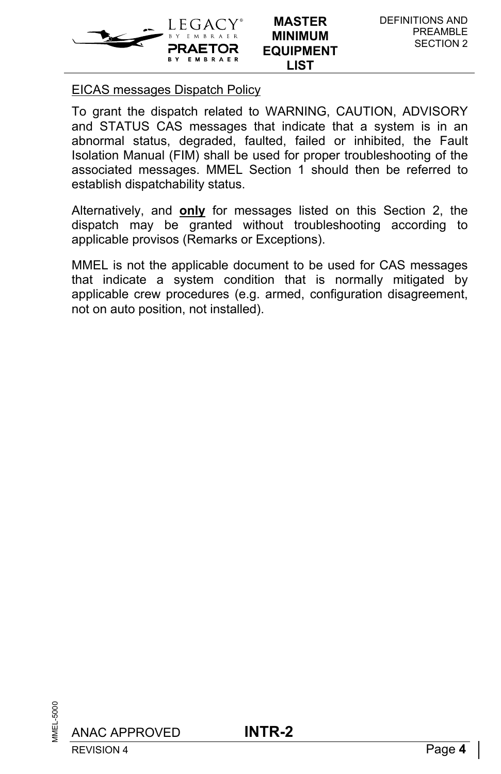#### EICAS messages Dispatch Policy

L E G AC Y® **MBRAER** PRAETOR **EMBRAER** 

To grant the dispatch related to WARNING, CAUTION, ADVISORY and STATUS CAS messages that indicate that a system is in an abnormal status, degraded, faulted, failed or inhibited, the Fault Isolation Manual (FIM) shall be used for proper troubleshooting of the associated messages. MMEL Section 1 should then be referred to establish dispatchability status.

**MASTER MINIMUM EQUIPMENT LIST**

Alternatively, and **only** for messages listed on this Section 2, the dispatch may be granted without troubleshooting according to applicable provisos (Remarks or Exceptions).

MMEL is not the applicable document to be used for CAS messages that indicate a system condition that is normally mitigated by applicable crew procedures (e.g. armed, configuration disagreement, not on auto position, not installed).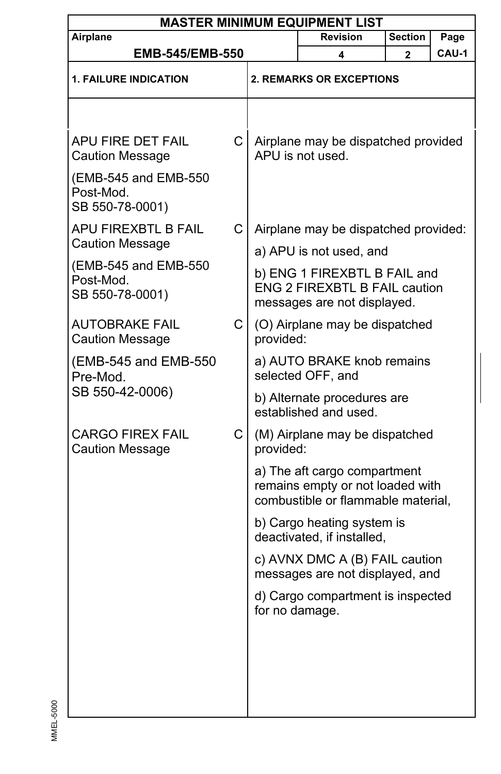| <b>MASTER MINIMUM EQUIPMENT LIST</b>                 |    |                                                                                                        |                                                                   |      |       |  |  |
|------------------------------------------------------|----|--------------------------------------------------------------------------------------------------------|-------------------------------------------------------------------|------|-------|--|--|
| Airplane                                             |    | <b>Revision</b>                                                                                        | <b>Section</b>                                                    | Page |       |  |  |
| <b>EMB-545/EMB-550</b>                               |    |                                                                                                        | 4                                                                 | 2    | CAU-1 |  |  |
| <b>1. FAILURE INDICATION</b>                         |    |                                                                                                        | <b>2. REMARKS OR EXCEPTIONS</b>                                   |      |       |  |  |
|                                                      |    |                                                                                                        |                                                                   |      |       |  |  |
| APU FIRE DET FAIL<br><b>Caution Message</b>          | C. | Airplane may be dispatched provided<br>APU is not used.                                                |                                                                   |      |       |  |  |
| (EMB-545 and EMB-550<br>Post-Mod.<br>SB 550-78-0001) |    |                                                                                                        |                                                                   |      |       |  |  |
| APU FIREXBTL B FAIL<br><b>Caution Message</b>        | C  |                                                                                                        | Airplane may be dispatched provided:                              |      |       |  |  |
|                                                      |    |                                                                                                        | a) APU is not used, and                                           |      |       |  |  |
| (EMB-545 and EMB-550<br>Post-Mod.<br>SB 550-78-0001) |    | b) ENG 1 FIREXBTL B FAIL and<br>ENG 2 FIREXBTL B FAIL caution<br>messages are not displayed.           |                                                                   |      |       |  |  |
| <b>AUTOBRAKE FAIL</b><br><b>Caution Message</b>      | C  | (O) Airplane may be dispatched<br>provided:                                                            |                                                                   |      |       |  |  |
| (EMB-545 and EMB-550<br>Pre-Mod.<br>SB 550-42-0006)  |    | a) AUTO BRAKE knob remains<br>selected OFF, and                                                        |                                                                   |      |       |  |  |
|                                                      |    | b) Alternate procedures are<br>established and used.                                                   |                                                                   |      |       |  |  |
| <b>CARGO FIREX FAIL</b><br><b>Caution Message</b>    | C. | (M) Airplane may be dispatched<br>provided:                                                            |                                                                   |      |       |  |  |
|                                                      |    | a) The aft cargo compartment<br>remains empty or not loaded with<br>combustible or flammable material, |                                                                   |      |       |  |  |
|                                                      |    |                                                                                                        | b) Cargo heating system is<br>deactivated, if installed,          |      |       |  |  |
|                                                      |    |                                                                                                        | c) AVNX DMC A (B) FAIL caution<br>messages are not displayed, and |      |       |  |  |
|                                                      |    | for no damage.                                                                                         | d) Cargo compartment is inspected                                 |      |       |  |  |
|                                                      |    |                                                                                                        |                                                                   |      |       |  |  |
|                                                      |    |                                                                                                        |                                                                   |      |       |  |  |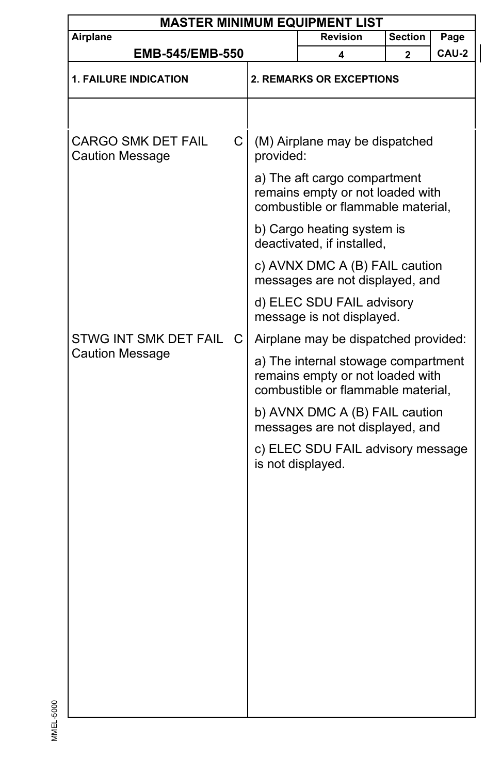| <b>MASTER MINIMUM EQUIPMENT LIST</b> |                                                                   |                                                                                                                                                       |                |       |  |  |  |
|--------------------------------------|-------------------------------------------------------------------|-------------------------------------------------------------------------------------------------------------------------------------------------------|----------------|-------|--|--|--|
| Airplane                             |                                                                   | <b>Revision</b>                                                                                                                                       | <b>Section</b> | Page  |  |  |  |
| <b>EMB-545/EMB-550</b>               |                                                                   | 4                                                                                                                                                     | 2              | CAU-2 |  |  |  |
| <b>1. FAILURE INDICATION</b>         |                                                                   | <b>2. REMARKS OR EXCEPTIONS</b>                                                                                                                       |                |       |  |  |  |
| <b>CARGO SMK DET FAIL</b>            | C                                                                 | (M) Airplane may be dispatched<br>provided:<br>a) The aft cargo compartment<br>remains empty or not loaded with<br>combustible or flammable material, |                |       |  |  |  |
| <b>Caution Message</b>               |                                                                   |                                                                                                                                                       |                |       |  |  |  |
|                                      | b) Cargo heating system is<br>deactivated, if installed,          |                                                                                                                                                       |                |       |  |  |  |
|                                      | c) AVNX DMC A (B) FAIL caution<br>messages are not displayed, and |                                                                                                                                                       |                |       |  |  |  |
|                                      |                                                                   | d) ELEC SDU FAIL advisory<br>message is not displayed.                                                                                                |                |       |  |  |  |
| STWG INT SMK DET FAIL                | C                                                                 | Airplane may be dispatched provided:                                                                                                                  |                |       |  |  |  |
| <b>Caution Message</b>               |                                                                   | a) The internal stowage compartment<br>remains empty or not loaded with<br>combustible or flammable material,                                         |                |       |  |  |  |
|                                      |                                                                   | b) AVNX DMC A (B) FAIL caution<br>messages are not displayed, and                                                                                     |                |       |  |  |  |
|                                      |                                                                   | c) ELEC SDU FAIL advisory message                                                                                                                     |                |       |  |  |  |
|                                      |                                                                   |                                                                                                                                                       |                |       |  |  |  |
|                                      |                                                                   |                                                                                                                                                       |                |       |  |  |  |
|                                      |                                                                   |                                                                                                                                                       |                |       |  |  |  |
|                                      |                                                                   |                                                                                                                                                       |                |       |  |  |  |
|                                      |                                                                   |                                                                                                                                                       |                |       |  |  |  |
|                                      |                                                                   |                                                                                                                                                       |                |       |  |  |  |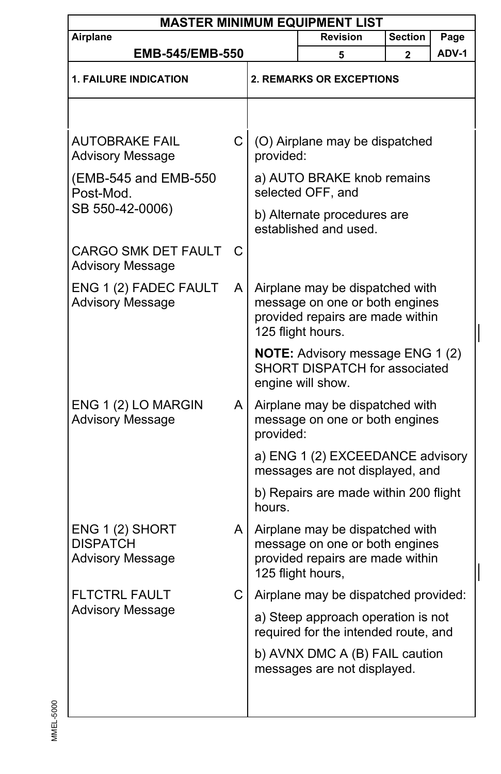| <b>MASTER MINIMUM EQUIPMENT LIST</b>                          |   |                                                                                                                            |                                                                   |                |       |  |
|---------------------------------------------------------------|---|----------------------------------------------------------------------------------------------------------------------------|-------------------------------------------------------------------|----------------|-------|--|
| Airplane                                                      |   |                                                                                                                            | <b>Revision</b>                                                   | <b>Section</b> | Page  |  |
| <b>EMB-545/EMB-550</b>                                        |   |                                                                                                                            | 5                                                                 | 2              | ADV-1 |  |
| <b>1. FAILURE INDICATION</b>                                  |   | <b>2. REMARKS OR EXCEPTIONS</b>                                                                                            |                                                                   |                |       |  |
|                                                               |   |                                                                                                                            |                                                                   |                |       |  |
| <b>AUTOBRAKE FAIL</b><br><b>Advisory Message</b>              | С | (O) Airplane may be dispatched<br>provided:                                                                                |                                                                   |                |       |  |
| (EMB-545 and EMB-550<br>Post-Mod.<br>SB 550-42-0006)          |   | a) AUTO BRAKE knob remains<br>selected OFF, and                                                                            |                                                                   |                |       |  |
|                                                               |   | b) Alternate procedures are<br>established and used.                                                                       |                                                                   |                |       |  |
| CARGO SMK DET FAULT<br><b>Advisory Message</b>                | С |                                                                                                                            |                                                                   |                |       |  |
| ENG 1 (2) FADEC FAULT<br><b>Advisory Message</b>              | A | Airplane may be dispatched with<br>message on one or both engines<br>provided repairs are made within<br>125 flight hours. |                                                                   |                |       |  |
|                                                               |   | <b>NOTE:</b> Advisory message ENG 1 (2)<br>SHORT DISPATCH for associated<br>engine will show.                              |                                                                   |                |       |  |
| ENG 1 (2) LO MARGIN<br><b>Advisory Message</b>                | A | provided:                                                                                                                  | Airplane may be dispatched with<br>message on one or both engines |                |       |  |
|                                                               |   | a) ENG 1 (2) EXCEEDANCE advisory<br>messages are not displayed, and                                                        |                                                                   |                |       |  |
|                                                               |   | b) Repairs are made within 200 flight<br>hours.                                                                            |                                                                   |                |       |  |
| ENG 1 (2) SHORT<br><b>DISPATCH</b><br><b>Advisory Message</b> | A | Airplane may be dispatched with<br>message on one or both engines<br>provided repairs are made within<br>125 flight hours, |                                                                   |                |       |  |
| <b>FLTCTRL FAULT</b>                                          |   |                                                                                                                            | Airplane may be dispatched provided:                              |                |       |  |
| <b>Advisory Message</b>                                       |   | a) Steep approach operation is not<br>required for the intended route, and                                                 |                                                                   |                |       |  |
|                                                               |   |                                                                                                                            | b) AVNX DMC A (B) FAIL caution<br>messages are not displayed.     |                |       |  |
|                                                               |   |                                                                                                                            |                                                                   |                |       |  |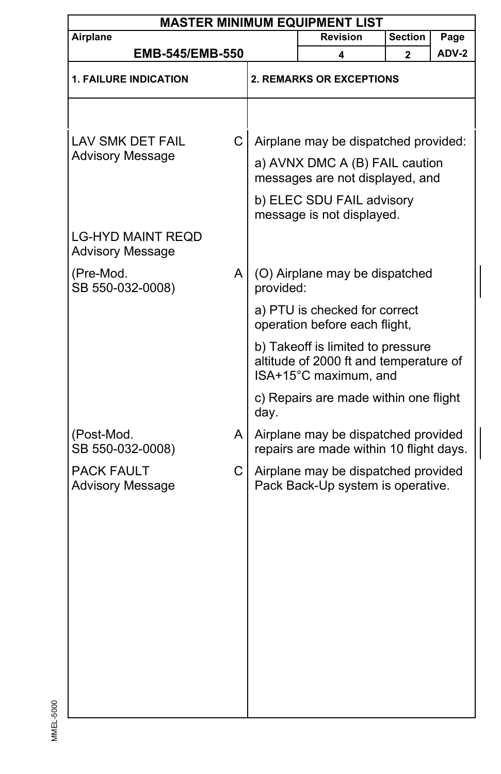| <b>MASTER MINIMUM EQUIPMENT LIST</b>         |   |                                                                                                      |                                                                          |                |       |  |  |
|----------------------------------------------|---|------------------------------------------------------------------------------------------------------|--------------------------------------------------------------------------|----------------|-------|--|--|
| Airplane                                     |   |                                                                                                      | Revision                                                                 | <b>Section</b> | Page  |  |  |
| <b>EMB-545/EMB-550</b>                       |   |                                                                                                      | 4                                                                        | 2              | ADV-2 |  |  |
| <b>1. FAILURE INDICATION</b>                 |   |                                                                                                      | <b>2. REMARKS OR EXCEPTIONS</b>                                          |                |       |  |  |
|                                              |   |                                                                                                      |                                                                          |                |       |  |  |
| <b>LAV SMK DET FAIL</b>                      |   | Airplane may be dispatched provided:                                                                 |                                                                          |                |       |  |  |
| <b>Advisory Message</b>                      |   | a) AVNX DMC A (B) FAIL caution<br>messages are not displayed, and                                    |                                                                          |                |       |  |  |
|                                              |   | b) ELEC SDU FAIL advisory<br>message is not displayed.                                               |                                                                          |                |       |  |  |
| LG-HYD MAINT REQD<br><b>Advisory Message</b> |   |                                                                                                      |                                                                          |                |       |  |  |
| (Pre-Mod.<br>SB 550-032-0008)                | A | (O) Airplane may be dispatched<br>provided:                                                          |                                                                          |                |       |  |  |
|                                              |   | a) PTU is checked for correct<br>operation before each flight,                                       |                                                                          |                |       |  |  |
|                                              |   | b) Takeoff is limited to pressure<br>altitude of 2000 ft and temperature of<br>ISA+15°C maximum, and |                                                                          |                |       |  |  |
|                                              |   | day.                                                                                                 | c) Repairs are made within one flight                                    |                |       |  |  |
| (Post-Mod.<br>SB 550-032-0008)               | A | Airplane may be dispatched provided<br>repairs are made within 10 flight days.                       |                                                                          |                |       |  |  |
| <b>PACK FAULT</b><br><b>Advisory Message</b> | C |                                                                                                      | Airplane may be dispatched provided<br>Pack Back-Up system is operative. |                |       |  |  |
|                                              |   |                                                                                                      |                                                                          |                |       |  |  |
|                                              |   |                                                                                                      |                                                                          |                |       |  |  |